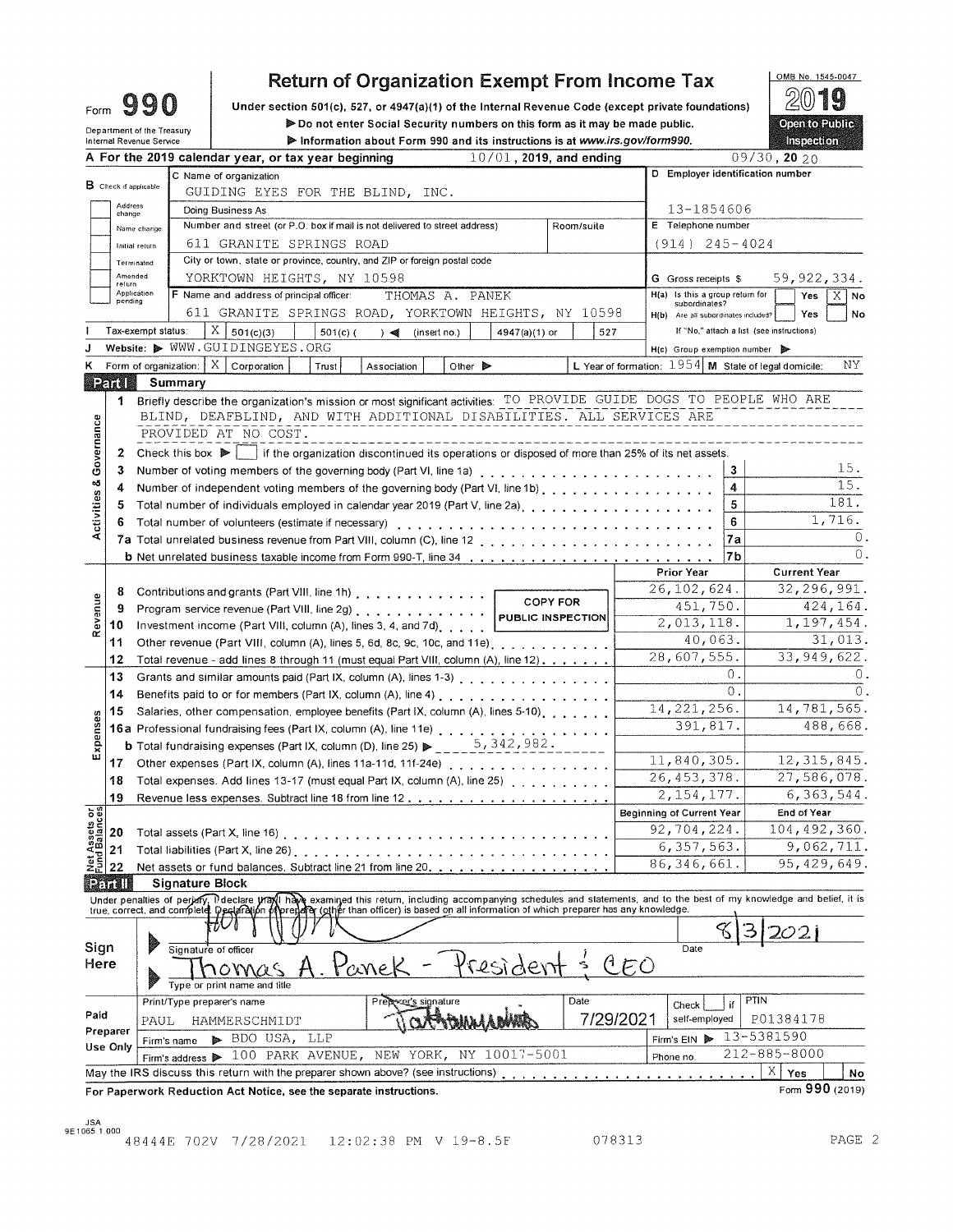Form 99 Department of the Treasury

## Return of Organization Exempt From Income Tax

Under section 501(c), 527, or 4947(a)(1) of the Internal Revenue Code (except private foundations) > Do not enter Social Security numbers on this form as it may be made public.



|                     |                              | ▶ Information about Form 990 and its instructions is at www.irs.gov/form990.<br>Internal Revenue Service                                                                                                                       |            |                                                        | <b>Inspection</b>                         |
|---------------------|------------------------------|--------------------------------------------------------------------------------------------------------------------------------------------------------------------------------------------------------------------------------|------------|--------------------------------------------------------|-------------------------------------------|
|                     |                              | A For the 2019 calendar year, or tax year beginning<br>$10/01$ , 2019, and ending                                                                                                                                              |            |                                                        | $09/30$ , 20 20                           |
|                     |                              | C Name of organization                                                                                                                                                                                                         |            | D Employer identification number                       |                                           |
|                     | <b>B</b> Check if applicable | GUIDING EYES FOR THE BLIND, INC.                                                                                                                                                                                               |            |                                                        |                                           |
|                     | Address<br>change            | Doing Business As                                                                                                                                                                                                              |            | 13-1854606                                             |                                           |
|                     |                              | Number and street (or P.O. box if mail is not delivered to street address)<br>Name change                                                                                                                                      | Room/suite | E Telephone number                                     |                                           |
|                     |                              | 611 GRANITE SPRINGS ROAD<br>Initial return                                                                                                                                                                                     |            | $(914)$ 245-4024                                       |                                           |
|                     |                              | City or town, state or province, country, and ZIP or foreign postal code<br>Terminated                                                                                                                                         |            |                                                        |                                           |
|                     | Amended<br>return            | YORKTOWN HEIGHTS, NY 10598                                                                                                                                                                                                     |            | G Gross receipts \$                                    | 59, 922, 334.                             |
|                     | pending                      | Application<br>F Name and address of principal officer:<br>THOMAS A. PANEK                                                                                                                                                     |            | H(a) Is this a group return for<br>subordinates?       | Yes<br>$X \mid N$ o                       |
|                     |                              | 611 GRANITE SPRINGS ROAD, YORKTOWN HEIGHTS, NY 10598                                                                                                                                                                           |            | H(b) Are all subordinates included?                    | Yes<br>No                                 |
|                     |                              | X.<br>Tax-exempt status:<br>501(c)(3)<br>$501(c)$ (<br>$\rightarrow$<br>(insert no.)<br>4947(a)(1) or                                                                                                                          | 527        |                                                        | If "No," attach a list (see instructions) |
|                     |                              | Website: WWW.GUIDINGEYES.ORG                                                                                                                                                                                                   |            | $H(c)$ Group exemption number                          |                                           |
| ĸ                   |                              | Form of organization:   X  <br>Corporation<br>Trust<br>Association<br>Other $\triangleright$                                                                                                                                   |            | L Year of formation: $1954$ M State of legal domicile: | ΝY                                        |
|                     | <b>Taril</b>                 | Summary                                                                                                                                                                                                                        |            |                                                        |                                           |
|                     | 1                            | Briefly describe the organization's mission or most significant activities: TO PROVIDE GUIDE DOGS TO PEOPLE WHO ARE                                                                                                            |            |                                                        |                                           |
|                     |                              | BLIND, DEAFBLIND, AND WITH ADDITIONAL DISABILITIES. ALL SERVICES ARE                                                                                                                                                           |            |                                                        |                                           |
|                     |                              | PROVIDED AT NO COST.                                                                                                                                                                                                           |            |                                                        |                                           |
| Governance          | 2                            | Check this box $\blacktriangleright$   if the organization discontinued its operations or disposed of more than 25% of its net assets.                                                                                         |            |                                                        |                                           |
|                     | 3                            |                                                                                                                                                                                                                                |            | 3                                                      | 15.                                       |
|                     | 4                            | Number of independent voting members of the governing body (Part VI, line 1b)                                                                                                                                                  |            | 4                                                      | 15.                                       |
| Activities &        | 5                            | Total number of individuals employed in calendar year 2019 (Part V, line 2a)                                                                                                                                                   |            | 5                                                      | 181.                                      |
|                     | 6                            |                                                                                                                                                                                                                                |            | 6                                                      | 1,716.                                    |
|                     |                              |                                                                                                                                                                                                                                |            | 7a                                                     | $\Omega$                                  |
|                     |                              |                                                                                                                                                                                                                                |            | 7b                                                     | $\Omega$                                  |
|                     |                              |                                                                                                                                                                                                                                |            | Prior Year                                             | <b>Current Year</b>                       |
|                     | 8                            | Contributions and grants (Part VIII, line 1h)                                                                                                                                                                                  |            | 26,102,624.                                            | 32,296,991                                |
|                     | 9                            | <b>COPY FOR</b><br>Program service revenue (Part VIII, line 2g)                                                                                                                                                                |            | 451,750.                                               | 424,164                                   |
| Revenue             | 10                           | PUBLIC INSPECTION<br>Investment income (Part VIII, column (A), lines 3, 4, and 7d)                                                                                                                                             |            | 2,013,118.                                             | 1,197,454                                 |
|                     | 11                           | Other revenue (Part VIII, column (A), lines 5, 6d, 8c, 9c, 10c, and 11e).                                                                                                                                                      |            | 40,063.                                                | 31,013                                    |
|                     | 12                           | Total revenue - add lines 8 through 11 (must equal Part VIII, column (A), line 12). $\dots$                                                                                                                                    |            | 28,607,555.                                            | 33, 949, 622                              |
|                     | 13                           | Grants and similar amounts paid (Part IX, column (A), lines 1-3)                                                                                                                                                               |            | 0.                                                     | -0                                        |
|                     | 14                           |                                                                                                                                                                                                                                |            | $\Omega$ .                                             |                                           |
|                     | 15                           | Salaries, other compensation, employee benefits (Part IX, column (A), lines 5-10).                                                                                                                                             |            | 14, 221, 256.                                          | 14,781,565                                |
|                     |                              | 16a Professional fundraising fees (Part IX, column (A), line 11e)                                                                                                                                                              |            | 391,817.                                               | 488,668                                   |
| Expenses            |                              | 5, 342, 982.<br><b>b</b> Total fundraising expenses (Part IX, column (D), line 25) $\triangleright$                                                                                                                            |            |                                                        |                                           |
|                     | 17                           | Other expenses (Part IX, column (A), lines 11a-11d, 11f-24e)                                                                                                                                                                   |            | 11,840,305.                                            | 12, 315, 845                              |
|                     | 18                           | Total expenses. Add lines 13-17 (must equal Part IX, column (A), line 25)                                                                                                                                                      |            | 26, 453, 378.                                          | 27,586,078                                |
|                     | 19                           |                                                                                                                                                                                                                                |            | 2,154,177.                                             | 6,363,544                                 |
|                     |                              |                                                                                                                                                                                                                                |            | <b>Beginning of Current Year</b>                       | End of Year                               |
| ets or              | 20                           | Total assets (Part X, line 16).                                                                                                                                                                                                |            | 92,704,224.                                            | 104,492,360                               |
|                     | 21                           |                                                                                                                                                                                                                                |            | 6, 357, 563.                                           | 9,062,711                                 |
| Net Ass<br>Fund Bal | 22                           | Total liabilities (Part X, line 26) [ [ [ [ ] ]<br>Net assets or fund balances. Subtract line 21 from line 20.                                                                                                                 |            | 86, 346, 661.                                          | 95, 429, 649                              |
|                     | <b>Card</b>                  | <b>Signature Block</b>                                                                                                                                                                                                         |            |                                                        |                                           |
|                     |                              |                                                                                                                                                                                                                                |            |                                                        |                                           |
|                     |                              | Under penalties of periuty, D declare travil have examined this return, including accompanying schedules and statements, and to the best of my knowledge and belief, it is true, correct, and complete penaltips of prepare (o |            |                                                        |                                           |
|                     |                              |                                                                                                                                                                                                                                |            |                                                        |                                           |
| Sign                |                              | Signature of officer                                                                                                                                                                                                           |            | Date                                                   |                                           |
| Here                |                              | residen<br>'arre                                                                                                                                                                                                               | CEO        |                                                        |                                           |
|                     |                              | Type or print name and title                                                                                                                                                                                                   |            |                                                        |                                           |
|                     |                              | Print/Type preparer's name<br>್ಇಲ್'s signature                                                                                                                                                                                 | Date       |                                                        | PTIN                                      |
| Paid                |                              |                                                                                                                                                                                                                                | 7/29/2021  | Check<br>if<br>self-employed                           | P01384178                                 |
|                     | Preparer                     | PAUL<br>HAMMERSCHMIDT                                                                                                                                                                                                          |            |                                                        | 13-5381590                                |
|                     | Use Only                     | BDO USA,<br><b>TT<sub>b</sub></b><br>b-<br>Firm's name                                                                                                                                                                         |            | Firm's EIN                                             | $212 - 885 - 8000$                        |
|                     |                              | 100 PARK AVENUE,<br>NEW YORK,<br>NY 10017-5001<br>Firm's address >                                                                                                                                                             |            | Phone no.                                              | $\overline{X}$                            |
|                     |                              | May the IRS discuss this return with the preparer shown above? (see instructions)                                                                                                                                              |            |                                                        | Yes<br>No                                 |
|                     |                              | For Paperwork Reduction Act Notice, see the separate instructions.                                                                                                                                                             |            |                                                        | Form 990 (2019)                           |

For Paperwork Reduction Act Notice, see the separate instructions.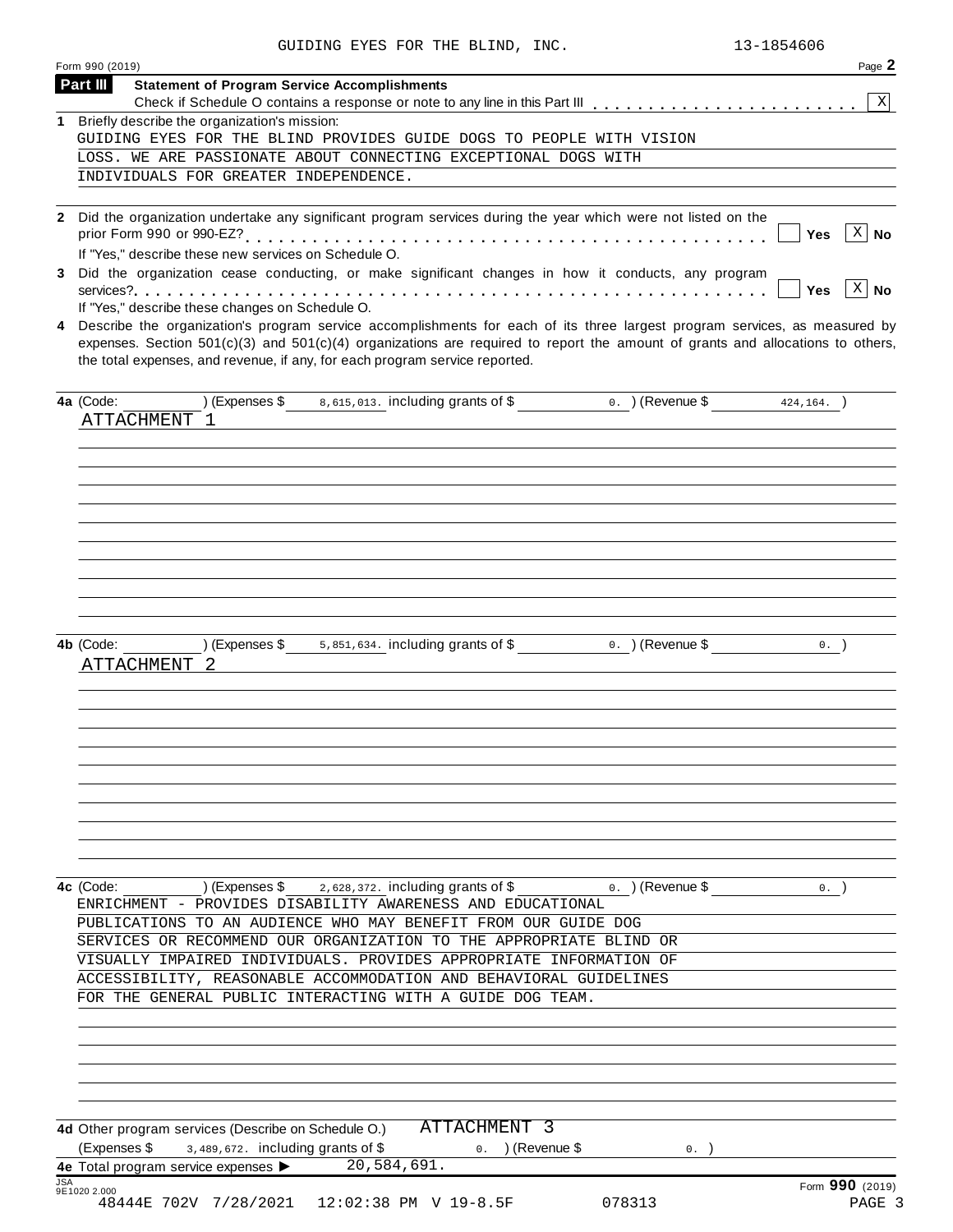|             | GUIDING EYES FOR THE BLIND, INC.                                                                                                       | 13-1854606 |                   |
|-------------|----------------------------------------------------------------------------------------------------------------------------------------|------------|-------------------|
|             | Form 990 (2019)                                                                                                                        |            | Page 2            |
|             | Part III<br><b>Statement of Program Service Accomplishments</b>                                                                        |            |                   |
|             |                                                                                                                                        |            | $\mathbf{X}$      |
| $\mathbf 1$ | Briefly describe the organization's mission:                                                                                           |            |                   |
|             | GUIDING EYES FOR THE BLIND PROVIDES GUIDE DOGS TO PEOPLE WITH VISION<br>LOSS. WE ARE PASSIONATE ABOUT CONNECTING EXCEPTIONAL DOGS WITH |            |                   |
|             | INDIVIDUALS FOR GREATER INDEPENDENCE.                                                                                                  |            |                   |
|             |                                                                                                                                        |            |                   |
|             | 2 Did the organization undertake any significant program services during the year which were not listed on the                         |            |                   |
|             |                                                                                                                                        | Yes        | $X \mid N$ o      |
|             | If "Yes," describe these new services on Schedule O.                                                                                   |            |                   |
| 3           | Did the organization cease conducting, or make significant changes in how it conducts, any program                                     | <b>Yes</b> | $\overline{X}$ No |
|             | If "Yes," describe these changes on Schedule O.                                                                                        |            |                   |
|             | Describe the organization's program service accomplishments for each of its three largest program services, as measured by             |            |                   |
|             | expenses. Section $501(c)(3)$ and $501(c)(4)$ organizations are required to report the amount of grants and allocations to others,     |            |                   |
|             | the total expenses, and revenue, if any, for each program service reported.                                                            |            |                   |
|             |                                                                                                                                        |            |                   |
|             | 4a (Code: ) (Expenses \$ 8,615,013. including grants of \$ 0. ) (Revenue \$ 424,164. )                                                 |            |                   |
|             | ATTACHMENT 1                                                                                                                           |            |                   |
|             |                                                                                                                                        |            |                   |
|             |                                                                                                                                        |            |                   |
|             |                                                                                                                                        |            |                   |
|             |                                                                                                                                        |            |                   |
|             |                                                                                                                                        |            |                   |
|             |                                                                                                                                        |            |                   |
|             |                                                                                                                                        |            |                   |
|             |                                                                                                                                        |            |                   |
|             |                                                                                                                                        |            |                   |
|             | 4b (Code: ) (Expenses \$5,851,634. including grants of \$0. ) (Revenue \$                                                              | 0.         |                   |
|             | ATTACHMENT <sub>2</sub>                                                                                                                |            |                   |
|             |                                                                                                                                        |            |                   |
|             |                                                                                                                                        |            |                   |
|             |                                                                                                                                        |            |                   |
|             |                                                                                                                                        |            |                   |
|             |                                                                                                                                        |            |                   |
|             |                                                                                                                                        |            |                   |
|             |                                                                                                                                        |            |                   |
|             |                                                                                                                                        |            |                   |
|             |                                                                                                                                        |            |                   |
|             | $0.$ ) (Revenue \$<br>4c (Code:<br>) (Expenses \$<br>2,628,372. including grants of \$                                                 | 0.         |                   |
|             | ENRICHMENT - PROVIDES DISABILITY AWARENESS AND EDUCATIONAL                                                                             |            |                   |
|             | PUBLICATIONS TO AN AUDIENCE WHO MAY BENEFIT FROM OUR GUIDE DOG                                                                         |            |                   |
|             | SERVICES OR RECOMMEND OUR ORGANIZATION TO THE APPROPRIATE BLIND OR                                                                     |            |                   |
|             | VISUALLY IMPAIRED INDIVIDUALS. PROVIDES APPROPRIATE INFORMATION OF                                                                     |            |                   |
|             | ACCESSIBILITY, REASONABLE ACCOMMODATION AND BEHAVIORAL GUIDELINES<br>FOR THE GENERAL PUBLIC INTERACTING WITH A GUIDE DOG TEAM.         |            |                   |
|             |                                                                                                                                        |            |                   |
|             |                                                                                                                                        |            |                   |
|             |                                                                                                                                        |            |                   |
|             |                                                                                                                                        |            |                   |
|             |                                                                                                                                        |            |                   |
|             |                                                                                                                                        |            |                   |
|             | ATTACHMENT 3<br>4d Other program services (Describe on Schedule O.)                                                                    |            |                   |
|             | 3,489,672. including grants of \$<br>(Expenses \$<br>$0.$ ) (Revenue \$<br>0.<br>4e Total program service expenses ><br>20,584,691.    |            |                   |
| <b>JSA</b>  |                                                                                                                                        |            | Form 990 (2019)   |
|             | 9E1020 2.000<br>48444E 702V 7/28/2021<br>12:02:38 PM V 19-8.5F<br>078313                                                               |            | PAGE 3            |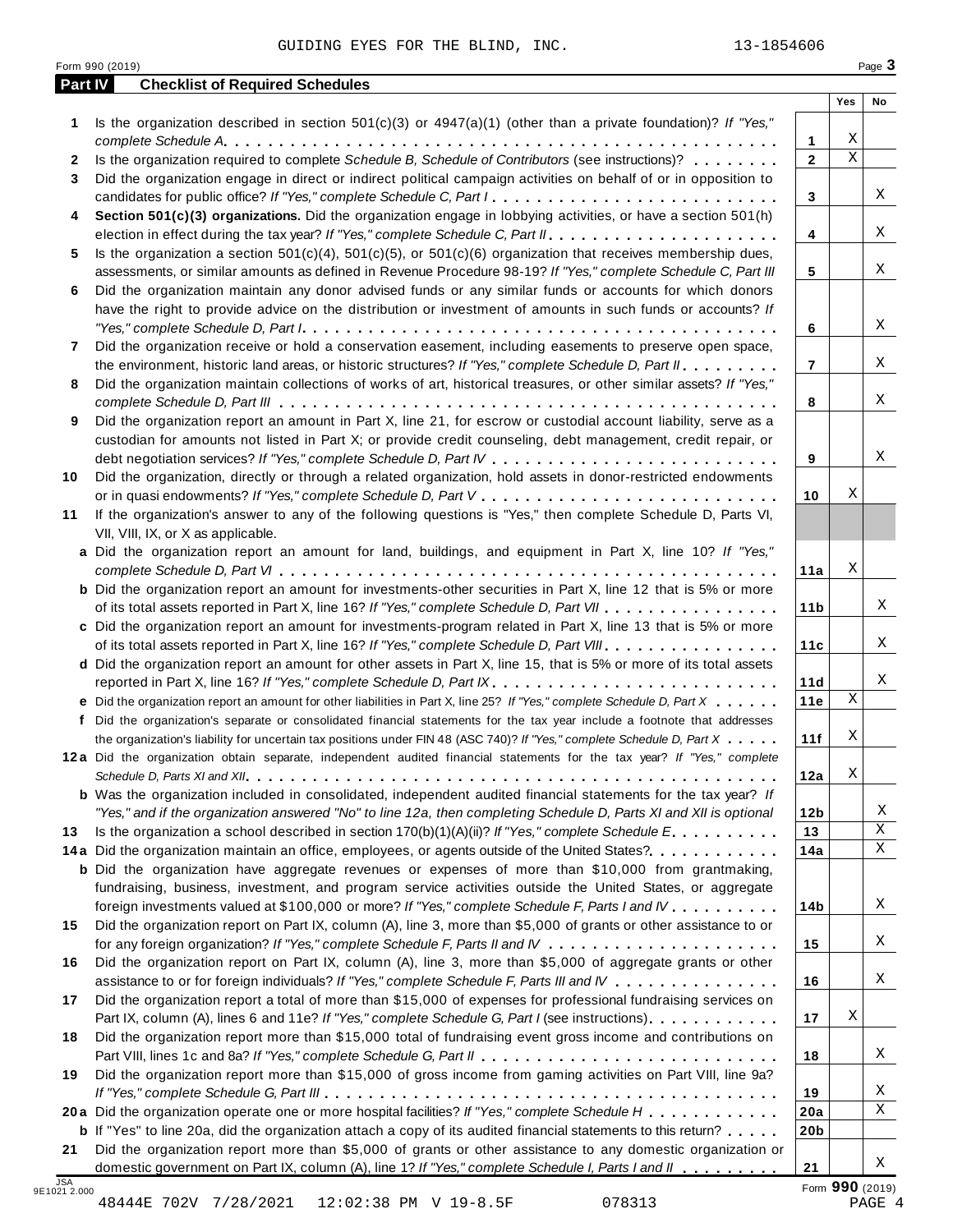| Part IV      | <b>Checklist of Required Schedules</b>                                                                                                                                                                                 |                 |             |    |
|--------------|------------------------------------------------------------------------------------------------------------------------------------------------------------------------------------------------------------------------|-----------------|-------------|----|
|              |                                                                                                                                                                                                                        |                 | Yes         | No |
| 1            | Is the organization described in section $501(c)(3)$ or $4947(a)(1)$ (other than a private foundation)? If "Yes,"                                                                                                      |                 |             |    |
|              |                                                                                                                                                                                                                        | 1               | Χ           |    |
| $\mathbf{2}$ | Is the organization required to complete Schedule B, Schedule of Contributors (see instructions)?                                                                                                                      | $\mathbf{2}$    | $\mathbf X$ |    |
| 3            | Did the organization engage in direct or indirect political campaign activities on behalf of or in opposition to                                                                                                       |                 |             |    |
|              | candidates for public office? If "Yes," complete Schedule C, Part I.                                                                                                                                                   | 3               |             | Χ  |
| 4            | Section 501(c)(3) organizations. Did the organization engage in lobbying activities, or have a section 501(h)                                                                                                          |                 |             | X  |
|              |                                                                                                                                                                                                                        | 4               |             |    |
| 5            | Is the organization a section $501(c)(4)$ , $501(c)(5)$ , or $501(c)(6)$ organization that receives membership dues,                                                                                                   |                 |             | Χ  |
|              | assessments, or similar amounts as defined in Revenue Procedure 98-19? If "Yes," complete Schedule C, Part III                                                                                                         | 5               |             |    |
| 6            | Did the organization maintain any donor advised funds or any similar funds or accounts for which donors<br>have the right to provide advice on the distribution or investment of amounts in such funds or accounts? If |                 |             |    |
|              |                                                                                                                                                                                                                        | 6               |             | X  |
| 7            | Did the organization receive or hold a conservation easement, including easements to preserve open space,                                                                                                              |                 |             |    |
|              | the environment, historic land areas, or historic structures? If "Yes," complete Schedule D, Part II.                                                                                                                  | $\overline{7}$  |             | Χ  |
| 8            | Did the organization maintain collections of works of art, historical treasures, or other similar assets? If "Yes,"                                                                                                    |                 |             |    |
|              |                                                                                                                                                                                                                        | 8               |             | Χ  |
| 9            | Did the organization report an amount in Part X, line 21, for escrow or custodial account liability, serve as a                                                                                                        |                 |             |    |
|              | custodian for amounts not listed in Part X; or provide credit counseling, debt management, credit repair, or                                                                                                           |                 |             |    |
|              |                                                                                                                                                                                                                        | 9               |             | X  |
| 10           | Did the organization, directly or through a related organization, hold assets in donor-restricted endowments                                                                                                           |                 |             |    |
|              |                                                                                                                                                                                                                        | 10              | Χ           |    |
| 11           | If the organization's answer to any of the following questions is "Yes," then complete Schedule D, Parts VI,                                                                                                           |                 |             |    |
|              | VII, VIII, IX, or X as applicable.                                                                                                                                                                                     |                 |             |    |
|              | a Did the organization report an amount for land, buildings, and equipment in Part X, line 10? If "Yes,"                                                                                                               |                 |             |    |
|              |                                                                                                                                                                                                                        | 11a             | Χ           |    |
|              | <b>b</b> Did the organization report an amount for investments-other securities in Part X, line 12 that is 5% or more                                                                                                  |                 |             |    |
|              | of its total assets reported in Part X, line 16? If "Yes," complete Schedule D, Part VII                                                                                                                               | 11 <sub>b</sub> |             | Χ  |
|              | c Did the organization report an amount for investments-program related in Part X, line 13 that is 5% or more                                                                                                          |                 |             |    |
|              | of its total assets reported in Part X, line 16? If "Yes," complete Schedule D, Part VIII                                                                                                                              | 11c             |             | Χ  |
|              | d Did the organization report an amount for other assets in Part X, line 15, that is 5% or more of its total assets                                                                                                    |                 |             |    |
|              | reported in Part X, line 16? If "Yes," complete Schedule D, Part IX.                                                                                                                                                   | 11d             |             | Χ  |
|              | e Did the organization report an amount for other liabilities in Part X, line 25? If "Yes," complete Schedule D, Part X                                                                                                | 11e             | Χ           |    |
| f            | Did the organization's separate or consolidated financial statements for the tax year include a footnote that addresses                                                                                                |                 |             |    |
|              | the organization's liability for uncertain tax positions under FIN 48 (ASC 740)? If "Yes," complete Schedule D, Part X                                                                                                 | 11f             | Χ           |    |
|              | 12a Did the organization obtain separate, independent audited financial statements for the tax year? If "Yes," complete                                                                                                |                 |             |    |
|              |                                                                                                                                                                                                                        | 12a             | Χ           |    |
|              | <b>b</b> Was the organization included in consolidated, independent audited financial statements for the tax year? If                                                                                                  |                 |             |    |
|              | "Yes," and if the organization answered "No" to line 12a, then completing Schedule D, Parts XI and XII is optional                                                                                                     | 12 <sub>b</sub> |             | Χ  |
| 13           | Is the organization a school described in section $170(b)(1)(A)(ii)$ ? If "Yes," complete Schedule E.                                                                                                                  | 13              |             | Χ  |
|              | 14a Did the organization maintain an office, employees, or agents outside of the United States?.                                                                                                                       | 14a             |             | Χ  |
|              | <b>b</b> Did the organization have aggregate revenues or expenses of more than \$10,000 from grantmaking,                                                                                                              |                 |             |    |
|              | fundraising, business, investment, and program service activities outside the United States, or aggregate                                                                                                              |                 |             |    |
|              | foreign investments valued at \$100,000 or more? If "Yes," complete Schedule F, Parts I and IV                                                                                                                         | 14b             |             | Χ  |
| 15           | Did the organization report on Part IX, column (A), line 3, more than \$5,000 of grants or other assistance to or                                                                                                      |                 |             |    |
|              |                                                                                                                                                                                                                        | 15              |             | Χ  |
| 16           | Did the organization report on Part IX, column (A), line 3, more than \$5,000 of aggregate grants or other                                                                                                             |                 |             |    |
|              | assistance to or for foreign individuals? If "Yes," complete Schedule F, Parts III and IV                                                                                                                              | 16              |             | Χ  |
| 17           | Did the organization report a total of more than \$15,000 of expenses for professional fundraising services on                                                                                                         |                 | Χ           |    |
|              | Part IX, column (A), lines 6 and 11e? If "Yes," complete Schedule G, Part I (see instructions)                                                                                                                         | 17              |             |    |
| 18           | Did the organization report more than \$15,000 total of fundraising event gross income and contributions on                                                                                                            |                 |             | Χ  |
|              |                                                                                                                                                                                                                        | 18              |             |    |
| 19           | Did the organization report more than \$15,000 of gross income from gaming activities on Part VIII, line 9a?                                                                                                           |                 |             | Χ  |
|              |                                                                                                                                                                                                                        | 19              |             | Χ  |
|              | 20a Did the organization operate one or more hospital facilities? If "Yes," complete Schedule H                                                                                                                        | 20a             |             |    |
|              | <b>b</b> If "Yes" to line 20a, did the organization attach a copy of its audited financial statements to this return?                                                                                                  | 20 <sub>b</sub> |             |    |
| 21           | Did the organization report more than \$5,000 of grants or other assistance to any domestic organization or                                                                                                            | 21              |             | X  |
|              | domestic government on Part IX, column (A), line 1? If "Yes," complete Schedule I, Parts I and II                                                                                                                      |                 |             |    |

48444E 702V 7/28/2021 12:02:38 PM V 19-8.5F 078313 PAGE 4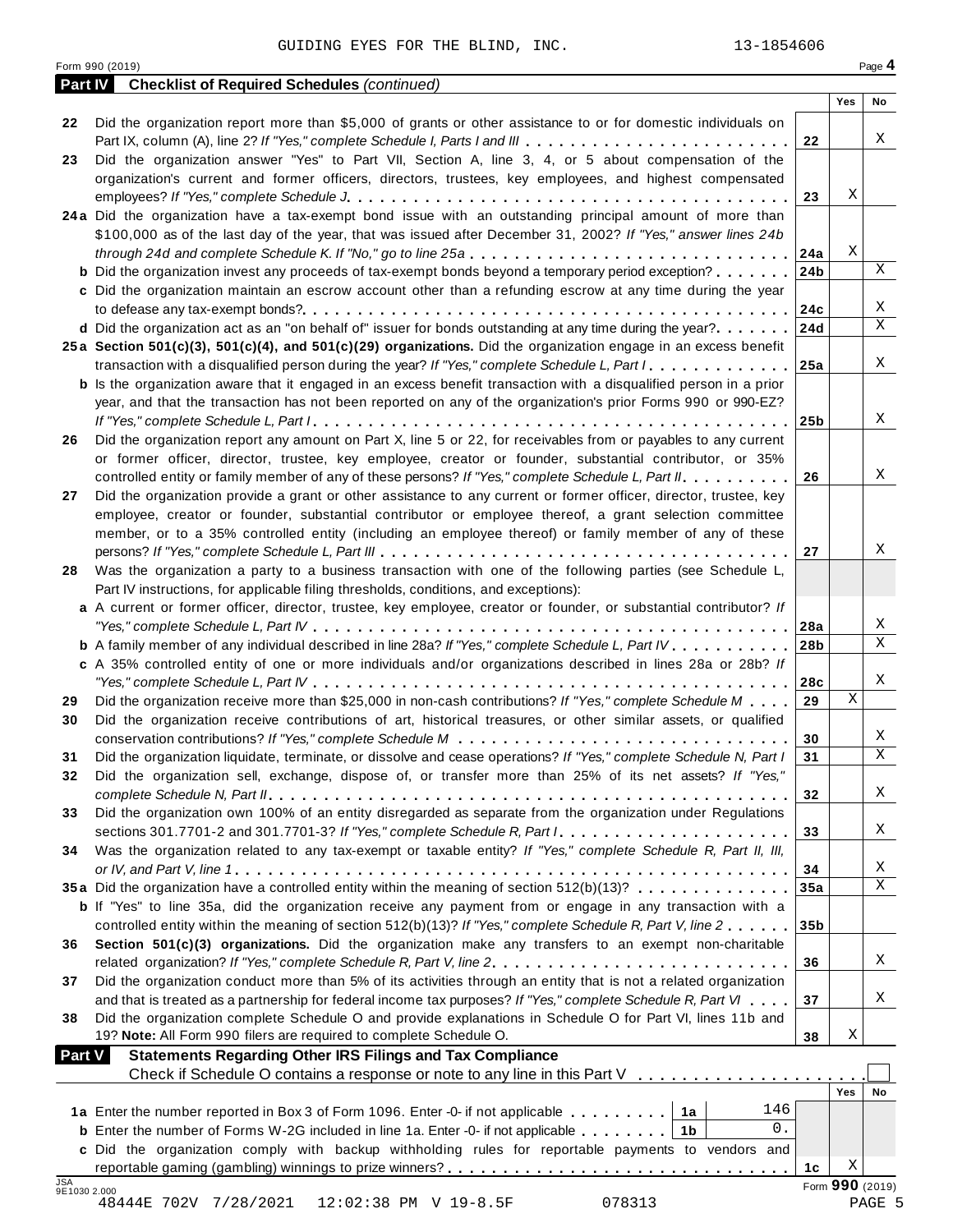Form <sup>990</sup> (2019) Page **4**

|                            | <b>Part IV</b> Checklist of Required Schedules (continued)                                                                       |                 |     |                     |
|----------------------------|----------------------------------------------------------------------------------------------------------------------------------|-----------------|-----|---------------------|
|                            |                                                                                                                                  |                 | Yes | No                  |
| 22                         | Did the organization report more than \$5,000 of grants or other assistance to or for domestic individuals on                    |                 |     |                     |
|                            | Part IX, column (A), line 2? If "Yes," complete Schedule I, Parts I and III                                                      | 22              |     | X                   |
| 23                         | Did the organization answer "Yes" to Part VII, Section A, line 3, 4, or 5 about compensation of the                              |                 |     |                     |
|                            | organization's current and former officers, directors, trustees, key employees, and highest compensated                          |                 |     |                     |
|                            |                                                                                                                                  | 23              | Χ   |                     |
|                            | 24a Did the organization have a tax-exempt bond issue with an outstanding principal amount of more than                          |                 |     |                     |
|                            | \$100,000 as of the last day of the year, that was issued after December 31, 2002? If "Yes," answer lines 24b                    |                 |     |                     |
|                            | through 24d and complete Schedule K. If "No," go to line 25a $\dots \dots \dots \dots \dots \dots \dots \dots \dots \dots \dots$ | 24a             | Χ   | X                   |
|                            | <b>b</b> Did the organization invest any proceeds of tax-exempt bonds beyond a temporary period exception?                       | 24 <sub>b</sub> |     |                     |
|                            | c Did the organization maintain an escrow account other than a refunding escrow at any time during the year                      |                 |     |                     |
|                            |                                                                                                                                  | 24c             |     | X<br>$\overline{X}$ |
|                            | <b>d</b> Did the organization act as an "on behalf of" issuer for bonds outstanding at any time during the year? 24d             |                 |     |                     |
|                            | 25a Section 501(c)(3), 501(c)(4), and 501(c)(29) organizations. Did the organization engage in an excess benefit                 |                 |     | X                   |
|                            |                                                                                                                                  | 25a             |     |                     |
|                            | <b>b</b> Is the organization aware that it engaged in an excess benefit transaction with a disqualified person in a prior        |                 |     |                     |
|                            | year, and that the transaction has not been reported on any of the organization's prior Forms 990 or 990-EZ?                     |                 |     | X                   |
|                            |                                                                                                                                  | 25b             |     |                     |
| 26                         | Did the organization report any amount on Part X, line 5 or 22, for receivables from or payables to any current                  |                 |     |                     |
|                            | or former officer, director, trustee, key employee, creator or founder, substantial contributor, or 35%                          |                 |     | X                   |
|                            | controlled entity or family member of any of these persons? If "Yes," complete Schedule L, Part II.                              | 26              |     |                     |
| 27                         | Did the organization provide a grant or other assistance to any current or former officer, director, trustee, key                |                 |     |                     |
|                            | employee, creator or founder, substantial contributor or employee thereof, a grant selection committee                           |                 |     |                     |
|                            | member, or to a 35% controlled entity (including an employee thereof) or family member of any of these                           |                 |     | X                   |
|                            | Was the organization a party to a business transaction with one of the following parties (see Schedule L,                        | 27              |     |                     |
| 28                         | Part IV instructions, for applicable filing thresholds, conditions, and exceptions):                                             |                 |     |                     |
|                            | a A current or former officer, director, trustee, key employee, creator or founder, or substantial contributor? If               |                 |     |                     |
|                            |                                                                                                                                  | 28a             |     | X                   |
|                            | <b>b</b> A family member of any individual described in line 28a? If "Yes," complete Schedule L, Part IV.                        | 28 <sub>b</sub> |     | $\mathbf X$         |
|                            | c A 35% controlled entity of one or more individuals and/or organizations described in lines 28a or 28b? If                      |                 |     |                     |
|                            |                                                                                                                                  | 28c             |     | Χ                   |
| 29                         | Did the organization receive more than \$25,000 in non-cash contributions? If "Yes," complete Schedule M                         | 29              | X   |                     |
| 30                         | Did the organization receive contributions of art, historical treasures, or other similar assets, or qualified                   |                 |     |                     |
|                            |                                                                                                                                  | 30              |     | X                   |
| 31                         | Did the organization liquidate, terminate, or dissolve and cease operations? If "Yes," complete Schedule N, Part I               | 31              |     | $\mathbf X$         |
| 32                         | Did the organization sell, exchange, dispose of, or transfer more than 25% of its net assets? If "Yes,"                          |                 |     |                     |
|                            |                                                                                                                                  | 32              |     | Χ                   |
| 33                         | Did the organization own 100% of an entity disregarded as separate from the organization under Regulations                       |                 |     |                     |
|                            |                                                                                                                                  | 33              |     | Χ                   |
| 34                         | Was the organization related to any tax-exempt or taxable entity? If "Yes," complete Schedule R, Part II, III,                   |                 |     |                     |
|                            |                                                                                                                                  | 34              |     | Χ                   |
|                            | 35a Did the organization have a controlled entity within the meaning of section 512(b)(13)?                                      | 35a             |     | X                   |
|                            | <b>b</b> If "Yes" to line 35a, did the organization receive any payment from or engage in any transaction with a                 |                 |     |                     |
|                            | controlled entity within the meaning of section 512(b)(13)? If "Yes," complete Schedule R, Part V, line 2                        | 35 <sub>b</sub> |     |                     |
| 36                         | Section 501(c)(3) organizations. Did the organization make any transfers to an exempt non-charitable                             |                 |     |                     |
|                            | related organization? If "Yes," complete Schedule R, Part V, line 2.                                                             | 36              |     | Χ                   |
| 37                         | Did the organization conduct more than 5% of its activities through an entity that is not a related organization                 |                 |     |                     |
|                            | and that is treated as a partnership for federal income tax purposes? If "Yes," complete Schedule R, Part VI                     | 37              |     | Χ                   |
| 38                         | Did the organization complete Schedule O and provide explanations in Schedule O for Part VI, lines 11b and                       |                 |     |                     |
|                            | 19? Note: All Form 990 filers are required to complete Schedule O.                                                               | 38              | Χ   |                     |
| <b>Part V</b>              | <b>Statements Regarding Other IRS Filings and Tax Compliance</b>                                                                 |                 |     |                     |
|                            | Check if Schedule O contains a response or note to any line in this Part V                                                       |                 |     |                     |
|                            |                                                                                                                                  |                 | Yes | No                  |
|                            | 146<br>1a Enter the number reported in Box 3 of Form 1096. Enter -0- if not applicable   1a                                      |                 |     |                     |
|                            | 0.<br><b>b</b> Enter the number of Forms W-2G included in line 1a. Enter -0- if not applicable $\ldots \ldots$   1b              |                 |     |                     |
|                            | c Did the organization comply with backup withholding rules for reportable payments to vendors and                               |                 |     |                     |
|                            |                                                                                                                                  | 1c              | Χ   |                     |
| <b>JSA</b><br>9E1030 2.000 |                                                                                                                                  |                 |     | Form 990 (2019)     |
|                            | 48444E 702V 7/28/2021<br>12:02:38 PM V 19-8.5F<br>078313                                                                         |                 |     | PAGE 5              |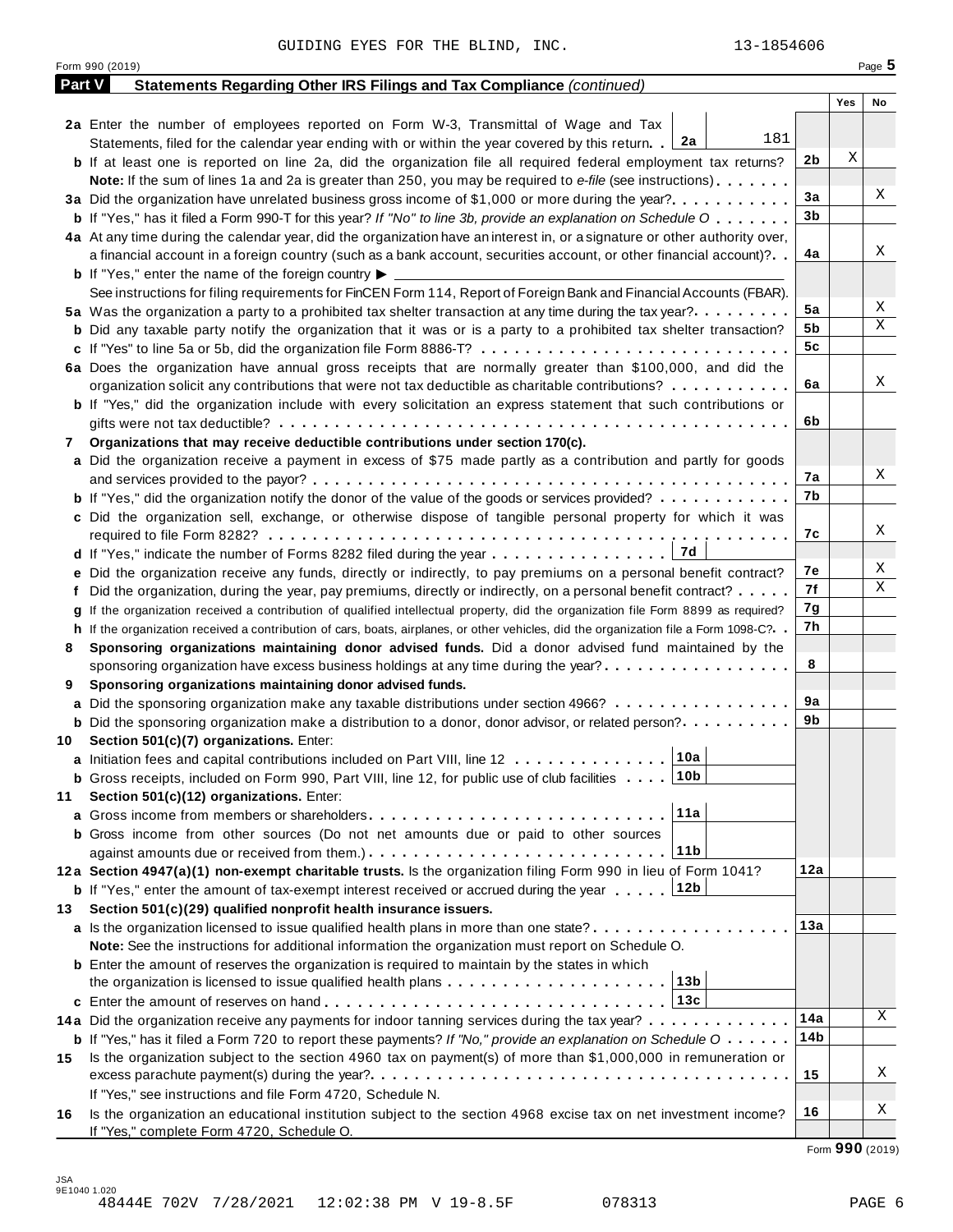|        | Form 990 (2019)                                                                                                                              |     |     | Page 5 |
|--------|----------------------------------------------------------------------------------------------------------------------------------------------|-----|-----|--------|
| Part V | Statements Regarding Other IRS Filings and Tax Compliance (continued)                                                                        |     |     |        |
|        |                                                                                                                                              |     | Yes | No     |
|        | 2a Enter the number of employees reported on Form W-3, Transmittal of Wage and Tax                                                           |     |     |        |
|        | 181<br>Statements, filed for the calendar year ending with or within the year covered by this return. 2a                                     |     |     |        |
|        | <b>b</b> If at least one is reported on line 2a, did the organization file all required federal employment tax returns?                      | 2b  | Χ   |        |
|        | <b>Note:</b> If the sum of lines 1a and 2a is greater than 250, you may be required to e-file (see instructions).                            |     |     |        |
|        | 3a Did the organization have unrelated business gross income of \$1,000 or more during the year?                                             | 3a  |     | Χ      |
|        | <b>b</b> If "Yes," has it filed a Form 990-T for this year? If "No" to line 3b, provide an explanation on Schedule O                         | 3b  |     |        |
|        | 4a At any time during the calendar year, did the organization have an interest in, or a signature or other authority over,                   |     |     |        |
|        | a financial account in a foreign country (such as a bank account, securities account, or other financial account)?                           | 4a  |     | Χ      |
|        | <b>b</b> If "Yes," enter the name of the foreign country $\blacktriangleright$                                                               |     |     |        |
|        | See instructions for filing requirements for FinCEN Form 114, Report of Foreign Bank and Financial Accounts (FBAR).                          |     |     |        |
|        | 5a Was the organization a party to a prohibited tax shelter transaction at any time during the tax year?.                                    | 5a  |     | Χ      |
|        | <b>b</b> Did any taxable party notify the organization that it was or is a party to a prohibited tax shelter transaction?                    | 5b  |     | Χ      |
|        |                                                                                                                                              | 5c  |     |        |
|        | 6a Does the organization have annual gross receipts that are normally greater than \$100,000, and did the                                    |     |     |        |
|        | organization solicit any contributions that were not tax deductible as charitable contributions?                                             | 6a  |     | Χ      |
|        |                                                                                                                                              |     |     |        |
|        | <b>b</b> If "Yes," did the organization include with every solicitation an express statement that such contributions or                      | 6b  |     |        |
|        |                                                                                                                                              |     |     |        |
| 7      | Organizations that may receive deductible contributions under section 170(c).                                                                |     |     |        |
|        | a Did the organization receive a payment in excess of \$75 made partly as a contribution and partly for goods                                |     |     | Χ      |
|        |                                                                                                                                              | 7а  |     |        |
|        | <b>b</b> If "Yes," did the organization notify the donor of the value of the goods or services provided?                                     | 7b  |     |        |
|        | c Did the organization sell, exchange, or otherwise dispose of tangible personal property for which it was                                   |     |     | Χ      |
|        |                                                                                                                                              | 7с  |     |        |
|        |                                                                                                                                              |     |     |        |
|        | e Did the organization receive any funds, directly or indirectly, to pay premiums on a personal benefit contract?                            | 7е  |     | Χ      |
|        | f Did the organization, during the year, pay premiums, directly or indirectly, on a personal benefit contract?                               | 7f  |     | Χ      |
|        | If the organization received a contribution of qualified intellectual property, did the organization file Form 8899 as required?             | 7g  |     |        |
|        | h If the organization received a contribution of cars, boats, airplanes, or other vehicles, did the organization file a Form 1098-C?         | 7h  |     |        |
| 8      | Sponsoring organizations maintaining donor advised funds. Did a donor advised fund maintained by the                                         |     |     |        |
|        | sponsoring organization have excess business holdings at any time during the year?                                                           | 8   |     |        |
| 9      | Sponsoring organizations maintaining donor advised funds.                                                                                    |     |     |        |
|        | a Did the sponsoring organization make any taxable distributions under section 4966?                                                         | 9а  |     |        |
|        | <b>b</b> Did the sponsoring organization make a distribution to a donor, donor advisor, or related person?                                   | 9b  |     |        |
|        | 10 Section 501(c)(7) organizations. Enter:                                                                                                   |     |     |        |
|        | 10a <br>a Initiation fees and capital contributions included on Part VIII, line 12                                                           |     |     |        |
|        | <b>b</b> Gross receipts, included on Form 990, Part VIII, line 12, for public use of club facilities 10b                                     |     |     |        |
| 11     | Section 501(c)(12) organizations. Enter:                                                                                                     |     |     |        |
|        | 11a                                                                                                                                          |     |     |        |
|        | b Gross income from other sources (Do not net amounts due or paid to other sources                                                           |     |     |        |
|        | 11b                                                                                                                                          |     |     |        |
|        | 12a Section 4947(a)(1) non-exempt charitable trusts. Is the organization filing Form 990 in lieu of Form 1041?                               | 12a |     |        |
|        | 12b<br><b>b</b> If "Yes," enter the amount of tax-exempt interest received or accrued during the year                                        |     |     |        |
| 13.    | Section 501(c)(29) qualified nonprofit health insurance issuers.                                                                             |     |     |        |
|        | a Is the organization licensed to issue qualified health plans in more than one state?                                                       | 13а |     |        |
|        | Note: See the instructions for additional information the organization must report on Schedule O.                                            |     |     |        |
|        |                                                                                                                                              |     |     |        |
|        | <b>b</b> Enter the amount of reserves the organization is required to maintain by the states in which                                        |     |     |        |
|        | the organization is licensed to issue qualified health plans $\ldots \ldots \ldots \ldots \ldots \ldots \ldots$                              |     |     |        |
|        |                                                                                                                                              |     |     | Χ      |
|        | 14a Did the organization receive any payments for indoor tanning services during the tax year?                                               | 14a |     |        |
|        | <b>b</b> If "Yes," has it filed a Form 720 to report these payments? If "No," provide an explanation on Schedule $0 \cdot \cdot \cdot \cdot$ | 14b |     |        |
| 15     | Is the organization subject to the section 4960 tax on payment(s) of more than \$1,000,000 in remuneration or                                |     |     |        |
|        |                                                                                                                                              | 15  |     | Χ      |
|        | If "Yes," see instructions and file Form 4720, Schedule N.                                                                                   |     |     |        |
| 16     | Is the organization an educational institution subject to the section 4968 excise tax on net investment income?                              | 16  |     | Χ      |
|        | If "Yes," complete Form 4720, Schedule O.                                                                                                    |     |     |        |

Form **990** (2019)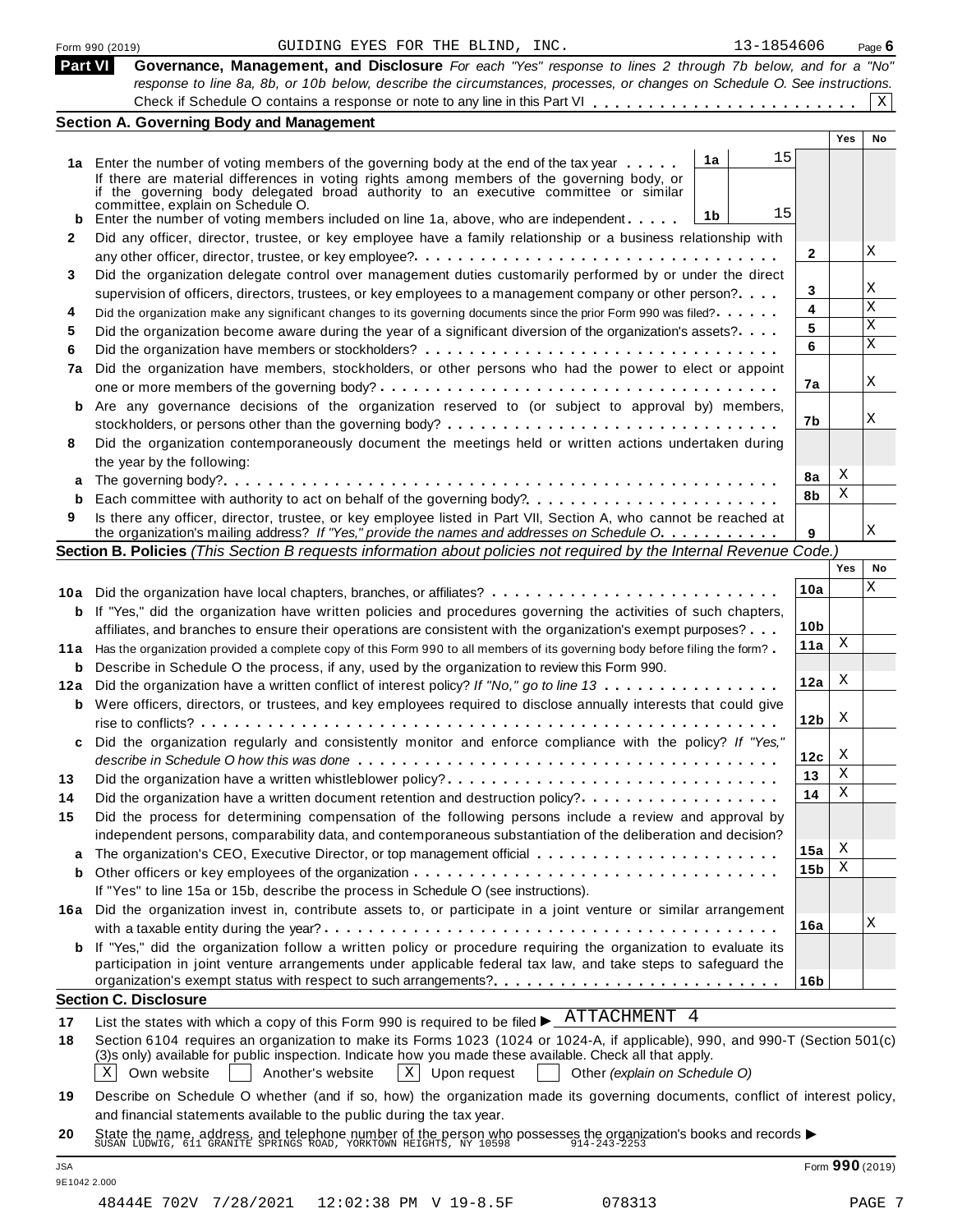| Part VI<br>Governance, Management, and Disclosure For each "Yes" response to lines 2 through 7b below, and for a "No"<br>response to line 8a, 8b, or 10b below, describe the circumstances, processes, or changes on Schedule O. See instructions.<br><b>Section A. Governing Body and Management</b><br>15<br>1a<br>1a Enter the number of voting members of the governing body at the end of the tax year<br>If there are material differences in voting rights among members of the governing body, or<br>if the governing body delegated broad authority to an executive committee or similar<br>committee, explain on Schedule O.<br>15<br>1b<br>Enter the number of voting members included on line 1a, above, who are independent<br>b<br>Did any officer, director, trustee, or key employee have a family relationship or a business relationship with<br>$\mathbf{2}$<br>$\mathbf{2}$<br>Did the organization delegate control over management duties customarily performed by or under the direct<br>3<br>3<br>supervision of officers, directors, trustees, or key employees to a management company or other person?<br>4<br>Did the organization make any significant changes to its governing documents since the prior Form 990 was filed?<br>4<br>5<br>Did the organization become aware during the year of a significant diversion of the organization's assets?<br>5<br>6<br>6<br>Did the organization have members, stockholders, or other persons who had the power to elect or appoint<br>7a<br>7a<br>Are any governance decisions of the organization reserved to (or subject to approval by) members,<br>b<br>7b<br>Did the organization contemporaneously document the meetings held or written actions undertaken during<br>8<br>the year by the following:<br>8a<br>a<br>8b<br>Is there any officer, director, trustee, or key employee listed in Part VII, Section A, who cannot be reached at<br>9<br>the organization's mailing address? If "Yes," provide the names and addresses on Schedule O.<br>9<br>Section B. Policies (This Section B requests information about policies not required by the Internal Revenue Code.) | Yes<br>Χ<br>Χ | X<br>No<br>X<br>Χ<br>X<br>X<br>X<br>X |
|-------------------------------------------------------------------------------------------------------------------------------------------------------------------------------------------------------------------------------------------------------------------------------------------------------------------------------------------------------------------------------------------------------------------------------------------------------------------------------------------------------------------------------------------------------------------------------------------------------------------------------------------------------------------------------------------------------------------------------------------------------------------------------------------------------------------------------------------------------------------------------------------------------------------------------------------------------------------------------------------------------------------------------------------------------------------------------------------------------------------------------------------------------------------------------------------------------------------------------------------------------------------------------------------------------------------------------------------------------------------------------------------------------------------------------------------------------------------------------------------------------------------------------------------------------------------------------------------------------------------------------------------------------------------------------------------------------------------------------------------------------------------------------------------------------------------------------------------------------------------------------------------------------------------------------------------------------------------------------------------------------------------------------------------------------------------------------------------------------------------------------------------------------------|---------------|---------------------------------------|
|                                                                                                                                                                                                                                                                                                                                                                                                                                                                                                                                                                                                                                                                                                                                                                                                                                                                                                                                                                                                                                                                                                                                                                                                                                                                                                                                                                                                                                                                                                                                                                                                                                                                                                                                                                                                                                                                                                                                                                                                                                                                                                                                                             |               |                                       |
|                                                                                                                                                                                                                                                                                                                                                                                                                                                                                                                                                                                                                                                                                                                                                                                                                                                                                                                                                                                                                                                                                                                                                                                                                                                                                                                                                                                                                                                                                                                                                                                                                                                                                                                                                                                                                                                                                                                                                                                                                                                                                                                                                             |               |                                       |
|                                                                                                                                                                                                                                                                                                                                                                                                                                                                                                                                                                                                                                                                                                                                                                                                                                                                                                                                                                                                                                                                                                                                                                                                                                                                                                                                                                                                                                                                                                                                                                                                                                                                                                                                                                                                                                                                                                                                                                                                                                                                                                                                                             |               |                                       |
|                                                                                                                                                                                                                                                                                                                                                                                                                                                                                                                                                                                                                                                                                                                                                                                                                                                                                                                                                                                                                                                                                                                                                                                                                                                                                                                                                                                                                                                                                                                                                                                                                                                                                                                                                                                                                                                                                                                                                                                                                                                                                                                                                             |               |                                       |
|                                                                                                                                                                                                                                                                                                                                                                                                                                                                                                                                                                                                                                                                                                                                                                                                                                                                                                                                                                                                                                                                                                                                                                                                                                                                                                                                                                                                                                                                                                                                                                                                                                                                                                                                                                                                                                                                                                                                                                                                                                                                                                                                                             |               |                                       |
|                                                                                                                                                                                                                                                                                                                                                                                                                                                                                                                                                                                                                                                                                                                                                                                                                                                                                                                                                                                                                                                                                                                                                                                                                                                                                                                                                                                                                                                                                                                                                                                                                                                                                                                                                                                                                                                                                                                                                                                                                                                                                                                                                             |               |                                       |
|                                                                                                                                                                                                                                                                                                                                                                                                                                                                                                                                                                                                                                                                                                                                                                                                                                                                                                                                                                                                                                                                                                                                                                                                                                                                                                                                                                                                                                                                                                                                                                                                                                                                                                                                                                                                                                                                                                                                                                                                                                                                                                                                                             |               |                                       |
|                                                                                                                                                                                                                                                                                                                                                                                                                                                                                                                                                                                                                                                                                                                                                                                                                                                                                                                                                                                                                                                                                                                                                                                                                                                                                                                                                                                                                                                                                                                                                                                                                                                                                                                                                                                                                                                                                                                                                                                                                                                                                                                                                             |               |                                       |
|                                                                                                                                                                                                                                                                                                                                                                                                                                                                                                                                                                                                                                                                                                                                                                                                                                                                                                                                                                                                                                                                                                                                                                                                                                                                                                                                                                                                                                                                                                                                                                                                                                                                                                                                                                                                                                                                                                                                                                                                                                                                                                                                                             |               |                                       |
|                                                                                                                                                                                                                                                                                                                                                                                                                                                                                                                                                                                                                                                                                                                                                                                                                                                                                                                                                                                                                                                                                                                                                                                                                                                                                                                                                                                                                                                                                                                                                                                                                                                                                                                                                                                                                                                                                                                                                                                                                                                                                                                                                             |               |                                       |
|                                                                                                                                                                                                                                                                                                                                                                                                                                                                                                                                                                                                                                                                                                                                                                                                                                                                                                                                                                                                                                                                                                                                                                                                                                                                                                                                                                                                                                                                                                                                                                                                                                                                                                                                                                                                                                                                                                                                                                                                                                                                                                                                                             |               |                                       |
|                                                                                                                                                                                                                                                                                                                                                                                                                                                                                                                                                                                                                                                                                                                                                                                                                                                                                                                                                                                                                                                                                                                                                                                                                                                                                                                                                                                                                                                                                                                                                                                                                                                                                                                                                                                                                                                                                                                                                                                                                                                                                                                                                             |               |                                       |
|                                                                                                                                                                                                                                                                                                                                                                                                                                                                                                                                                                                                                                                                                                                                                                                                                                                                                                                                                                                                                                                                                                                                                                                                                                                                                                                                                                                                                                                                                                                                                                                                                                                                                                                                                                                                                                                                                                                                                                                                                                                                                                                                                             |               |                                       |
|                                                                                                                                                                                                                                                                                                                                                                                                                                                                                                                                                                                                                                                                                                                                                                                                                                                                                                                                                                                                                                                                                                                                                                                                                                                                                                                                                                                                                                                                                                                                                                                                                                                                                                                                                                                                                                                                                                                                                                                                                                                                                                                                                             |               |                                       |
|                                                                                                                                                                                                                                                                                                                                                                                                                                                                                                                                                                                                                                                                                                                                                                                                                                                                                                                                                                                                                                                                                                                                                                                                                                                                                                                                                                                                                                                                                                                                                                                                                                                                                                                                                                                                                                                                                                                                                                                                                                                                                                                                                             |               |                                       |
|                                                                                                                                                                                                                                                                                                                                                                                                                                                                                                                                                                                                                                                                                                                                                                                                                                                                                                                                                                                                                                                                                                                                                                                                                                                                                                                                                                                                                                                                                                                                                                                                                                                                                                                                                                                                                                                                                                                                                                                                                                                                                                                                                             |               |                                       |
|                                                                                                                                                                                                                                                                                                                                                                                                                                                                                                                                                                                                                                                                                                                                                                                                                                                                                                                                                                                                                                                                                                                                                                                                                                                                                                                                                                                                                                                                                                                                                                                                                                                                                                                                                                                                                                                                                                                                                                                                                                                                                                                                                             |               | Χ                                     |
|                                                                                                                                                                                                                                                                                                                                                                                                                                                                                                                                                                                                                                                                                                                                                                                                                                                                                                                                                                                                                                                                                                                                                                                                                                                                                                                                                                                                                                                                                                                                                                                                                                                                                                                                                                                                                                                                                                                                                                                                                                                                                                                                                             |               |                                       |
|                                                                                                                                                                                                                                                                                                                                                                                                                                                                                                                                                                                                                                                                                                                                                                                                                                                                                                                                                                                                                                                                                                                                                                                                                                                                                                                                                                                                                                                                                                                                                                                                                                                                                                                                                                                                                                                                                                                                                                                                                                                                                                                                                             |               |                                       |
|                                                                                                                                                                                                                                                                                                                                                                                                                                                                                                                                                                                                                                                                                                                                                                                                                                                                                                                                                                                                                                                                                                                                                                                                                                                                                                                                                                                                                                                                                                                                                                                                                                                                                                                                                                                                                                                                                                                                                                                                                                                                                                                                                             |               |                                       |
|                                                                                                                                                                                                                                                                                                                                                                                                                                                                                                                                                                                                                                                                                                                                                                                                                                                                                                                                                                                                                                                                                                                                                                                                                                                                                                                                                                                                                                                                                                                                                                                                                                                                                                                                                                                                                                                                                                                                                                                                                                                                                                                                                             |               |                                       |
|                                                                                                                                                                                                                                                                                                                                                                                                                                                                                                                                                                                                                                                                                                                                                                                                                                                                                                                                                                                                                                                                                                                                                                                                                                                                                                                                                                                                                                                                                                                                                                                                                                                                                                                                                                                                                                                                                                                                                                                                                                                                                                                                                             |               | Χ                                     |
|                                                                                                                                                                                                                                                                                                                                                                                                                                                                                                                                                                                                                                                                                                                                                                                                                                                                                                                                                                                                                                                                                                                                                                                                                                                                                                                                                                                                                                                                                                                                                                                                                                                                                                                                                                                                                                                                                                                                                                                                                                                                                                                                                             |               |                                       |
|                                                                                                                                                                                                                                                                                                                                                                                                                                                                                                                                                                                                                                                                                                                                                                                                                                                                                                                                                                                                                                                                                                                                                                                                                                                                                                                                                                                                                                                                                                                                                                                                                                                                                                                                                                                                                                                                                                                                                                                                                                                                                                                                                             | Yes           | No                                    |
| 10a<br>10a Did the organization have local chapters, branches, or affiliates?                                                                                                                                                                                                                                                                                                                                                                                                                                                                                                                                                                                                                                                                                                                                                                                                                                                                                                                                                                                                                                                                                                                                                                                                                                                                                                                                                                                                                                                                                                                                                                                                                                                                                                                                                                                                                                                                                                                                                                                                                                                                               |               | Χ                                     |
| <b>b</b> If "Yes," did the organization have written policies and procedures governing the activities of such chapters,                                                                                                                                                                                                                                                                                                                                                                                                                                                                                                                                                                                                                                                                                                                                                                                                                                                                                                                                                                                                                                                                                                                                                                                                                                                                                                                                                                                                                                                                                                                                                                                                                                                                                                                                                                                                                                                                                                                                                                                                                                     |               |                                       |
| 10 <sub>b</sub><br>affiliates, and branches to ensure their operations are consistent with the organization's exempt purposes?                                                                                                                                                                                                                                                                                                                                                                                                                                                                                                                                                                                                                                                                                                                                                                                                                                                                                                                                                                                                                                                                                                                                                                                                                                                                                                                                                                                                                                                                                                                                                                                                                                                                                                                                                                                                                                                                                                                                                                                                                              |               |                                       |
| 11a<br>11a Has the organization provided a complete copy of this Form 990 to all members of its governing body before filing the form?                                                                                                                                                                                                                                                                                                                                                                                                                                                                                                                                                                                                                                                                                                                                                                                                                                                                                                                                                                                                                                                                                                                                                                                                                                                                                                                                                                                                                                                                                                                                                                                                                                                                                                                                                                                                                                                                                                                                                                                                                      | Χ             |                                       |
| Describe in Schedule O the process, if any, used by the organization to review this Form 990.<br>b                                                                                                                                                                                                                                                                                                                                                                                                                                                                                                                                                                                                                                                                                                                                                                                                                                                                                                                                                                                                                                                                                                                                                                                                                                                                                                                                                                                                                                                                                                                                                                                                                                                                                                                                                                                                                                                                                                                                                                                                                                                          |               |                                       |
| 12a<br>12a Did the organization have a written conflict of interest policy? If "No," go to line 13                                                                                                                                                                                                                                                                                                                                                                                                                                                                                                                                                                                                                                                                                                                                                                                                                                                                                                                                                                                                                                                                                                                                                                                                                                                                                                                                                                                                                                                                                                                                                                                                                                                                                                                                                                                                                                                                                                                                                                                                                                                          | X             |                                       |
| <b>b</b> Were officers, directors, or trustees, and key employees required to disclose annually interests that could give<br>12 <sub>b</sub>                                                                                                                                                                                                                                                                                                                                                                                                                                                                                                                                                                                                                                                                                                                                                                                                                                                                                                                                                                                                                                                                                                                                                                                                                                                                                                                                                                                                                                                                                                                                                                                                                                                                                                                                                                                                                                                                                                                                                                                                                | X             |                                       |
| Did the organization regularly and consistently monitor and enforce compliance with the policy? If "Yes,"                                                                                                                                                                                                                                                                                                                                                                                                                                                                                                                                                                                                                                                                                                                                                                                                                                                                                                                                                                                                                                                                                                                                                                                                                                                                                                                                                                                                                                                                                                                                                                                                                                                                                                                                                                                                                                                                                                                                                                                                                                                   |               |                                       |
| 12c                                                                                                                                                                                                                                                                                                                                                                                                                                                                                                                                                                                                                                                                                                                                                                                                                                                                                                                                                                                                                                                                                                                                                                                                                                                                                                                                                                                                                                                                                                                                                                                                                                                                                                                                                                                                                                                                                                                                                                                                                                                                                                                                                         | X             |                                       |
| 13<br>Did the organization have a written whistleblower policy?<br>13                                                                                                                                                                                                                                                                                                                                                                                                                                                                                                                                                                                                                                                                                                                                                                                                                                                                                                                                                                                                                                                                                                                                                                                                                                                                                                                                                                                                                                                                                                                                                                                                                                                                                                                                                                                                                                                                                                                                                                                                                                                                                       | Χ             |                                       |
| 14<br>Did the organization have a written document retention and destruction policy?<br>14                                                                                                                                                                                                                                                                                                                                                                                                                                                                                                                                                                                                                                                                                                                                                                                                                                                                                                                                                                                                                                                                                                                                                                                                                                                                                                                                                                                                                                                                                                                                                                                                                                                                                                                                                                                                                                                                                                                                                                                                                                                                  | Χ             |                                       |
| Did the process for determining compensation of the following persons include a review and approval by<br>15                                                                                                                                                                                                                                                                                                                                                                                                                                                                                                                                                                                                                                                                                                                                                                                                                                                                                                                                                                                                                                                                                                                                                                                                                                                                                                                                                                                                                                                                                                                                                                                                                                                                                                                                                                                                                                                                                                                                                                                                                                                |               |                                       |
| independent persons, comparability data, and contemporaneous substantiation of the deliberation and decision?<br>15a                                                                                                                                                                                                                                                                                                                                                                                                                                                                                                                                                                                                                                                                                                                                                                                                                                                                                                                                                                                                                                                                                                                                                                                                                                                                                                                                                                                                                                                                                                                                                                                                                                                                                                                                                                                                                                                                                                                                                                                                                                        | Χ             |                                       |
| a<br>15 <sub>b</sub>                                                                                                                                                                                                                                                                                                                                                                                                                                                                                                                                                                                                                                                                                                                                                                                                                                                                                                                                                                                                                                                                                                                                                                                                                                                                                                                                                                                                                                                                                                                                                                                                                                                                                                                                                                                                                                                                                                                                                                                                                                                                                                                                        | Χ             |                                       |
| b<br>If "Yes" to line 15a or 15b, describe the process in Schedule O (see instructions).                                                                                                                                                                                                                                                                                                                                                                                                                                                                                                                                                                                                                                                                                                                                                                                                                                                                                                                                                                                                                                                                                                                                                                                                                                                                                                                                                                                                                                                                                                                                                                                                                                                                                                                                                                                                                                                                                                                                                                                                                                                                    |               |                                       |
| 16a Did the organization invest in, contribute assets to, or participate in a joint venture or similar arrangement                                                                                                                                                                                                                                                                                                                                                                                                                                                                                                                                                                                                                                                                                                                                                                                                                                                                                                                                                                                                                                                                                                                                                                                                                                                                                                                                                                                                                                                                                                                                                                                                                                                                                                                                                                                                                                                                                                                                                                                                                                          |               |                                       |
| 16a                                                                                                                                                                                                                                                                                                                                                                                                                                                                                                                                                                                                                                                                                                                                                                                                                                                                                                                                                                                                                                                                                                                                                                                                                                                                                                                                                                                                                                                                                                                                                                                                                                                                                                                                                                                                                                                                                                                                                                                                                                                                                                                                                         |               | Χ                                     |
| <b>b</b> If "Yes," did the organization follow a written policy or procedure requiring the organization to evaluate its<br>participation in joint venture arrangements under applicable federal tax law, and take steps to safeguard the                                                                                                                                                                                                                                                                                                                                                                                                                                                                                                                                                                                                                                                                                                                                                                                                                                                                                                                                                                                                                                                                                                                                                                                                                                                                                                                                                                                                                                                                                                                                                                                                                                                                                                                                                                                                                                                                                                                    |               |                                       |
| 16 <sub>b</sub>                                                                                                                                                                                                                                                                                                                                                                                                                                                                                                                                                                                                                                                                                                                                                                                                                                                                                                                                                                                                                                                                                                                                                                                                                                                                                                                                                                                                                                                                                                                                                                                                                                                                                                                                                                                                                                                                                                                                                                                                                                                                                                                                             |               |                                       |
| <b>Section C. Disclosure</b>                                                                                                                                                                                                                                                                                                                                                                                                                                                                                                                                                                                                                                                                                                                                                                                                                                                                                                                                                                                                                                                                                                                                                                                                                                                                                                                                                                                                                                                                                                                                                                                                                                                                                                                                                                                                                                                                                                                                                                                                                                                                                                                                |               |                                       |
| ATTACHMENT 4<br>List the states with which a copy of this Form 990 is required to be filed $\blacktriangleright$ .<br>17<br>Section 6104 requires an organization to make its Forms 1023 (1024 or 1024-A, if applicable), 990, and 990-T (Section 501(c)<br>18                                                                                                                                                                                                                                                                                                                                                                                                                                                                                                                                                                                                                                                                                                                                                                                                                                                                                                                                                                                                                                                                                                                                                                                                                                                                                                                                                                                                                                                                                                                                                                                                                                                                                                                                                                                                                                                                                              |               |                                       |
| (3)s only) available for public inspection. Indicate how you made these available. Check all that apply.<br>$\mathbf{X}$<br>Χ<br>Own website<br>Upon request<br>Another's website<br>Other (explain on Schedule O)                                                                                                                                                                                                                                                                                                                                                                                                                                                                                                                                                                                                                                                                                                                                                                                                                                                                                                                                                                                                                                                                                                                                                                                                                                                                                                                                                                                                                                                                                                                                                                                                                                                                                                                                                                                                                                                                                                                                          |               |                                       |
| Describe on Schedule O whether (and if so, how) the organization made its governing documents, conflict of interest policy,<br>19<br>and financial statements available to the public during the tax year.                                                                                                                                                                                                                                                                                                                                                                                                                                                                                                                                                                                                                                                                                                                                                                                                                                                                                                                                                                                                                                                                                                                                                                                                                                                                                                                                                                                                                                                                                                                                                                                                                                                                                                                                                                                                                                                                                                                                                  |               |                                       |
| State the name, address, and telephone number of the person who possesses the organization's books and records $\blacktriangleright$ susan LUDWIG, 611 GRANITE SPRINGS ROAD, YORKTOWN HEIGHTS, NY 10598 914-243-2253<br>20                                                                                                                                                                                                                                                                                                                                                                                                                                                                                                                                                                                                                                                                                                                                                                                                                                                                                                                                                                                                                                                                                                                                                                                                                                                                                                                                                                                                                                                                                                                                                                                                                                                                                                                                                                                                                                                                                                                                  |               |                                       |
| Form 990 (2019)<br><b>JSA</b>                                                                                                                                                                                                                                                                                                                                                                                                                                                                                                                                                                                                                                                                                                                                                                                                                                                                                                                                                                                                                                                                                                                                                                                                                                                                                                                                                                                                                                                                                                                                                                                                                                                                                                                                                                                                                                                                                                                                                                                                                                                                                                                               |               |                                       |

9E1042 2.000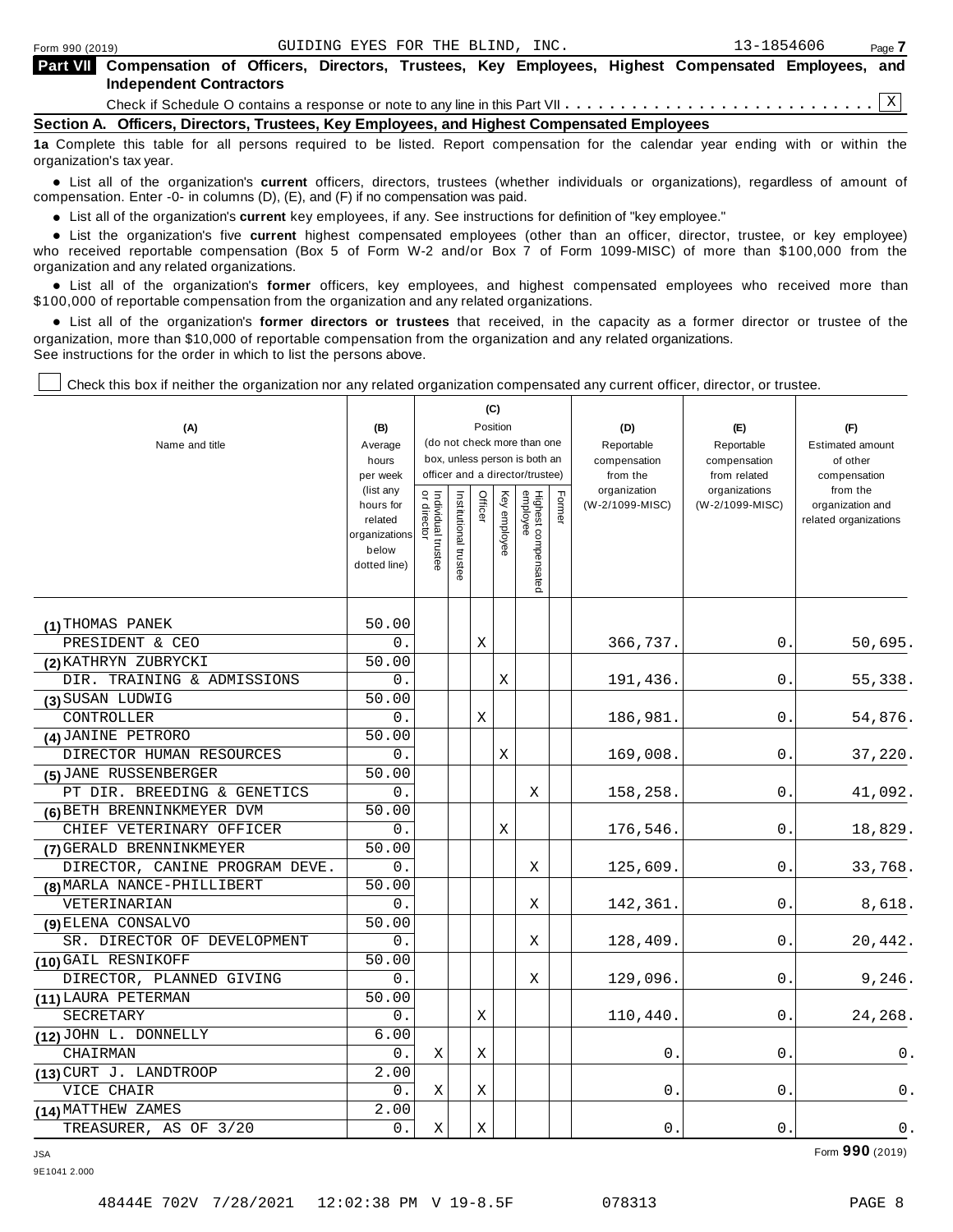| <b>Part VII</b> Compensation of Officers, Directors, Trustees, Key Employees, Highest Compensated Employees, and<br><b>Independent Contractors</b> |  |  |  |  |  |
|----------------------------------------------------------------------------------------------------------------------------------------------------|--|--|--|--|--|
|                                                                                                                                                    |  |  |  |  |  |
| Section A. Officers, Directors, Trustees, Key Employees, and Highest Compensated Employees                                                         |  |  |  |  |  |
|                                                                                                                                                    |  |  |  |  |  |

**1a** Complete this table for all persons required to be listed. Report compensation for the calendar year ending with or within the organization's tax year.

anization's lax year.<br>● List all of the organization's **current** officers, directors, trustees (whether individuals or organizations), regardless of amount of<br>nnensation Enter -0- in columns (D) (E) and (E) if no compensa compensation. Enter -0- in columns (D), (E), and (F) if no compensation was paid.

• List all of the organization's **current** key employees, if any. See instructions for definition of "key employee."<br>● List the experientials five expect highest expressed explores (other than an efficer director of

**Example in the organization's current** key employees, if any. See instructions for definition of key employee.<br>• List the organization's five **current** highest compensated employees (other than an officer, director, trust who received reportable compensation (Box 5 of Form W-2 and/or Box 7 of Form 1099-MISC) of more than \$100,000 from the

organization and any related organizations.<br>• List all of the organization's **former** officers, key employees, and highest compensated employees who received more than<br>\$1.00.000 of reportable componention from the erganiza \$100,000 of reportable compensation from the organization and any related organizations.

% List all of the organization's **former directors or trustees** that received, in the capacity as a former director or trustee of the organization, more than \$10,000 of reportable compensation from the organization and any related organizations. See instructions for the order in which to list the persons above.

Check this box if neither the organization nor any related organization compensated any current officer, director, or trustee.

| (A)<br>Name and title          | (B)<br>Average<br>hours<br>per week<br>(list any<br>hours for<br>related<br>organizations<br>below<br>dotted line) | Individual trustee<br>or director | Institutional trustee | Officer | (C)<br>Position<br>Key employee | (do not check more than one<br>box, unless person is both an<br>officer and a director/trustee)<br>Highest compensated<br>employee | Former | (D)<br>Reportable<br>compensation<br>from the<br>organization<br>(W-2/1099-MISC) | (E)<br>Reportable<br>compensation<br>from related<br>organizations<br>(W-2/1099-MISC) | (F)<br><b>Estimated amount</b><br>of other<br>compensation<br>from the<br>organization and<br>related organizations |
|--------------------------------|--------------------------------------------------------------------------------------------------------------------|-----------------------------------|-----------------------|---------|---------------------------------|------------------------------------------------------------------------------------------------------------------------------------|--------|----------------------------------------------------------------------------------|---------------------------------------------------------------------------------------|---------------------------------------------------------------------------------------------------------------------|
| (1) THOMAS PANEK               | 50.00                                                                                                              |                                   |                       |         |                                 |                                                                                                                                    |        |                                                                                  |                                                                                       |                                                                                                                     |
| PRESIDENT & CEO                | 0.                                                                                                                 |                                   |                       | X       |                                 |                                                                                                                                    |        | 366,737.                                                                         | 0.                                                                                    | 50,695.                                                                                                             |
| (2) KATHRYN ZUBRYCKI           | 50.00                                                                                                              |                                   |                       |         |                                 |                                                                                                                                    |        |                                                                                  |                                                                                       |                                                                                                                     |
| DIR. TRAINING & ADMISSIONS     | 0.                                                                                                                 |                                   |                       |         | X                               |                                                                                                                                    |        | 191,436.                                                                         | 0.                                                                                    | 55,338.                                                                                                             |
| (3) SUSAN LUDWIG               | 50.00                                                                                                              |                                   |                       |         |                                 |                                                                                                                                    |        |                                                                                  |                                                                                       |                                                                                                                     |
| CONTROLLER                     | 0.                                                                                                                 |                                   |                       | Χ       |                                 |                                                                                                                                    |        | 186,981.                                                                         | 0.                                                                                    | 54,876.                                                                                                             |
| (4) JANINE PETRORO             | 50.00                                                                                                              |                                   |                       |         |                                 |                                                                                                                                    |        |                                                                                  |                                                                                       |                                                                                                                     |
| DIRECTOR HUMAN RESOURCES       | 0.                                                                                                                 |                                   |                       |         | X                               |                                                                                                                                    |        | 169,008.                                                                         | 0.                                                                                    | 37,220.                                                                                                             |
| (5) JANE RUSSENBERGER          | 50.00                                                                                                              |                                   |                       |         |                                 |                                                                                                                                    |        |                                                                                  |                                                                                       |                                                                                                                     |
| PT DIR. BREEDING & GENETICS    | 0.                                                                                                                 |                                   |                       |         |                                 | X                                                                                                                                  |        | 158,258                                                                          | 0.                                                                                    | 41,092.                                                                                                             |
| (6) BETH BRENNINKMEYER DVM     | 50.00                                                                                                              |                                   |                       |         |                                 |                                                                                                                                    |        |                                                                                  |                                                                                       |                                                                                                                     |
| CHIEF VETERINARY OFFICER       | 0.                                                                                                                 |                                   |                       |         | Χ                               |                                                                                                                                    |        | 176,546.                                                                         | 0.                                                                                    | 18,829.                                                                                                             |
| (7) GERALD BRENNINKMEYER       | 50.00                                                                                                              |                                   |                       |         |                                 |                                                                                                                                    |        |                                                                                  |                                                                                       |                                                                                                                     |
| DIRECTOR, CANINE PROGRAM DEVE. | 0.                                                                                                                 |                                   |                       |         |                                 | Χ                                                                                                                                  |        | 125,609.                                                                         | 0.                                                                                    | 33,768.                                                                                                             |
| (8) MARLA NANCE-PHILLIBERT     | 50.00                                                                                                              |                                   |                       |         |                                 |                                                                                                                                    |        |                                                                                  |                                                                                       |                                                                                                                     |
| VETERINARIAN                   | 0.                                                                                                                 |                                   |                       |         |                                 | Χ                                                                                                                                  |        | 142,361.                                                                         | $\mathbf 0$ .                                                                         | 8,618.                                                                                                              |
| (9) ELENA CONSALVO             | 50.00                                                                                                              |                                   |                       |         |                                 |                                                                                                                                    |        |                                                                                  |                                                                                       |                                                                                                                     |
| SR. DIRECTOR OF DEVELOPMENT    | 0.                                                                                                                 |                                   |                       |         |                                 | Χ                                                                                                                                  |        | 128,409.                                                                         | 0                                                                                     | 20,442.                                                                                                             |
| (10) GAIL RESNIKOFF            | 50.00                                                                                                              |                                   |                       |         |                                 |                                                                                                                                    |        |                                                                                  |                                                                                       |                                                                                                                     |
| DIRECTOR, PLANNED GIVING       | 0.                                                                                                                 |                                   |                       |         |                                 | Χ                                                                                                                                  |        | 129,096                                                                          | 0.                                                                                    | 9,246.                                                                                                              |
| (11) LAURA PETERMAN            | 50.00                                                                                                              |                                   |                       |         |                                 |                                                                                                                                    |        |                                                                                  |                                                                                       |                                                                                                                     |
| SECRETARY                      | 0.                                                                                                                 |                                   |                       | Χ       |                                 |                                                                                                                                    |        | 110,440                                                                          | $0$ .                                                                                 | 24,268.                                                                                                             |
| (12) JOHN L. DONNELLY          | 6.00                                                                                                               |                                   |                       |         |                                 |                                                                                                                                    |        |                                                                                  |                                                                                       |                                                                                                                     |
| <b>CHAIRMAN</b>                | 0.                                                                                                                 | X                                 |                       | X       |                                 |                                                                                                                                    |        | 0                                                                                | 0.                                                                                    | 0.                                                                                                                  |
| (13) CURT J. LANDTROOP         | 2.00                                                                                                               |                                   |                       |         |                                 |                                                                                                                                    |        |                                                                                  |                                                                                       |                                                                                                                     |
| VICE CHAIR                     | 0.                                                                                                                 | X                                 |                       | Χ       |                                 |                                                                                                                                    |        | 0                                                                                | 0                                                                                     | 0.                                                                                                                  |
| (14) MATTHEW ZAMES             | 2.00                                                                                                               |                                   |                       |         |                                 |                                                                                                                                    |        |                                                                                  |                                                                                       |                                                                                                                     |
| TREASURER, AS OF 3/20          | 0.                                                                                                                 | Χ                                 |                       | Χ       |                                 |                                                                                                                                    |        | 0.                                                                               | 0.                                                                                    | $0$ .                                                                                                               |

JSA Form **990** (2019)

9E1041 2.000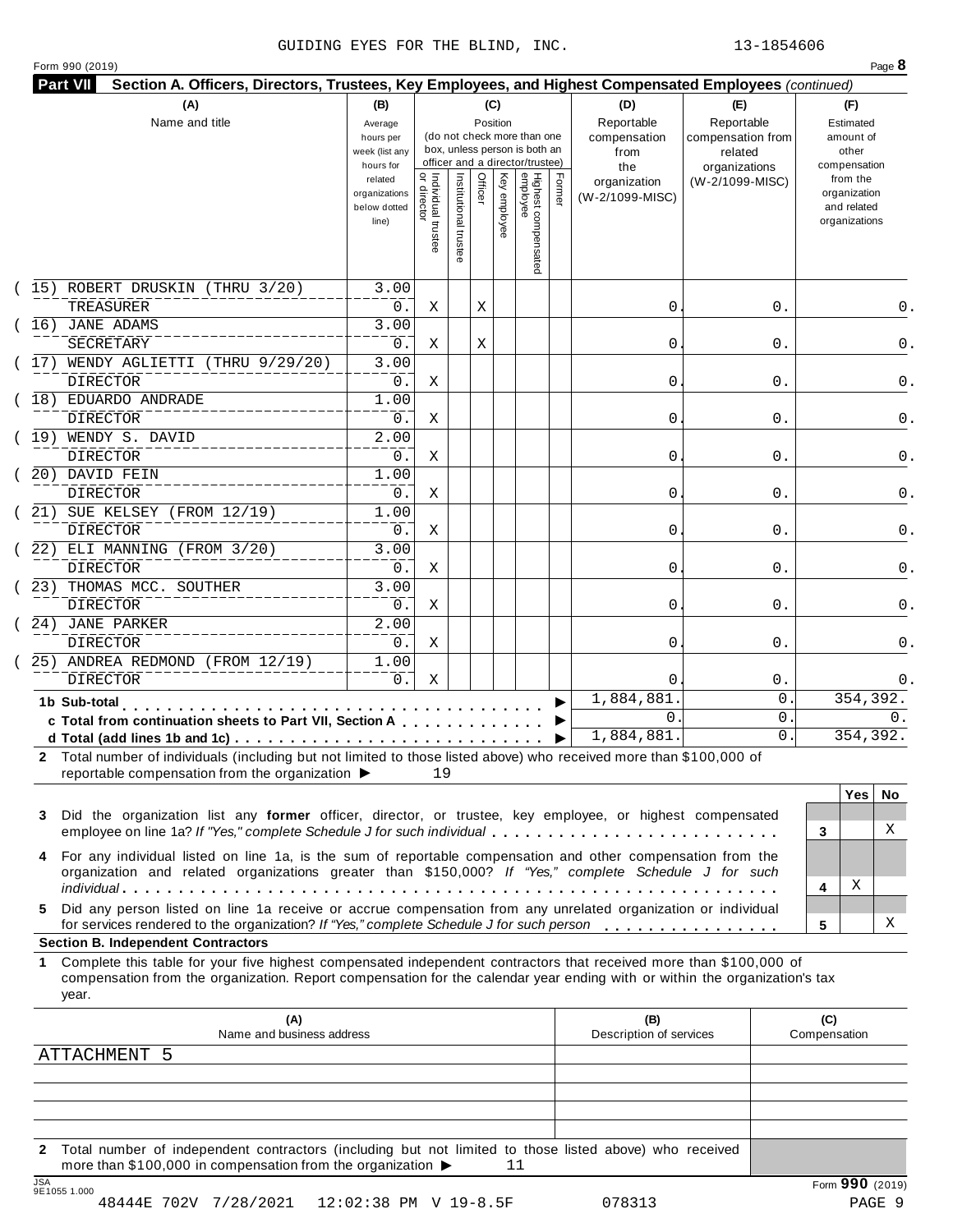#### GUIDING EYES FOR THE BLIND, INC. 13-1854606

| (A)<br>Name and title | (B)                                                                                                                                                                                                                                                                                                                                                                                                                                                                 |                                                                                                                                                                                                        |                       | (C) |              |                                                         |                                                                  | (D)                             | (E)                                                         |                                                                                                                                                                                                                                                                                                                                                                                                                                                                                                                                                                                                                                                                                                                                                                                                                                               | (F)                                                                                                                                                                                                                                                               |                                                                                                                       |
|-----------------------|---------------------------------------------------------------------------------------------------------------------------------------------------------------------------------------------------------------------------------------------------------------------------------------------------------------------------------------------------------------------------------------------------------------------------------------------------------------------|--------------------------------------------------------------------------------------------------------------------------------------------------------------------------------------------------------|-----------------------|-----|--------------|---------------------------------------------------------|------------------------------------------------------------------|---------------------------------|-------------------------------------------------------------|-----------------------------------------------------------------------------------------------------------------------------------------------------------------------------------------------------------------------------------------------------------------------------------------------------------------------------------------------------------------------------------------------------------------------------------------------------------------------------------------------------------------------------------------------------------------------------------------------------------------------------------------------------------------------------------------------------------------------------------------------------------------------------------------------------------------------------------------------|-------------------------------------------------------------------------------------------------------------------------------------------------------------------------------------------------------------------------------------------------------------------|-----------------------------------------------------------------------------------------------------------------------|
|                       | Average<br>hours per<br>week (list any<br>hours for                                                                                                                                                                                                                                                                                                                                                                                                                 | Reportable<br>Reportable<br>Position<br>(do not check more than one<br>compensation<br>compensation from<br>box, unless person is both an<br>from<br>related<br>officer and a director/trustee)<br>the |                       |     |              |                                                         |                                                                  |                                 |                                                             | Estimated<br>amount of<br>other                                                                                                                                                                                                                                                                                                                                                                                                                                                                                                                                                                                                                                                                                                                                                                                                               |                                                                                                                                                                                                                                                                   |                                                                                                                       |
|                       | related<br>organizations<br>below dotted<br>line)                                                                                                                                                                                                                                                                                                                                                                                                                   | õ<br>Individual trustee<br>director                                                                                                                                                                    | Institutional trus    |     | Key employee |                                                         | Former                                                           | organization<br>(W-2/1099-MISC) | (W-2/1099-MISC)                                             |                                                                                                                                                                                                                                                                                                                                                                                                                                                                                                                                                                                                                                                                                                                                                                                                                                               |                                                                                                                                                                                                                                                                   |                                                                                                                       |
| TREASURER             | 3.00<br>$0$ .                                                                                                                                                                                                                                                                                                                                                                                                                                                       | Χ                                                                                                                                                                                                      |                       | Χ   |              |                                                         |                                                                  | 0                               | 0.                                                          |                                                                                                                                                                                                                                                                                                                                                                                                                                                                                                                                                                                                                                                                                                                                                                                                                                               |                                                                                                                                                                                                                                                                   |                                                                                                                       |
|                       | $\overline{3.00}$                                                                                                                                                                                                                                                                                                                                                                                                                                                   |                                                                                                                                                                                                        |                       |     |              |                                                         |                                                                  |                                 |                                                             |                                                                                                                                                                                                                                                                                                                                                                                                                                                                                                                                                                                                                                                                                                                                                                                                                                               |                                                                                                                                                                                                                                                                   |                                                                                                                       |
| SECRETARY             | 0.                                                                                                                                                                                                                                                                                                                                                                                                                                                                  | Χ                                                                                                                                                                                                      |                       | Χ   |              |                                                         |                                                                  | 0                               | 0.                                                          |                                                                                                                                                                                                                                                                                                                                                                                                                                                                                                                                                                                                                                                                                                                                                                                                                                               |                                                                                                                                                                                                                                                                   |                                                                                                                       |
|                       |                                                                                                                                                                                                                                                                                                                                                                                                                                                                     |                                                                                                                                                                                                        |                       |     |              |                                                         |                                                                  |                                 |                                                             |                                                                                                                                                                                                                                                                                                                                                                                                                                                                                                                                                                                                                                                                                                                                                                                                                                               |                                                                                                                                                                                                                                                                   |                                                                                                                       |
|                       |                                                                                                                                                                                                                                                                                                                                                                                                                                                                     |                                                                                                                                                                                                        |                       |     |              |                                                         |                                                                  |                                 |                                                             |                                                                                                                                                                                                                                                                                                                                                                                                                                                                                                                                                                                                                                                                                                                                                                                                                                               |                                                                                                                                                                                                                                                                   |                                                                                                                       |
|                       |                                                                                                                                                                                                                                                                                                                                                                                                                                                                     |                                                                                                                                                                                                        |                       |     |              |                                                         |                                                                  |                                 |                                                             |                                                                                                                                                                                                                                                                                                                                                                                                                                                                                                                                                                                                                                                                                                                                                                                                                                               |                                                                                                                                                                                                                                                                   |                                                                                                                       |
|                       |                                                                                                                                                                                                                                                                                                                                                                                                                                                                     |                                                                                                                                                                                                        |                       |     |              |                                                         |                                                                  |                                 |                                                             |                                                                                                                                                                                                                                                                                                                                                                                                                                                                                                                                                                                                                                                                                                                                                                                                                                               |                                                                                                                                                                                                                                                                   |                                                                                                                       |
| <b>DIRECTOR</b>       | $0$ .                                                                                                                                                                                                                                                                                                                                                                                                                                                               | Χ                                                                                                                                                                                                      |                       |     |              |                                                         |                                                                  | 0                               | 0.                                                          |                                                                                                                                                                                                                                                                                                                                                                                                                                                                                                                                                                                                                                                                                                                                                                                                                                               |                                                                                                                                                                                                                                                                   |                                                                                                                       |
|                       | 1.00                                                                                                                                                                                                                                                                                                                                                                                                                                                                |                                                                                                                                                                                                        |                       |     |              |                                                         |                                                                  |                                 |                                                             |                                                                                                                                                                                                                                                                                                                                                                                                                                                                                                                                                                                                                                                                                                                                                                                                                                               |                                                                                                                                                                                                                                                                   |                                                                                                                       |
| <b>DIRECTOR</b>       | $0$ .                                                                                                                                                                                                                                                                                                                                                                                                                                                               | Χ                                                                                                                                                                                                      |                       |     |              |                                                         |                                                                  | 0                               | 0.                                                          |                                                                                                                                                                                                                                                                                                                                                                                                                                                                                                                                                                                                                                                                                                                                                                                                                                               |                                                                                                                                                                                                                                                                   |                                                                                                                       |
|                       |                                                                                                                                                                                                                                                                                                                                                                                                                                                                     |                                                                                                                                                                                                        |                       |     |              |                                                         |                                                                  |                                 |                                                             |                                                                                                                                                                                                                                                                                                                                                                                                                                                                                                                                                                                                                                                                                                                                                                                                                                               |                                                                                                                                                                                                                                                                   |                                                                                                                       |
|                       |                                                                                                                                                                                                                                                                                                                                                                                                                                                                     |                                                                                                                                                                                                        |                       |     |              |                                                         |                                                                  |                                 |                                                             |                                                                                                                                                                                                                                                                                                                                                                                                                                                                                                                                                                                                                                                                                                                                                                                                                                               |                                                                                                                                                                                                                                                                   |                                                                                                                       |
|                       |                                                                                                                                                                                                                                                                                                                                                                                                                                                                     |                                                                                                                                                                                                        |                       |     |              |                                                         |                                                                  |                                 |                                                             |                                                                                                                                                                                                                                                                                                                                                                                                                                                                                                                                                                                                                                                                                                                                                                                                                                               |                                                                                                                                                                                                                                                                   |                                                                                                                       |
|                       |                                                                                                                                                                                                                                                                                                                                                                                                                                                                     |                                                                                                                                                                                                        |                       |     |              |                                                         |                                                                  |                                 |                                                             |                                                                                                                                                                                                                                                                                                                                                                                                                                                                                                                                                                                                                                                                                                                                                                                                                                               |                                                                                                                                                                                                                                                                   |                                                                                                                       |
|                       |                                                                                                                                                                                                                                                                                                                                                                                                                                                                     |                                                                                                                                                                                                        |                       |     |              |                                                         |                                                                  | 0                               |                                                             |                                                                                                                                                                                                                                                                                                                                                                                                                                                                                                                                                                                                                                                                                                                                                                                                                                               |                                                                                                                                                                                                                                                                   |                                                                                                                       |
|                       | $\overline{2.00}$                                                                                                                                                                                                                                                                                                                                                                                                                                                   |                                                                                                                                                                                                        |                       |     |              |                                                         |                                                                  |                                 |                                                             |                                                                                                                                                                                                                                                                                                                                                                                                                                                                                                                                                                                                                                                                                                                                                                                                                                               |                                                                                                                                                                                                                                                                   |                                                                                                                       |
| <b>DIRECTOR</b>       | 0.                                                                                                                                                                                                                                                                                                                                                                                                                                                                  | Χ                                                                                                                                                                                                      |                       |     |              |                                                         |                                                                  | 0                               | 0.                                                          |                                                                                                                                                                                                                                                                                                                                                                                                                                                                                                                                                                                                                                                                                                                                                                                                                                               |                                                                                                                                                                                                                                                                   |                                                                                                                       |
| DIRECTOR              | 1.00<br>0.                                                                                                                                                                                                                                                                                                                                                                                                                                                          | X                                                                                                                                                                                                      |                       |     |              |                                                         |                                                                  | 0                               | 0.                                                          |                                                                                                                                                                                                                                                                                                                                                                                                                                                                                                                                                                                                                                                                                                                                                                                                                                               |                                                                                                                                                                                                                                                                   |                                                                                                                       |
|                       |                                                                                                                                                                                                                                                                                                                                                                                                                                                                     |                                                                                                                                                                                                        |                       |     |              |                                                         |                                                                  |                                 | $\mathbf{0}$                                                |                                                                                                                                                                                                                                                                                                                                                                                                                                                                                                                                                                                                                                                                                                                                                                                                                                               |                                                                                                                                                                                                                                                                   |                                                                                                                       |
|                       |                                                                                                                                                                                                                                                                                                                                                                                                                                                                     |                                                                                                                                                                                                        |                       |     |              |                                                         |                                                                  |                                 |                                                             |                                                                                                                                                                                                                                                                                                                                                                                                                                                                                                                                                                                                                                                                                                                                                                                                                                               |                                                                                                                                                                                                                                                                   | 0.                                                                                                                    |
|                       |                                                                                                                                                                                                                                                                                                                                                                                                                                                                     |                                                                                                                                                                                                        |                       |     |              |                                                         |                                                                  |                                 |                                                             |                                                                                                                                                                                                                                                                                                                                                                                                                                                                                                                                                                                                                                                                                                                                                                                                                                               |                                                                                                                                                                                                                                                                   |                                                                                                                       |
|                       |                                                                                                                                                                                                                                                                                                                                                                                                                                                                     |                                                                                                                                                                                                        |                       |     |              |                                                         |                                                                  |                                 |                                                             |                                                                                                                                                                                                                                                                                                                                                                                                                                                                                                                                                                                                                                                                                                                                                                                                                                               | Yes                                                                                                                                                                                                                                                               | No.                                                                                                                   |
|                       |                                                                                                                                                                                                                                                                                                                                                                                                                                                                     |                                                                                                                                                                                                        |                       |     |              |                                                         |                                                                  |                                 |                                                             | 3                                                                                                                                                                                                                                                                                                                                                                                                                                                                                                                                                                                                                                                                                                                                                                                                                                             |                                                                                                                                                                                                                                                                   | Χ                                                                                                                     |
|                       |                                                                                                                                                                                                                                                                                                                                                                                                                                                                     |                                                                                                                                                                                                        |                       |     |              |                                                         |                                                                  |                                 |                                                             |                                                                                                                                                                                                                                                                                                                                                                                                                                                                                                                                                                                                                                                                                                                                                                                                                                               |                                                                                                                                                                                                                                                                   |                                                                                                                       |
|                       |                                                                                                                                                                                                                                                                                                                                                                                                                                                                     |                                                                                                                                                                                                        |                       |     |              |                                                         |                                                                  |                                 |                                                             |                                                                                                                                                                                                                                                                                                                                                                                                                                                                                                                                                                                                                                                                                                                                                                                                                                               |                                                                                                                                                                                                                                                                   | Χ                                                                                                                     |
|                       |                                                                                                                                                                                                                                                                                                                                                                                                                                                                     |                                                                                                                                                                                                        |                       |     |              |                                                         |                                                                  |                                 |                                                             |                                                                                                                                                                                                                                                                                                                                                                                                                                                                                                                                                                                                                                                                                                                                                                                                                                               |                                                                                                                                                                                                                                                                   |                                                                                                                       |
|                       |                                                                                                                                                                                                                                                                                                                                                                                                                                                                     |                                                                                                                                                                                                        |                       |     |              |                                                         |                                                                  |                                 |                                                             |                                                                                                                                                                                                                                                                                                                                                                                                                                                                                                                                                                                                                                                                                                                                                                                                                                               |                                                                                                                                                                                                                                                                   |                                                                                                                       |
| (A)                   |                                                                                                                                                                                                                                                                                                                                                                                                                                                                     |                                                                                                                                                                                                        |                       |     |              |                                                         |                                                                  | (B)                             |                                                             |                                                                                                                                                                                                                                                                                                                                                                                                                                                                                                                                                                                                                                                                                                                                                                                                                                               |                                                                                                                                                                                                                                                                   |                                                                                                                       |
|                       |                                                                                                                                                                                                                                                                                                                                                                                                                                                                     |                                                                                                                                                                                                        |                       |     |              |                                                         |                                                                  |                                 |                                                             |                                                                                                                                                                                                                                                                                                                                                                                                                                                                                                                                                                                                                                                                                                                                                                                                                                               |                                                                                                                                                                                                                                                                   |                                                                                                                       |
|                       |                                                                                                                                                                                                                                                                                                                                                                                                                                                                     |                                                                                                                                                                                                        |                       |     |              |                                                         |                                                                  |                                 |                                                             |                                                                                                                                                                                                                                                                                                                                                                                                                                                                                                                                                                                                                                                                                                                                                                                                                                               |                                                                                                                                                                                                                                                                   |                                                                                                                       |
|                       |                                                                                                                                                                                                                                                                                                                                                                                                                                                                     |                                                                                                                                                                                                        |                       |     |              |                                                         |                                                                  |                                 |                                                             |                                                                                                                                                                                                                                                                                                                                                                                                                                                                                                                                                                                                                                                                                                                                                                                                                                               |                                                                                                                                                                                                                                                                   |                                                                                                                       |
|                       | 15) ROBERT DRUSKIN (THRU 3/20)<br>16) JANE ADAMS<br>17) WENDY AGLIETTI (THRU 9/29/20)<br>DIRECTOR<br>18) EDUARDO ANDRADE<br><b>DIRECTOR</b><br>19) WENDY S. DAVID<br>20) DAVID FEIN<br>21) SUE KELSEY (FROM 12/19)<br>DIRECTOR<br>22) ELI MANNING (FROM 3/20)<br>DIRECTOR<br>23) THOMAS MCC. SOUTHER<br><b>DIRECTOR</b><br>24) JANE PARKER<br>25) ANDREA REDMOND (FROM 12/19)<br>1b Sub-total<br><b>Section B. Independent Contractors</b><br>year.<br>ATTACHMENT 5 | $\overline{3.00}$<br>$0$ .<br>1.00<br>0.<br>$\overline{2.00}$<br>1.00<br>$0$ .<br>3.00<br>$0$ .<br>3.00<br>$0$ .<br>reportable compensation from the organization ▶<br>Name and business address       | Χ<br>Χ<br>Χ<br>Χ<br>Χ | 19  | Officer      | c Total from continuation sheets to Part VII, Section A | Highest compensated<br>employee<br>d Total (add lines 1b and 1c) |                                 | 0<br>0<br>0<br>0<br>1,884,881<br>$\mathbf{0}$<br>1,884,881. | organizations<br>0.<br>0.<br>0.<br>0.<br>0.<br>$\mathbf{0}$<br>0<br>2 Total number of individuals (including but not limited to those listed above) who received more than \$100,000 of<br>Did the organization list any former officer, director, or trustee, key employee, or highest compensated<br>employee on line 1a? If "Yes," complete Schedule J for such individual<br>For any individual listed on line 1a, is the sum of reportable compensation and other compensation from the<br>organization and related organizations greater than \$150,000? If "Yes," complete Schedule J for such<br>Did any person listed on line 1a receive or accrue compensation from any unrelated organization or individual<br>for services rendered to the organization? If "Yes," complete Schedule J for such person<br>Description of services | 4<br>5<br>Complete this table for your five highest compensated independent contractors that received more than \$100,000 of<br>compensation from the organization. Report compensation for the calendar year ending with or within the organization's tax<br>(C) | compensation<br>from the<br>organization<br>and related<br>organizations<br>354,392.<br>354,392.<br>Χ<br>Compensation |

**2** Total number of independent contractors (including but not limited to those listed above) who received more than \$100,000 in compensation from the organization  $\blacktriangleright$  11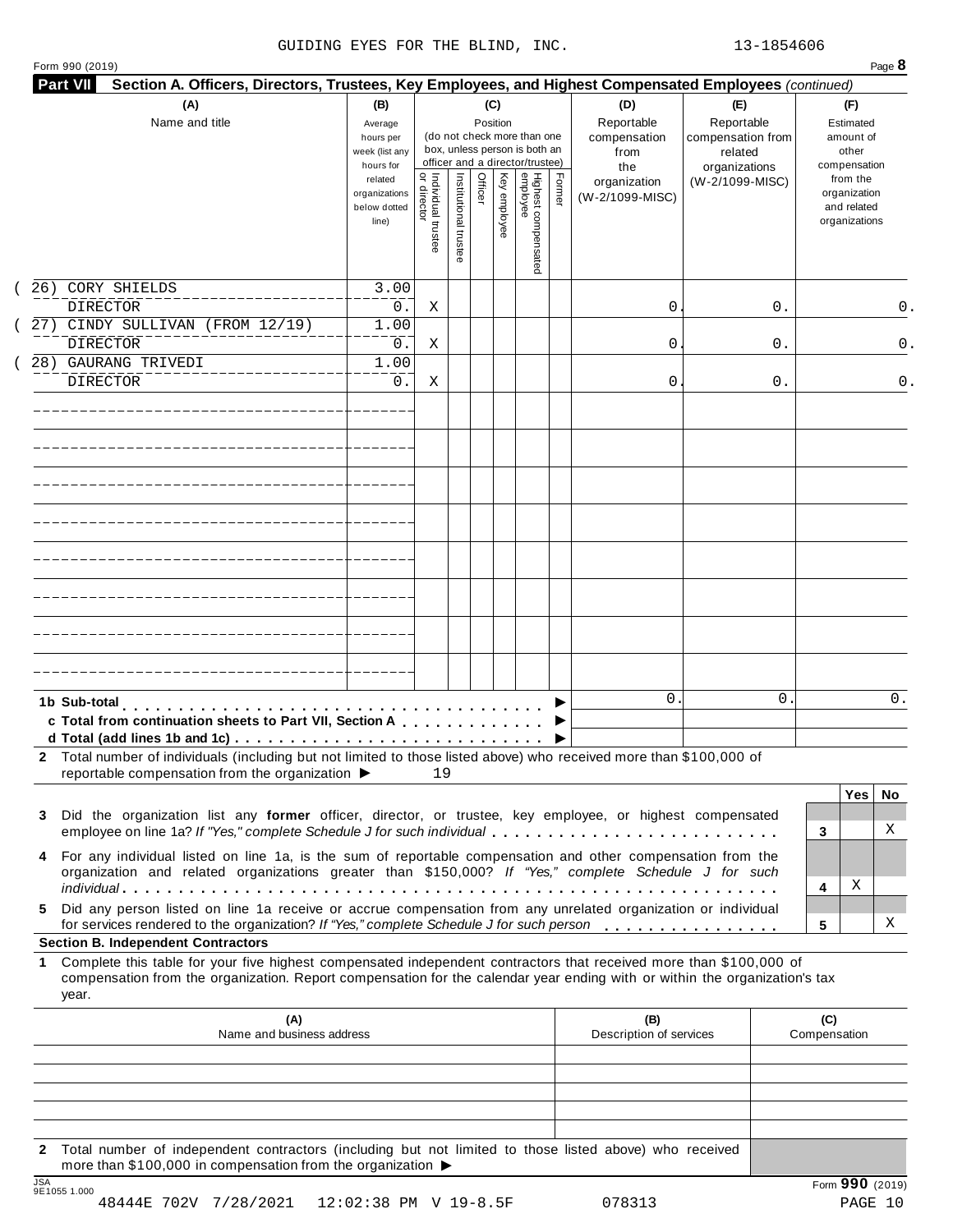#### GUIDING EYES FOR THE BLIND, INC. 13-1854606

| Page $\delta$ |
|---------------|
|               |

| Part VII<br>Section A. Officers, Directors, Trustees, Key Employees, and Highest Compensated Employees (continued)<br>(A)<br>Name and title                                                                                                                                                                                                                                                                     | (B)<br>Average<br>hours per<br>week (list any                  |                                |                       | (C)<br>Position | (do not check more than one<br>box, unless person is both an                       |        | (D)<br>Reportable<br>compensation<br>from | (E)<br>Reportable<br>compensation from<br>related | (F)<br>Estimated<br>amount of<br>other                                   |
|-----------------------------------------------------------------------------------------------------------------------------------------------------------------------------------------------------------------------------------------------------------------------------------------------------------------------------------------------------------------------------------------------------------------|----------------------------------------------------------------|--------------------------------|-----------------------|-----------------|------------------------------------------------------------------------------------|--------|-------------------------------------------|---------------------------------------------------|--------------------------------------------------------------------------|
|                                                                                                                                                                                                                                                                                                                                                                                                                 | hours for<br>related<br>organizations<br>below dotted<br>line) | Individual trustee<br>director | Institutional<br>trus | Officer         | officer and a director/trustee)<br>Highest compensated<br>employee<br>Key employee | Former | the<br>organization<br>(W-2/1099-MISC)    | organizations<br>(W-2/1099-MISC)                  | compensation<br>from the<br>organization<br>and related<br>organizations |
| CORY SHIELDS<br>26)<br><b>DIRECTOR</b>                                                                                                                                                                                                                                                                                                                                                                          | 3.00<br>0.                                                     | Χ                              |                       |                 |                                                                                    |        | 0                                         | 0.                                                |                                                                          |
| 27) CINDY SULLIVAN (FROM 12/19)<br><b>DIRECTOR</b>                                                                                                                                                                                                                                                                                                                                                              | 1.00<br>0.                                                     | Χ                              |                       |                 |                                                                                    |        | 0                                         | 0.                                                |                                                                          |
| 28) GAURANG TRIVEDI<br><b>DIRECTOR</b>                                                                                                                                                                                                                                                                                                                                                                          | 1.00<br>$0$ .                                                  | Χ                              |                       |                 |                                                                                    |        | 0                                         | 0.                                                |                                                                          |
|                                                                                                                                                                                                                                                                                                                                                                                                                 |                                                                |                                |                       |                 |                                                                                    |        |                                           |                                                   |                                                                          |
|                                                                                                                                                                                                                                                                                                                                                                                                                 |                                                                |                                |                       |                 |                                                                                    |        |                                           |                                                   |                                                                          |
|                                                                                                                                                                                                                                                                                                                                                                                                                 |                                                                |                                |                       |                 |                                                                                    |        |                                           |                                                   |                                                                          |
|                                                                                                                                                                                                                                                                                                                                                                                                                 |                                                                |                                |                       |                 |                                                                                    |        |                                           |                                                   |                                                                          |
|                                                                                                                                                                                                                                                                                                                                                                                                                 |                                                                |                                |                       |                 |                                                                                    |        |                                           |                                                   |                                                                          |
|                                                                                                                                                                                                                                                                                                                                                                                                                 |                                                                |                                |                       |                 |                                                                                    |        |                                           |                                                   |                                                                          |
|                                                                                                                                                                                                                                                                                                                                                                                                                 |                                                                |                                |                       |                 |                                                                                    |        |                                           |                                                   |                                                                          |
|                                                                                                                                                                                                                                                                                                                                                                                                                 |                                                                |                                |                       |                 |                                                                                    |        |                                           |                                                   |                                                                          |
| 1b Sub-total<br>c Total from continuation sheets to Part VII, Section A<br>2 Total number of individuals (including but not limited to those listed above) who received more than \$100,000 of                                                                                                                                                                                                                  |                                                                |                                |                       |                 |                                                                                    |        | $\Omega$ .                                | 0                                                 | 0.                                                                       |
| reportable compensation from the organization ▶ 19                                                                                                                                                                                                                                                                                                                                                              |                                                                |                                |                       |                 |                                                                                    |        |                                           |                                                   | Yes  <br>  No                                                            |
| Did the organization list any former officer, director, or trustee, key employee, or highest compensated<br>3<br>employee on line 1a? If "Yes," complete Schedule J for such individual<br>For any individual listed on line 1a, is the sum of reportable compensation and other compensation from the<br>organization and related organizations greater than \$150,000? If "Yes," complete Schedule J for such |                                                                |                                |                       |                 |                                                                                    |        |                                           |                                                   | Χ<br>3                                                                   |
| Did any person listed on line 1a receive or accrue compensation from any unrelated organization or individual                                                                                                                                                                                                                                                                                                   |                                                                |                                |                       |                 |                                                                                    |        |                                           |                                                   | Χ<br>4<br>Χ                                                              |
| for services rendered to the organization? If "Yes," complete Schedule J for such person<br><b>Section B. Independent Contractors</b>                                                                                                                                                                                                                                                                           |                                                                |                                |                       |                 |                                                                                    |        |                                           |                                                   | 5                                                                        |
| Complete this table for your five highest compensated independent contractors that received more than \$100,000 of<br>1<br>compensation from the organization. Report compensation for the calendar year ending with or within the organization's tax<br>year.                                                                                                                                                  |                                                                |                                |                       |                 |                                                                                    |        |                                           |                                                   |                                                                          |
| (A)<br>Name and business address                                                                                                                                                                                                                                                                                                                                                                                |                                                                |                                |                       |                 |                                                                                    |        | (B)<br>Description of services            |                                                   | (C)<br>Compensation                                                      |
|                                                                                                                                                                                                                                                                                                                                                                                                                 |                                                                |                                |                       |                 |                                                                                    |        |                                           |                                                   |                                                                          |
|                                                                                                                                                                                                                                                                                                                                                                                                                 |                                                                |                                |                       |                 |                                                                                    |        |                                           |                                                   |                                                                          |
| 2 Total number of independent contractors (including but not limited to those listed above) who received                                                                                                                                                                                                                                                                                                        |                                                                |                                |                       |                 |                                                                                    |        |                                           |                                                   |                                                                          |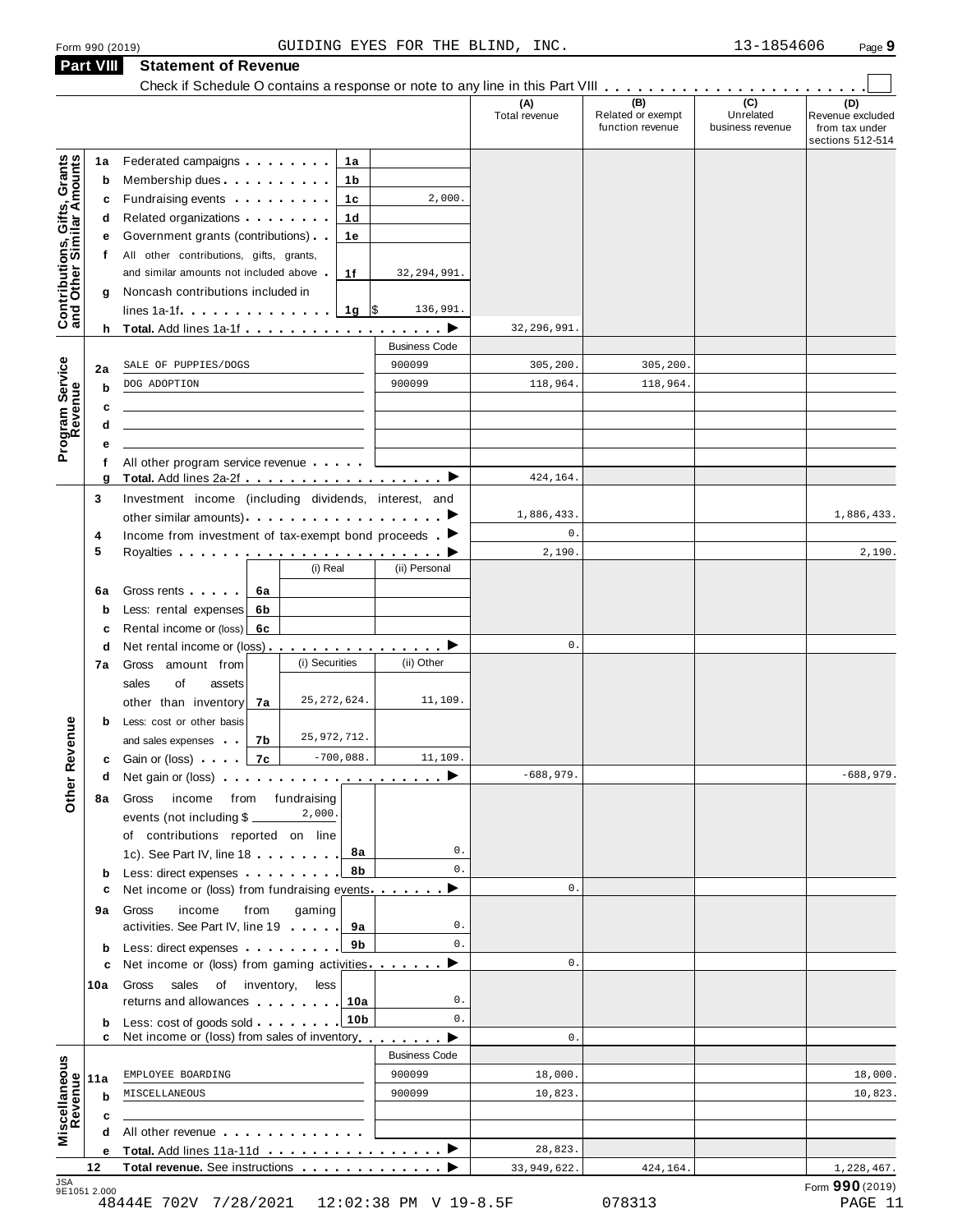**Part VIII Statement of Revenue**

|                                  |    |                                                                                                                                                                                                            |                                                                                                                                                                                                                                                                                                                                                                                                                                                         |                                                                                                                                                                                                                                                                                                                                                                                                                                                                                                                                                                                   | (A)<br>Total revenue                                                                                                                                                                                                                                                                                                                                                                             | (B)<br>Related or exempt | (C)<br>Unrelated | (D)                                                    |
|----------------------------------|----|------------------------------------------------------------------------------------------------------------------------------------------------------------------------------------------------------------|---------------------------------------------------------------------------------------------------------------------------------------------------------------------------------------------------------------------------------------------------------------------------------------------------------------------------------------------------------------------------------------------------------------------------------------------------------|-----------------------------------------------------------------------------------------------------------------------------------------------------------------------------------------------------------------------------------------------------------------------------------------------------------------------------------------------------------------------------------------------------------------------------------------------------------------------------------------------------------------------------------------------------------------------------------|--------------------------------------------------------------------------------------------------------------------------------------------------------------------------------------------------------------------------------------------------------------------------------------------------------------------------------------------------------------------------------------------------|--------------------------|------------------|--------------------------------------------------------|
|                                  |    |                                                                                                                                                                                                            |                                                                                                                                                                                                                                                                                                                                                                                                                                                         |                                                                                                                                                                                                                                                                                                                                                                                                                                                                                                                                                                                   |                                                                                                                                                                                                                                                                                                                                                                                                  | function revenue         | business revenue | Revenue excluded<br>from tax under<br>sections 512-514 |
|                                  |    |                                                                                                                                                                                                            | 1a                                                                                                                                                                                                                                                                                                                                                                                                                                                      |                                                                                                                                                                                                                                                                                                                                                                                                                                                                                                                                                                                   |                                                                                                                                                                                                                                                                                                                                                                                                  |                          |                  |                                                        |
|                                  |    |                                                                                                                                                                                                            | 1b                                                                                                                                                                                                                                                                                                                                                                                                                                                      |                                                                                                                                                                                                                                                                                                                                                                                                                                                                                                                                                                                   |                                                                                                                                                                                                                                                                                                                                                                                                  |                          |                  |                                                        |
|                                  |    |                                                                                                                                                                                                            | 1c                                                                                                                                                                                                                                                                                                                                                                                                                                                      | 2,000.                                                                                                                                                                                                                                                                                                                                                                                                                                                                                                                                                                            |                                                                                                                                                                                                                                                                                                                                                                                                  |                          |                  |                                                        |
|                                  |    |                                                                                                                                                                                                            | 1d                                                                                                                                                                                                                                                                                                                                                                                                                                                      |                                                                                                                                                                                                                                                                                                                                                                                                                                                                                                                                                                                   |                                                                                                                                                                                                                                                                                                                                                                                                  |                          |                  |                                                        |
|                                  |    |                                                                                                                                                                                                            | 1е                                                                                                                                                                                                                                                                                                                                                                                                                                                      |                                                                                                                                                                                                                                                                                                                                                                                                                                                                                                                                                                                   |                                                                                                                                                                                                                                                                                                                                                                                                  |                          |                  |                                                        |
|                                  |    |                                                                                                                                                                                                            |                                                                                                                                                                                                                                                                                                                                                                                                                                                         |                                                                                                                                                                                                                                                                                                                                                                                                                                                                                                                                                                                   |                                                                                                                                                                                                                                                                                                                                                                                                  |                          |                  |                                                        |
|                                  |    |                                                                                                                                                                                                            | 1f                                                                                                                                                                                                                                                                                                                                                                                                                                                      | 32, 294, 991.                                                                                                                                                                                                                                                                                                                                                                                                                                                                                                                                                                     |                                                                                                                                                                                                                                                                                                                                                                                                  |                          |                  |                                                        |
|                                  |    |                                                                                                                                                                                                            |                                                                                                                                                                                                                                                                                                                                                                                                                                                         |                                                                                                                                                                                                                                                                                                                                                                                                                                                                                                                                                                                   |                                                                                                                                                                                                                                                                                                                                                                                                  |                          |                  |                                                        |
|                                  |    |                                                                                                                                                                                                            |                                                                                                                                                                                                                                                                                                                                                                                                                                                         | 136,991.                                                                                                                                                                                                                                                                                                                                                                                                                                                                                                                                                                          |                                                                                                                                                                                                                                                                                                                                                                                                  |                          |                  |                                                        |
|                                  |    |                                                                                                                                                                                                            |                                                                                                                                                                                                                                                                                                                                                                                                                                                         |                                                                                                                                                                                                                                                                                                                                                                                                                                                                                                                                                                                   | 32, 296, 991.                                                                                                                                                                                                                                                                                                                                                                                    |                          |                  |                                                        |
|                                  |    |                                                                                                                                                                                                            |                                                                                                                                                                                                                                                                                                                                                                                                                                                         | <b>Business Code</b>                                                                                                                                                                                                                                                                                                                                                                                                                                                                                                                                                              |                                                                                                                                                                                                                                                                                                                                                                                                  |                          |                  |                                                        |
|                                  |    |                                                                                                                                                                                                            |                                                                                                                                                                                                                                                                                                                                                                                                                                                         | 900099                                                                                                                                                                                                                                                                                                                                                                                                                                                                                                                                                                            | 305,200.                                                                                                                                                                                                                                                                                                                                                                                         | 305,200.                 |                  |                                                        |
| DOG ADOPTION                     |    |                                                                                                                                                                                                            |                                                                                                                                                                                                                                                                                                                                                                                                                                                         | 900099                                                                                                                                                                                                                                                                                                                                                                                                                                                                                                                                                                            | 118,964.                                                                                                                                                                                                                                                                                                                                                                                         | 118,964.                 |                  |                                                        |
|                                  |    |                                                                                                                                                                                                            |                                                                                                                                                                                                                                                                                                                                                                                                                                                         |                                                                                                                                                                                                                                                                                                                                                                                                                                                                                                                                                                                   |                                                                                                                                                                                                                                                                                                                                                                                                  |                          |                  |                                                        |
|                                  |    |                                                                                                                                                                                                            |                                                                                                                                                                                                                                                                                                                                                                                                                                                         |                                                                                                                                                                                                                                                                                                                                                                                                                                                                                                                                                                                   |                                                                                                                                                                                                                                                                                                                                                                                                  |                          |                  |                                                        |
|                                  |    |                                                                                                                                                                                                            |                                                                                                                                                                                                                                                                                                                                                                                                                                                         |                                                                                                                                                                                                                                                                                                                                                                                                                                                                                                                                                                                   |                                                                                                                                                                                                                                                                                                                                                                                                  |                          |                  |                                                        |
|                                  |    |                                                                                                                                                                                                            |                                                                                                                                                                                                                                                                                                                                                                                                                                                         |                                                                                                                                                                                                                                                                                                                                                                                                                                                                                                                                                                                   |                                                                                                                                                                                                                                                                                                                                                                                                  |                          |                  |                                                        |
|                                  |    |                                                                                                                                                                                                            |                                                                                                                                                                                                                                                                                                                                                                                                                                                         |                                                                                                                                                                                                                                                                                                                                                                                                                                                                                                                                                                                   | 424,164.                                                                                                                                                                                                                                                                                                                                                                                         |                          |                  |                                                        |
|                                  |    |                                                                                                                                                                                                            |                                                                                                                                                                                                                                                                                                                                                                                                                                                         |                                                                                                                                                                                                                                                                                                                                                                                                                                                                                                                                                                                   |                                                                                                                                                                                                                                                                                                                                                                                                  |                          |                  |                                                        |
|                                  |    |                                                                                                                                                                                                            |                                                                                                                                                                                                                                                                                                                                                                                                                                                         |                                                                                                                                                                                                                                                                                                                                                                                                                                                                                                                                                                                   | 1,886,433.                                                                                                                                                                                                                                                                                                                                                                                       |                          |                  | 1,886,433.                                             |
|                                  |    |                                                                                                                                                                                                            |                                                                                                                                                                                                                                                                                                                                                                                                                                                         |                                                                                                                                                                                                                                                                                                                                                                                                                                                                                                                                                                                   | 0.                                                                                                                                                                                                                                                                                                                                                                                               |                          |                  |                                                        |
|                                  |    |                                                                                                                                                                                                            |                                                                                                                                                                                                                                                                                                                                                                                                                                                         |                                                                                                                                                                                                                                                                                                                                                                                                                                                                                                                                                                                   | 2,190.                                                                                                                                                                                                                                                                                                                                                                                           |                          |                  | 2,190.                                                 |
|                                  |    |                                                                                                                                                                                                            |                                                                                                                                                                                                                                                                                                                                                                                                                                                         |                                                                                                                                                                                                                                                                                                                                                                                                                                                                                                                                                                                   |                                                                                                                                                                                                                                                                                                                                                                                                  |                          |                  |                                                        |
|                                  | 6a |                                                                                                                                                                                                            |                                                                                                                                                                                                                                                                                                                                                                                                                                                         |                                                                                                                                                                                                                                                                                                                                                                                                                                                                                                                                                                                   |                                                                                                                                                                                                                                                                                                                                                                                                  |                          |                  |                                                        |
|                                  | 6b |                                                                                                                                                                                                            |                                                                                                                                                                                                                                                                                                                                                                                                                                                         |                                                                                                                                                                                                                                                                                                                                                                                                                                                                                                                                                                                   |                                                                                                                                                                                                                                                                                                                                                                                                  |                          |                  |                                                        |
|                                  |    |                                                                                                                                                                                                            |                                                                                                                                                                                                                                                                                                                                                                                                                                                         |                                                                                                                                                                                                                                                                                                                                                                                                                                                                                                                                                                                   |                                                                                                                                                                                                                                                                                                                                                                                                  |                          |                  |                                                        |
|                                  |    |                                                                                                                                                                                                            |                                                                                                                                                                                                                                                                                                                                                                                                                                                         |                                                                                                                                                                                                                                                                                                                                                                                                                                                                                                                                                                                   | 0.                                                                                                                                                                                                                                                                                                                                                                                               |                          |                  |                                                        |
|                                  |    |                                                                                                                                                                                                            |                                                                                                                                                                                                                                                                                                                                                                                                                                                         | (ii) Other                                                                                                                                                                                                                                                                                                                                                                                                                                                                                                                                                                        |                                                                                                                                                                                                                                                                                                                                                                                                  |                          |                  |                                                        |
| sales<br>of                      |    |                                                                                                                                                                                                            |                                                                                                                                                                                                                                                                                                                                                                                                                                                         |                                                                                                                                                                                                                                                                                                                                                                                                                                                                                                                                                                                   |                                                                                                                                                                                                                                                                                                                                                                                                  |                          |                  |                                                        |
|                                  | 7a |                                                                                                                                                                                                            |                                                                                                                                                                                                                                                                                                                                                                                                                                                         | 11,109.                                                                                                                                                                                                                                                                                                                                                                                                                                                                                                                                                                           |                                                                                                                                                                                                                                                                                                                                                                                                  |                          |                  |                                                        |
|                                  |    |                                                                                                                                                                                                            |                                                                                                                                                                                                                                                                                                                                                                                                                                                         |                                                                                                                                                                                                                                                                                                                                                                                                                                                                                                                                                                                   |                                                                                                                                                                                                                                                                                                                                                                                                  |                          |                  |                                                        |
| and sales expenses               | 7b |                                                                                                                                                                                                            |                                                                                                                                                                                                                                                                                                                                                                                                                                                         |                                                                                                                                                                                                                                                                                                                                                                                                                                                                                                                                                                                   |                                                                                                                                                                                                                                                                                                                                                                                                  |                          |                  |                                                        |
| <b>c</b> Gain or (loss) <b>c</b> | 7c |                                                                                                                                                                                                            |                                                                                                                                                                                                                                                                                                                                                                                                                                                         | 11,109.                                                                                                                                                                                                                                                                                                                                                                                                                                                                                                                                                                           |                                                                                                                                                                                                                                                                                                                                                                                                  |                          |                  |                                                        |
|                                  |    |                                                                                                                                                                                                            |                                                                                                                                                                                                                                                                                                                                                                                                                                                         |                                                                                                                                                                                                                                                                                                                                                                                                                                                                                                                                                                                   | $-688,979.$                                                                                                                                                                                                                                                                                                                                                                                      |                          |                  | $-688,979.$                                            |
| Gross                            |    |                                                                                                                                                                                                            |                                                                                                                                                                                                                                                                                                                                                                                                                                                         |                                                                                                                                                                                                                                                                                                                                                                                                                                                                                                                                                                                   |                                                                                                                                                                                                                                                                                                                                                                                                  |                          |                  |                                                        |
|                                  |    |                                                                                                                                                                                                            |                                                                                                                                                                                                                                                                                                                                                                                                                                                         |                                                                                                                                                                                                                                                                                                                                                                                                                                                                                                                                                                                   |                                                                                                                                                                                                                                                                                                                                                                                                  |                          |                  |                                                        |
|                                  |    |                                                                                                                                                                                                            |                                                                                                                                                                                                                                                                                                                                                                                                                                                         |                                                                                                                                                                                                                                                                                                                                                                                                                                                                                                                                                                                   |                                                                                                                                                                                                                                                                                                                                                                                                  |                          |                  |                                                        |
|                                  |    |                                                                                                                                                                                                            | 8а                                                                                                                                                                                                                                                                                                                                                                                                                                                      | 0.                                                                                                                                                                                                                                                                                                                                                                                                                                                                                                                                                                                |                                                                                                                                                                                                                                                                                                                                                                                                  |                          |                  |                                                        |
|                                  |    |                                                                                                                                                                                                            | 8b                                                                                                                                                                                                                                                                                                                                                                                                                                                      | $\mathsf{0}$ .                                                                                                                                                                                                                                                                                                                                                                                                                                                                                                                                                                    |                                                                                                                                                                                                                                                                                                                                                                                                  |                          |                  |                                                        |
|                                  |    |                                                                                                                                                                                                            |                                                                                                                                                                                                                                                                                                                                                                                                                                                         | ▶                                                                                                                                                                                                                                                                                                                                                                                                                                                                                                                                                                                 | 0.                                                                                                                                                                                                                                                                                                                                                                                               |                          |                  |                                                        |
| income<br>Gross                  |    | gaming                                                                                                                                                                                                     |                                                                                                                                                                                                                                                                                                                                                                                                                                                         |                                                                                                                                                                                                                                                                                                                                                                                                                                                                                                                                                                                   |                                                                                                                                                                                                                                                                                                                                                                                                  |                          |                  |                                                        |
|                                  |    |                                                                                                                                                                                                            | 9а                                                                                                                                                                                                                                                                                                                                                                                                                                                      | 0.                                                                                                                                                                                                                                                                                                                                                                                                                                                                                                                                                                                |                                                                                                                                                                                                                                                                                                                                                                                                  |                          |                  |                                                        |
|                                  |    |                                                                                                                                                                                                            | 9b                                                                                                                                                                                                                                                                                                                                                                                                                                                      | $\mathsf{0}$ .                                                                                                                                                                                                                                                                                                                                                                                                                                                                                                                                                                    |                                                                                                                                                                                                                                                                                                                                                                                                  |                          |                  |                                                        |
|                                  |    |                                                                                                                                                                                                            |                                                                                                                                                                                                                                                                                                                                                                                                                                                         | ▶                                                                                                                                                                                                                                                                                                                                                                                                                                                                                                                                                                                 | 0.                                                                                                                                                                                                                                                                                                                                                                                               |                          |                  |                                                        |
| Gross                            |    |                                                                                                                                                                                                            |                                                                                                                                                                                                                                                                                                                                                                                                                                                         |                                                                                                                                                                                                                                                                                                                                                                                                                                                                                                                                                                                   |                                                                                                                                                                                                                                                                                                                                                                                                  |                          |                  |                                                        |
|                                  |    |                                                                                                                                                                                                            |                                                                                                                                                                                                                                                                                                                                                                                                                                                         | 0.                                                                                                                                                                                                                                                                                                                                                                                                                                                                                                                                                                                |                                                                                                                                                                                                                                                                                                                                                                                                  |                          |                  |                                                        |
|                                  |    |                                                                                                                                                                                                            |                                                                                                                                                                                                                                                                                                                                                                                                                                                         | $\mathbf{0}$ .                                                                                                                                                                                                                                                                                                                                                                                                                                                                                                                                                                    |                                                                                                                                                                                                                                                                                                                                                                                                  |                          |                  |                                                        |
|                                  |    |                                                                                                                                                                                                            |                                                                                                                                                                                                                                                                                                                                                                                                                                                         |                                                                                                                                                                                                                                                                                                                                                                                                                                                                                                                                                                                   | $0$ .                                                                                                                                                                                                                                                                                                                                                                                            |                          |                  |                                                        |
|                                  |    |                                                                                                                                                                                                            |                                                                                                                                                                                                                                                                                                                                                                                                                                                         | <b>Business Code</b>                                                                                                                                                                                                                                                                                                                                                                                                                                                                                                                                                              |                                                                                                                                                                                                                                                                                                                                                                                                  |                          |                  |                                                        |
| EMPLOYEE BOARDING                |    |                                                                                                                                                                                                            |                                                                                                                                                                                                                                                                                                                                                                                                                                                         | 900099                                                                                                                                                                                                                                                                                                                                                                                                                                                                                                                                                                            | 18,000.                                                                                                                                                                                                                                                                                                                                                                                          |                          |                  | 18,000.                                                |
| MISCELLANEOUS                    |    |                                                                                                                                                                                                            |                                                                                                                                                                                                                                                                                                                                                                                                                                                         | 900099                                                                                                                                                                                                                                                                                                                                                                                                                                                                                                                                                                            | 10,823.                                                                                                                                                                                                                                                                                                                                                                                          |                          |                  | 10,823.                                                |
|                                  |    |                                                                                                                                                                                                            |                                                                                                                                                                                                                                                                                                                                                                                                                                                         |                                                                                                                                                                                                                                                                                                                                                                                                                                                                                                                                                                                   |                                                                                                                                                                                                                                                                                                                                                                                                  |                          |                  |                                                        |
|                                  |    |                                                                                                                                                                                                            |                                                                                                                                                                                                                                                                                                                                                                                                                                                         |                                                                                                                                                                                                                                                                                                                                                                                                                                                                                                                                                                                   |                                                                                                                                                                                                                                                                                                                                                                                                  |                          |                  |                                                        |
|                                  |    |                                                                                                                                                                                                            |                                                                                                                                                                                                                                                                                                                                                                                                                                                         |                                                                                                                                                                                                                                                                                                                                                                                                                                                                                                                                                                                   |                                                                                                                                                                                                                                                                                                                                                                                                  |                          |                  |                                                        |
| All other revenue                |    |                                                                                                                                                                                                            |                                                                                                                                                                                                                                                                                                                                                                                                                                                         |                                                                                                                                                                                                                                                                                                                                                                                                                                                                                                                                                                                   | 28,823.                                                                                                                                                                                                                                                                                                                                                                                          |                          |                  |                                                        |
|                                  |    | SALE OF PUPPIES/DOGS<br>Gross rents <b>contains and</b><br>Less: rental expenses<br>Rental income or (loss) 6c<br>Gross amount from<br>assets<br>other than inventory<br>Less: cost or other basis<br>from | Federated campaigns <b>Federated</b><br>Membership dues <b>All Accords</b> Membership dues<br>Fundraising events <b>Fundraising</b><br>Related organizations <b>contains</b><br>Government grants (contributions).<br>All other contributions, gifts, grants,<br>and similar amounts not included above.<br>Noncash contributions included in<br>2,000.<br>events (not including \$<br>of contributions reported on line<br>sales of inventory,<br>less | $lines 1a-1f$ $\ldots$ $\ldots$ $\ldots$<br>All other program service revenue<br>(i) Real<br>(i) Securities<br>25, 272, 624.<br>25, 972, 712.<br>$-700,088.$<br>income from fundraising<br>1c). See Part IV, line 18<br>Less: direct expenses extending the state of the state of the state of the state of the state of the state of the state of the state of the state of the state of the state of the state of the state of the state of the stat<br>activities. See Part IV, line 19<br>Less: direct expenses<br>returns and allowances 100<br>Less: cost of goods sold 10b | $1g$ \$<br>Total. Add lines 2a-2f ▶<br>Investment income (including dividends, interest, and<br>Income from investment of tax-exempt bond proceeds $\blacksquare$<br>(ii) Personal<br>Net rental income or (loss) $\ldots$ , $\ldots$ , $\ldots$<br>Net income or (loss) from fundraising events.<br>Net income or (loss) from gaming activities<br>Net income or (loss) from sales of inventory |                          |                  |                                                        |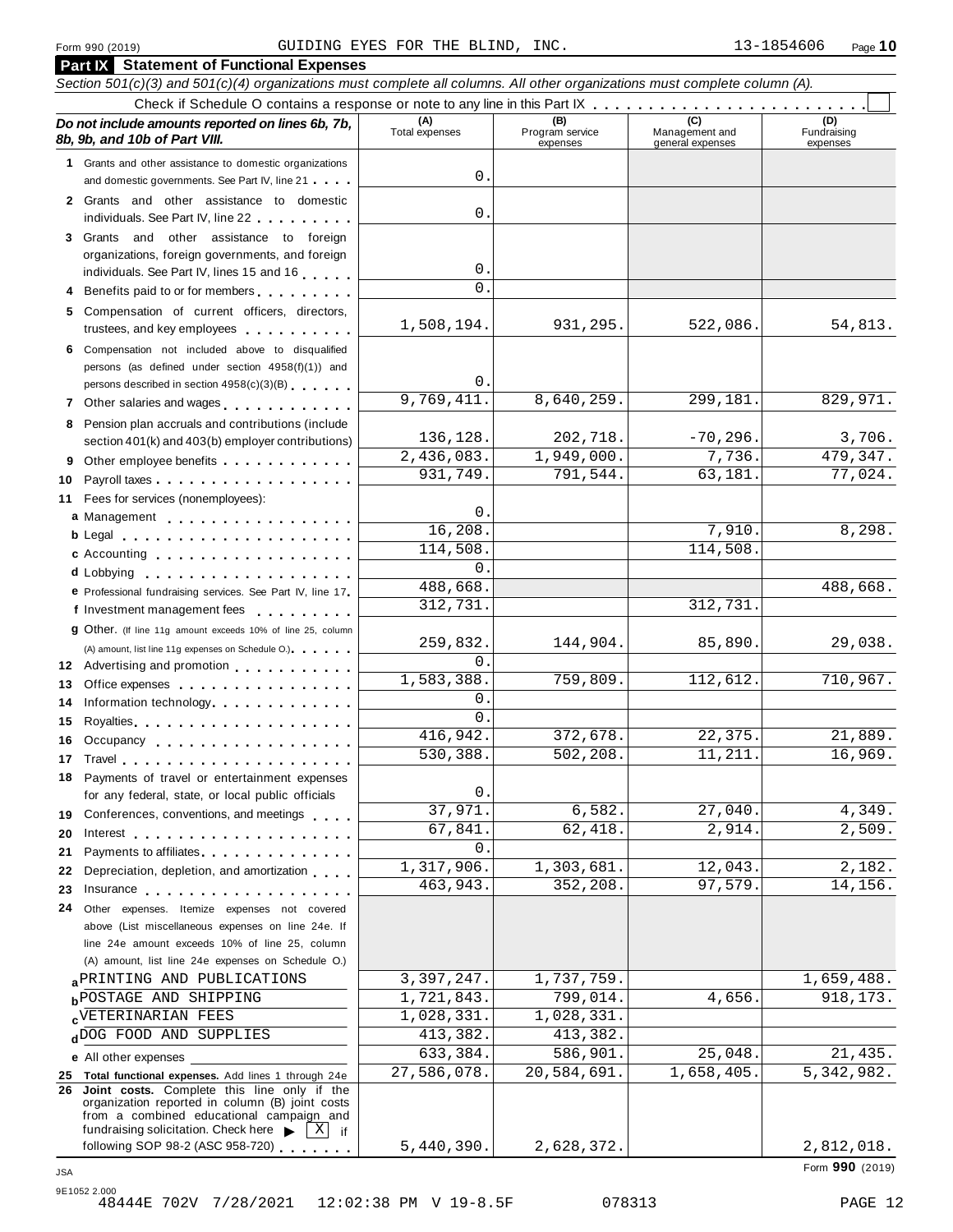**Part IX Statement of Functional Expenses**

Section 501(c)(3) and 501(c)(4) organizations must complete all columns. All other organizations must complete column (A). Check if Schedule <sup>O</sup> contains <sup>a</sup> response or note to any line in this Part IX m m m m m m m m m m m m m m m m m m m m m m m m m *Do no* **(A) (B) (C) (D)** *t include amounts reported on lines 6b, 7b,* **8b, 9b, and 10b of Part VIII.** The construction of *B***, 9b, and 10b of Part VIII.** expenses Management and general expenses Fundraising expenses **1** Grants and other assistance to domestic organizations and domestic governments. See Part IV, line 21 m m m **2** Grants and other assistance to domestic individuals. See Part IV, line 22 **3** Grants and other assistance to foreign organizations, foreign governments, and foreign individuals. See Part IV, lines <sup>15</sup> and <sup>16</sup> <sup>m</sup> <sup>m</sup> <sup>m</sup> <sup>m</sup> <sup>m</sup> **<sup>4</sup>** Benefits paid to or for members <sup>m</sup> <sup>m</sup> <sup>m</sup> <sup>m</sup> <sup>m</sup> <sup>m</sup> <sup>m</sup> <sup>m</sup> <sup>m</sup> **5** Compensation of current officers, directors, trustees, and key employees manufacturers. **6** Compensation not included above to disqualified persons (as defined under section 4958(f)(1)) and persons described in section 4958(c)(3)(B) 7 Other salaries and wages **manual manual metallicity 8** Pension plan accruals and contributions (include section 401(k) and 403(b) employer contributions) **9** Section 401(k) and 403(b) employer contributions<br>9 Other employee benefits 9 Other employee benefits **10** Payroll taxes **10** Fees for services (nonemployees): **11** A) amount, list line 11g expenses on Schedule O.<br>**12** Advertising and promotion **manual 13** Office expenses **13** Office expenses<br>**14** Information technology............. **15** Royalties m m m m m m m m m m m m m m m m m m m m **16** Occupancy m m m m m m m m m m m m m m m m m m **16** Occupancy ...................<br>17 Travel..................... **18** Payments of travel or entertainment expenses for any federal, state, or local public officials<br>**19** Conferences, conventions, and meetings **19** Conferences, conventions, and meetings **with meetings**<br>20 Interest **manual meetings 21** Payments to affiliates m m m m m m m m m m m m m m 21 Payments to affiliates<br>22 Depreciation, depletion, and amortization <sub>1</sub> . . . **22** Depreciation, depletion, and amortization **manufation**<br>23 Insurance 24 Other expenses. Itemize expenses not covered | Fees for services (nonemployees):<br>**a** Management ..................<br>**b** Legal ......................... **cd** Lobbying m m m m m m m m m m m m m m m m m m m **d** Lobbying **e**<br> **e** Professional fundraising services. See Part IV, line 17 **P** Professional fundraising services. See Part IV, line 17<br>**f** Investment management fees **g** Other. (If line 11g amount exceeds 10% of line 25, column Legal m m m m m m m m m m m m m m m m m m m m m c Accounting **c Accounting** m m m m m m m m m m m m m m m m m m  $(A)$  amount, list line 11g expenses on Schedule O.)  $\cdots$  m m m m m m m m m m m m m m m m m m m for any federal, state, or local public officials above (List miscellaneous expenses on line 24e. If line 24e amount exceeds 10% of line 25, column (A) amount, list line 24e expenses on Schedule O.) **a** <u>PRINTING AND PUBLICATIONS</u> 1,721,843. 1,737,759. 1,859,488. 1,859,488.<br> **b** POSTAGE AND SHIPPING 1,721,843. 799,014. 4,656. 918,173. **c**<sup>VETERINARIAN FEES<br>dDOG FOOD AND SUPPLIES 413,382. 413,382.</sup> **e** All other expenses **25 Total functional expenses.** Add lines 1 through 24e **26 Joint costs.** Complete this line only if the organization reported in column (B) joint costs from a combined educational campaign and from a combined educational campaign and<br>fundraising solicitation. Check here  $\triangleright$   $\boxed{X}$  if<br>following SOP 98-2 (ASC 958-720) 0. 0. 0.  $\Omega$  $1,508,194.$  931,295. 522,086. 54,813. 0. 9,769,411. 8,640,259. 299,181. 829,971. 136,128. 202,718. -70,296. 3,706. 2,436,083. 1,949,000. 7,736. 479,347. 931,749. 791,544. 63,181. 77,024.  $\Omega$ 16,208. 7,910. 7,910. 8,298. 114,508. 0. 488,668. 488,668. 312,731. 312,731 259,832. 144,904. 85,890. 29,038.  $\Omega$ 1,583,388. 759,809. 112,612. 710,967. 0. 0. 416,942. 372,678. 22,375. 21,889. 530,388. 502,208. 11,211. 16,969.  $\Omega$ 37,971. 6,582. 27,040. 4,349. 67,841. 62,418. 2,914. 2,509.  $\Omega$ 1,317,906. 1,303,681. 12,043. 2,182. 463,943. 352,208. 97,579. 14,156. **PRINTING AND PUBLICATIONS**  $\begin{array}{|c|c|c|c|c|c|}\n\hline\n3,397,247. & 1,737,759.\n\hline\n\end{array}$  1,659,488.  $\text{c}$ VETERINARIAN FEES 1,028,331. 1,028,331. 633,384. 586,901. 25,048. 21,435. 27,586,078. 20,584,691. 1,658,405. 5,342,982. 5,440,390. 2,628,372. 2,812,018.

Form **990** (2019) JSA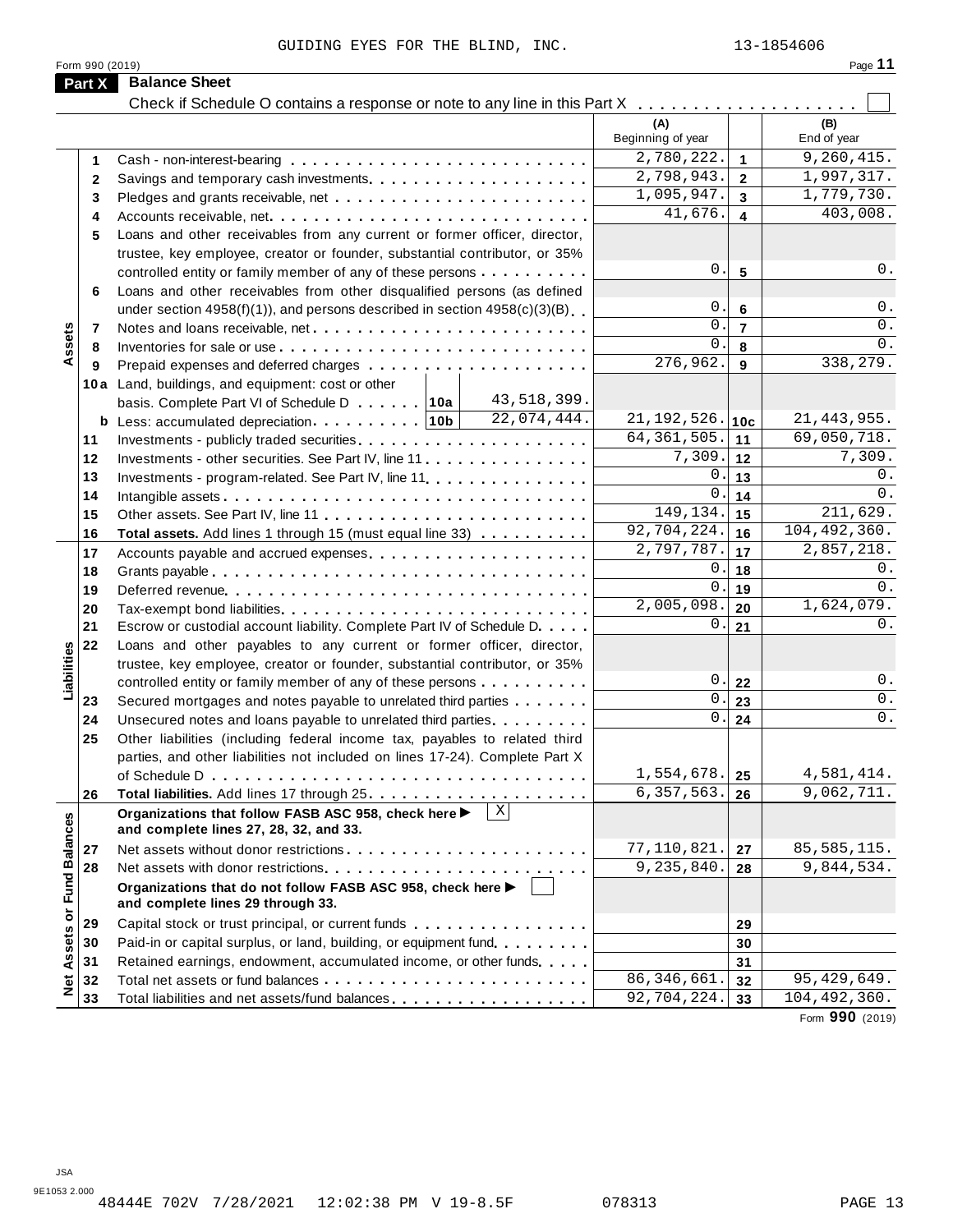| Page 11<br>Form 990 (2019)<br><b>Balance Sheet</b><br>Part X<br>Check if Schedule O contains a response or note to any line in this Part X<br>(A)<br>(B)<br>Beginning of year<br>End of year<br>2,780,222.<br>$\overline{9,260,415}$ .<br>$\mathbf{1}$<br>1<br>2,798,943.<br>1,997,317.<br>$\overline{2}$<br>$\mathbf{2}$<br>1,095,947.<br>1,779,730.<br>3<br>3<br>403,008.<br>41,676.<br>$\overline{\mathbf{4}}$<br>4<br>Loans and other receivables from any current or former officer, director,<br>5<br>trustee, key employee, creator or founder, substantial contributor, or 35%<br>0<br>$0$ .<br>5<br>controlled entity or family member of any of these persons<br>Loans and other receivables from other disqualified persons (as defined<br>6<br>$0$ .<br>0<br>under section $4958(f)(1)$ , and persons described in section $4958(c)(3)(B)$<br>6<br>$\mathsf{O}$<br>0.<br>$\overline{7}$<br>Assets<br>Notes and loans receivable, net<br>7<br>$\mathbf 0$<br>0.<br>8<br>8<br>276,962.<br>338,279.<br>9<br>9<br>10a Land, buildings, and equipment: cost or other<br>43,518,399.<br>basis. Complete Part VI of Schedule D 10a  <br>$\sqrt{22,074,444}.$<br>21, 192, 526.<br>21, 443, 955.<br>10 <sub>c</sub><br>64, 361, 505.<br>69,050,718.<br>11<br>11<br>7,309.<br>7,309.<br>12<br>12<br>Investments - other securities. See Part IV, line 11.<br>0.<br>0<br>13<br>13<br>0<br>0.<br>14<br>14<br>149, 134.<br>211,629.<br>15<br>15<br>92,704,224.<br>104, 492, 360.<br>16<br>16<br>Total assets. Add lines 1 through 15 (must equal line 33)<br>2,797,787.<br>2,857,218.<br>17<br>17<br>0<br>0.<br>18<br>18<br>$\mathbf 0$<br>0.<br>19<br>19<br>2,005,098<br>1,624,079.<br>20<br>20<br>0.<br>0<br>21<br>Escrow or custodial account liability. Complete Part IV of Schedule D.<br>21<br>22<br>Loans and other payables to any current or former officer, director,<br>Liabilities<br>trustee, key employee, creator or founder, substantial contributor, or 35%<br>$0$ .<br>0<br>controlled entity or family member of any of these persons<br>22<br>$\mathsf{O}$<br>0.<br>23<br>Secured mortgages and notes payable to unrelated third parties<br>23<br>$\overline{0}$ .<br>$0$ .<br>24<br>24<br>Unsecured notes and loans payable to unrelated third parties<br>Other liabilities (including federal income tax, payables to related third<br>25<br>parties, and other liabilities not included on lines 17-24). Complete Part X<br>1,554,678.<br>4,581,414.<br>25<br>6,357,563.<br>9,062,711.<br>26<br>26<br> X <br>Organizations that follow FASB ASC 958, check here ▶<br>Net Assets or Fund Balances<br>and complete lines 27, 28, 32, and 33.<br>77,110,821.<br>85, 585, 115.<br>27<br>27<br>9,235,840.<br>9,844,534.<br>28<br>28<br>Organizations that do not follow FASB ASC 958, check here ▶<br>and complete lines 29 through 33.<br>Capital stock or trust principal, or current funds entitled and state in the capital stock or trust<br>29<br>29<br>30<br>Paid-in or capital surplus, or land, building, or equipment fund.<br>30<br>31<br>Retained earnings, endowment, accumulated income, or other funds<br>31<br>86, 346, 661<br>95, 429, 649.<br>32<br>32<br>92,704,224.<br>104, 492, 360.<br>Total liabilities and net assets/fund balances<br>33<br>33 |  | GUIDING EYES FOR THE BLIND, INC. |  | 13-1854606 |
|------------------------------------------------------------------------------------------------------------------------------------------------------------------------------------------------------------------------------------------------------------------------------------------------------------------------------------------------------------------------------------------------------------------------------------------------------------------------------------------------------------------------------------------------------------------------------------------------------------------------------------------------------------------------------------------------------------------------------------------------------------------------------------------------------------------------------------------------------------------------------------------------------------------------------------------------------------------------------------------------------------------------------------------------------------------------------------------------------------------------------------------------------------------------------------------------------------------------------------------------------------------------------------------------------------------------------------------------------------------------------------------------------------------------------------------------------------------------------------------------------------------------------------------------------------------------------------------------------------------------------------------------------------------------------------------------------------------------------------------------------------------------------------------------------------------------------------------------------------------------------------------------------------------------------------------------------------------------------------------------------------------------------------------------------------------------------------------------------------------------------------------------------------------------------------------------------------------------------------------------------------------------------------------------------------------------------------------------------------------------------------------------------------------------------------------------------------------------------------------------------------------------------------------------------------------------------------------------------------------------------------------------------------------------------------------------------------------------------------------------------------------------------------------------------------------------------------------------------------------------------------------------------------------------------------------------------------------------------------------------------------------------------------------------------------------------------------------------------------------------------------------------------------------------------------------------------------------------------------------------------------------------------------------|--|----------------------------------|--|------------|
|                                                                                                                                                                                                                                                                                                                                                                                                                                                                                                                                                                                                                                                                                                                                                                                                                                                                                                                                                                                                                                                                                                                                                                                                                                                                                                                                                                                                                                                                                                                                                                                                                                                                                                                                                                                                                                                                                                                                                                                                                                                                                                                                                                                                                                                                                                                                                                                                                                                                                                                                                                                                                                                                                                                                                                                                                                                                                                                                                                                                                                                                                                                                                                                                                                                                                          |  |                                  |  |            |
|                                                                                                                                                                                                                                                                                                                                                                                                                                                                                                                                                                                                                                                                                                                                                                                                                                                                                                                                                                                                                                                                                                                                                                                                                                                                                                                                                                                                                                                                                                                                                                                                                                                                                                                                                                                                                                                                                                                                                                                                                                                                                                                                                                                                                                                                                                                                                                                                                                                                                                                                                                                                                                                                                                                                                                                                                                                                                                                                                                                                                                                                                                                                                                                                                                                                                          |  |                                  |  |            |
|                                                                                                                                                                                                                                                                                                                                                                                                                                                                                                                                                                                                                                                                                                                                                                                                                                                                                                                                                                                                                                                                                                                                                                                                                                                                                                                                                                                                                                                                                                                                                                                                                                                                                                                                                                                                                                                                                                                                                                                                                                                                                                                                                                                                                                                                                                                                                                                                                                                                                                                                                                                                                                                                                                                                                                                                                                                                                                                                                                                                                                                                                                                                                                                                                                                                                          |  |                                  |  |            |
|                                                                                                                                                                                                                                                                                                                                                                                                                                                                                                                                                                                                                                                                                                                                                                                                                                                                                                                                                                                                                                                                                                                                                                                                                                                                                                                                                                                                                                                                                                                                                                                                                                                                                                                                                                                                                                                                                                                                                                                                                                                                                                                                                                                                                                                                                                                                                                                                                                                                                                                                                                                                                                                                                                                                                                                                                                                                                                                                                                                                                                                                                                                                                                                                                                                                                          |  |                                  |  |            |
|                                                                                                                                                                                                                                                                                                                                                                                                                                                                                                                                                                                                                                                                                                                                                                                                                                                                                                                                                                                                                                                                                                                                                                                                                                                                                                                                                                                                                                                                                                                                                                                                                                                                                                                                                                                                                                                                                                                                                                                                                                                                                                                                                                                                                                                                                                                                                                                                                                                                                                                                                                                                                                                                                                                                                                                                                                                                                                                                                                                                                                                                                                                                                                                                                                                                                          |  |                                  |  |            |
|                                                                                                                                                                                                                                                                                                                                                                                                                                                                                                                                                                                                                                                                                                                                                                                                                                                                                                                                                                                                                                                                                                                                                                                                                                                                                                                                                                                                                                                                                                                                                                                                                                                                                                                                                                                                                                                                                                                                                                                                                                                                                                                                                                                                                                                                                                                                                                                                                                                                                                                                                                                                                                                                                                                                                                                                                                                                                                                                                                                                                                                                                                                                                                                                                                                                                          |  |                                  |  |            |
|                                                                                                                                                                                                                                                                                                                                                                                                                                                                                                                                                                                                                                                                                                                                                                                                                                                                                                                                                                                                                                                                                                                                                                                                                                                                                                                                                                                                                                                                                                                                                                                                                                                                                                                                                                                                                                                                                                                                                                                                                                                                                                                                                                                                                                                                                                                                                                                                                                                                                                                                                                                                                                                                                                                                                                                                                                                                                                                                                                                                                                                                                                                                                                                                                                                                                          |  |                                  |  |            |
|                                                                                                                                                                                                                                                                                                                                                                                                                                                                                                                                                                                                                                                                                                                                                                                                                                                                                                                                                                                                                                                                                                                                                                                                                                                                                                                                                                                                                                                                                                                                                                                                                                                                                                                                                                                                                                                                                                                                                                                                                                                                                                                                                                                                                                                                                                                                                                                                                                                                                                                                                                                                                                                                                                                                                                                                                                                                                                                                                                                                                                                                                                                                                                                                                                                                                          |  |                                  |  |            |
|                                                                                                                                                                                                                                                                                                                                                                                                                                                                                                                                                                                                                                                                                                                                                                                                                                                                                                                                                                                                                                                                                                                                                                                                                                                                                                                                                                                                                                                                                                                                                                                                                                                                                                                                                                                                                                                                                                                                                                                                                                                                                                                                                                                                                                                                                                                                                                                                                                                                                                                                                                                                                                                                                                                                                                                                                                                                                                                                                                                                                                                                                                                                                                                                                                                                                          |  |                                  |  |            |
|                                                                                                                                                                                                                                                                                                                                                                                                                                                                                                                                                                                                                                                                                                                                                                                                                                                                                                                                                                                                                                                                                                                                                                                                                                                                                                                                                                                                                                                                                                                                                                                                                                                                                                                                                                                                                                                                                                                                                                                                                                                                                                                                                                                                                                                                                                                                                                                                                                                                                                                                                                                                                                                                                                                                                                                                                                                                                                                                                                                                                                                                                                                                                                                                                                                                                          |  |                                  |  |            |
|                                                                                                                                                                                                                                                                                                                                                                                                                                                                                                                                                                                                                                                                                                                                                                                                                                                                                                                                                                                                                                                                                                                                                                                                                                                                                                                                                                                                                                                                                                                                                                                                                                                                                                                                                                                                                                                                                                                                                                                                                                                                                                                                                                                                                                                                                                                                                                                                                                                                                                                                                                                                                                                                                                                                                                                                                                                                                                                                                                                                                                                                                                                                                                                                                                                                                          |  |                                  |  |            |
|                                                                                                                                                                                                                                                                                                                                                                                                                                                                                                                                                                                                                                                                                                                                                                                                                                                                                                                                                                                                                                                                                                                                                                                                                                                                                                                                                                                                                                                                                                                                                                                                                                                                                                                                                                                                                                                                                                                                                                                                                                                                                                                                                                                                                                                                                                                                                                                                                                                                                                                                                                                                                                                                                                                                                                                                                                                                                                                                                                                                                                                                                                                                                                                                                                                                                          |  |                                  |  |            |
|                                                                                                                                                                                                                                                                                                                                                                                                                                                                                                                                                                                                                                                                                                                                                                                                                                                                                                                                                                                                                                                                                                                                                                                                                                                                                                                                                                                                                                                                                                                                                                                                                                                                                                                                                                                                                                                                                                                                                                                                                                                                                                                                                                                                                                                                                                                                                                                                                                                                                                                                                                                                                                                                                                                                                                                                                                                                                                                                                                                                                                                                                                                                                                                                                                                                                          |  |                                  |  |            |
|                                                                                                                                                                                                                                                                                                                                                                                                                                                                                                                                                                                                                                                                                                                                                                                                                                                                                                                                                                                                                                                                                                                                                                                                                                                                                                                                                                                                                                                                                                                                                                                                                                                                                                                                                                                                                                                                                                                                                                                                                                                                                                                                                                                                                                                                                                                                                                                                                                                                                                                                                                                                                                                                                                                                                                                                                                                                                                                                                                                                                                                                                                                                                                                                                                                                                          |  |                                  |  |            |
|                                                                                                                                                                                                                                                                                                                                                                                                                                                                                                                                                                                                                                                                                                                                                                                                                                                                                                                                                                                                                                                                                                                                                                                                                                                                                                                                                                                                                                                                                                                                                                                                                                                                                                                                                                                                                                                                                                                                                                                                                                                                                                                                                                                                                                                                                                                                                                                                                                                                                                                                                                                                                                                                                                                                                                                                                                                                                                                                                                                                                                                                                                                                                                                                                                                                                          |  |                                  |  |            |
|                                                                                                                                                                                                                                                                                                                                                                                                                                                                                                                                                                                                                                                                                                                                                                                                                                                                                                                                                                                                                                                                                                                                                                                                                                                                                                                                                                                                                                                                                                                                                                                                                                                                                                                                                                                                                                                                                                                                                                                                                                                                                                                                                                                                                                                                                                                                                                                                                                                                                                                                                                                                                                                                                                                                                                                                                                                                                                                                                                                                                                                                                                                                                                                                                                                                                          |  |                                  |  |            |
|                                                                                                                                                                                                                                                                                                                                                                                                                                                                                                                                                                                                                                                                                                                                                                                                                                                                                                                                                                                                                                                                                                                                                                                                                                                                                                                                                                                                                                                                                                                                                                                                                                                                                                                                                                                                                                                                                                                                                                                                                                                                                                                                                                                                                                                                                                                                                                                                                                                                                                                                                                                                                                                                                                                                                                                                                                                                                                                                                                                                                                                                                                                                                                                                                                                                                          |  |                                  |  |            |
|                                                                                                                                                                                                                                                                                                                                                                                                                                                                                                                                                                                                                                                                                                                                                                                                                                                                                                                                                                                                                                                                                                                                                                                                                                                                                                                                                                                                                                                                                                                                                                                                                                                                                                                                                                                                                                                                                                                                                                                                                                                                                                                                                                                                                                                                                                                                                                                                                                                                                                                                                                                                                                                                                                                                                                                                                                                                                                                                                                                                                                                                                                                                                                                                                                                                                          |  |                                  |  |            |
|                                                                                                                                                                                                                                                                                                                                                                                                                                                                                                                                                                                                                                                                                                                                                                                                                                                                                                                                                                                                                                                                                                                                                                                                                                                                                                                                                                                                                                                                                                                                                                                                                                                                                                                                                                                                                                                                                                                                                                                                                                                                                                                                                                                                                                                                                                                                                                                                                                                                                                                                                                                                                                                                                                                                                                                                                                                                                                                                                                                                                                                                                                                                                                                                                                                                                          |  |                                  |  |            |
|                                                                                                                                                                                                                                                                                                                                                                                                                                                                                                                                                                                                                                                                                                                                                                                                                                                                                                                                                                                                                                                                                                                                                                                                                                                                                                                                                                                                                                                                                                                                                                                                                                                                                                                                                                                                                                                                                                                                                                                                                                                                                                                                                                                                                                                                                                                                                                                                                                                                                                                                                                                                                                                                                                                                                                                                                                                                                                                                                                                                                                                                                                                                                                                                                                                                                          |  |                                  |  |            |
|                                                                                                                                                                                                                                                                                                                                                                                                                                                                                                                                                                                                                                                                                                                                                                                                                                                                                                                                                                                                                                                                                                                                                                                                                                                                                                                                                                                                                                                                                                                                                                                                                                                                                                                                                                                                                                                                                                                                                                                                                                                                                                                                                                                                                                                                                                                                                                                                                                                                                                                                                                                                                                                                                                                                                                                                                                                                                                                                                                                                                                                                                                                                                                                                                                                                                          |  |                                  |  |            |
|                                                                                                                                                                                                                                                                                                                                                                                                                                                                                                                                                                                                                                                                                                                                                                                                                                                                                                                                                                                                                                                                                                                                                                                                                                                                                                                                                                                                                                                                                                                                                                                                                                                                                                                                                                                                                                                                                                                                                                                                                                                                                                                                                                                                                                                                                                                                                                                                                                                                                                                                                                                                                                                                                                                                                                                                                                                                                                                                                                                                                                                                                                                                                                                                                                                                                          |  |                                  |  |            |
|                                                                                                                                                                                                                                                                                                                                                                                                                                                                                                                                                                                                                                                                                                                                                                                                                                                                                                                                                                                                                                                                                                                                                                                                                                                                                                                                                                                                                                                                                                                                                                                                                                                                                                                                                                                                                                                                                                                                                                                                                                                                                                                                                                                                                                                                                                                                                                                                                                                                                                                                                                                                                                                                                                                                                                                                                                                                                                                                                                                                                                                                                                                                                                                                                                                                                          |  |                                  |  |            |
|                                                                                                                                                                                                                                                                                                                                                                                                                                                                                                                                                                                                                                                                                                                                                                                                                                                                                                                                                                                                                                                                                                                                                                                                                                                                                                                                                                                                                                                                                                                                                                                                                                                                                                                                                                                                                                                                                                                                                                                                                                                                                                                                                                                                                                                                                                                                                                                                                                                                                                                                                                                                                                                                                                                                                                                                                                                                                                                                                                                                                                                                                                                                                                                                                                                                                          |  |                                  |  |            |
|                                                                                                                                                                                                                                                                                                                                                                                                                                                                                                                                                                                                                                                                                                                                                                                                                                                                                                                                                                                                                                                                                                                                                                                                                                                                                                                                                                                                                                                                                                                                                                                                                                                                                                                                                                                                                                                                                                                                                                                                                                                                                                                                                                                                                                                                                                                                                                                                                                                                                                                                                                                                                                                                                                                                                                                                                                                                                                                                                                                                                                                                                                                                                                                                                                                                                          |  |                                  |  |            |
|                                                                                                                                                                                                                                                                                                                                                                                                                                                                                                                                                                                                                                                                                                                                                                                                                                                                                                                                                                                                                                                                                                                                                                                                                                                                                                                                                                                                                                                                                                                                                                                                                                                                                                                                                                                                                                                                                                                                                                                                                                                                                                                                                                                                                                                                                                                                                                                                                                                                                                                                                                                                                                                                                                                                                                                                                                                                                                                                                                                                                                                                                                                                                                                                                                                                                          |  |                                  |  |            |
|                                                                                                                                                                                                                                                                                                                                                                                                                                                                                                                                                                                                                                                                                                                                                                                                                                                                                                                                                                                                                                                                                                                                                                                                                                                                                                                                                                                                                                                                                                                                                                                                                                                                                                                                                                                                                                                                                                                                                                                                                                                                                                                                                                                                                                                                                                                                                                                                                                                                                                                                                                                                                                                                                                                                                                                                                                                                                                                                                                                                                                                                                                                                                                                                                                                                                          |  |                                  |  |            |
|                                                                                                                                                                                                                                                                                                                                                                                                                                                                                                                                                                                                                                                                                                                                                                                                                                                                                                                                                                                                                                                                                                                                                                                                                                                                                                                                                                                                                                                                                                                                                                                                                                                                                                                                                                                                                                                                                                                                                                                                                                                                                                                                                                                                                                                                                                                                                                                                                                                                                                                                                                                                                                                                                                                                                                                                                                                                                                                                                                                                                                                                                                                                                                                                                                                                                          |  |                                  |  |            |
|                                                                                                                                                                                                                                                                                                                                                                                                                                                                                                                                                                                                                                                                                                                                                                                                                                                                                                                                                                                                                                                                                                                                                                                                                                                                                                                                                                                                                                                                                                                                                                                                                                                                                                                                                                                                                                                                                                                                                                                                                                                                                                                                                                                                                                                                                                                                                                                                                                                                                                                                                                                                                                                                                                                                                                                                                                                                                                                                                                                                                                                                                                                                                                                                                                                                                          |  |                                  |  |            |
|                                                                                                                                                                                                                                                                                                                                                                                                                                                                                                                                                                                                                                                                                                                                                                                                                                                                                                                                                                                                                                                                                                                                                                                                                                                                                                                                                                                                                                                                                                                                                                                                                                                                                                                                                                                                                                                                                                                                                                                                                                                                                                                                                                                                                                                                                                                                                                                                                                                                                                                                                                                                                                                                                                                                                                                                                                                                                                                                                                                                                                                                                                                                                                                                                                                                                          |  |                                  |  |            |
|                                                                                                                                                                                                                                                                                                                                                                                                                                                                                                                                                                                                                                                                                                                                                                                                                                                                                                                                                                                                                                                                                                                                                                                                                                                                                                                                                                                                                                                                                                                                                                                                                                                                                                                                                                                                                                                                                                                                                                                                                                                                                                                                                                                                                                                                                                                                                                                                                                                                                                                                                                                                                                                                                                                                                                                                                                                                                                                                                                                                                                                                                                                                                                                                                                                                                          |  |                                  |  |            |
|                                                                                                                                                                                                                                                                                                                                                                                                                                                                                                                                                                                                                                                                                                                                                                                                                                                                                                                                                                                                                                                                                                                                                                                                                                                                                                                                                                                                                                                                                                                                                                                                                                                                                                                                                                                                                                                                                                                                                                                                                                                                                                                                                                                                                                                                                                                                                                                                                                                                                                                                                                                                                                                                                                                                                                                                                                                                                                                                                                                                                                                                                                                                                                                                                                                                                          |  |                                  |  |            |
|                                                                                                                                                                                                                                                                                                                                                                                                                                                                                                                                                                                                                                                                                                                                                                                                                                                                                                                                                                                                                                                                                                                                                                                                                                                                                                                                                                                                                                                                                                                                                                                                                                                                                                                                                                                                                                                                                                                                                                                                                                                                                                                                                                                                                                                                                                                                                                                                                                                                                                                                                                                                                                                                                                                                                                                                                                                                                                                                                                                                                                                                                                                                                                                                                                                                                          |  |                                  |  |            |
|                                                                                                                                                                                                                                                                                                                                                                                                                                                                                                                                                                                                                                                                                                                                                                                                                                                                                                                                                                                                                                                                                                                                                                                                                                                                                                                                                                                                                                                                                                                                                                                                                                                                                                                                                                                                                                                                                                                                                                                                                                                                                                                                                                                                                                                                                                                                                                                                                                                                                                                                                                                                                                                                                                                                                                                                                                                                                                                                                                                                                                                                                                                                                                                                                                                                                          |  |                                  |  |            |
|                                                                                                                                                                                                                                                                                                                                                                                                                                                                                                                                                                                                                                                                                                                                                                                                                                                                                                                                                                                                                                                                                                                                                                                                                                                                                                                                                                                                                                                                                                                                                                                                                                                                                                                                                                                                                                                                                                                                                                                                                                                                                                                                                                                                                                                                                                                                                                                                                                                                                                                                                                                                                                                                                                                                                                                                                                                                                                                                                                                                                                                                                                                                                                                                                                                                                          |  |                                  |  |            |
|                                                                                                                                                                                                                                                                                                                                                                                                                                                                                                                                                                                                                                                                                                                                                                                                                                                                                                                                                                                                                                                                                                                                                                                                                                                                                                                                                                                                                                                                                                                                                                                                                                                                                                                                                                                                                                                                                                                                                                                                                                                                                                                                                                                                                                                                                                                                                                                                                                                                                                                                                                                                                                                                                                                                                                                                                                                                                                                                                                                                                                                                                                                                                                                                                                                                                          |  |                                  |  |            |
|                                                                                                                                                                                                                                                                                                                                                                                                                                                                                                                                                                                                                                                                                                                                                                                                                                                                                                                                                                                                                                                                                                                                                                                                                                                                                                                                                                                                                                                                                                                                                                                                                                                                                                                                                                                                                                                                                                                                                                                                                                                                                                                                                                                                                                                                                                                                                                                                                                                                                                                                                                                                                                                                                                                                                                                                                                                                                                                                                                                                                                                                                                                                                                                                                                                                                          |  |                                  |  |            |
|                                                                                                                                                                                                                                                                                                                                                                                                                                                                                                                                                                                                                                                                                                                                                                                                                                                                                                                                                                                                                                                                                                                                                                                                                                                                                                                                                                                                                                                                                                                                                                                                                                                                                                                                                                                                                                                                                                                                                                                                                                                                                                                                                                                                                                                                                                                                                                                                                                                                                                                                                                                                                                                                                                                                                                                                                                                                                                                                                                                                                                                                                                                                                                                                                                                                                          |  |                                  |  |            |
|                                                                                                                                                                                                                                                                                                                                                                                                                                                                                                                                                                                                                                                                                                                                                                                                                                                                                                                                                                                                                                                                                                                                                                                                                                                                                                                                                                                                                                                                                                                                                                                                                                                                                                                                                                                                                                                                                                                                                                                                                                                                                                                                                                                                                                                                                                                                                                                                                                                                                                                                                                                                                                                                                                                                                                                                                                                                                                                                                                                                                                                                                                                                                                                                                                                                                          |  |                                  |  |            |
|                                                                                                                                                                                                                                                                                                                                                                                                                                                                                                                                                                                                                                                                                                                                                                                                                                                                                                                                                                                                                                                                                                                                                                                                                                                                                                                                                                                                                                                                                                                                                                                                                                                                                                                                                                                                                                                                                                                                                                                                                                                                                                                                                                                                                                                                                                                                                                                                                                                                                                                                                                                                                                                                                                                                                                                                                                                                                                                                                                                                                                                                                                                                                                                                                                                                                          |  |                                  |  |            |
|                                                                                                                                                                                                                                                                                                                                                                                                                                                                                                                                                                                                                                                                                                                                                                                                                                                                                                                                                                                                                                                                                                                                                                                                                                                                                                                                                                                                                                                                                                                                                                                                                                                                                                                                                                                                                                                                                                                                                                                                                                                                                                                                                                                                                                                                                                                                                                                                                                                                                                                                                                                                                                                                                                                                                                                                                                                                                                                                                                                                                                                                                                                                                                                                                                                                                          |  |                                  |  |            |
|                                                                                                                                                                                                                                                                                                                                                                                                                                                                                                                                                                                                                                                                                                                                                                                                                                                                                                                                                                                                                                                                                                                                                                                                                                                                                                                                                                                                                                                                                                                                                                                                                                                                                                                                                                                                                                                                                                                                                                                                                                                                                                                                                                                                                                                                                                                                                                                                                                                                                                                                                                                                                                                                                                                                                                                                                                                                                                                                                                                                                                                                                                                                                                                                                                                                                          |  |                                  |  |            |
|                                                                                                                                                                                                                                                                                                                                                                                                                                                                                                                                                                                                                                                                                                                                                                                                                                                                                                                                                                                                                                                                                                                                                                                                                                                                                                                                                                                                                                                                                                                                                                                                                                                                                                                                                                                                                                                                                                                                                                                                                                                                                                                                                                                                                                                                                                                                                                                                                                                                                                                                                                                                                                                                                                                                                                                                                                                                                                                                                                                                                                                                                                                                                                                                                                                                                          |  |                                  |  |            |
|                                                                                                                                                                                                                                                                                                                                                                                                                                                                                                                                                                                                                                                                                                                                                                                                                                                                                                                                                                                                                                                                                                                                                                                                                                                                                                                                                                                                                                                                                                                                                                                                                                                                                                                                                                                                                                                                                                                                                                                                                                                                                                                                                                                                                                                                                                                                                                                                                                                                                                                                                                                                                                                                                                                                                                                                                                                                                                                                                                                                                                                                                                                                                                                                                                                                                          |  |                                  |  |            |
|                                                                                                                                                                                                                                                                                                                                                                                                                                                                                                                                                                                                                                                                                                                                                                                                                                                                                                                                                                                                                                                                                                                                                                                                                                                                                                                                                                                                                                                                                                                                                                                                                                                                                                                                                                                                                                                                                                                                                                                                                                                                                                                                                                                                                                                                                                                                                                                                                                                                                                                                                                                                                                                                                                                                                                                                                                                                                                                                                                                                                                                                                                                                                                                                                                                                                          |  |                                  |  |            |
|                                                                                                                                                                                                                                                                                                                                                                                                                                                                                                                                                                                                                                                                                                                                                                                                                                                                                                                                                                                                                                                                                                                                                                                                                                                                                                                                                                                                                                                                                                                                                                                                                                                                                                                                                                                                                                                                                                                                                                                                                                                                                                                                                                                                                                                                                                                                                                                                                                                                                                                                                                                                                                                                                                                                                                                                                                                                                                                                                                                                                                                                                                                                                                                                                                                                                          |  |                                  |  |            |
|                                                                                                                                                                                                                                                                                                                                                                                                                                                                                                                                                                                                                                                                                                                                                                                                                                                                                                                                                                                                                                                                                                                                                                                                                                                                                                                                                                                                                                                                                                                                                                                                                                                                                                                                                                                                                                                                                                                                                                                                                                                                                                                                                                                                                                                                                                                                                                                                                                                                                                                                                                                                                                                                                                                                                                                                                                                                                                                                                                                                                                                                                                                                                                                                                                                                                          |  |                                  |  |            |
|                                                                                                                                                                                                                                                                                                                                                                                                                                                                                                                                                                                                                                                                                                                                                                                                                                                                                                                                                                                                                                                                                                                                                                                                                                                                                                                                                                                                                                                                                                                                                                                                                                                                                                                                                                                                                                                                                                                                                                                                                                                                                                                                                                                                                                                                                                                                                                                                                                                                                                                                                                                                                                                                                                                                                                                                                                                                                                                                                                                                                                                                                                                                                                                                                                                                                          |  |                                  |  |            |

Form **990** (2019)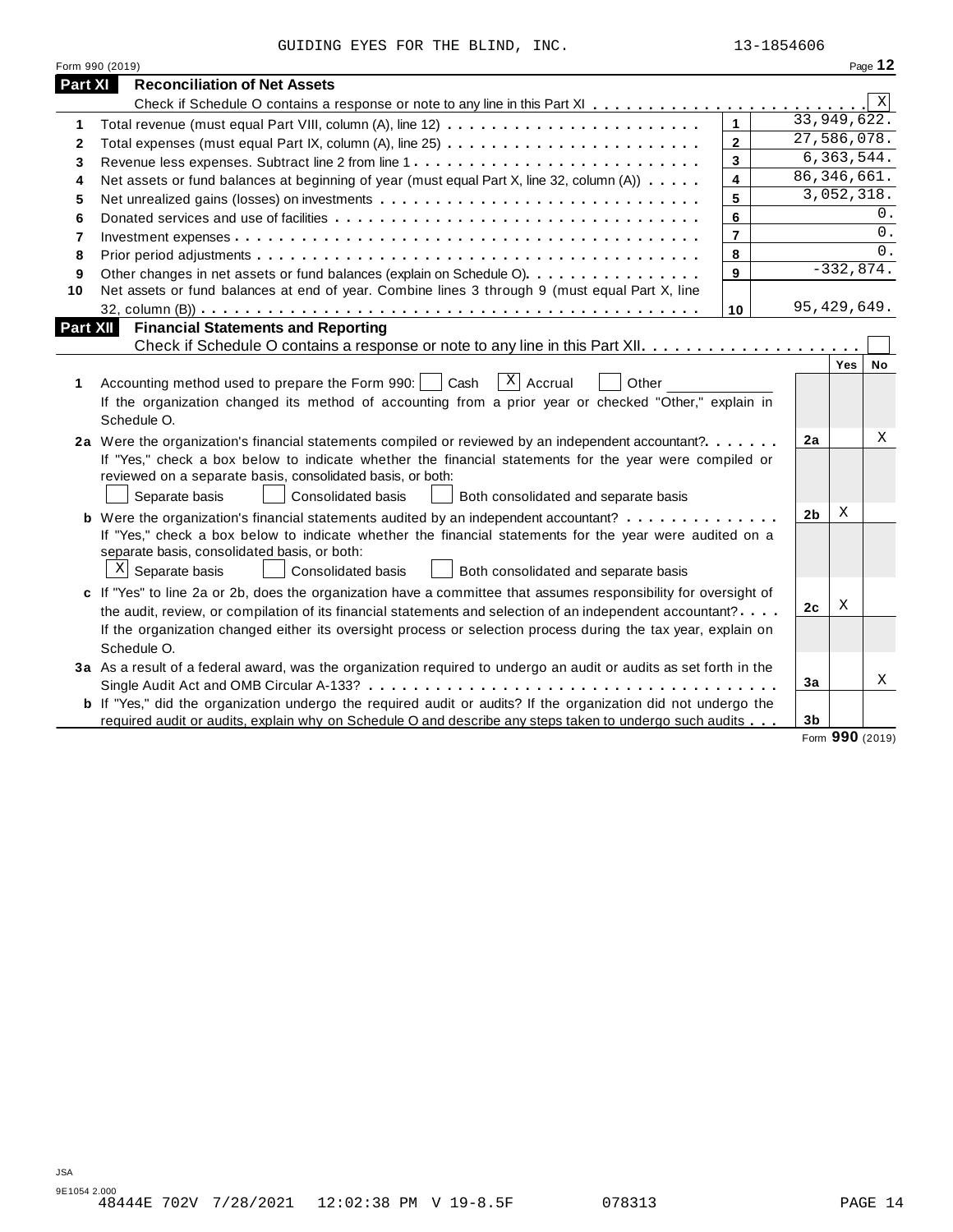| GUIDING EYES FOR THE BLIND, INC |  |  |  |  |  |
|---------------------------------|--|--|--|--|--|
|---------------------------------|--|--|--|--|--|

|          | Form 990 (2019)                                                                                                                                                                                                                                                                                                                                                   |                |               | Page 12         |
|----------|-------------------------------------------------------------------------------------------------------------------------------------------------------------------------------------------------------------------------------------------------------------------------------------------------------------------------------------------------------------------|----------------|---------------|-----------------|
| Part XI  | <b>Reconciliation of Net Assets</b>                                                                                                                                                                                                                                                                                                                               |                |               |                 |
|          |                                                                                                                                                                                                                                                                                                                                                                   |                |               | X               |
| 1        | $\mathbf{1}$                                                                                                                                                                                                                                                                                                                                                      |                | 33,949,622.   |                 |
| 2        | $\mathbf{2}$                                                                                                                                                                                                                                                                                                                                                      |                | 27,586,078.   |                 |
| 3        | $\overline{3}$<br>Revenue less expenses. Subtract line 2 from line 1                                                                                                                                                                                                                                                                                              |                | 6,363,544.    |                 |
| 4        | $\overline{\mathbf{4}}$<br>Net assets or fund balances at beginning of year (must equal Part X, line 32, column (A))                                                                                                                                                                                                                                              |                | 86,346,661.   |                 |
| 5        | 5                                                                                                                                                                                                                                                                                                                                                                 |                | 3,052,318.    |                 |
| 6        | 6                                                                                                                                                                                                                                                                                                                                                                 |                |               | $0$ .           |
| 7        | $\overline{\mathbf{r}}$                                                                                                                                                                                                                                                                                                                                           |                |               | 0.              |
| 8        | 8                                                                                                                                                                                                                                                                                                                                                                 |                |               | 0.              |
| 9        | 9<br>Other changes in net assets or fund balances (explain on Schedule O).                                                                                                                                                                                                                                                                                        |                | $-332,874.$   |                 |
| 10       | Net assets or fund balances at end of year. Combine lines 3 through 9 (must equal Part X, line                                                                                                                                                                                                                                                                    |                |               |                 |
|          | 10                                                                                                                                                                                                                                                                                                                                                                |                | 95, 429, 649. |                 |
| Part XII | <b>Financial Statements and Reporting</b>                                                                                                                                                                                                                                                                                                                         |                |               |                 |
|          |                                                                                                                                                                                                                                                                                                                                                                   |                |               |                 |
| 1        | $X$ Accrual<br>Accounting method used to prepare the Form 990:     Cash<br>Other<br>If the organization changed its method of accounting from a prior year or checked "Other," explain in<br>Schedule O.                                                                                                                                                          |                | Yes           | No              |
|          | 2a Were the organization's financial statements compiled or reviewed by an independent accountant?<br>If "Yes," check a box below to indicate whether the financial statements for the year were compiled or<br>reviewed on a separate basis, consolidated basis, or both:<br>Separate basis<br><b>Consolidated basis</b><br>Both consolidated and separate basis | 2a             |               | Χ               |
|          | <b>b</b> Were the organization's financial statements audited by an independent accountant?                                                                                                                                                                                                                                                                       | 2b             | X             |                 |
|          | If "Yes," check a box below to indicate whether the financial statements for the year were audited on a<br>separate basis, consolidated basis, or both:<br>$\mathbf{x}$<br>Separate basis<br><b>Consolidated basis</b><br>Both consolidated and separate basis                                                                                                    |                |               |                 |
|          | c If "Yes" to line 2a or 2b, does the organization have a committee that assumes responsibility for oversight of                                                                                                                                                                                                                                                  |                |               |                 |
|          | the audit, review, or compilation of its financial statements and selection of an independent accountant?                                                                                                                                                                                                                                                         | 2c             | Χ             |                 |
|          | If the organization changed either its oversight process or selection process during the tax year, explain on                                                                                                                                                                                                                                                     |                |               |                 |
|          | Schedule O.                                                                                                                                                                                                                                                                                                                                                       |                |               |                 |
|          | 3a As a result of a federal award, was the organization required to undergo an audit or audits as set forth in the                                                                                                                                                                                                                                                |                |               |                 |
|          |                                                                                                                                                                                                                                                                                                                                                                   | 3a             |               | X               |
|          | <b>b</b> If "Yes," did the organization undergo the required audit or audits? If the organization did not undergo the                                                                                                                                                                                                                                             |                |               |                 |
|          | required audit or audits, explain why on Schedule O and describe any steps taken to undergo such audits                                                                                                                                                                                                                                                           | 3 <sub>b</sub> |               |                 |
|          |                                                                                                                                                                                                                                                                                                                                                                   |                |               | Form 990 (2019) |

 $\overline{\phantom{a}}$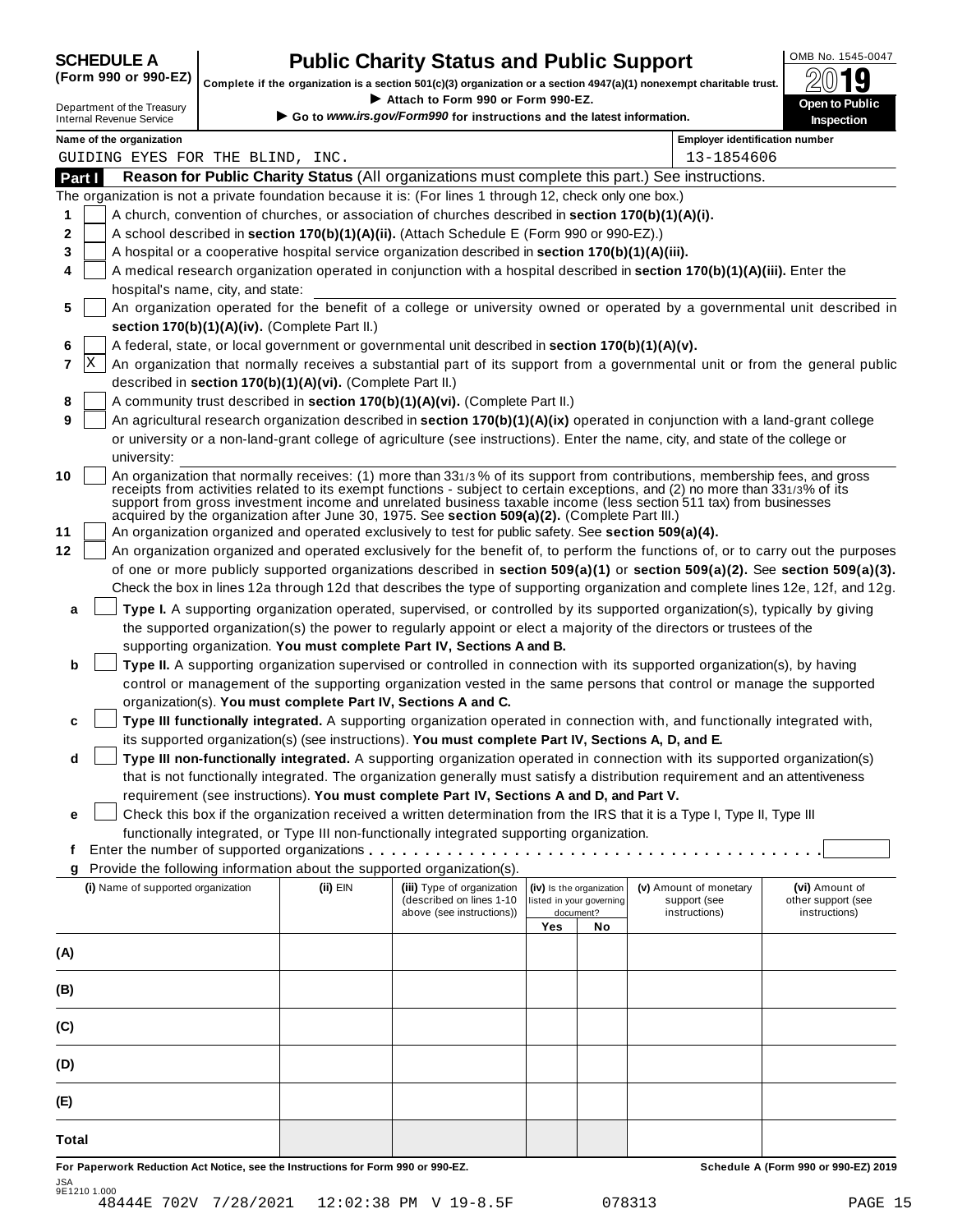## **CHEDULE A Public Charity Status and Public Support**  $\frac{100\text{dB No. }1545-0047}{000\text{dB No.}}$

(Form 990 or 990-EZ) complete if the organization is a section 501(c)(3) organization or a section 4947(a)(1) nonexempt charitable trust.  $2019$ 

|                                                               |                                   |                                                            | Attach to Form 990 or Form 990-EZ.                                                                        |     |                          | Complete if the organization is a section 501(c)(3) organization or a section 4947(a)(1) nonexempt charitable trust.             | ZW IJ                               |
|---------------------------------------------------------------|-----------------------------------|------------------------------------------------------------|-----------------------------------------------------------------------------------------------------------|-----|--------------------------|----------------------------------------------------------------------------------------------------------------------------------|-------------------------------------|
| Department of the Treasury<br><b>Internal Revenue Service</b> |                                   |                                                            | Go to www.irs.gov/Form990 for instructions and the latest information.                                    |     |                          |                                                                                                                                  | <b>Open to Public</b><br>Inspection |
| Name of the organization                                      |                                   |                                                            |                                                                                                           |     |                          | <b>Employer identification number</b>                                                                                            |                                     |
| GUIDING EYES FOR THE BLIND, INC.                              |                                   |                                                            |                                                                                                           |     |                          | 13-1854606                                                                                                                       |                                     |
| Part I                                                        |                                   |                                                            |                                                                                                           |     |                          | Reason for Public Charity Status (All organizations must complete this part.) See instructions.                                  |                                     |
|                                                               |                                   |                                                            | The organization is not a private foundation because it is: (For lines 1 through 12, check only one box.) |     |                          |                                                                                                                                  |                                     |
|                                                               |                                   |                                                            | A church, convention of churches, or association of churches described in section 170(b)(1)(A)(i).        |     |                          |                                                                                                                                  |                                     |
|                                                               |                                   |                                                            | A school described in section 170(b)(1)(A)(ii). (Attach Schedule E (Form 990 or 990-EZ).)                 |     |                          |                                                                                                                                  |                                     |
|                                                               |                                   |                                                            | A hospital or a cooperative hospital service organization described in section 170(b)(1)(A)(iii).         |     |                          |                                                                                                                                  |                                     |
|                                                               |                                   |                                                            |                                                                                                           |     |                          | A medical research organization operated in conjunction with a hospital described in section 170(b)(1)(A)(iii). Enter the        |                                     |
|                                                               | hospital's name, city, and state: |                                                            |                                                                                                           |     |                          |                                                                                                                                  |                                     |
|                                                               |                                   |                                                            |                                                                                                           |     |                          | An organization operated for the benefit of a college or university owned or operated by a governmental unit described in        |                                     |
|                                                               |                                   | section 170(b)(1)(A)(iv). (Complete Part II.)              |                                                                                                           |     |                          |                                                                                                                                  |                                     |
|                                                               |                                   |                                                            | A federal, state, or local government or governmental unit described in section 170(b)(1)(A)(v).          |     |                          |                                                                                                                                  |                                     |
| X                                                             |                                   |                                                            |                                                                                                           |     |                          | An organization that normally receives a substantial part of its support from a governmental unit or from the general public     |                                     |
|                                                               |                                   | described in section 170(b)(1)(A)(vi). (Complete Part II.) |                                                                                                           |     |                          |                                                                                                                                  |                                     |
|                                                               |                                   |                                                            | A community trust described in section 170(b)(1)(A)(vi). (Complete Part II.)                              |     |                          |                                                                                                                                  |                                     |
|                                                               |                                   |                                                            |                                                                                                           |     |                          | An agricultural research organization described in section 170(b)(1)(A)(ix) operated in conjunction with a land-grant college    |                                     |
|                                                               |                                   |                                                            |                                                                                                           |     |                          | or university or a non-land-grant college of agriculture (see instructions). Enter the name, city, and state of the college or   |                                     |
| university:                                                   |                                   |                                                            |                                                                                                           |     |                          | An organization that normally receives: (1) more than 331/3% of its support from contributions, membership fees, and gross       |                                     |
|                                                               |                                   |                                                            |                                                                                                           |     |                          | receipts from activities related to its exempt functions - subject to certain exceptions, and (2) no more than 331/3% of its     |                                     |
|                                                               |                                   |                                                            | acquired by the organization after June 30, 1975. See section 509(a)(2). (Complete Part III.)             |     |                          | support from gross investment income and unrelated business taxable income (less section 511 tax) from businesses                |                                     |
|                                                               |                                   |                                                            | An organization organized and operated exclusively to test for public safety. See section 509(a)(4).      |     |                          |                                                                                                                                  |                                     |
|                                                               |                                   |                                                            |                                                                                                           |     |                          | An organization organized and operated exclusively for the benefit of, to perform the functions of, or to carry out the purposes |                                     |
|                                                               |                                   |                                                            |                                                                                                           |     |                          | of one or more publicly supported organizations described in section 509(a)(1) or section 509(a)(2). See section 509(a)(3).      |                                     |
|                                                               |                                   |                                                            |                                                                                                           |     |                          | Check the box in lines 12a through 12d that describes the type of supporting organization and complete lines 12e, 12f, and 12g.  |                                     |
| a                                                             |                                   |                                                            |                                                                                                           |     |                          | Type I. A supporting organization operated, supervised, or controlled by its supported organization(s), typically by giving      |                                     |
|                                                               |                                   |                                                            |                                                                                                           |     |                          | the supported organization(s) the power to regularly appoint or elect a majority of the directors or trustees of the             |                                     |
|                                                               |                                   |                                                            | supporting organization. You must complete Part IV, Sections A and B.                                     |     |                          |                                                                                                                                  |                                     |
| b                                                             |                                   |                                                            |                                                                                                           |     |                          | Type II. A supporting organization supervised or controlled in connection with its supported organization(s), by having          |                                     |
|                                                               |                                   |                                                            |                                                                                                           |     |                          | control or management of the supporting organization vested in the same persons that control or manage the supported             |                                     |
|                                                               |                                   |                                                            | organization(s). You must complete Part IV, Sections A and C.                                             |     |                          |                                                                                                                                  |                                     |
| c                                                             |                                   |                                                            |                                                                                                           |     |                          | Type III functionally integrated. A supporting organization operated in connection with, and functionally integrated with,       |                                     |
|                                                               |                                   |                                                            | its supported organization(s) (see instructions). You must complete Part IV, Sections A, D, and E.        |     |                          |                                                                                                                                  |                                     |
| d                                                             |                                   |                                                            |                                                                                                           |     |                          | Type III non-functionally integrated. A supporting organization operated in connection with its supported organization(s)        |                                     |
|                                                               |                                   |                                                            |                                                                                                           |     |                          | that is not functionally integrated. The organization generally must satisfy a distribution requirement and an attentiveness     |                                     |
|                                                               |                                   |                                                            | requirement (see instructions). You must complete Part IV, Sections A and D, and Part V.                  |     |                          |                                                                                                                                  |                                     |
| е                                                             |                                   |                                                            | functionally integrated, or Type III non-functionally integrated supporting organization.                 |     |                          | Check this box if the organization received a written determination from the IRS that it is a Type I, Type II, Type III          |                                     |
| t                                                             |                                   |                                                            |                                                                                                           |     |                          |                                                                                                                                  |                                     |
| g                                                             |                                   |                                                            | Provide the following information about the supported organization(s).                                    |     |                          |                                                                                                                                  |                                     |
| (i) Name of supported organization                            |                                   | (ii) EIN                                                   | (iii) Type of organization                                                                                |     | (iv) Is the organization | (v) Amount of monetary                                                                                                           | (vi) Amount of                      |
|                                                               |                                   |                                                            | (described on lines 1-10                                                                                  |     | listed in your governing | support (see                                                                                                                     | other support (see                  |
|                                                               |                                   |                                                            | above (see instructions))                                                                                 | Yes | document?<br>No          | instructions)                                                                                                                    | instructions)                       |
|                                                               |                                   |                                                            |                                                                                                           |     |                          |                                                                                                                                  |                                     |
| (A)                                                           |                                   |                                                            |                                                                                                           |     |                          |                                                                                                                                  |                                     |
| (B)                                                           |                                   |                                                            |                                                                                                           |     |                          |                                                                                                                                  |                                     |
|                                                               |                                   |                                                            |                                                                                                           |     |                          |                                                                                                                                  |                                     |
| (C)                                                           |                                   |                                                            |                                                                                                           |     |                          |                                                                                                                                  |                                     |
|                                                               |                                   |                                                            |                                                                                                           |     |                          |                                                                                                                                  |                                     |
| (D)                                                           |                                   |                                                            |                                                                                                           |     |                          |                                                                                                                                  |                                     |
|                                                               |                                   |                                                            |                                                                                                           |     |                          |                                                                                                                                  |                                     |
| (E)                                                           |                                   |                                                            |                                                                                                           |     |                          |                                                                                                                                  |                                     |
|                                                               |                                   |                                                            |                                                                                                           |     |                          |                                                                                                                                  |                                     |
| Total                                                         |                                   |                                                            |                                                                                                           |     |                          |                                                                                                                                  |                                     |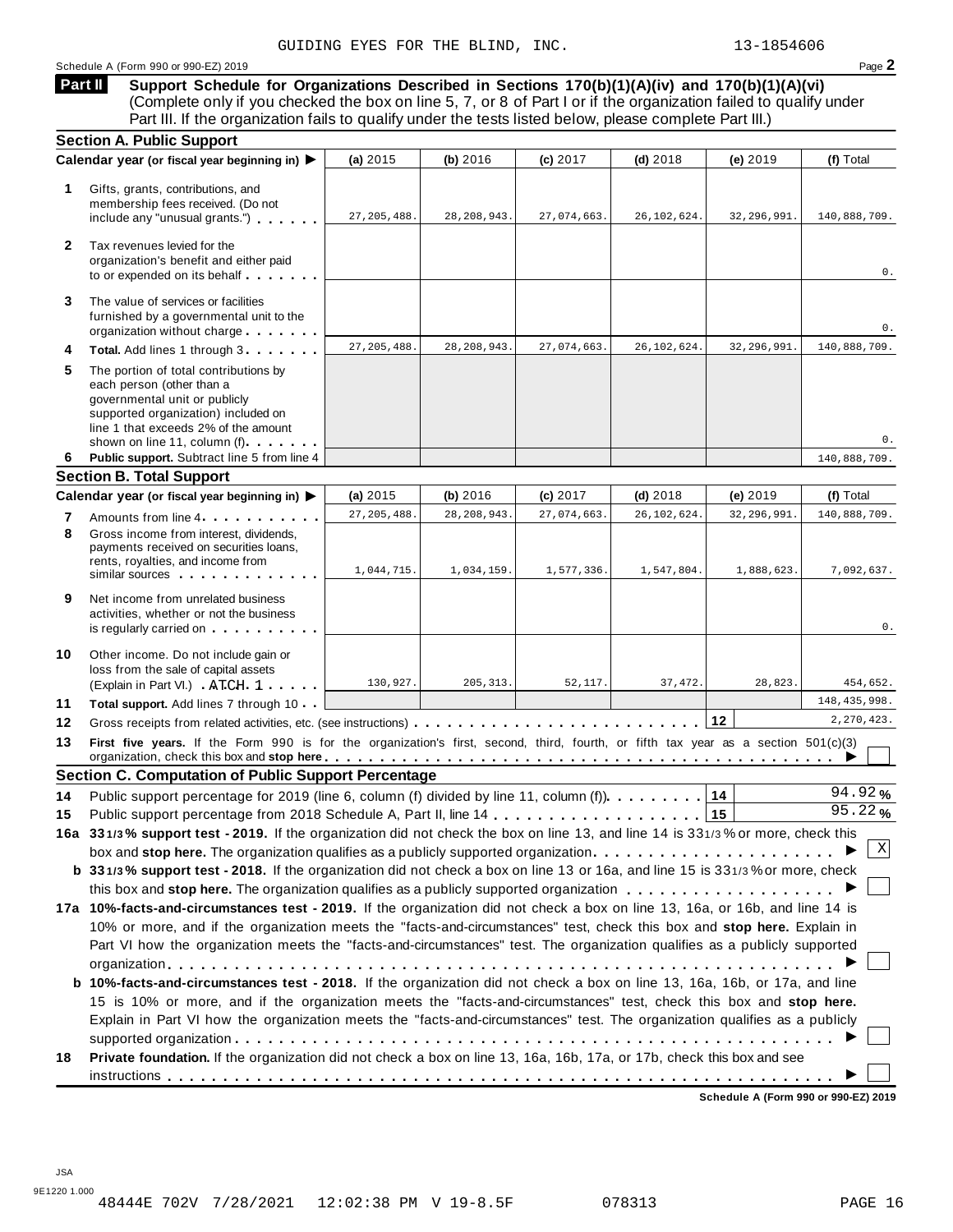#### Schedule <sup>A</sup> (Form <sup>990</sup> or 990-EZ) <sup>2019</sup> Page **2**

**Support Schedule for Organizations Described in Sections 170(b)(1)(A)(iv) and 170(b)(1)(A)(vi)** (Complete only if you checked the box on line 5, 7, or 8 of Part I or if the organization failed to qualify under Part III. If the organization fails to qualify under the tests listed below, please complete Part III.) **Part II**

|              | Calendar year (or fiscal year beginning in) ▶                                                                                                                                                                                                                                                | (a) 2015      | (b) 2016      | (c) 2017    | $(d)$ 2018    | (e) 2019      | (f) Total      |
|--------------|----------------------------------------------------------------------------------------------------------------------------------------------------------------------------------------------------------------------------------------------------------------------------------------------|---------------|---------------|-------------|---------------|---------------|----------------|
| 1.           | Gifts, grants, contributions, and<br>membership fees received. (Do not<br>include any "unusual grants.")                                                                                                                                                                                     | 27, 205, 488. | 28, 208, 943. | 27,074,663. | 26, 102, 624. | 32, 296, 991. | 140,888,709.   |
| $\mathbf{2}$ | Tax revenues levied for the<br>organization's benefit and either paid<br>to or expended on its behalf                                                                                                                                                                                        |               |               |             |               |               | 0.             |
| 3            | The value of services or facilities<br>furnished by a governmental unit to the<br>organization without charge                                                                                                                                                                                |               |               |             |               |               | 0.             |
| 4            | Total. Add lines 1 through 3                                                                                                                                                                                                                                                                 | 27, 205, 488. | 28, 208, 943. | 27,074,663. | 26, 102, 624. | 32,296,991.   | 140,888,709.   |
| 5            | The portion of total contributions by<br>each person (other than a<br>governmental unit or publicly<br>supported organization) included on<br>line 1 that exceeds 2% of the amount<br>shown on line 11, column (f)                                                                           |               |               |             |               |               | 0.             |
| 6            | Public support. Subtract line 5 from line 4                                                                                                                                                                                                                                                  |               |               |             |               |               | 140,888,709.   |
|              | <b>Section B. Total Support</b>                                                                                                                                                                                                                                                              |               |               |             |               |               |                |
|              | Calendar year (or fiscal year beginning in) ▶                                                                                                                                                                                                                                                | (a) 2015      | (b) 2016      | (c) 2017    | $(d)$ 2018    | (e) 2019      | (f) Total      |
| 7            | Amounts from line 4                                                                                                                                                                                                                                                                          | 27, 205, 488. | 28, 208, 943. | 27,074,663. | 26, 102, 624. | 32, 296, 991. | 140,888,709.   |
| 8            | Gross income from interest, dividends.<br>payments received on securities loans,<br>rents, royalties, and income from<br>similar sources experiences                                                                                                                                         | 1,044,715.    | 1,034,159.    | 1,577,336.  | 1,547,804.    | 1,888,623.    | 7,092,637.     |
| 9            | Net income from unrelated business<br>activities, whether or not the business<br>is regularly carried on the control of the set of the set of the set of the set of the set of the set of the s                                                                                              |               |               |             |               |               | 0.             |
| 10           | Other income. Do not include gain or<br>loss from the sale of capital assets<br>(Explain in Part VI.) ATCH 1                                                                                                                                                                                 | 130,927.      | 205, 313.     | 52,117.     | 37, 472.      | 28,823.       | 454,652.       |
|              |                                                                                                                                                                                                                                                                                              |               |               |             |               |               | 148, 435, 998. |
| 11           |                                                                                                                                                                                                                                                                                              |               |               |             |               |               | 2,270,423.     |
|              | Total support. Add lines 7 through 10                                                                                                                                                                                                                                                        |               |               |             |               |               |                |
|              | First five years. If the Form 990 is for the organization's first, second, third, fourth, or fifth tax year as a section 501(c)(3)                                                                                                                                                           |               |               |             |               |               |                |
|              | organization, check this box and stop here entitled and state in the state of the contract of the state of the state of the state of the state of the state of the state of the state of the state of the state of the state o<br><b>Section C. Computation of Public Support Percentage</b> |               |               |             |               |               |                |
|              | Public support percentage for 2019 (line 6, column (f) divided by line 11, column (f)).                                                                                                                                                                                                      |               |               |             |               | 14            | 94.92%         |
|              |                                                                                                                                                                                                                                                                                              |               |               |             |               | 15            | 95.22%         |
|              |                                                                                                                                                                                                                                                                                              |               |               |             |               |               |                |
| 14<br>15     | 16a 331/3% support test - 2019. If the organization did not check the box on line 13, and line 14 is 331/3% or more, check this                                                                                                                                                              |               |               |             |               |               | Χ              |
|              |                                                                                                                                                                                                                                                                                              |               |               |             |               |               |                |
|              | b 331/3% support test - 2018. If the organization did not check a box on line 13 or 16a, and line 15 is 331/3% or more, check                                                                                                                                                                |               |               |             |               |               |                |
|              | 17a 10%-facts-and-circumstances test - 2019. If the organization did not check a box on line 13, 16a, or 16b, and line 14 is                                                                                                                                                                 |               |               |             |               |               |                |
|              | 10% or more, and if the organization meets the "facts-and-circumstances" test, check this box and stop here. Explain in                                                                                                                                                                      |               |               |             |               |               |                |
|              | Part VI how the organization meets the "facts-and-circumstances" test. The organization qualifies as a publicly supported                                                                                                                                                                    |               |               |             |               |               |                |
|              |                                                                                                                                                                                                                                                                                              |               |               |             |               |               |                |
|              | b 10%-facts-and-circumstances test - 2018. If the organization did not check a box on line 13, 16a, 16b, or 17a, and line                                                                                                                                                                    |               |               |             |               |               |                |
|              | 15 is 10% or more, and if the organization meets the "facts-and-circumstances" test, check this box and stop here.                                                                                                                                                                           |               |               |             |               |               |                |
| 12<br>13     | Explain in Part VI how the organization meets the "facts-and-circumstances" test. The organization qualifies as a publicly                                                                                                                                                                   |               |               |             |               |               |                |
|              |                                                                                                                                                                                                                                                                                              |               |               |             |               |               |                |
| 18           | Private foundation. If the organization did not check a box on line 13, 16a, 16b, 17a, or 17b, check this box and see                                                                                                                                                                        |               |               |             |               |               |                |

**Schedule A (Form 990 or 990-EZ) 2019**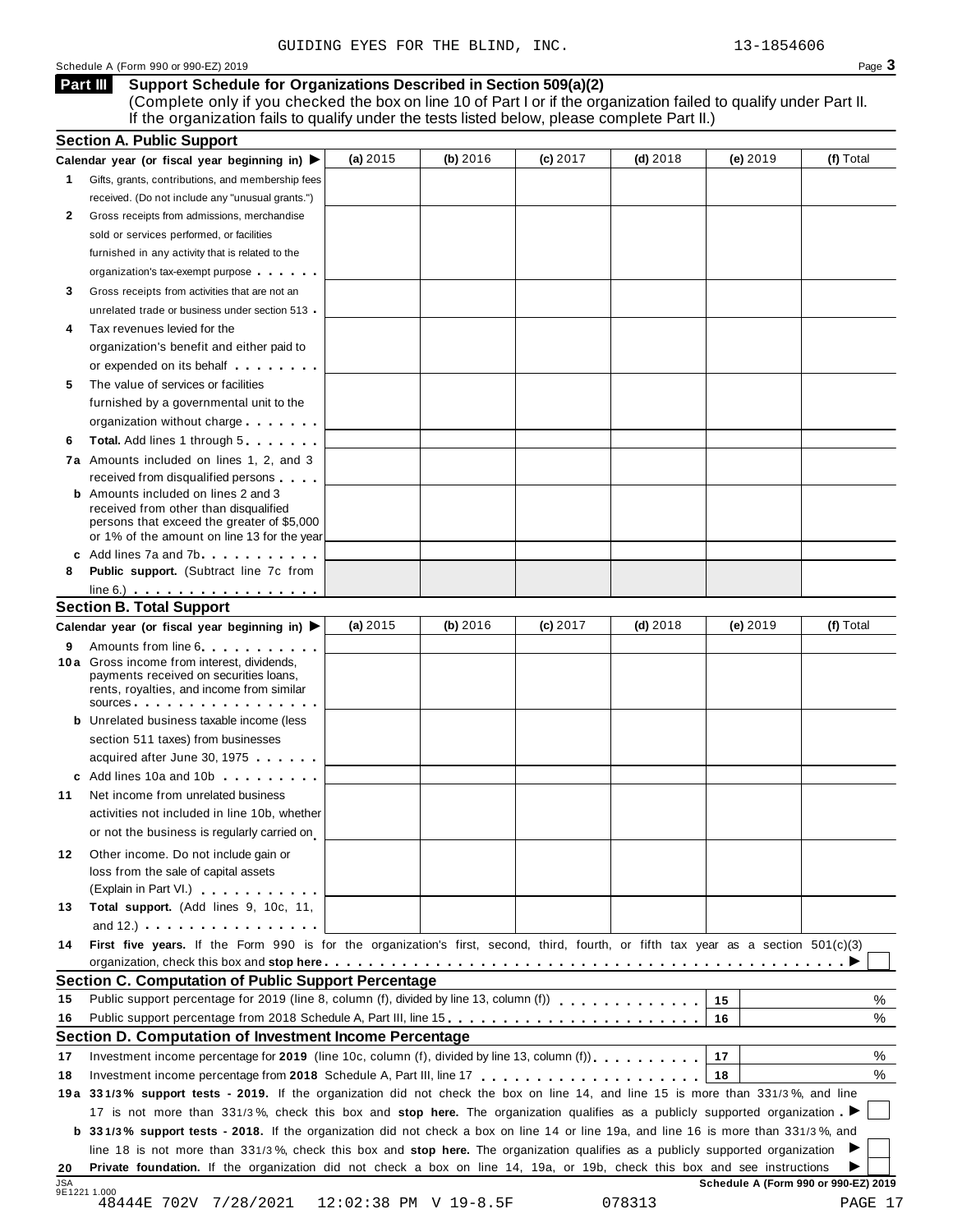#### Schedule A (Form 990 or 990-EZ) 2019 Page 3

#### **Support Schedule for Organizations Described in Section 509(a)(2) Part III**

(Complete only if you checked the box on line 10 of Part I or if the organization failed to qualify under Part II. If the organization fails to qualify under the tests listed below, please complete Part II.)

|                                                                                                                                                                                                                                                            | (a) $2015$                                                                                                                                                                                                                                                                                                                                                                                                                                                                                                                                                                                                                                                                                                                                                                                                                                                                                                                                                                                                                                                                                                                                                                                                                                                                        | (b) 2016   | (c) 2017 | $(d)$ 2018 | (e) 2019   | (f) Total        |
|------------------------------------------------------------------------------------------------------------------------------------------------------------------------------------------------------------------------------------------------------------|-----------------------------------------------------------------------------------------------------------------------------------------------------------------------------------------------------------------------------------------------------------------------------------------------------------------------------------------------------------------------------------------------------------------------------------------------------------------------------------------------------------------------------------------------------------------------------------------------------------------------------------------------------------------------------------------------------------------------------------------------------------------------------------------------------------------------------------------------------------------------------------------------------------------------------------------------------------------------------------------------------------------------------------------------------------------------------------------------------------------------------------------------------------------------------------------------------------------------------------------------------------------------------------|------------|----------|------------|------------|------------------|
| Gifts, grants, contributions, and membership fees                                                                                                                                                                                                          |                                                                                                                                                                                                                                                                                                                                                                                                                                                                                                                                                                                                                                                                                                                                                                                                                                                                                                                                                                                                                                                                                                                                                                                                                                                                                   |            |          |            |            |                  |
| received. (Do not include any "unusual grants.")                                                                                                                                                                                                           |                                                                                                                                                                                                                                                                                                                                                                                                                                                                                                                                                                                                                                                                                                                                                                                                                                                                                                                                                                                                                                                                                                                                                                                                                                                                                   |            |          |            |            |                  |
| Gross receipts from admissions, merchandise                                                                                                                                                                                                                |                                                                                                                                                                                                                                                                                                                                                                                                                                                                                                                                                                                                                                                                                                                                                                                                                                                                                                                                                                                                                                                                                                                                                                                                                                                                                   |            |          |            |            |                  |
| sold or services performed, or facilities                                                                                                                                                                                                                  |                                                                                                                                                                                                                                                                                                                                                                                                                                                                                                                                                                                                                                                                                                                                                                                                                                                                                                                                                                                                                                                                                                                                                                                                                                                                                   |            |          |            |            |                  |
| furnished in any activity that is related to the                                                                                                                                                                                                           |                                                                                                                                                                                                                                                                                                                                                                                                                                                                                                                                                                                                                                                                                                                                                                                                                                                                                                                                                                                                                                                                                                                                                                                                                                                                                   |            |          |            |            |                  |
| organization's tax-exempt purpose                                                                                                                                                                                                                          |                                                                                                                                                                                                                                                                                                                                                                                                                                                                                                                                                                                                                                                                                                                                                                                                                                                                                                                                                                                                                                                                                                                                                                                                                                                                                   |            |          |            |            |                  |
| Gross receipts from activities that are not an                                                                                                                                                                                                             |                                                                                                                                                                                                                                                                                                                                                                                                                                                                                                                                                                                                                                                                                                                                                                                                                                                                                                                                                                                                                                                                                                                                                                                                                                                                                   |            |          |            |            |                  |
| unrelated trade or business under section 513                                                                                                                                                                                                              |                                                                                                                                                                                                                                                                                                                                                                                                                                                                                                                                                                                                                                                                                                                                                                                                                                                                                                                                                                                                                                                                                                                                                                                                                                                                                   |            |          |            |            |                  |
| Tax revenues levied for the                                                                                                                                                                                                                                |                                                                                                                                                                                                                                                                                                                                                                                                                                                                                                                                                                                                                                                                                                                                                                                                                                                                                                                                                                                                                                                                                                                                                                                                                                                                                   |            |          |            |            |                  |
|                                                                                                                                                                                                                                                            |                                                                                                                                                                                                                                                                                                                                                                                                                                                                                                                                                                                                                                                                                                                                                                                                                                                                                                                                                                                                                                                                                                                                                                                                                                                                                   |            |          |            |            |                  |
|                                                                                                                                                                                                                                                            |                                                                                                                                                                                                                                                                                                                                                                                                                                                                                                                                                                                                                                                                                                                                                                                                                                                                                                                                                                                                                                                                                                                                                                                                                                                                                   |            |          |            |            |                  |
|                                                                                                                                                                                                                                                            |                                                                                                                                                                                                                                                                                                                                                                                                                                                                                                                                                                                                                                                                                                                                                                                                                                                                                                                                                                                                                                                                                                                                                                                                                                                                                   |            |          |            |            |                  |
|                                                                                                                                                                                                                                                            |                                                                                                                                                                                                                                                                                                                                                                                                                                                                                                                                                                                                                                                                                                                                                                                                                                                                                                                                                                                                                                                                                                                                                                                                                                                                                   |            |          |            |            |                  |
|                                                                                                                                                                                                                                                            |                                                                                                                                                                                                                                                                                                                                                                                                                                                                                                                                                                                                                                                                                                                                                                                                                                                                                                                                                                                                                                                                                                                                                                                                                                                                                   |            |          |            |            |                  |
|                                                                                                                                                                                                                                                            |                                                                                                                                                                                                                                                                                                                                                                                                                                                                                                                                                                                                                                                                                                                                                                                                                                                                                                                                                                                                                                                                                                                                                                                                                                                                                   |            |          |            |            |                  |
|                                                                                                                                                                                                                                                            |                                                                                                                                                                                                                                                                                                                                                                                                                                                                                                                                                                                                                                                                                                                                                                                                                                                                                                                                                                                                                                                                                                                                                                                                                                                                                   |            |          |            |            |                  |
|                                                                                                                                                                                                                                                            |                                                                                                                                                                                                                                                                                                                                                                                                                                                                                                                                                                                                                                                                                                                                                                                                                                                                                                                                                                                                                                                                                                                                                                                                                                                                                   |            |          |            |            |                  |
|                                                                                                                                                                                                                                                            |                                                                                                                                                                                                                                                                                                                                                                                                                                                                                                                                                                                                                                                                                                                                                                                                                                                                                                                                                                                                                                                                                                                                                                                                                                                                                   |            |          |            |            |                  |
| received from other than disqualified                                                                                                                                                                                                                      |                                                                                                                                                                                                                                                                                                                                                                                                                                                                                                                                                                                                                                                                                                                                                                                                                                                                                                                                                                                                                                                                                                                                                                                                                                                                                   |            |          |            |            |                  |
| persons that exceed the greater of \$5,000                                                                                                                                                                                                                 |                                                                                                                                                                                                                                                                                                                                                                                                                                                                                                                                                                                                                                                                                                                                                                                                                                                                                                                                                                                                                                                                                                                                                                                                                                                                                   |            |          |            |            |                  |
|                                                                                                                                                                                                                                                            |                                                                                                                                                                                                                                                                                                                                                                                                                                                                                                                                                                                                                                                                                                                                                                                                                                                                                                                                                                                                                                                                                                                                                                                                                                                                                   |            |          |            |            |                  |
|                                                                                                                                                                                                                                                            |                                                                                                                                                                                                                                                                                                                                                                                                                                                                                                                                                                                                                                                                                                                                                                                                                                                                                                                                                                                                                                                                                                                                                                                                                                                                                   |            |          |            |            |                  |
|                                                                                                                                                                                                                                                            |                                                                                                                                                                                                                                                                                                                                                                                                                                                                                                                                                                                                                                                                                                                                                                                                                                                                                                                                                                                                                                                                                                                                                                                                                                                                                   |            |          |            |            |                  |
|                                                                                                                                                                                                                                                            |                                                                                                                                                                                                                                                                                                                                                                                                                                                                                                                                                                                                                                                                                                                                                                                                                                                                                                                                                                                                                                                                                                                                                                                                                                                                                   |            |          |            |            |                  |
|                                                                                                                                                                                                                                                            |                                                                                                                                                                                                                                                                                                                                                                                                                                                                                                                                                                                                                                                                                                                                                                                                                                                                                                                                                                                                                                                                                                                                                                                                                                                                                   |            |          |            |            | (f) Total        |
|                                                                                                                                                                                                                                                            |                                                                                                                                                                                                                                                                                                                                                                                                                                                                                                                                                                                                                                                                                                                                                                                                                                                                                                                                                                                                                                                                                                                                                                                                                                                                                   |            |          |            |            |                  |
|                                                                                                                                                                                                                                                            |                                                                                                                                                                                                                                                                                                                                                                                                                                                                                                                                                                                                                                                                                                                                                                                                                                                                                                                                                                                                                                                                                                                                                                                                                                                                                   |            |          |            |            |                  |
| payments received on securities loans,                                                                                                                                                                                                                     |                                                                                                                                                                                                                                                                                                                                                                                                                                                                                                                                                                                                                                                                                                                                                                                                                                                                                                                                                                                                                                                                                                                                                                                                                                                                                   |            |          |            |            |                  |
| rents, royalties, and income from similar                                                                                                                                                                                                                  |                                                                                                                                                                                                                                                                                                                                                                                                                                                                                                                                                                                                                                                                                                                                                                                                                                                                                                                                                                                                                                                                                                                                                                                                                                                                                   |            |          |            |            |                  |
|                                                                                                                                                                                                                                                            |                                                                                                                                                                                                                                                                                                                                                                                                                                                                                                                                                                                                                                                                                                                                                                                                                                                                                                                                                                                                                                                                                                                                                                                                                                                                                   |            |          |            |            |                  |
|                                                                                                                                                                                                                                                            |                                                                                                                                                                                                                                                                                                                                                                                                                                                                                                                                                                                                                                                                                                                                                                                                                                                                                                                                                                                                                                                                                                                                                                                                                                                                                   |            |          |            |            |                  |
|                                                                                                                                                                                                                                                            |                                                                                                                                                                                                                                                                                                                                                                                                                                                                                                                                                                                                                                                                                                                                                                                                                                                                                                                                                                                                                                                                                                                                                                                                                                                                                   |            |          |            |            |                  |
|                                                                                                                                                                                                                                                            |                                                                                                                                                                                                                                                                                                                                                                                                                                                                                                                                                                                                                                                                                                                                                                                                                                                                                                                                                                                                                                                                                                                                                                                                                                                                                   |            |          |            |            |                  |
|                                                                                                                                                                                                                                                            |                                                                                                                                                                                                                                                                                                                                                                                                                                                                                                                                                                                                                                                                                                                                                                                                                                                                                                                                                                                                                                                                                                                                                                                                                                                                                   |            |          |            |            |                  |
| Net income from unrelated business                                                                                                                                                                                                                         |                                                                                                                                                                                                                                                                                                                                                                                                                                                                                                                                                                                                                                                                                                                                                                                                                                                                                                                                                                                                                                                                                                                                                                                                                                                                                   |            |          |            |            |                  |
| activities not included in line 10b, whether                                                                                                                                                                                                               |                                                                                                                                                                                                                                                                                                                                                                                                                                                                                                                                                                                                                                                                                                                                                                                                                                                                                                                                                                                                                                                                                                                                                                                                                                                                                   |            |          |            |            |                  |
|                                                                                                                                                                                                                                                            |                                                                                                                                                                                                                                                                                                                                                                                                                                                                                                                                                                                                                                                                                                                                                                                                                                                                                                                                                                                                                                                                                                                                                                                                                                                                                   |            |          |            |            |                  |
| Other income. Do not include gain or                                                                                                                                                                                                                       |                                                                                                                                                                                                                                                                                                                                                                                                                                                                                                                                                                                                                                                                                                                                                                                                                                                                                                                                                                                                                                                                                                                                                                                                                                                                                   |            |          |            |            |                  |
| loss from the sale of capital assets                                                                                                                                                                                                                       |                                                                                                                                                                                                                                                                                                                                                                                                                                                                                                                                                                                                                                                                                                                                                                                                                                                                                                                                                                                                                                                                                                                                                                                                                                                                                   |            |          |            |            |                  |
| (Explain in Part VI.) <b>All Accords</b>                                                                                                                                                                                                                   |                                                                                                                                                                                                                                                                                                                                                                                                                                                                                                                                                                                                                                                                                                                                                                                                                                                                                                                                                                                                                                                                                                                                                                                                                                                                                   |            |          |            |            |                  |
|                                                                                                                                                                                                                                                            |                                                                                                                                                                                                                                                                                                                                                                                                                                                                                                                                                                                                                                                                                                                                                                                                                                                                                                                                                                                                                                                                                                                                                                                                                                                                                   |            |          |            |            |                  |
| Total support. (Add lines 9, 10c, 11,                                                                                                                                                                                                                      |                                                                                                                                                                                                                                                                                                                                                                                                                                                                                                                                                                                                                                                                                                                                                                                                                                                                                                                                                                                                                                                                                                                                                                                                                                                                                   |            |          |            |            |                  |
| and $12.$ ) $\cdots$ $\cdots$ $\cdots$ $\cdots$ $\cdots$                                                                                                                                                                                                   |                                                                                                                                                                                                                                                                                                                                                                                                                                                                                                                                                                                                                                                                                                                                                                                                                                                                                                                                                                                                                                                                                                                                                                                                                                                                                   |            |          |            |            |                  |
| First five years. If the Form 990 is for the organization's first, second, third, fourth, or fifth tax year as a section 501(c)(3)                                                                                                                         |                                                                                                                                                                                                                                                                                                                                                                                                                                                                                                                                                                                                                                                                                                                                                                                                                                                                                                                                                                                                                                                                                                                                                                                                                                                                                   |            |          |            |            |                  |
|                                                                                                                                                                                                                                                            |                                                                                                                                                                                                                                                                                                                                                                                                                                                                                                                                                                                                                                                                                                                                                                                                                                                                                                                                                                                                                                                                                                                                                                                                                                                                                   |            |          |            |            |                  |
| Section C. Computation of Public Support Percentage                                                                                                                                                                                                        |                                                                                                                                                                                                                                                                                                                                                                                                                                                                                                                                                                                                                                                                                                                                                                                                                                                                                                                                                                                                                                                                                                                                                                                                                                                                                   |            |          |            |            |                  |
| Public support percentage for 2019 (line 8, column (f), divided by line 13, column (f)                                                                                                                                                                     |                                                                                                                                                                                                                                                                                                                                                                                                                                                                                                                                                                                                                                                                                                                                                                                                                                                                                                                                                                                                                                                                                                                                                                                                                                                                                   |            |          |            | 15         |                  |
| Public support percentage from 2018 Schedule A, Part III, line 15.                                                                                                                                                                                         |                                                                                                                                                                                                                                                                                                                                                                                                                                                                                                                                                                                                                                                                                                                                                                                                                                                                                                                                                                                                                                                                                                                                                                                                                                                                                   |            |          |            | 16         |                  |
| Section D. Computation of Investment Income Percentage                                                                                                                                                                                                     |                                                                                                                                                                                                                                                                                                                                                                                                                                                                                                                                                                                                                                                                                                                                                                                                                                                                                                                                                                                                                                                                                                                                                                                                                                                                                   |            |          |            |            |                  |
| Investment income percentage for 2019 (line 10c, column (f), divided by line 13, column (f)), $\ldots$ , , , , , , ,                                                                                                                                       |                                                                                                                                                                                                                                                                                                                                                                                                                                                                                                                                                                                                                                                                                                                                                                                                                                                                                                                                                                                                                                                                                                                                                                                                                                                                                   |            |          |            | 17         |                  |
|                                                                                                                                                                                                                                                            |                                                                                                                                                                                                                                                                                                                                                                                                                                                                                                                                                                                                                                                                                                                                                                                                                                                                                                                                                                                                                                                                                                                                                                                                                                                                                   |            |          |            | 18         |                  |
|                                                                                                                                                                                                                                                            |                                                                                                                                                                                                                                                                                                                                                                                                                                                                                                                                                                                                                                                                                                                                                                                                                                                                                                                                                                                                                                                                                                                                                                                                                                                                                   |            |          |            |            |                  |
| 19a 331/3% support tests - 2019. If the organization did not check the box on line 14, and line 15 is more than 331/3%, and line                                                                                                                           |                                                                                                                                                                                                                                                                                                                                                                                                                                                                                                                                                                                                                                                                                                                                                                                                                                                                                                                                                                                                                                                                                                                                                                                                                                                                                   |            |          |            |            |                  |
| 17 is not more than 331/3%, check this box and stop here. The organization qualifies as a publicly supported organization                                                                                                                                  |                                                                                                                                                                                                                                                                                                                                                                                                                                                                                                                                                                                                                                                                                                                                                                                                                                                                                                                                                                                                                                                                                                                                                                                                                                                                                   |            |          |            |            |                  |
| <b>b</b> 331/3% support tests - 2018. If the organization did not check a box on line 14 or line 19a, and line 16 is more than 331/3%, and                                                                                                                 |                                                                                                                                                                                                                                                                                                                                                                                                                                                                                                                                                                                                                                                                                                                                                                                                                                                                                                                                                                                                                                                                                                                                                                                                                                                                                   |            |          |            |            |                  |
| line 18 is not more than 331/3%, check this box and stop here. The organization qualifies as a publicly supported organization<br>Private foundation. If the organization did not check a box on line 14, 19a, or 19b, check this box and see instructions |                                                                                                                                                                                                                                                                                                                                                                                                                                                                                                                                                                                                                                                                                                                                                                                                                                                                                                                                                                                                                                                                                                                                                                                                                                                                                   |            |          |            |            | %<br>%<br>%<br>% |
|                                                                                                                                                                                                                                                            | <b>Section A. Public Support</b><br>Calendar year (or fiscal year beginning in) $\blacktriangleright$<br>organization's benefit and either paid to<br>or expended on its behalf <b>contains the set of the set of the set of the set of the set of the set of the set of the set of the set of the set of the set of the set of the set of the set of the set of the set of the set of</b><br>The value of services or facilities<br>furnished by a governmental unit to the<br>organization without charge<br><b>Total.</b> Add lines 1 through 5<br><b>7a</b> Amounts included on lines 1, 2, and 3<br>received from disqualified persons<br><b>b</b> Amounts included on lines 2 and 3<br>or 1% of the amount on line 13 for the year<br>c Add lines 7a and 7b<br><b>Public support.</b> (Subtract line 7c from<br>$line 6.)$ $\ldots$ $\ldots$ $\ldots$ $\ldots$ $\ldots$<br><b>Section B. Total Support</b><br>Calendar year (or fiscal year beginning in) ▶<br>Amounts from line 6 <b>Amounts</b> from line 6<br>10 a Gross income from interest, dividends,<br>sources<br><b>b</b> Unrelated business taxable income (less<br>section 511 taxes) from businesses<br>acquired after June 30, 1975<br>c Add lines 10a and 10b<br>or not the business is regularly carried on | (a) $2015$ | (b) 2016 | (c) 2017   | $(d)$ 2018 | $(e)$ 2019       |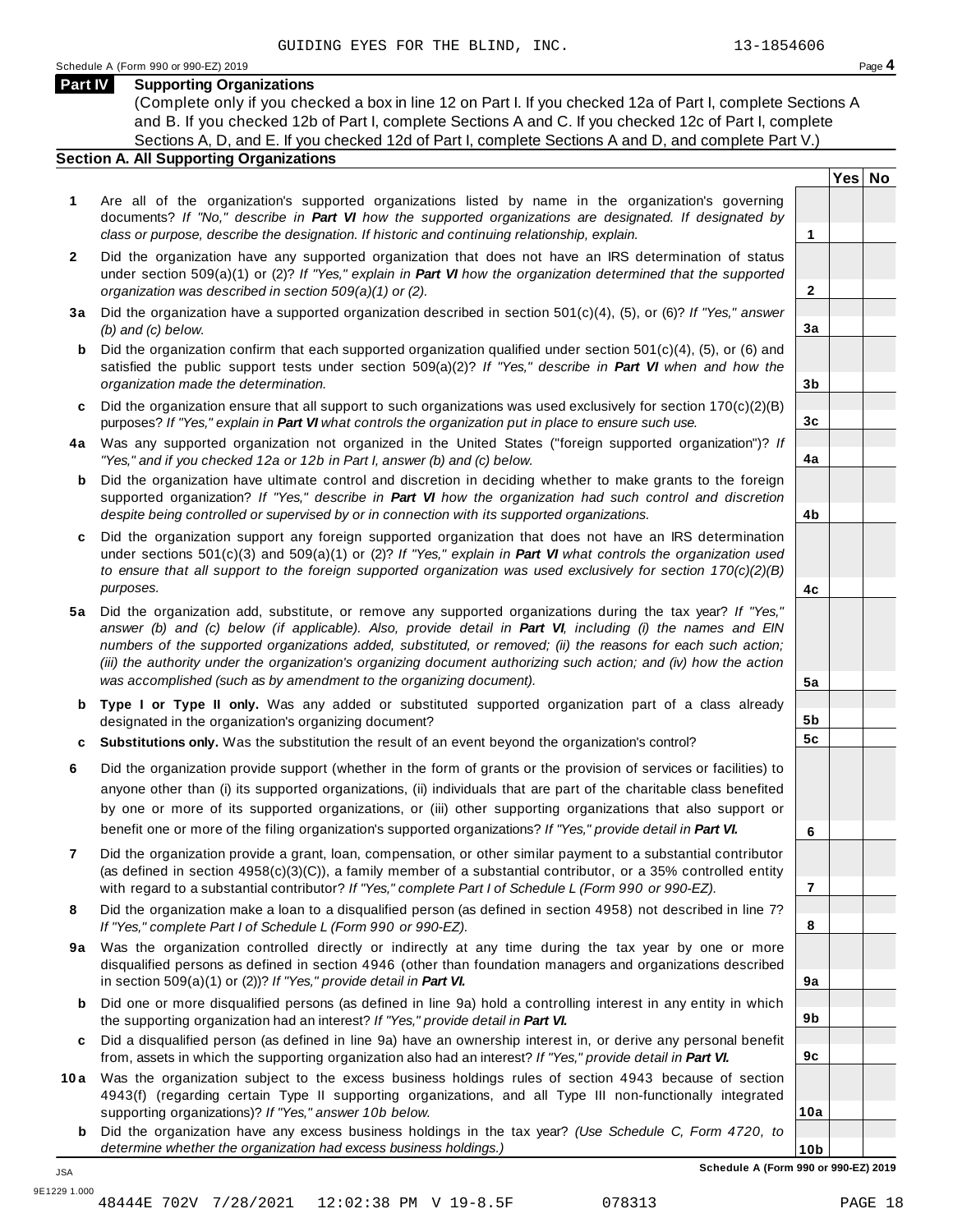**Yes No**

**2**

**3a**

**3b**

**3c**

**4a**

**4b**

**4c**

**5a**

**5b 5c**

**6**

**7**

**8**

**9a**

**9b**

**9c**

**10a**

#### **Part IV Supporting Organizations**

(Complete only if you checked a box in line 12 on Part I. If you checked 12a of Part I, complete Sections A and B. If you checked 12b of Part I, complete Sections A and C. If you checked 12c of Part I, complete Sections A, D, and E. If you checked 12d of Part I, complete Sections A and D, and complete Part V.)

#### **Section A. All Supporting Organizations**

- **1** Are all of the organization's supported organizations listed by name in the organization's governing documents? *If "No," describe in Part VI how the supported organizations are designated. If designated by class or purpose, describe the designation. If historic and continuing relationship, explain.* **1**
- **2** Did the organization have any supported organization that does not have an IRS determination of status under section 509(a)(1) or (2)? *If"Yes," explain in Part VI how the organization determined that the supported organization was described in section 509(a)(1) or (2).*
- **3 a** Did the organization have a supported organization described in section 501(c)(4), (5), or (6)? *If "Yes," answer (b) and (c) below.*
- **b** Did the organization confirm that each supported organization qualified under section 501(c)(4), (5), or (6) and | satisfied the public support tests under section 509(a)(2)? *If "Yes," describe in Part VI when and how the organization made the determination.*
- **c** Did the organization ensure that all support to such organizations was used exclusively for section 170(c)(2)(B) purposes? *If"Yes," explain in Part VI what controls the organization put in place to ensure such use.*
- **4 a** Was any supported organization not organized in the United States ("foreign supported organization")? *If "Yes," and if you checked 12a or 12b in Part I, answer (b) and (c) below.*
- **b** Did the organization have ultimate control and discretion in deciding whether to make grants to the foreign | supported organization? *If "Yes," describe in Part VI how the organization had such control and discretion despite being controlled or supervised by or in connection with its supported organizations.*
- **c** Did the organization support any foreign supported organization that does not have an IRS determination | under sections 501(c)(3) and 509(a)(1) or (2)? *If "Yes," explain in Part VI what controls the organization used to ensure that all support to the foreign supported organization was used exclusively for section 170(c)(2)(B) purposes.*
- **5 a** Did the organization add, substitute, or remove any supported organizations during the tax year? *If "Yes,"* answer (b) and (c) below (if applicable). Also, provide detail in Part VI, including (i) the names and EIN *numbers of the supported organizations added, substituted, or removed; (ii) the reasons for each such action;* (iii) the authority under the organization's organizing document authorizing such action; and (iv) how the action *was accomplished (such as by amendment to the organizing document).*
- **b Type I or Type II only.** Was any added or substituted supported organization part of a class already designated in the organization's organizing document?
- **c Substitutions only.** Was the substitution the result of an event beyond the organization's control?
- **6** Did the organization provide support (whether in the form of grants or the provision of services or facilities) to anyone other than (i) its supported organizations, (ii) individuals that are part of the charitable class benefited by one or more of its supported organizations, or (iii) other supporting organizations that also support or benefit one or more of the filing organization's supported organizations? *If"Yes," provide detail in Part VI.*
- **7** Did the organization provide a grant, loan, compensation, or other similar payment to a substantial contributor (as defined in section 4958(c)(3)(C)), a family member of a substantial contributor, or a 35% controlled entity with regard to a substantial contributor? *If"Yes," complete Part I of Schedule L (Form 990 or 990-EZ).*
- **8** Did the organization make a loan to a disqualified person (as defined in section 4958) not described in line 7? *If "Yes," complete Part I of Schedule L (Form 990 or 990-EZ).*
- **9a** Was the organization controlled directly or indirectly at any time during the tax year by one or more | disqualified persons as defined in section 4946 (other than foundation managers and organizations described in section 509(a)(1) or (2))? *If"Yes," provide detail in Part VI.*
- **b** Did one or more disqualified persons (as defined in line 9a) hold a controlling interest in any entity in which | the supporting organization had an interest? *If"Yes," provide detail in Part VI.*
- **c** Did a disqualified person (as defined in line 9a) have an ownership interest in, or derive any personal benefit from, assets in which the supporting organization also had an interest? *If"Yes," provide detail in Part VI.*
- **10a** Was the organization subject to the excess business holdings rules of section 4943 because of section | 4943(f) (regarding certain Type II supporting organizations, and all Type III non-functionally integrated supporting organizations)? *If"Yes," answer 10b below.*
	- **b** Did the organization have any excess business holdings in the tax year? *(Use Schedule C, Form 4720, to determine whether the organization had excess business holdings.)*

**10b Schedule A (Form 990 or 990-EZ) 2019**

JSA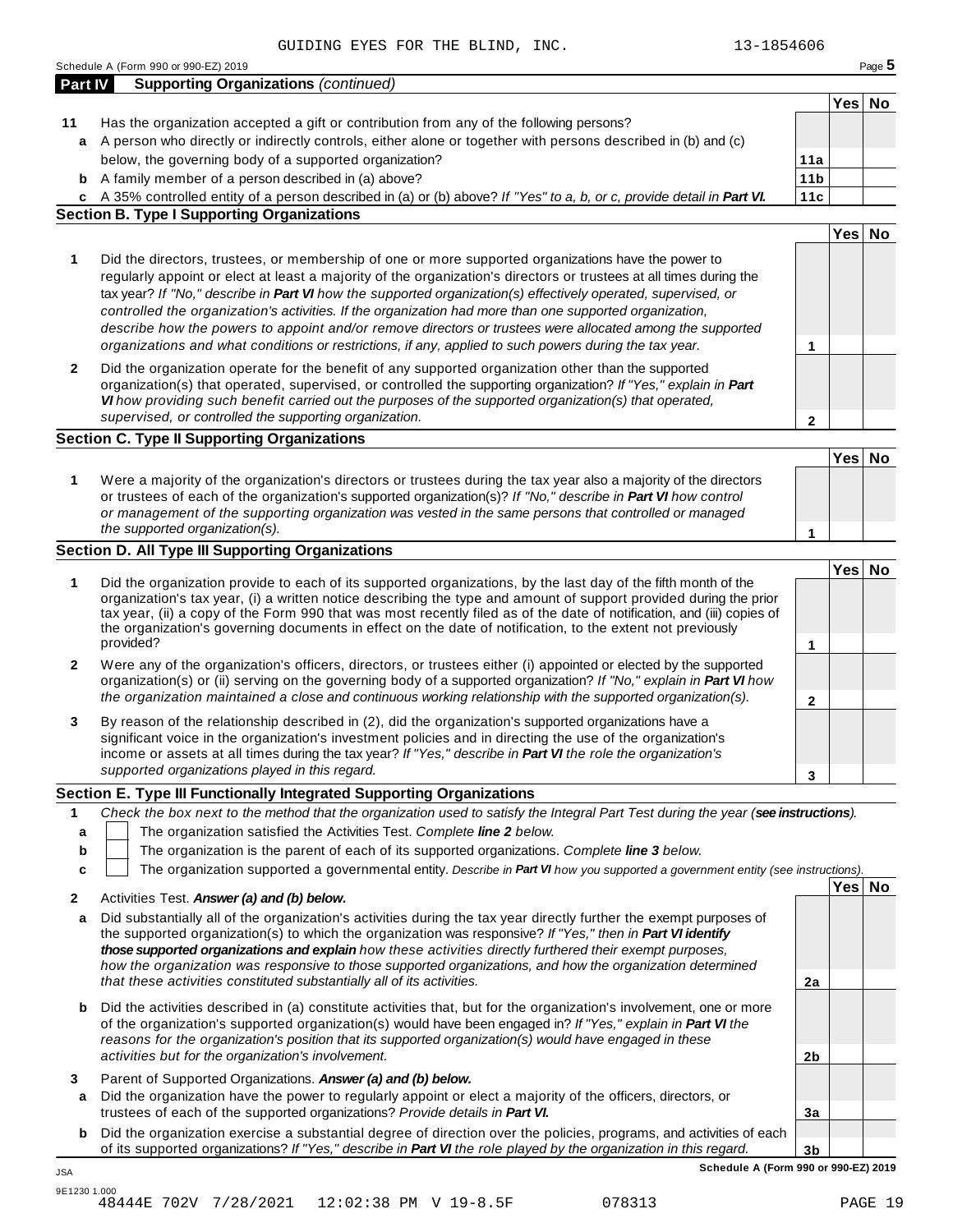|                  | GUIDING EYES FOR THE BLIND, INC.<br>13-1854606                                                                                                                                                                                                                                                                                                                                                                                                                                                                                                                                                                                                                               |                 |        |        |
|------------------|------------------------------------------------------------------------------------------------------------------------------------------------------------------------------------------------------------------------------------------------------------------------------------------------------------------------------------------------------------------------------------------------------------------------------------------------------------------------------------------------------------------------------------------------------------------------------------------------------------------------------------------------------------------------------|-----------------|--------|--------|
|                  | Schedule A (Form 990 or 990-EZ) 2019                                                                                                                                                                                                                                                                                                                                                                                                                                                                                                                                                                                                                                         |                 |        | Page 5 |
| Part IV          | <b>Supporting Organizations (continued)</b>                                                                                                                                                                                                                                                                                                                                                                                                                                                                                                                                                                                                                                  |                 |        |        |
|                  |                                                                                                                                                                                                                                                                                                                                                                                                                                                                                                                                                                                                                                                                              |                 | Yes No |        |
| 11               | Has the organization accepted a gift or contribution from any of the following persons?                                                                                                                                                                                                                                                                                                                                                                                                                                                                                                                                                                                      |                 |        |        |
| a                | A person who directly or indirectly controls, either alone or together with persons described in (b) and (c)                                                                                                                                                                                                                                                                                                                                                                                                                                                                                                                                                                 |                 |        |        |
|                  | below, the governing body of a supported organization?                                                                                                                                                                                                                                                                                                                                                                                                                                                                                                                                                                                                                       | 11a             |        |        |
|                  | <b>b</b> A family member of a person described in (a) above?                                                                                                                                                                                                                                                                                                                                                                                                                                                                                                                                                                                                                 | 11 <sub>b</sub> |        |        |
|                  | c A 35% controlled entity of a person described in (a) or (b) above? If "Yes" to a, b, or c, provide detail in Part VI.                                                                                                                                                                                                                                                                                                                                                                                                                                                                                                                                                      | 11c             |        |        |
|                  | <b>Section B. Type I Supporting Organizations</b>                                                                                                                                                                                                                                                                                                                                                                                                                                                                                                                                                                                                                            |                 |        |        |
|                  |                                                                                                                                                                                                                                                                                                                                                                                                                                                                                                                                                                                                                                                                              |                 | Yes No |        |
| 1                | Did the directors, trustees, or membership of one or more supported organizations have the power to<br>regularly appoint or elect at least a majority of the organization's directors or trustees at all times during the<br>tax year? If "No," describe in Part VI how the supported organization(s) effectively operated, supervised, or<br>controlled the organization's activities. If the organization had more than one supported organization,<br>describe how the powers to appoint and/or remove directors or trustees were allocated among the supported<br>organizations and what conditions or restrictions, if any, applied to such powers during the tax year. | 1               |        |        |
| 2                | Did the organization operate for the benefit of any supported organization other than the supported<br>organization(s) that operated, supervised, or controlled the supporting organization? If "Yes," explain in Part<br>VI how providing such benefit carried out the purposes of the supported organization(s) that operated,<br>supervised, or controlled the supporting organization.                                                                                                                                                                                                                                                                                   | 2               |        |        |
|                  | <b>Section C. Type II Supporting Organizations</b>                                                                                                                                                                                                                                                                                                                                                                                                                                                                                                                                                                                                                           |                 |        |        |
|                  |                                                                                                                                                                                                                                                                                                                                                                                                                                                                                                                                                                                                                                                                              |                 | Yes No |        |
| 1                | Were a majority of the organization's directors or trustees during the tax year also a majority of the directors<br>or trustees of each of the organization's supported organization(s)? If "No," describe in Part VI how control<br>or management of the supporting organization was vested in the same persons that controlled or managed                                                                                                                                                                                                                                                                                                                                  |                 |        |        |
|                  | the supported organization(s).                                                                                                                                                                                                                                                                                                                                                                                                                                                                                                                                                                                                                                               | 1               |        |        |
|                  | Section D. All Type III Supporting Organizations                                                                                                                                                                                                                                                                                                                                                                                                                                                                                                                                                                                                                             |                 |        |        |
| 1                | Did the organization provide to each of its supported organizations, by the last day of the fifth month of the<br>organization's tax year, (i) a written notice describing the type and amount of support provided during the prior<br>tax year, (ii) a copy of the Form 990 that was most recently filed as of the date of notification, and (iii) copies of<br>the organization's governing documents in effect on the date of notification, to the extent not previously<br>provided?                                                                                                                                                                                     | 1               | Yes No |        |
| 2                | Were any of the organization's officers, directors, or trustees either (i) appointed or elected by the supported<br>organization(s) or (ii) serving on the governing body of a supported organization? If "No," explain in Part VI how<br>the organization maintained a close and continuous working relationship with the supported organization(s).                                                                                                                                                                                                                                                                                                                        |                 |        |        |
|                  |                                                                                                                                                                                                                                                                                                                                                                                                                                                                                                                                                                                                                                                                              | $\mathbf{2}$    |        |        |
| 3                | By reason of the relationship described in (2), did the organization's supported organizations have a<br>significant voice in the organization's investment policies and in directing the use of the organization's<br>income or assets at all times during the tax year? If "Yes," describe in Part VI the role the organization's                                                                                                                                                                                                                                                                                                                                          |                 |        |        |
|                  | supported organizations played in this regard.                                                                                                                                                                                                                                                                                                                                                                                                                                                                                                                                                                                                                               |                 |        |        |
|                  |                                                                                                                                                                                                                                                                                                                                                                                                                                                                                                                                                                                                                                                                              | 3               |        |        |
|                  | Section E. Type III Functionally Integrated Supporting Organizations                                                                                                                                                                                                                                                                                                                                                                                                                                                                                                                                                                                                         |                 |        |        |
| 1<br>a<br>b<br>C | Check the box next to the method that the organization used to satisfy the Integral Part Test during the year (see instructions).<br>The organization satisfied the Activities Test. Complete line 2 below.<br>The organization is the parent of each of its supported organizations. Complete line 3 below.<br>The organization supported a governmental entity. Describe in Part VI how you supported a government entity (see instructions).                                                                                                                                                                                                                              |                 |        |        |
| 2                | Activities Test. Answer (a) and (b) below.                                                                                                                                                                                                                                                                                                                                                                                                                                                                                                                                                                                                                                   |                 | Yes No |        |
| a                | Did substantially all of the organization's activities during the tax year directly further the exempt purposes of<br>the supported organization(s) to which the organization was responsive? If "Yes," then in Part VI identify<br>those supported organizations and explain how these activities directly furthered their exempt purposes,<br>how the organization was responsive to those supported organizations, and how the organization determined<br>that these activities constituted substantially all of its activities.                                                                                                                                          | 2a              |        |        |
| b                | Did the activities described in (a) constitute activities that, but for the organization's involvement, one or more<br>of the organization's supported organization(s) would have been engaged in? If "Yes," explain in Part VI the<br>reasons for the organization's position that its supported organization(s) would have engaged in these                                                                                                                                                                                                                                                                                                                                |                 |        |        |

**3** Parent of Supported Organizations. *Answer (a) and (b) below.*

*activities but for the organization's involvement.*

JSA

- **a** Did the organization have the power to regularly appoint or elect a majority of the officers, directors, or trustees of each of the supported organizations? *Provide details in Part VI.*
- **b** Did the organization exercise a substantial degree of direction over the policies, programs, and activities of each of its supported organizations? *If"Yes," describe in Part VI the role played by the organization in this regard.*

**3b Schedule A (Form 990 or 990-EZ) 2019**

**2b**

**3a**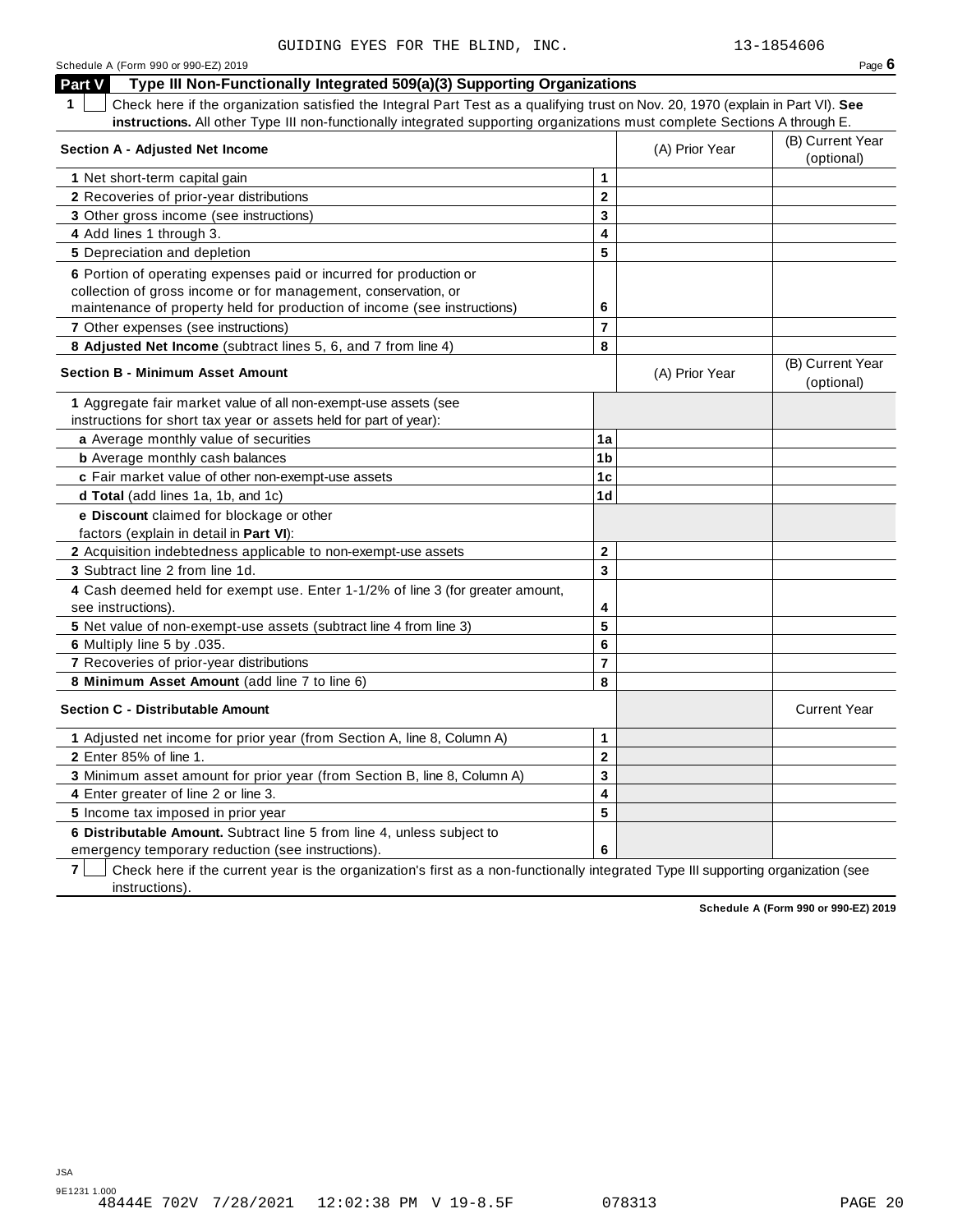Schedule <sup>A</sup> (Form <sup>990</sup> or 990-EZ) <sup>2019</sup> Page **6 Part V Type III Non-Functionally Integrated 509(a)(3) Supporting Organizations 1** Check here if the organization satisfied the Integral Part Test as a qualifying trust on Nov. 20, 1970 (explain in Part VI). **See instructions.** All other Type III non-functionally integrated supporting organizations must complete Sections A through E. (B) Current Year **Section <sup>A</sup> - Adjusted Net Income** (A) Prior Year (optional) **1** Net short-term capital gain **1 1 2 3 4 5 2** Recoveries of prior-year distributions **3** Other gross income (see instructions) **4** Add lines 1 through 3. **5** Depreciation and depletion **6** Portion of operating expenses paid or incurred for production or collection of gross income or for management, conservation, or maintenance of property held for production of income (see instructions) **6 7** Other expenses (see instructions) **7 8 Adjusted Net Income** (subtract lines 5, 6, and 7 from line 4) **8** (B) Current Year **Section <sup>B</sup> - Minimum Asset Amount** (A) Prior Year (optional) **1** Aggregate fair market value of all non-exempt-use assets (see instructions for short tax year or assets held for part of year): **a** Average monthly value of securities **1a 1a 1b 1c 1d b** Average monthly cash balances **c** Fair market value of other non-exempt-use assets **d Total** (add lines 1a, 1b, and 1c) **e Discount** claimed for blockage or other factors (explain in detail in **Part VI**): **2** Acquisition indebtedness applicable to non-exempt-use assets **2 3 4 5 6 7 8 3** Subtract line 2 from line 1d. **4** Cash deemed held for exempt use. Enter 1-1/2% of line 3 (for greater amount, see instructions). **5** Net value of non-exempt-use assets (subtract line 4 from line 3) **6** Multiply line 5 by .035. **7** Recoveries of prior-year distributions **8 Minimum Asset Amount** (add line 7 to line 6) **Section C - Distributable Amount** Current Year **Current Year Amount** Current Year Amount **1** Adjusted net income for prior year (from Section A, line 8, Column A) **1 2 3 4 2** Enter 85% of line 1. **3** Minimum asset amount for prior year (from Section B, line 8, Column A) **4** Enter greater of line 2 or line 3. GUIDING EYES FOR THE BLIND, INC. 13-1854606

**5** Income tax imposed in prior year **6 Distributable Amount.** Subtract line 5 from line 4, unless subject to

emergency temporary reduction (see instructions).

**7** Check here if the current year is the organization's first as a non-functionally integrated Type III supporting organization (see instructions).

**Schedule A (Form 990 or 990-EZ) 2019**

**5**

**6**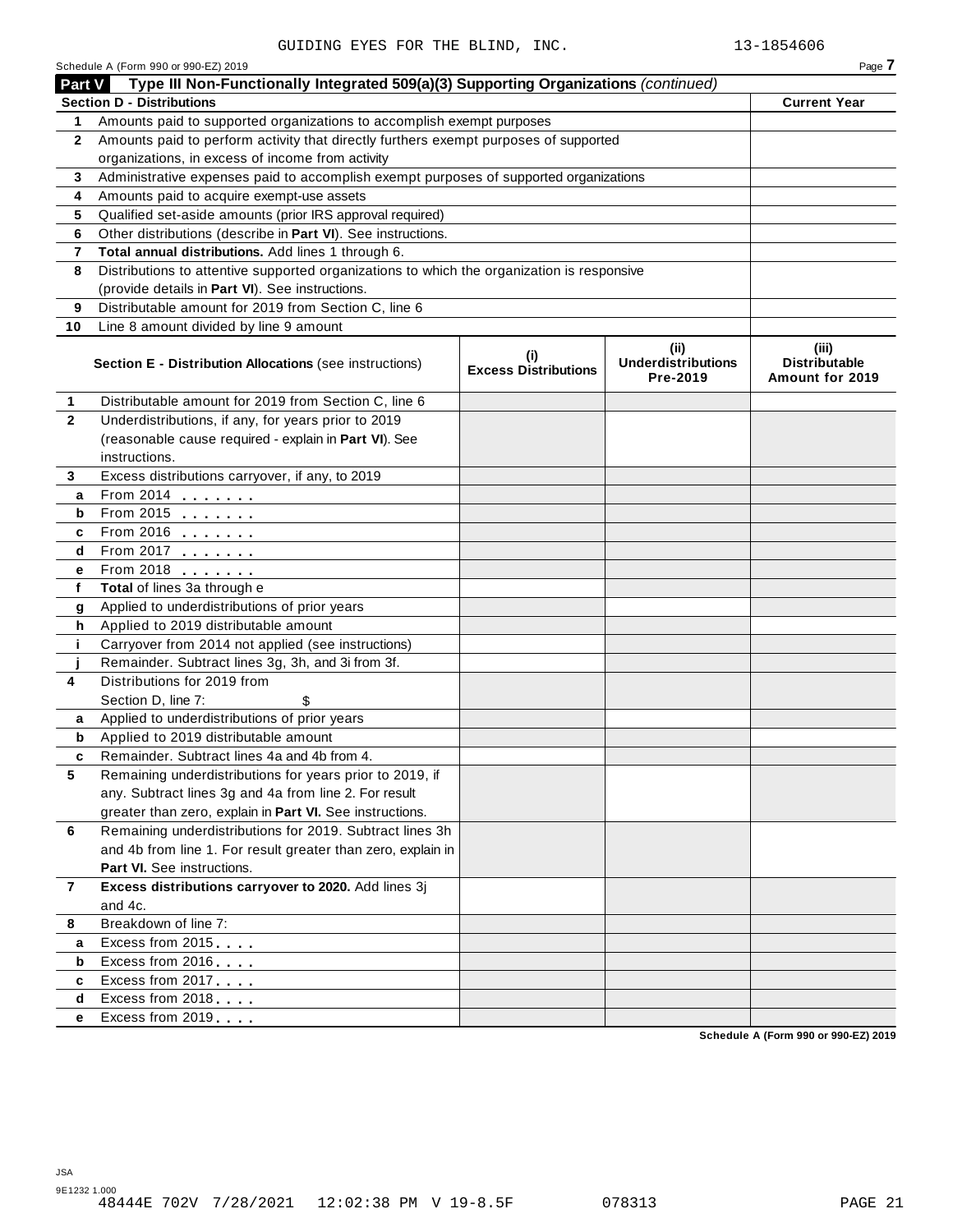|               | Schedule A (Form 990 or 990-EZ) 2019                                                       |                                    |                                               | Page 7                                           |  |  |  |  |
|---------------|--------------------------------------------------------------------------------------------|------------------------------------|-----------------------------------------------|--------------------------------------------------|--|--|--|--|
| <b>Part V</b> | Type III Non-Functionally Integrated 509(a)(3) Supporting Organizations (continued)        |                                    |                                               |                                                  |  |  |  |  |
|               | <b>Section D - Distributions</b>                                                           |                                    |                                               | <b>Current Year</b>                              |  |  |  |  |
| 1.            | Amounts paid to supported organizations to accomplish exempt purposes                      |                                    |                                               |                                                  |  |  |  |  |
| $\mathbf{2}$  | Amounts paid to perform activity that directly furthers exempt purposes of supported       |                                    |                                               |                                                  |  |  |  |  |
|               | organizations, in excess of income from activity                                           |                                    |                                               |                                                  |  |  |  |  |
| 3             | Administrative expenses paid to accomplish exempt purposes of supported organizations      |                                    |                                               |                                                  |  |  |  |  |
| 4             | Amounts paid to acquire exempt-use assets                                                  |                                    |                                               |                                                  |  |  |  |  |
| 5             | Qualified set-aside amounts (prior IRS approval required)                                  |                                    |                                               |                                                  |  |  |  |  |
| 6             | Other distributions (describe in Part VI). See instructions.                               |                                    |                                               |                                                  |  |  |  |  |
| 7             | Total annual distributions. Add lines 1 through 6.                                         |                                    |                                               |                                                  |  |  |  |  |
| 8             | Distributions to attentive supported organizations to which the organization is responsive |                                    |                                               |                                                  |  |  |  |  |
|               | (provide details in Part VI). See instructions.                                            |                                    |                                               |                                                  |  |  |  |  |
| 9             | Distributable amount for 2019 from Section C, line 6                                       |                                    |                                               |                                                  |  |  |  |  |
| 10            | Line 8 amount divided by line 9 amount                                                     |                                    |                                               |                                                  |  |  |  |  |
|               | <b>Section E - Distribution Allocations (see instructions)</b>                             | (i)<br><b>Excess Distributions</b> | (ii)<br><b>Underdistributions</b><br>Pre-2019 | (iii)<br><b>Distributable</b><br>Amount for 2019 |  |  |  |  |
| 1             | Distributable amount for 2019 from Section C, line 6                                       |                                    |                                               |                                                  |  |  |  |  |
| $\mathbf{2}$  | Underdistributions, if any, for years prior to 2019                                        |                                    |                                               |                                                  |  |  |  |  |
|               | (reasonable cause required - explain in Part VI). See                                      |                                    |                                               |                                                  |  |  |  |  |
|               | instructions.                                                                              |                                    |                                               |                                                  |  |  |  |  |
| 3             | Excess distributions carryover, if any, to 2019                                            |                                    |                                               |                                                  |  |  |  |  |
| а             | From 2014 2014                                                                             |                                    |                                               |                                                  |  |  |  |  |
| b             |                                                                                            |                                    |                                               |                                                  |  |  |  |  |
| c             | From 2016 <b></b>                                                                          |                                    |                                               |                                                  |  |  |  |  |
| d             |                                                                                            |                                    |                                               |                                                  |  |  |  |  |
| е             | From 2018                                                                                  |                                    |                                               |                                                  |  |  |  |  |
| f             | Total of lines 3a through e                                                                |                                    |                                               |                                                  |  |  |  |  |
| g             | Applied to underdistributions of prior years                                               |                                    |                                               |                                                  |  |  |  |  |
| h             | Applied to 2019 distributable amount                                                       |                                    |                                               |                                                  |  |  |  |  |
| j.            | Carryover from 2014 not applied (see instructions)                                         |                                    |                                               |                                                  |  |  |  |  |
|               | Remainder. Subtract lines 3g, 3h, and 3i from 3f.                                          |                                    |                                               |                                                  |  |  |  |  |
| 4             | Distributions for 2019 from                                                                |                                    |                                               |                                                  |  |  |  |  |
|               | Section D, line 7:<br>\$                                                                   |                                    |                                               |                                                  |  |  |  |  |
| a             | Applied to underdistributions of prior years                                               |                                    |                                               |                                                  |  |  |  |  |
| b             | Applied to 2019 distributable amount                                                       |                                    |                                               |                                                  |  |  |  |  |
|               | Remainder. Subtract lines 4a and 4b from 4.                                                |                                    |                                               |                                                  |  |  |  |  |
| 5             | Remaining underdistributions for years prior to 2019, if                                   |                                    |                                               |                                                  |  |  |  |  |
|               | any. Subtract lines 3g and 4a from line 2. For result                                      |                                    |                                               |                                                  |  |  |  |  |
|               | greater than zero, explain in Part VI. See instructions.                                   |                                    |                                               |                                                  |  |  |  |  |
| 6             | Remaining underdistributions for 2019. Subtract lines 3h                                   |                                    |                                               |                                                  |  |  |  |  |
|               | and 4b from line 1. For result greater than zero, explain in                               |                                    |                                               |                                                  |  |  |  |  |
|               | Part VI. See instructions.                                                                 |                                    |                                               |                                                  |  |  |  |  |
| $\mathbf{7}$  | Excess distributions carryover to 2020. Add lines 3j                                       |                                    |                                               |                                                  |  |  |  |  |
|               | and 4c.                                                                                    |                                    |                                               |                                                  |  |  |  |  |
| 8             | Breakdown of line 7:                                                                       |                                    |                                               |                                                  |  |  |  |  |
| a             | Excess from 2015                                                                           |                                    |                                               |                                                  |  |  |  |  |
| b             | Excess from 2016                                                                           |                                    |                                               |                                                  |  |  |  |  |
| C             | Excess from 2017                                                                           |                                    |                                               |                                                  |  |  |  |  |
| d             | Excess from 2018                                                                           |                                    |                                               |                                                  |  |  |  |  |
| е             | Excess from 2019                                                                           |                                    |                                               |                                                  |  |  |  |  |
|               |                                                                                            |                                    |                                               | Schedule A (Form 990 or 990-EZ) 2019             |  |  |  |  |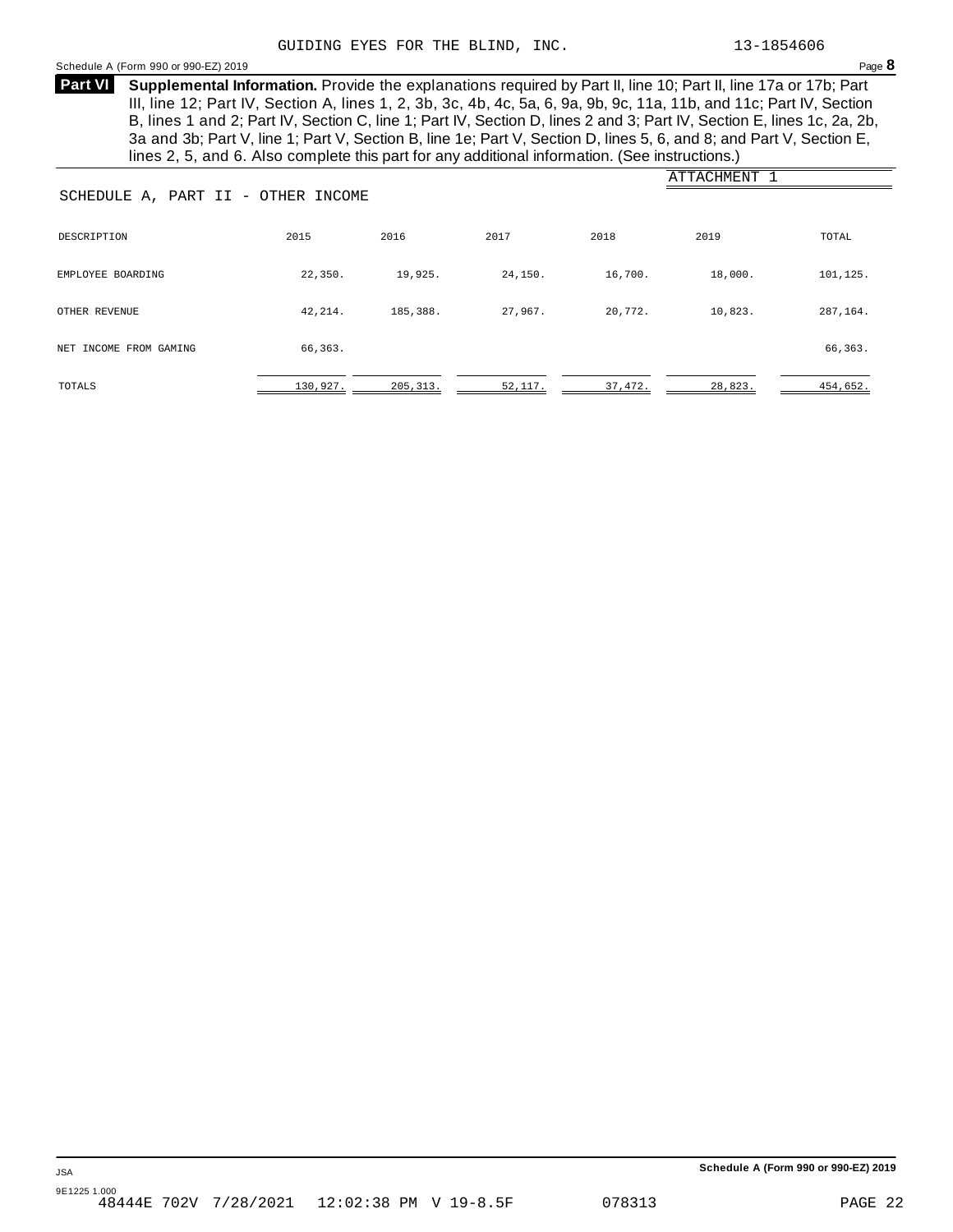#### Schedule <sup>A</sup> (Form <sup>990</sup> or 990-EZ) <sup>2019</sup> Page **8**

**Supplemental Information.** Provide the explanations required by Part II, line 10; Part II, line 17a or 17b; Part **Part VI** III, line 12; Part IV, Section A, lines 1, 2, 3b, 3c, 4b, 4c, 5a, 6, 9a, 9b, 9c, 11a, 11b, and 11c; Part IV, Section B, lines 1 and 2; Part IV, Section C, line 1; Part IV, Section D, lines 2 and 3; Part IV, Section E, lines 1c, 2a, 2b, 3a and 3b; Part V, line 1; Part V, Section B, line 1e; Part V, Section D, lines 5, 6, and 8; and Part V, Section E, lines 2, 5, and 6. Also complete this part for any additional information. (See instructions.)

| SCHEDULE A, PART II - OTHER INCOME |          |           |         |         | ATTACHMENT 1 |          |
|------------------------------------|----------|-----------|---------|---------|--------------|----------|
|                                    |          |           |         |         |              |          |
| DESCRIPTION                        | 2015     | 2016      | 2017    | 2018    | 2019         | TOTAL    |
| EMPLOYEE BOARDING                  | 22,350.  | 19,925.   | 24,150. | 16,700. | 18,000.      | 101,125. |
| OTHER REVENUE                      | 42,214.  | 185,388.  | 27,967. | 20,772. | 10,823.      | 287,164. |
| NET INCOME FROM GAMING             | 66,363.  |           |         |         |              | 66,363.  |
| TOTALS                             | 130,927. | 205, 313. | 52,117. | 37,472. | 28,823.      | 454,652. |

**Schedule A (Form 990 or 990-EZ) 2019**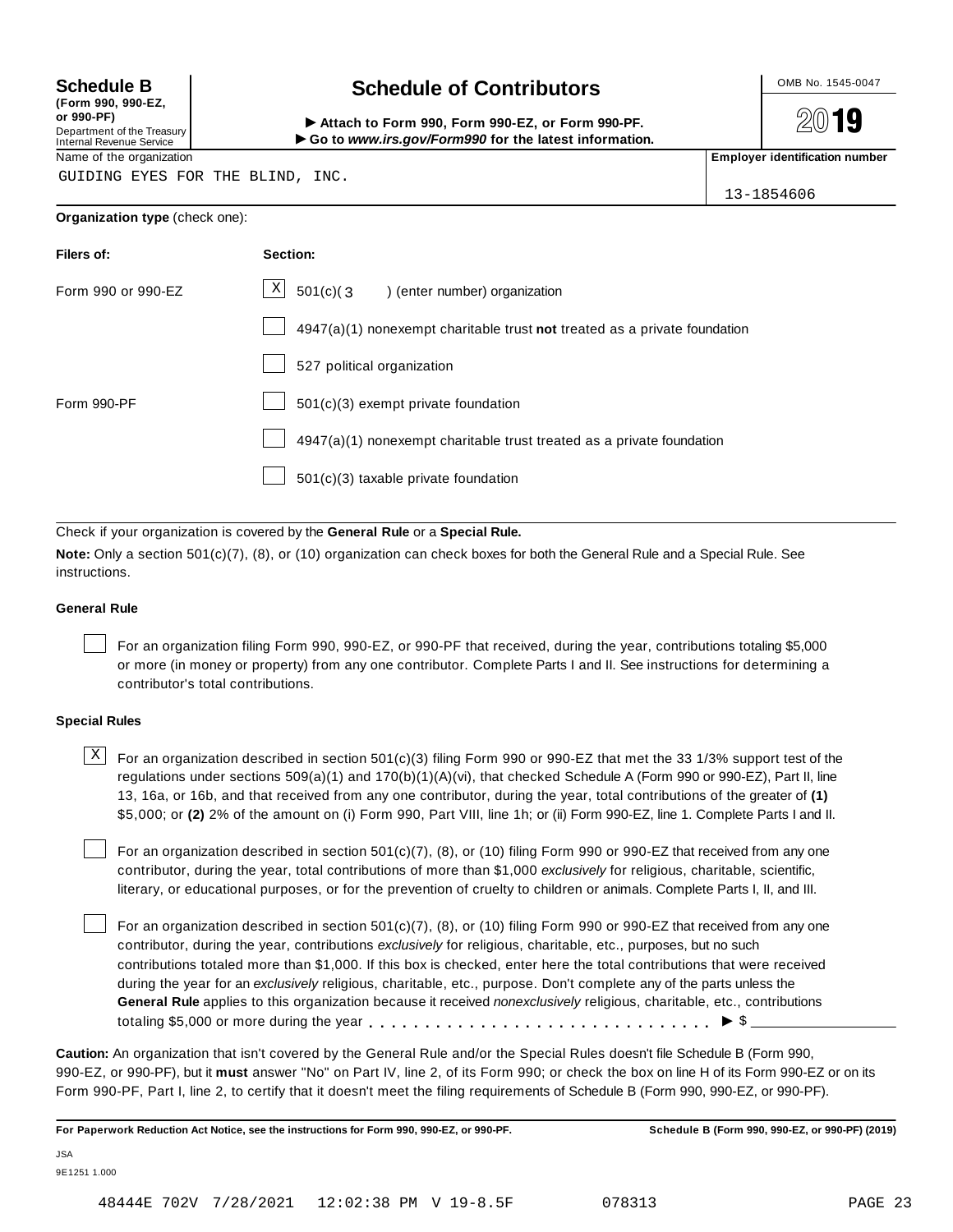**(Form 990, 990-EZ, or 990-PF)** Department of the Treasury<br>Internal Revenue Service

## **Schedule B chedule of Contributors**

2019

(Porm 990, Form 990, Form 990-EZ, or Form 990-PF.<br>Department of the Treasury → Attach to Form 990, Form 990-EZ, or Form 990-PF.<br>Internal Revenue Service → → Go to www.irs.gov/Form990 for the latest information.<br>Name of th

13-1854606

**Organization type** (check one):

GUIDING EYES FOR THE BLIND, INC.

| Filers of:         | Section:                                                                    |
|--------------------|-----------------------------------------------------------------------------|
| Form 990 or 990-EZ | $\mathbf{X}$<br>501(c)(3) (enter number) organization                       |
|                    | $4947(a)(1)$ nonexempt charitable trust not treated as a private foundation |
|                    | 527 political organization                                                  |
| Form 990-PF        | 501(c)(3) exempt private foundation                                         |
|                    | $4947(a)(1)$ nonexempt charitable trust treated as a private foundation     |
|                    | 501(c)(3) taxable private foundation                                        |
|                    |                                                                             |

Check if your organization is covered by the **General Rule** or a **Special Rule.**

**Note:** Only a section 501(c)(7), (8), or (10) organization can check boxes for both the General Rule and a Special Rule. See instructions.

#### **General Rule**

For an organization filing Form 990, 990-EZ, or 990-PF that received, during the year, contributions totaling \$5,000 or more (in money or property) from any one contributor. Complete Parts I and II. See instructions for determining a contributor's total contributions.

#### **Special Rules**

 $\text{X}$  For an organization described in section 501(c)(3) filing Form 990 or 990-EZ that met the 33 1/3% support test of the regulations under sections 509(a)(1) and 170(b)(1)(A)(vi), that checked Schedule A (Form 990 or 990-EZ), Part II, line 13, 16a, or 16b, and that received from any one contributor, during the year, total contributions of the greater of **(1)** \$5,000; or **(2)** 2% of the amount on (i) Form 990, Part VIII, line 1h; or (ii) Form 990-EZ, line 1. Complete Parts I and II.

For an organization described in section 501(c)(7), (8), or (10) filing Form 990 or 990-EZ that received from any one contributor, during the year, total contributions of more than \$1,000 *exclusively* for religious, charitable, scientific, literary, or educational purposes, or for the prevention of cruelty to children or animals. Complete Parts I, II, and III.

For an organization described in section 501(c)(7), (8), or (10) filing Form 990 or 990-EZ that received from any one contributor, during the year, contributions *exclusively* for religious, charitable, etc., purposes, but no such contributions totaled more than \$1,000. If this box is checked, enter here the total contributions that were received during the year for an *exclusively* religious, charitable, etc., purpose. Don't complete any of the parts unless the **General Rule** applies to this organization because it received *nonexclusively* religious, charitable, etc., contributions totaling \$5,000 or more during the year m m m m m m m m m m m m m m m m m m m m m m m m m m m m m m m I \$

**Caution:** An organization that isn't covered by the General Rule and/or the Special Rules doesn't file Schedule B (Form 990, 990-EZ, or 990-PF), but it **must** answer "No" on Part IV, line 2, of its Form 990; or check the box on line H of its Form 990-EZ or on its Form 990-PF, Part I, line 2, to certify that it doesn't meet the filing requirements of Schedule B (Form 990, 990-EZ, or 990-PF).

For Paperwork Reduction Act Notice, see the instructions for Form 990, 990-EZ, or 990-PF. Schedule B (Form 990, 990-EZ, or 990-PF) (2019)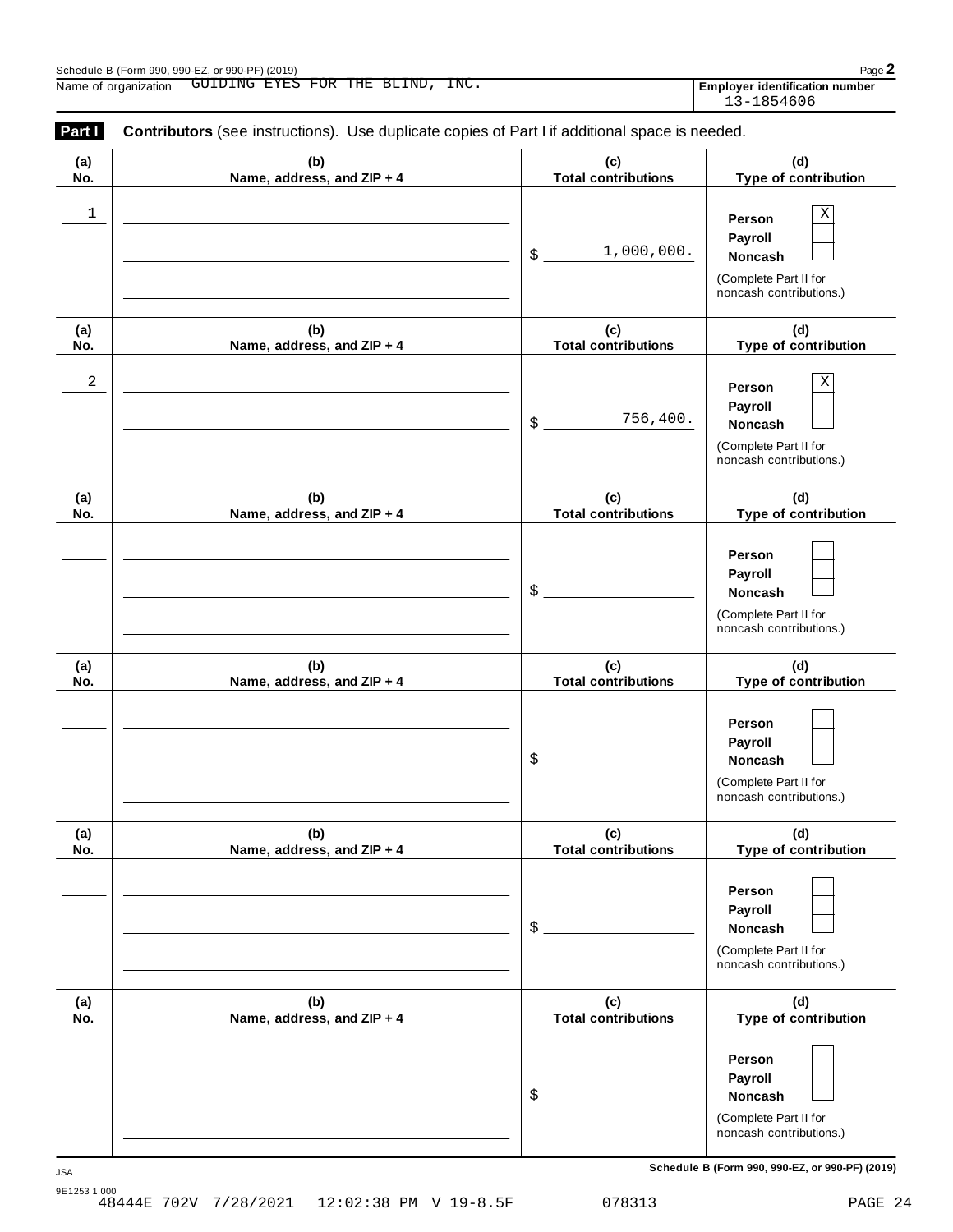| (a) | (b)                        | (c)                        | (d)                                                                                   |
|-----|----------------------------|----------------------------|---------------------------------------------------------------------------------------|
| No. | Name, address, and ZIP + 4 | <b>Total contributions</b> | Type of contribution                                                                  |
| 1   |                            | 1,000,000.<br>\$           | Χ<br>Person<br>Payroll<br>Noncash<br>(Complete Part II for<br>noncash contributions.) |
| (a) | (b)                        | (c)                        | (d)                                                                                   |
| No. | Name, address, and ZIP + 4 | <b>Total contributions</b> | Type of contribution                                                                  |
| 2   |                            | 756,400.<br>\$             | Х<br>Person<br>Payroll<br>Noncash<br>(Complete Part II for<br>noncash contributions.) |
| (a) | (b)                        | (c)                        | (d)                                                                                   |
| No. | Name, address, and ZIP + 4 | <b>Total contributions</b> | Type of contribution                                                                  |
|     |                            | \$                         | Person<br>Payroll<br>Noncash<br>(Complete Part II for<br>noncash contributions.)      |
| (a) | (b)                        | (c)                        | (d)                                                                                   |
| No. | Name, address, and ZIP + 4 | <b>Total contributions</b> | Type of contribution                                                                  |
|     |                            | \$                         | Person<br>Payroll<br>Noncash<br>(Complete Part II for<br>noncash contributions.)      |
| (a) | (b)                        | (c)                        | (d)                                                                                   |
| No. | Name, address, and ZIP + 4 | <b>Total contributions</b> | Type of contribution                                                                  |
|     |                            | \$                         | Person<br>Payroll<br>Noncash<br>(Complete Part II for<br>noncash contributions.)      |
| (a) | (b)                        | (c)                        | (d)                                                                                   |
| No. | Name, address, and ZIP + 4 | <b>Total contributions</b> | Type of contribution                                                                  |
|     |                            | \$                         | Person<br>Payroll<br>Noncash<br>(Complete Part II for<br>noncash contributions.)      |

**Schedule B (Form 990, 990-EZ, or 990-PF) (2019)** JSA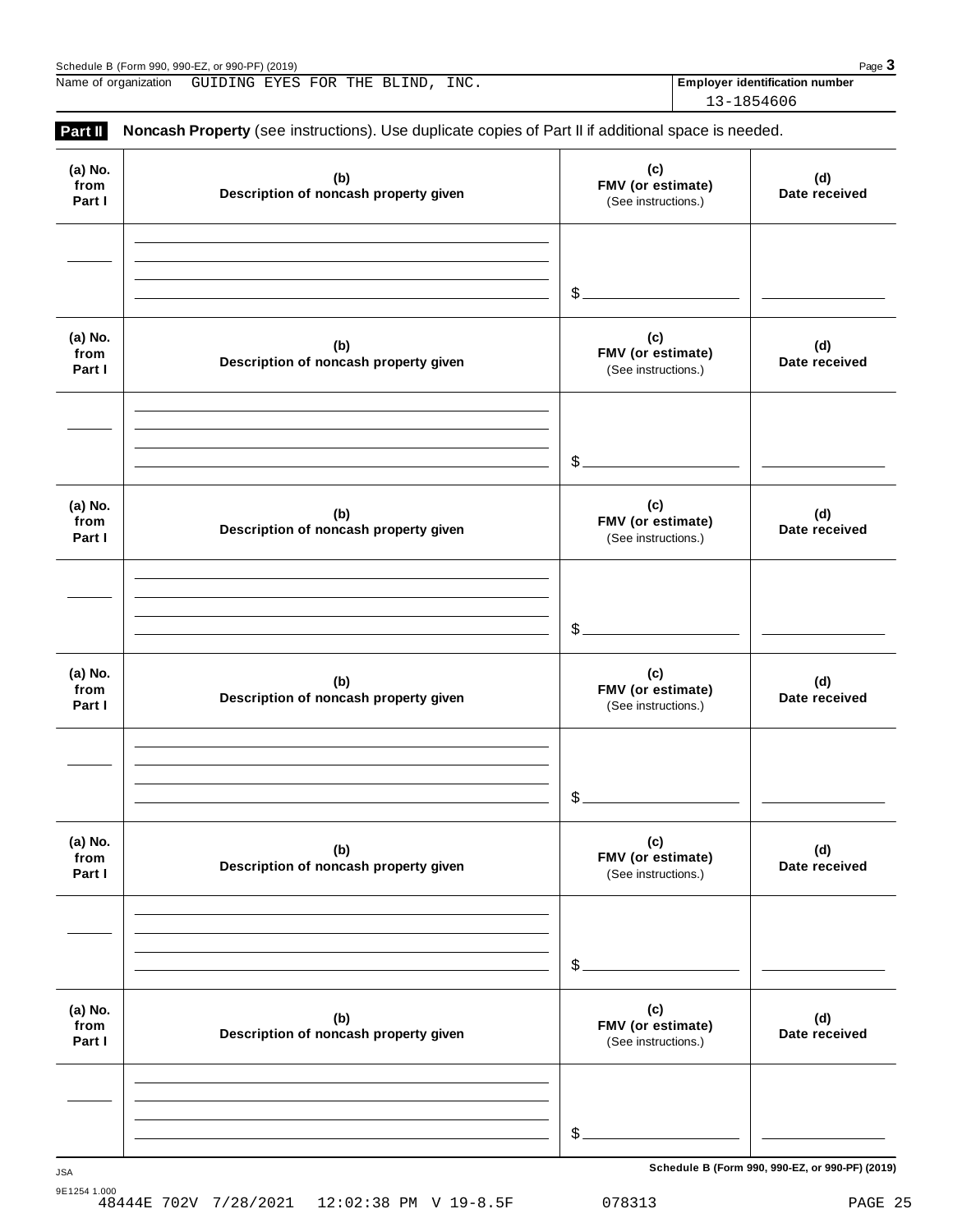|                           |                                              | $\mathcal{L}_{-}$                               |                      |
|---------------------------|----------------------------------------------|-------------------------------------------------|----------------------|
| (a) No.<br>from<br>Part I | (b)<br>Description of noncash property given | (c)<br>FMV (or estimate)<br>(See instructions.) | (d)<br>Date received |
|                           |                                              | $\frac{1}{2}$                                   |                      |
| (a) No.<br>from<br>Part I | (b)<br>Description of noncash property given | (c)<br>FMV (or estimate)<br>(See instructions.) | (d)<br>Date received |
|                           |                                              | $\frac{2}{2}$                                   |                      |
| (a) No.<br>from<br>Part I | (b)<br>Description of noncash property given | (c)<br>FMV (or estimate)<br>(See instructions.) | (d)<br>Date received |
|                           |                                              | $\frac{2}{2}$                                   |                      |
| (a) No.<br>from<br>Part I | (b)<br>Description of noncash property given | (c)<br>FMV (or estimate)<br>(See instructions.) | (d)<br>Date received |
|                           |                                              | \$                                              |                      |
| (a) No.<br>from<br>Part I | (b)<br>Description of noncash property given | (c)<br>FMV (or estimate)<br>(See instructions.) | (d)<br>Date received |
|                           |                                              |                                                 |                      |

**(a) No. from Part I**

Name of organization GUIDING EYES FOR THE BLIND, INC. **Employer identification number** 

**(b) Description of noncash property given**

**Part II** Noncash Property (see instructions). Use duplicate copies of Part II if additional space is needed.

13-1854606

**(c) FMV (or estimate)** (See instructions.)

**(d) Date received**

 $$$ .

9E1254 1.000<br>48444E 702V 7/28/2021 12:02:38 PM V 19-8.5F 078313 PAGE 25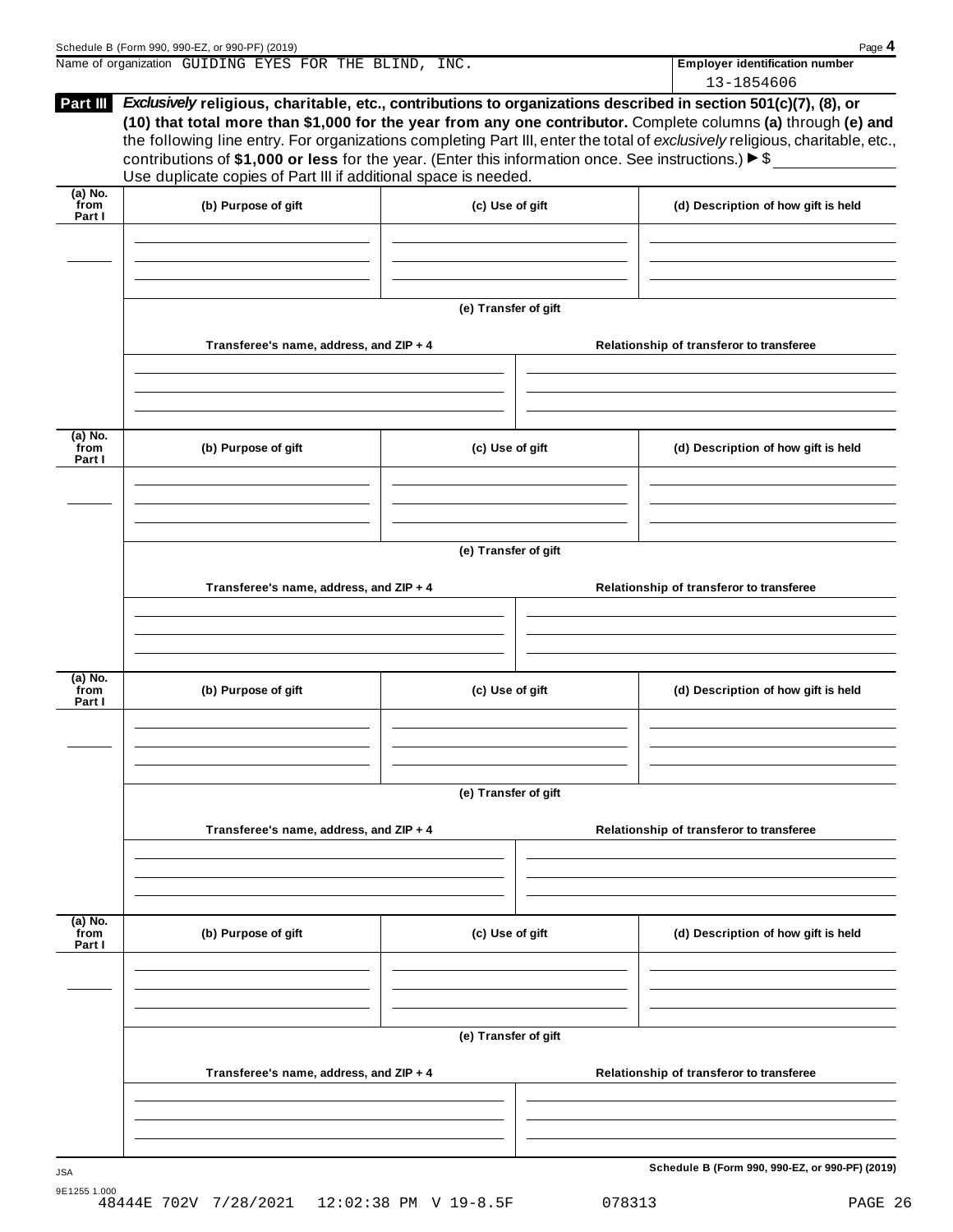|                             | Name of organization GUIDING EYES FOR THE BLIND, INC.                                                                                                                                                                                                                                                                                                                                                                                                                                                                                                      |                      | <b>Employer identification number</b><br>13-1854606 |
|-----------------------------|------------------------------------------------------------------------------------------------------------------------------------------------------------------------------------------------------------------------------------------------------------------------------------------------------------------------------------------------------------------------------------------------------------------------------------------------------------------------------------------------------------------------------------------------------------|----------------------|-----------------------------------------------------|
| Part III                    | Exclusively religious, charitable, etc., contributions to organizations described in section 501(c)(7), (8), or<br>(10) that total more than \$1,000 for the year from any one contributor. Complete columns (a) through (e) and<br>the following line entry. For organizations completing Part III, enter the total of exclusively religious, charitable, etc.,<br>contributions of \$1,000 or less for the year. (Enter this information once. See instructions.) $\triangleright$ \$<br>Use duplicate copies of Part III if additional space is needed. |                      |                                                     |
| (a) No.<br>from<br>Part I   | (b) Purpose of gift                                                                                                                                                                                                                                                                                                                                                                                                                                                                                                                                        | (c) Use of gift      | (d) Description of how gift is held                 |
|                             |                                                                                                                                                                                                                                                                                                                                                                                                                                                                                                                                                            |                      |                                                     |
|                             | Transferee's name, address, and ZIP + 4                                                                                                                                                                                                                                                                                                                                                                                                                                                                                                                    | (e) Transfer of gift | Relationship of transferor to transferee            |
|                             |                                                                                                                                                                                                                                                                                                                                                                                                                                                                                                                                                            |                      |                                                     |
| $(a)$ No.<br>from<br>Part I | (b) Purpose of gift                                                                                                                                                                                                                                                                                                                                                                                                                                                                                                                                        | (c) Use of gift      | (d) Description of how gift is held                 |
|                             |                                                                                                                                                                                                                                                                                                                                                                                                                                                                                                                                                            | (e) Transfer of gift |                                                     |
|                             | Transferee's name, address, and ZIP + 4                                                                                                                                                                                                                                                                                                                                                                                                                                                                                                                    |                      | Relationship of transferor to transferee            |
| (a) No.<br>from<br>Part I   | (b) Purpose of gift                                                                                                                                                                                                                                                                                                                                                                                                                                                                                                                                        | (c) Use of gift      | (d) Description of how gift is held                 |
|                             |                                                                                                                                                                                                                                                                                                                                                                                                                                                                                                                                                            | (e) Transfer of gift |                                                     |
|                             | Transferee's name, address, and ZIP + 4                                                                                                                                                                                                                                                                                                                                                                                                                                                                                                                    |                      | Relationship of transferor to transferee            |
| $(a)$ No.<br>from<br>Part I | (b) Purpose of gift                                                                                                                                                                                                                                                                                                                                                                                                                                                                                                                                        | (c) Use of gift      | (d) Description of how gift is held                 |
|                             |                                                                                                                                                                                                                                                                                                                                                                                                                                                                                                                                                            |                      |                                                     |
|                             |                                                                                                                                                                                                                                                                                                                                                                                                                                                                                                                                                            | (e) Transfer of gift |                                                     |
|                             | Transferee's name, address, and ZIP + 4                                                                                                                                                                                                                                                                                                                                                                                                                                                                                                                    |                      | Relationship of transferor to transferee            |
|                             |                                                                                                                                                                                                                                                                                                                                                                                                                                                                                                                                                            |                      |                                                     |

Schedule <sup>B</sup> (Form 990, 990-EZ, or 990-PF) (2019) Page **4**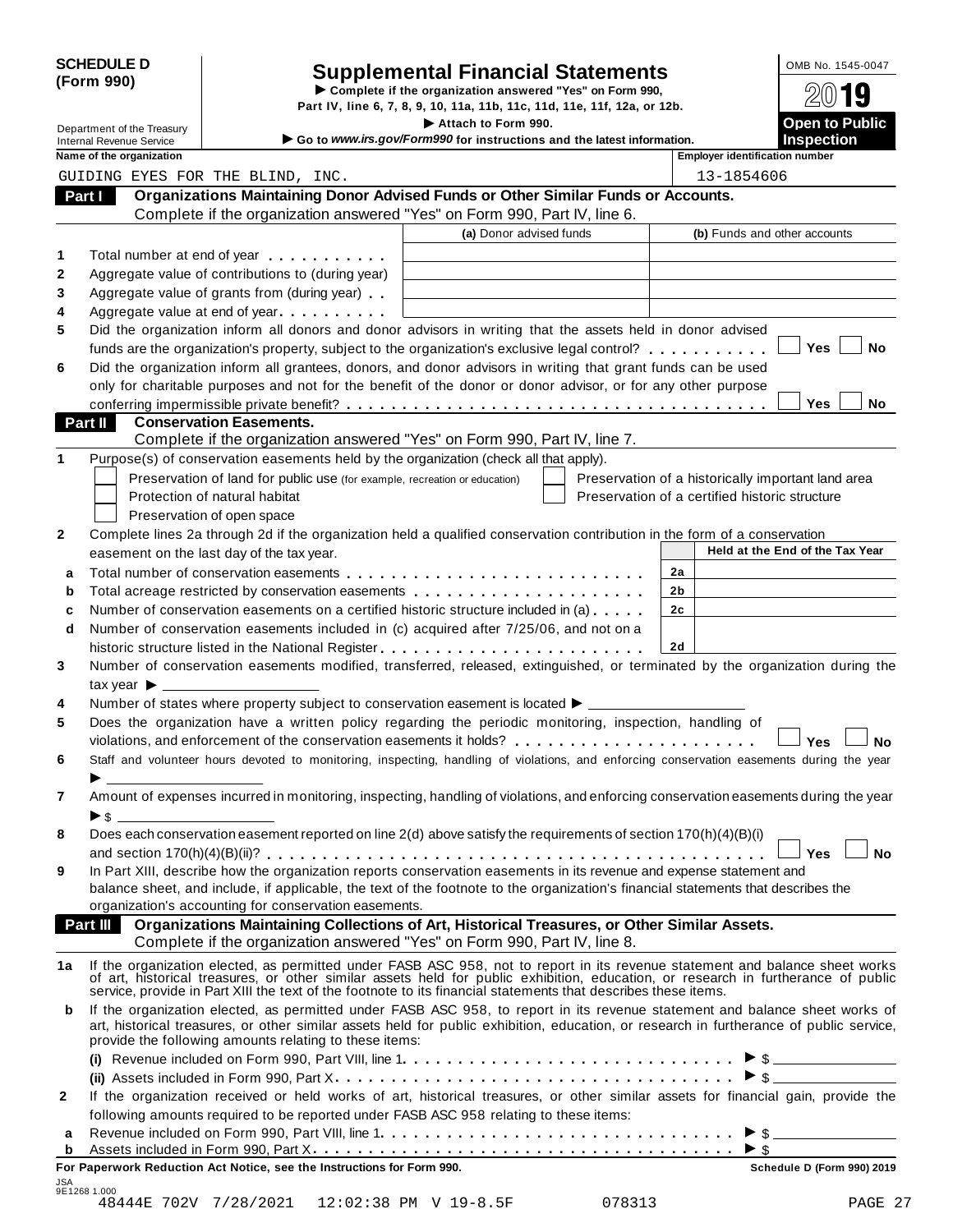|            | <b>SCHEDULE D</b> |
|------------|-------------------|
| (Form 990) |                   |

# SCHEDULE D<br>
Supplemental Financial Statements<br>  $\triangleright$  Complete if the organization answered "Yes" on Form 990,<br>
Part IV, line 6, 7, 8, 9, 10, 11a, 11b, 11c, 11d, 11e, 11f, 12a, or 12b.<br>
Part IV, line 6, 7, 8, 9, 10, 11a,

Department of the Treasury **I Attach 1990.** The S. 7, 8, 9, 10, 11a, 11b, 11c, 11d, 11e, 11f, 12a, or 12b.<br> **Department of the Treasury Inches Containery Containery Containery Containery Containery Containery** 

|          | Department of the Treasury      |                                                                                                                                                                                                                                                     | Attach to Form 990.                                                    |                                                    | <b>Open to Public</b>           |
|----------|---------------------------------|-----------------------------------------------------------------------------------------------------------------------------------------------------------------------------------------------------------------------------------------------------|------------------------------------------------------------------------|----------------------------------------------------|---------------------------------|
|          | <b>Internal Revenue Service</b> |                                                                                                                                                                                                                                                     | Go to www.irs.gov/Form990 for instructions and the latest information. |                                                    | <b>Inspection</b>               |
|          | Name of the organization        |                                                                                                                                                                                                                                                     |                                                                        | <b>Employer identification number</b>              |                                 |
|          |                                 | GUIDING EYES FOR THE BLIND, INC.                                                                                                                                                                                                                    |                                                                        | 13-1854606                                         |                                 |
| Part I   |                                 | Organizations Maintaining Donor Advised Funds or Other Similar Funds or Accounts.                                                                                                                                                                   |                                                                        |                                                    |                                 |
|          |                                 | Complete if the organization answered "Yes" on Form 990, Part IV, line 6.                                                                                                                                                                           |                                                                        |                                                    |                                 |
|          |                                 |                                                                                                                                                                                                                                                     | (a) Donor advised funds                                                | (b) Funds and other accounts                       |                                 |
|          |                                 | Total number at end of year manufacturers.                                                                                                                                                                                                          |                                                                        |                                                    |                                 |
|          |                                 | Aggregate value of contributions to (during year)                                                                                                                                                                                                   |                                                                        |                                                    |                                 |
|          |                                 | Aggregate value of grants from (during year)                                                                                                                                                                                                        |                                                                        |                                                    |                                 |
|          |                                 | Aggregate value at end of year                                                                                                                                                                                                                      |                                                                        |                                                    |                                 |
|          |                                 | Did the organization inform all donors and donor advisors in writing that the assets held in donor advised                                                                                                                                          |                                                                        |                                                    |                                 |
|          |                                 | funds are the organization's property, subject to the organization's exclusive legal control?                                                                                                                                                       |                                                                        |                                                    | Yes<br>No                       |
|          |                                 | Did the organization inform all grantees, donors, and donor advisors in writing that grant funds can be used                                                                                                                                        |                                                                        |                                                    |                                 |
|          |                                 | only for charitable purposes and not for the benefit of the donor or donor advisor, or for any other purpose                                                                                                                                        |                                                                        |                                                    |                                 |
|          |                                 |                                                                                                                                                                                                                                                     |                                                                        |                                                    | Yes<br>No                       |
| Part II  |                                 | <b>Conservation Easements.</b>                                                                                                                                                                                                                      |                                                                        |                                                    |                                 |
|          |                                 | Complete if the organization answered "Yes" on Form 990, Part IV, line 7.                                                                                                                                                                           |                                                                        |                                                    |                                 |
|          |                                 | Purpose(s) of conservation easements held by the organization (check all that apply).                                                                                                                                                               |                                                                        |                                                    |                                 |
|          |                                 | Preservation of land for public use (for example, recreation or education)                                                                                                                                                                          |                                                                        | Preservation of a historically important land area |                                 |
|          |                                 | Protection of natural habitat                                                                                                                                                                                                                       |                                                                        | Preservation of a certified historic structure     |                                 |
|          |                                 | Preservation of open space                                                                                                                                                                                                                          |                                                                        |                                                    |                                 |
|          |                                 | Complete lines 2a through 2d if the organization held a qualified conservation contribution in the form of a conservation                                                                                                                           |                                                                        |                                                    |                                 |
|          |                                 | easement on the last day of the tax year.                                                                                                                                                                                                           |                                                                        |                                                    | Held at the End of the Tax Year |
|          |                                 |                                                                                                                                                                                                                                                     |                                                                        | 2a                                                 |                                 |
|          |                                 | Total acreage restricted by conservation easements                                                                                                                                                                                                  |                                                                        | 2b                                                 |                                 |
|          |                                 | Number of conservation easements on a certified historic structure included in (a)                                                                                                                                                                  |                                                                        | 2c                                                 |                                 |
| d        |                                 | Number of conservation easements included in (c) acquired after 7/25/06, and not on a                                                                                                                                                               |                                                                        |                                                    |                                 |
|          |                                 |                                                                                                                                                                                                                                                     |                                                                        | 2d                                                 |                                 |
|          |                                 | Number of conservation easements modified, transferred, released, extinguished, or terminated by the organization during the                                                                                                                        |                                                                        |                                                    |                                 |
|          |                                 |                                                                                                                                                                                                                                                     |                                                                        |                                                    |                                 |
|          |                                 | Number of states where property subject to conservation easement is located $\blacktriangleright$ _______                                                                                                                                           |                                                                        |                                                    |                                 |
|          |                                 | Does the organization have a written policy regarding the periodic monitoring, inspection, handling of                                                                                                                                              |                                                                        |                                                    |                                 |
|          |                                 |                                                                                                                                                                                                                                                     |                                                                        |                                                    | Yes<br>No                       |
|          |                                 | Staff and volunteer hours devoted to monitoring, inspecting, handling of violations, and enforcing conservation easements during the year                                                                                                           |                                                                        |                                                    |                                 |
|          |                                 |                                                                                                                                                                                                                                                     |                                                                        |                                                    |                                 |
|          |                                 | Amount of expenses incurred in monitoring, inspecting, handling of violations, and enforcing conservation easements during the year                                                                                                                 |                                                                        |                                                    |                                 |
| ▶\$      |                                 |                                                                                                                                                                                                                                                     |                                                                        |                                                    |                                 |
|          |                                 | Does each conservation easement reported on line 2(d) above satisfy the requirements of section 170(h)(4)(B)(i)                                                                                                                                     |                                                                        |                                                    |                                 |
|          |                                 |                                                                                                                                                                                                                                                     |                                                                        |                                                    | <b>No</b><br>Yes                |
|          |                                 | In Part XIII, describe how the organization reports conservation easements in its revenue and expense statement and                                                                                                                                 |                                                                        |                                                    |                                 |
|          |                                 | balance sheet, and include, if applicable, the text of the footnote to the organization's financial statements that describes the                                                                                                                   |                                                                        |                                                    |                                 |
|          |                                 | organization's accounting for conservation easements.                                                                                                                                                                                               |                                                                        |                                                    |                                 |
| Part III |                                 | Organizations Maintaining Collections of Art, Historical Treasures, or Other Similar Assets.                                                                                                                                                        |                                                                        |                                                    |                                 |
|          |                                 | Complete if the organization answered "Yes" on Form 990, Part IV, line 8.                                                                                                                                                                           |                                                                        |                                                    |                                 |
| 1a       |                                 | If the organization elected, as permitted under FASB ASC 958, not to report in its revenue statement and balance sheet works                                                                                                                        |                                                                        |                                                    |                                 |
|          |                                 | of art, historical treasures, or other similar assets held for public exhibition, education, or research in furtherance of public<br>service, provide in Part XIII the text of the footnote to its financial statements that describes these items. |                                                                        |                                                    |                                 |
| b        |                                 | If the organization elected, as permitted under FASB ASC 958, to report in its revenue statement and balance sheet works of                                                                                                                         |                                                                        |                                                    |                                 |
|          |                                 | art, historical treasures, or other similar assets held for public exhibition, education, or research in furtherance of public service,                                                                                                             |                                                                        |                                                    |                                 |
|          |                                 | provide the following amounts relating to these items:                                                                                                                                                                                              |                                                                        |                                                    |                                 |
|          |                                 | (i) Revenue included on Form 990, Part VIII, line $1, \ldots, \ldots, \ldots, \ldots, \ldots, \ldots, \ldots, \ldots, \ldots$                                                                                                                       |                                                                        |                                                    | $\triangleright$ \$             |
|          |                                 |                                                                                                                                                                                                                                                     |                                                                        |                                                    | $\triangleright$ \$             |
|          |                                 | If the organization received or held works of art, historical treasures, or other similar assets for financial gain, provide the                                                                                                                    |                                                                        |                                                    |                                 |
|          |                                 | following amounts required to be reported under FASB ASC 958 relating to these items:                                                                                                                                                               |                                                                        |                                                    |                                 |
|          |                                 |                                                                                                                                                                                                                                                     |                                                                        |                                                    | $\triangleright$ \$             |
|          |                                 |                                                                                                                                                                                                                                                     |                                                                        | $\blacktriangleright$ \$                           |                                 |
| a<br>b   |                                 | For Paperwork Reduction Act Notice, see the Instructions for Form 990.                                                                                                                                                                              |                                                                        |                                                    | Schedule D (Form 990) 2019      |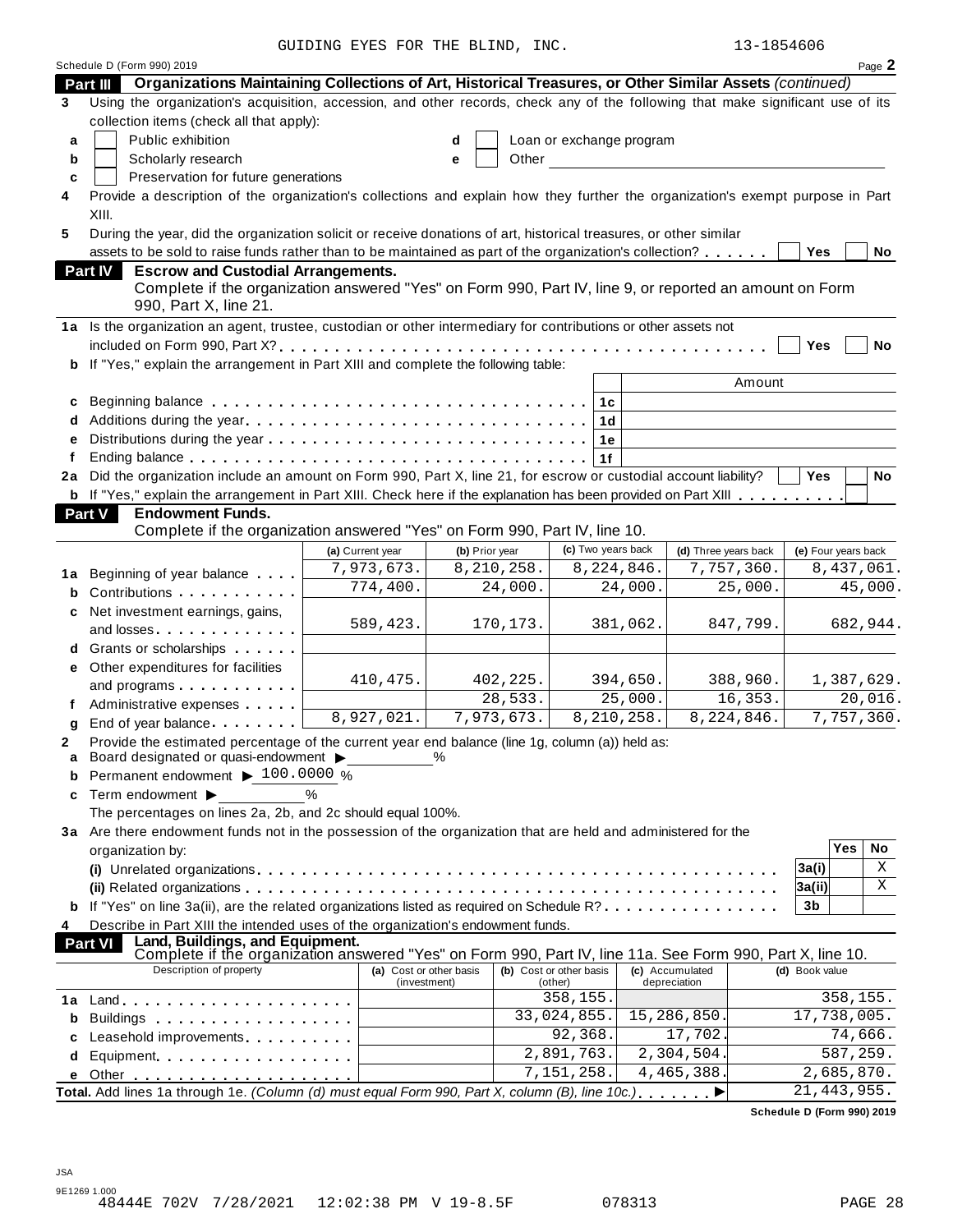GUIDING EYES FOR THE BLIND, INC. 13-1854606

|    |                                                                                                                                 | GUIDING EIES FOR THE BLIND, INC. |                                |                          |                 | TR-TR24000                         |                     |            |                       |
|----|---------------------------------------------------------------------------------------------------------------------------------|----------------------------------|--------------------------------|--------------------------|-----------------|------------------------------------|---------------------|------------|-----------------------|
|    | Schedule D (Form 990) 2019                                                                                                      |                                  |                                |                          |                 |                                    |                     |            | Page 2                |
|    | Organizations Maintaining Collections of Art, Historical Treasures, or Other Similar Assets (continued)<br>Part III             |                                  |                                |                          |                 |                                    |                     |            |                       |
| 3  | Using the organization's acquisition, accession, and other records, check any of the following that make significant use of its |                                  |                                |                          |                 |                                    |                     |            |                       |
|    | collection items (check all that apply):                                                                                        |                                  |                                |                          |                 |                                    |                     |            |                       |
| a  | Public exhibition                                                                                                               |                                  | d                              | Loan or exchange program |                 |                                    |                     |            |                       |
| b  | Scholarly research                                                                                                              |                                  | Other<br>e                     |                          |                 |                                    |                     |            |                       |
| c  | Preservation for future generations                                                                                             |                                  |                                |                          |                 |                                    |                     |            |                       |
| 4  | Provide a description of the organization's collections and explain how they further the organization's exempt purpose in Part  |                                  |                                |                          |                 |                                    |                     |            |                       |
|    | XIII.                                                                                                                           |                                  |                                |                          |                 |                                    |                     |            |                       |
| 5  | During the year, did the organization solicit or receive donations of art, historical treasures, or other similar               |                                  |                                |                          |                 |                                    |                     |            |                       |
|    | assets to be sold to raise funds rather than to be maintained as part of the organization's collection?                         |                                  |                                |                          |                 |                                    | <b>Yes</b>          |            | No                    |
|    | <b>Escrow and Custodial Arrangements.</b><br><b>Part IV</b>                                                                     |                                  |                                |                          |                 |                                    |                     |            |                       |
|    | Complete if the organization answered "Yes" on Form 990, Part IV, line 9, or reported an amount on Form                         |                                  |                                |                          |                 |                                    |                     |            |                       |
|    | 990, Part X, line 21.                                                                                                           |                                  |                                |                          |                 |                                    |                     |            |                       |
|    | 1a Is the organization an agent, trustee, custodian or other intermediary for contributions or other assets not                 |                                  |                                |                          |                 |                                    |                     |            |                       |
|    |                                                                                                                                 |                                  |                                |                          |                 |                                    | <b>Yes</b>          |            | <b>No</b>             |
|    | b If "Yes," explain the arrangement in Part XIII and complete the following table:                                              |                                  |                                |                          |                 |                                    |                     |            |                       |
|    |                                                                                                                                 |                                  |                                |                          |                 | Amount                             |                     |            |                       |
| c  |                                                                                                                                 |                                  |                                | 1c                       |                 |                                    |                     |            |                       |
|    |                                                                                                                                 |                                  |                                | 1 <sub>d</sub>           |                 |                                    |                     |            |                       |
|    |                                                                                                                                 |                                  |                                | 1е                       |                 |                                    |                     |            |                       |
|    |                                                                                                                                 |                                  |                                | 1f                       |                 |                                    |                     |            |                       |
| 2a | Did the organization include an amount on Form 990, Part X, line 21, for escrow or custodial account liability?                 |                                  |                                |                          |                 |                                    | Yes                 |            | <b>No</b>             |
|    | <b>b</b> If "Yes," explain the arrangement in Part XIII. Check here if the explanation has been provided on Part XIII           |                                  |                                |                          |                 |                                    |                     |            |                       |
|    | <b>Part V</b><br><b>Endowment Funds.</b>                                                                                        |                                  |                                |                          |                 |                                    |                     |            |                       |
|    | Complete if the organization answered "Yes" on Form 990, Part IV, line 10.                                                      |                                  |                                | (c) Two years back       |                 |                                    |                     |            |                       |
|    |                                                                                                                                 | (a) Current year<br>7,973,673.   | (b) Prior year<br>8, 210, 258. | 8,224,846.               |                 | (d) Three years back<br>7,757,360. | (e) Four years back |            |                       |
| 1a | Beginning of year balance                                                                                                       | 774,400.                         |                                |                          | 24,000.         | 25,000.                            |                     |            | 8,437,061.<br>45,000. |
|    | <b>b</b> Contributions                                                                                                          |                                  | 24,000.                        |                          |                 |                                    |                     |            |                       |
| c  | Net investment earnings, gains,                                                                                                 |                                  |                                |                          |                 |                                    |                     |            |                       |
|    | and losses                                                                                                                      | 589,423.                         | 170,173.                       |                          | 381,062.        | 847,799.                           |                     |            | 682,944.              |
|    | d Grants or scholarships                                                                                                        |                                  |                                |                          |                 |                                    |                     |            |                       |
|    | e Other expenditures for facilities                                                                                             | 410, 475.                        |                                |                          | 394,650.        |                                    |                     |            |                       |
|    | and programs                                                                                                                    |                                  | 402,225.                       |                          | 25,000.         | 388,960.<br>16,353.                |                     |            | 1,387,629.<br>20,016. |
| f  | Administrative expenses                                                                                                         | 8,927,021.                       | 28,533.<br>7,973,673.          | 8, 210, 258.             |                 | 8, 224, 846.                       |                     |            | 7,757,360.            |
| g  | End of year balance                                                                                                             |                                  |                                |                          |                 |                                    |                     |            |                       |
|    | Provide the estimated percentage of the current year end balance (line 1g, column (a)) held as:                                 |                                  |                                |                          |                 |                                    |                     |            |                       |
| a  | Board designated or quasi-endowment $\blacktriangleright$<br>Permanent endowment ▶ 100.0000 %                                   |                                  | $\%$                           |                          |                 |                                    |                     |            |                       |
|    |                                                                                                                                 |                                  |                                |                          |                 |                                    |                     |            |                       |
| c  | Term endowment $\blacktriangleright$                                                                                            |                                  |                                |                          |                 |                                    |                     |            |                       |
|    | The percentages on lines 2a, 2b, and 2c should equal 100%.                                                                      |                                  |                                |                          |                 |                                    |                     |            |                       |
|    | 3a Are there endowment funds not in the possession of the organization that are held and administered for the                   |                                  |                                |                          |                 |                                    |                     | <b>Yes</b> | No                    |
|    | organization by:                                                                                                                |                                  |                                |                          |                 |                                    |                     |            | Χ                     |
|    |                                                                                                                                 |                                  |                                |                          |                 |                                    | 3a(i)               |            | X                     |
|    |                                                                                                                                 |                                  |                                |                          |                 |                                    | 3a(ii)              |            |                       |
|    | <b>b</b> If "Yes" on line 3a(ii), are the related organizations listed as required on Schedule R?                               |                                  |                                |                          |                 |                                    | 3b                  |            |                       |
| 4  | Describe in Part XIII the intended uses of the organization's endowment funds.<br>Land, Buildings, and Equipment.               |                                  |                                |                          |                 |                                    |                     |            |                       |
|    | <b>Part VI</b><br>Complete if the organization answered "Yes" on Form 990, Part IV, line 11a. See Form 990, Part X, line 10.    |                                  |                                |                          |                 |                                    |                     |            |                       |
|    | Description of property                                                                                                         | (a) Cost or other basis          |                                | (b) Cost or other basis  | (c) Accumulated |                                    | (d) Book value      |            |                       |
|    |                                                                                                                                 | (investment)                     |                                | (other)<br>358,155.      | depreciation    |                                    |                     | 358,155.   |                       |
| 1a |                                                                                                                                 |                                  |                                | 33,024,855.              | 15,286,850.     |                                    | 17,738,005.         |            |                       |
| b  | Buildings                                                                                                                       |                                  |                                | 92,368.                  | 17,702.         |                                    |                     | 74,666.    |                       |
|    | Leasehold improvements [19]                                                                                                     |                                  |                                | 2,891,763.               | 2,304,504.      |                                    |                     | 587,259.   |                       |
| d  | Equipment                                                                                                                       |                                  |                                | 7,151,258.               | 4, 465, 388.    |                                    |                     | 2,685,870. |                       |
|    | Total. Add lines 1a through 1e. (Column (d) must equal Form 990, Part X, column (B), line 10c.)                                 |                                  |                                |                          |                 |                                    | 21, 443, 955.       |            |                       |
|    |                                                                                                                                 |                                  |                                |                          |                 |                                    |                     |            |                       |

**Schedule D (Form 990) 2019**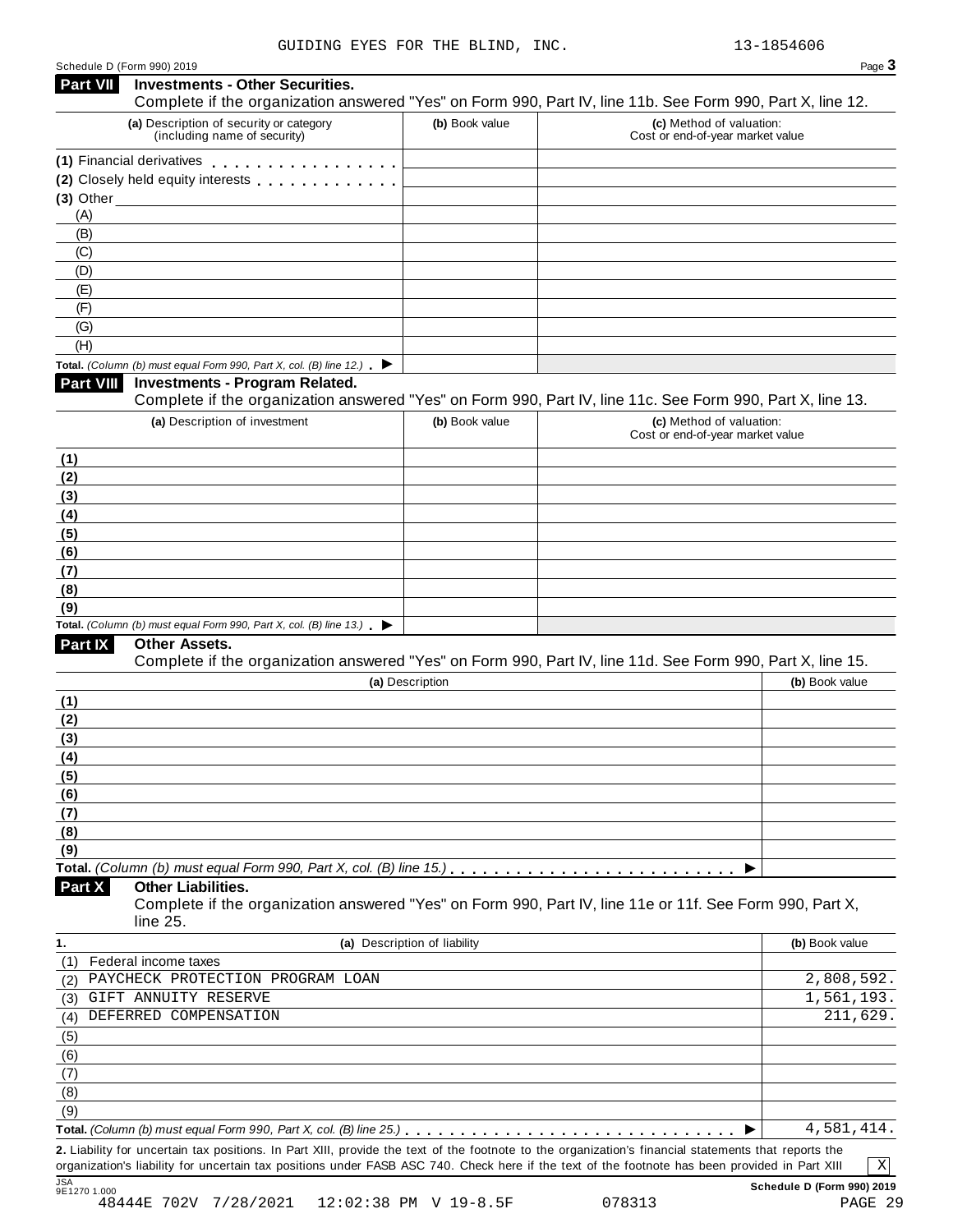| Schedule D (Form 990) 2019 |  |  |
|----------------------------|--|--|
|                            |  |  |

|                                                                                                                                      |                              | Page 3                                                                                                     |
|--------------------------------------------------------------------------------------------------------------------------------------|------------------------------|------------------------------------------------------------------------------------------------------------|
| <b>Part VII</b><br><b>Investments - Other Securities.</b>                                                                            |                              | Complete if the organization answered "Yes" on Form 990, Part IV, line 11b. See Form 990, Part X, line 12. |
| (a) Description of security or category<br>(including name of security)                                                              | (b) Book value               | (c) Method of valuation:<br>Cost or end-of-year market value                                               |
| (1) Financial derivatives                                                                                                            |                              |                                                                                                            |
| (2) Closely held equity interests [1] [1] Closely held equity interests                                                              |                              |                                                                                                            |
| $(3)$ Other $(3)$                                                                                                                    |                              |                                                                                                            |
| (A)                                                                                                                                  |                              |                                                                                                            |
| (B)                                                                                                                                  |                              |                                                                                                            |
| (C)                                                                                                                                  |                              |                                                                                                            |
| (D)                                                                                                                                  |                              |                                                                                                            |
| (E)                                                                                                                                  |                              |                                                                                                            |
| (F)                                                                                                                                  |                              |                                                                                                            |
| (G)                                                                                                                                  |                              |                                                                                                            |
| (H)                                                                                                                                  |                              |                                                                                                            |
| Total. (Column (b) must equal Form 990, Part X, col. (B) line 12.) $\blacktriangleright$                                             |                              |                                                                                                            |
| <b>Part VIII</b><br><b>Investments - Program Related.</b>                                                                            |                              | Complete if the organization answered "Yes" on Form 990, Part IV, line 11c. See Form 990, Part X, line 13. |
| (a) Description of investment                                                                                                        | (b) Book value               | (c) Method of valuation:                                                                                   |
|                                                                                                                                      |                              | Cost or end-of-year market value                                                                           |
| (1)                                                                                                                                  |                              |                                                                                                            |
| (2)                                                                                                                                  |                              |                                                                                                            |
| (3)                                                                                                                                  |                              |                                                                                                            |
| (4)                                                                                                                                  |                              |                                                                                                            |
| (5)                                                                                                                                  |                              |                                                                                                            |
| (6)                                                                                                                                  |                              |                                                                                                            |
| (7)                                                                                                                                  |                              |                                                                                                            |
| (8)                                                                                                                                  |                              |                                                                                                            |
| (9)                                                                                                                                  |                              |                                                                                                            |
| Total. (Column (b) must equal Form 990, Part X, col. (B) line 13.) $\blacktriangleright$<br>Part IX<br>Other Assets.                 |                              |                                                                                                            |
|                                                                                                                                      |                              | Complete if the organization answered "Yes" on Form 990, Part IV, line 11d. See Form 990, Part X, line 15. |
|                                                                                                                                      |                              |                                                                                                            |
|                                                                                                                                      |                              |                                                                                                            |
|                                                                                                                                      | (a) Description              | (b) Book value                                                                                             |
|                                                                                                                                      |                              |                                                                                                            |
|                                                                                                                                      |                              |                                                                                                            |
|                                                                                                                                      |                              |                                                                                                            |
|                                                                                                                                      |                              |                                                                                                            |
|                                                                                                                                      |                              |                                                                                                            |
|                                                                                                                                      |                              |                                                                                                            |
|                                                                                                                                      |                              |                                                                                                            |
|                                                                                                                                      |                              |                                                                                                            |
|                                                                                                                                      |                              |                                                                                                            |
|                                                                                                                                      |                              | ▶                                                                                                          |
| <b>Other Liabilities.</b><br>line 25.                                                                                                |                              | Complete if the organization answered "Yes" on Form 990, Part IV, line 11e or 11f. See Form 990, Part X,   |
|                                                                                                                                      | (a) Description of liability | (b) Book value                                                                                             |
| Federal income taxes                                                                                                                 |                              |                                                                                                            |
| PAYCHECK PROTECTION PROGRAM LOAN                                                                                                     |                              |                                                                                                            |
| GIFT ANNUITY RESERVE                                                                                                                 |                              |                                                                                                            |
| DEFERRED COMPENSATION                                                                                                                |                              |                                                                                                            |
|                                                                                                                                      |                              |                                                                                                            |
|                                                                                                                                      |                              |                                                                                                            |
|                                                                                                                                      |                              |                                                                                                            |
|                                                                                                                                      |                              |                                                                                                            |
|                                                                                                                                      |                              | 2,808,592.<br>1,561,193.<br>211,629.                                                                       |
| (1)<br>(2)<br>(3)<br>(4)<br>(5)<br>(6)<br>(7)<br>(8)<br>(9)<br>Part X<br>(1)<br>(2)<br>(3)<br>(4)<br>(5)<br>(6)<br>(7)<br>(8)<br>(9) |                              | 4,581,414.                                                                                                 |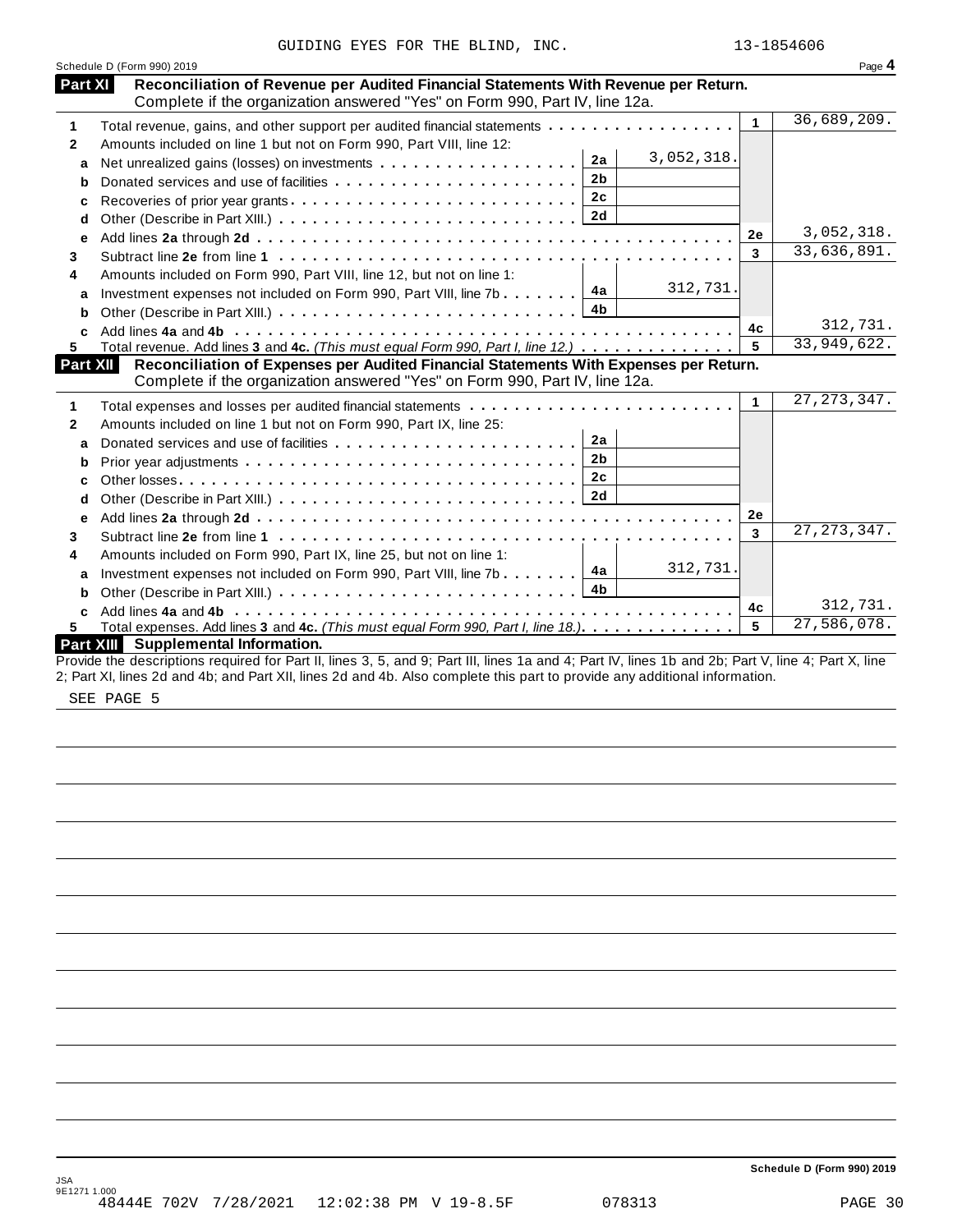| GUIDING EYES FOR THE BLIND, INC |  |  |  |  |  |
|---------------------------------|--|--|--|--|--|
|---------------------------------|--|--|--|--|--|

|              | Schedule D (Form 990) 2019                                                                                                                              |                |            |              | Page 4        |
|--------------|---------------------------------------------------------------------------------------------------------------------------------------------------------|----------------|------------|--------------|---------------|
| Part XI      | Reconciliation of Revenue per Audited Financial Statements With Revenue per Return.                                                                     |                |            |              |               |
| 1            | Complete if the organization answered "Yes" on Form 990, Part IV, line 12a.<br>Total revenue, gains, and other support per audited financial statements |                |            | $\mathbf{1}$ | 36,689,209.   |
| $\mathbf{2}$ | Amounts included on line 1 but not on Form 990, Part VIII, line 12:                                                                                     |                |            |              |               |
|              |                                                                                                                                                         | 2a             | 3,052,318. |              |               |
| a            | Net unrealized gains (losses) on investments                                                                                                            | 2 <sub>b</sub> |            |              |               |
| b            |                                                                                                                                                         | 2c             |            |              |               |
| c            | Recoveries of prior year grants                                                                                                                         |                |            |              |               |
| d            |                                                                                                                                                         |                |            |              | 3,052,318.    |
| e            |                                                                                                                                                         |                |            | 2e<br>3      | 33,636,891.   |
| 3.           |                                                                                                                                                         |                |            |              |               |
| 4            | Amounts included on Form 990, Part VIII, line 12, but not on line 1:                                                                                    |                | 312,731.   |              |               |
| a            | Investment expenses not included on Form 990, Part VIII, line 7b $\boxed{4a}$                                                                           |                |            |              |               |
| b            |                                                                                                                                                         | 4 <sub>b</sub> |            |              |               |
| c            |                                                                                                                                                         |                |            | 4c           | 312,731.      |
| 5.           | Total revenue. Add lines 3 and 4c. (This must equal Form 990, Part I, line 12.)                                                                         |                |            | 5            | 33,949,622.   |
| Part XII     | Reconciliation of Expenses per Audited Financial Statements With Expenses per Return.                                                                   |                |            |              |               |
|              | Complete if the organization answered "Yes" on Form 990, Part IV, line 12a.                                                                             |                |            |              |               |
| 1            |                                                                                                                                                         |                |            | 1            | 27, 273, 347. |
| 2            | Amounts included on line 1 but not on Form 990, Part IX, line 25:                                                                                       |                |            |              |               |
| a            |                                                                                                                                                         | 2a             |            |              |               |
| b            |                                                                                                                                                         | 2 <sub>b</sub> |            |              |               |
| C            |                                                                                                                                                         | 2c             |            |              |               |
| d            |                                                                                                                                                         |                |            |              |               |
| e            |                                                                                                                                                         |                |            | 2e           |               |
| 3            |                                                                                                                                                         |                |            | 3            | 27, 273, 347. |
| 4            | Amounts included on Form 990, Part IX, line 25, but not on line 1:                                                                                      |                |            |              |               |
| a            | Investment expenses not included on Form 990, Part VIII, line 7b                                                                                        | 4a             | 312,731.   |              |               |
| b            |                                                                                                                                                         |                |            |              |               |
| c            |                                                                                                                                                         |                |            | 4c           | 312,731.      |
| 5.           | Total expenses. Add lines 3 and 4c. (This must equal Form 990, Part I, line 18.).                                                                       |                |            | 5            | 27,586,078.   |
|              | Part XIII Supplemental Information.                                                                                                                     |                |            |              |               |
|              | Provide the descriptions required for Part II, lines 3, 5, and 9; Part III, lines 1a and 4; Part IV, lines 1b and 2b; Part V, line 4; Part X, line      |                |            |              |               |

2; Part XI, lines 2d and 4b; and Part XII, lines 2d and 4b. Also complete this part to provide any additional information.

SEE PAGE 5

**Schedule D (Form 990) 2019**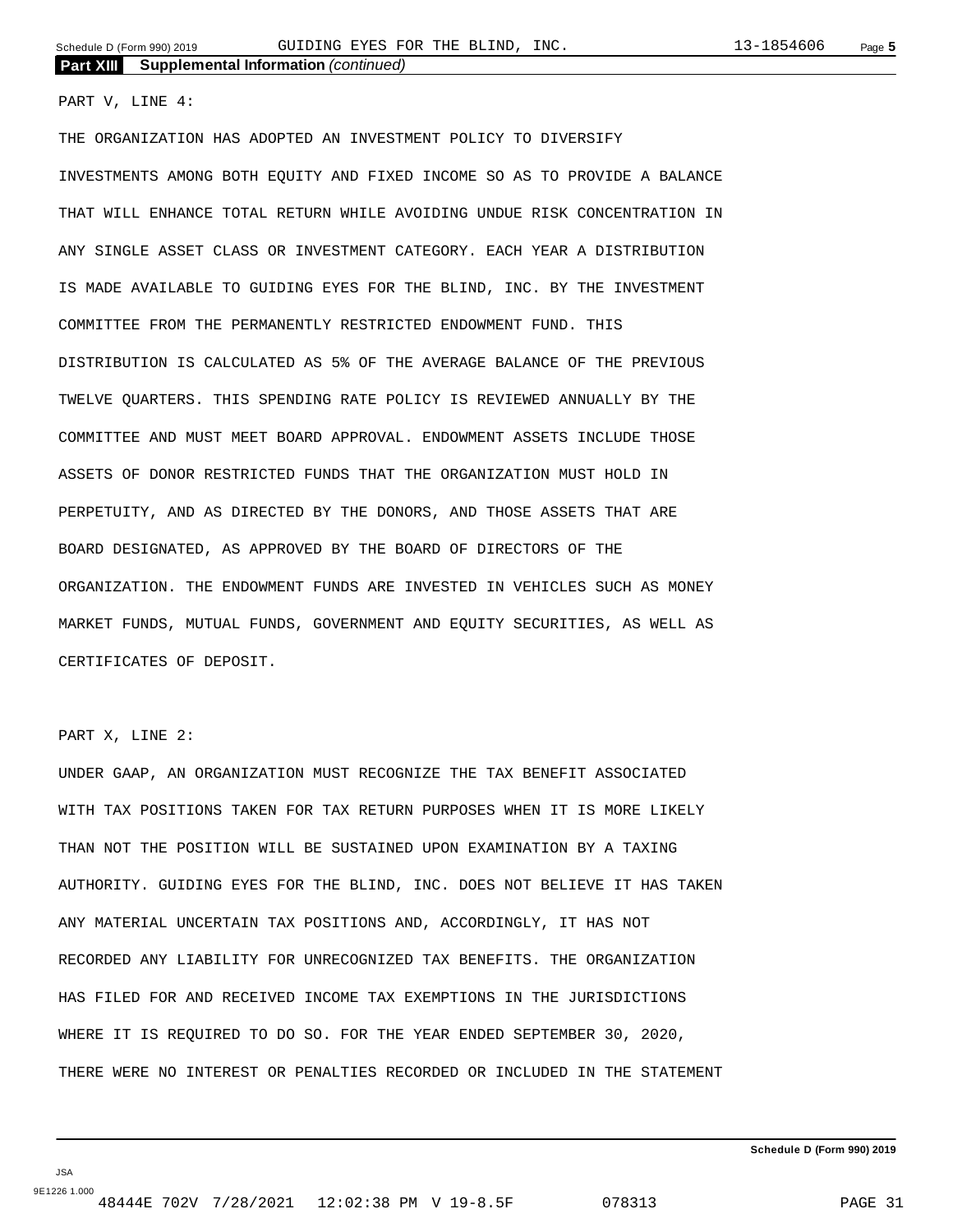#### PART V, LINE 4:

THE ORGANIZATION HAS ADOPTED AN INVESTMENT POLICY TO DIVERSIFY INVESTMENTS AMONG BOTH EQUITY AND FIXED INCOME SO AS TO PROVIDE A BALANCE THAT WILL ENHANCE TOTAL RETURN WHILE AVOIDING UNDUE RISK CONCENTRATION IN ANY SINGLE ASSET CLASS OR INVESTMENT CATEGORY. EACH YEAR A DISTRIBUTION IS MADE AVAILABLE TO GUIDING EYES FOR THE BLIND, INC. BY THE INVESTMENT COMMITTEE FROM THE PERMANENTLY RESTRICTED ENDOWMENT FUND. THIS DISTRIBUTION IS CALCULATED AS 5% OF THE AVERAGE BALANCE OF THE PREVIOUS TWELVE QUARTERS. THIS SPENDING RATE POLICY IS REVIEWED ANNUALLY BY THE COMMITTEE AND MUST MEET BOARD APPROVAL. ENDOWMENT ASSETS INCLUDE THOSE ASSETS OF DONOR RESTRICTED FUNDS THAT THE ORGANIZATION MUST HOLD IN PERPETUITY, AND AS DIRECTED BY THE DONORS, AND THOSE ASSETS THAT ARE BOARD DESIGNATED, AS APPROVED BY THE BOARD OF DIRECTORS OF THE ORGANIZATION. THE ENDOWMENT FUNDS ARE INVESTED IN VEHICLES SUCH AS MONEY MARKET FUNDS, MUTUAL FUNDS, GOVERNMENT AND EQUITY SECURITIES, AS WELL AS CERTIFICATES OF DEPOSIT.

#### PART X, LINE 2:

JSA

UNDER GAAP, AN ORGANIZATION MUST RECOGNIZE THE TAX BENEFIT ASSOCIATED WITH TAX POSITIONS TAKEN FOR TAX RETURN PURPOSES WHEN IT IS MORE LIKELY THAN NOT THE POSITION WILL BE SUSTAINED UPON EXAMINATION BY A TAXING AUTHORITY. GUIDING EYES FOR THE BLIND, INC. DOES NOT BELIEVE IT HAS TAKEN ANY MATERIAL UNCERTAIN TAX POSITIONS AND, ACCORDINGLY, IT HAS NOT RECORDED ANY LIABILITY FOR UNRECOGNIZED TAX BENEFITS. THE ORGANIZATION HAS FILED FOR AND RECEIVED INCOME TAX EXEMPTIONS IN THE JURISDICTIONS WHERE IT IS REQUIRED TO DO SO. FOR THE YEAR ENDED SEPTEMBER 30, 2020, THERE WERE NO INTEREST OR PENALTIES RECORDED OR INCLUDED IN THE STATEMENT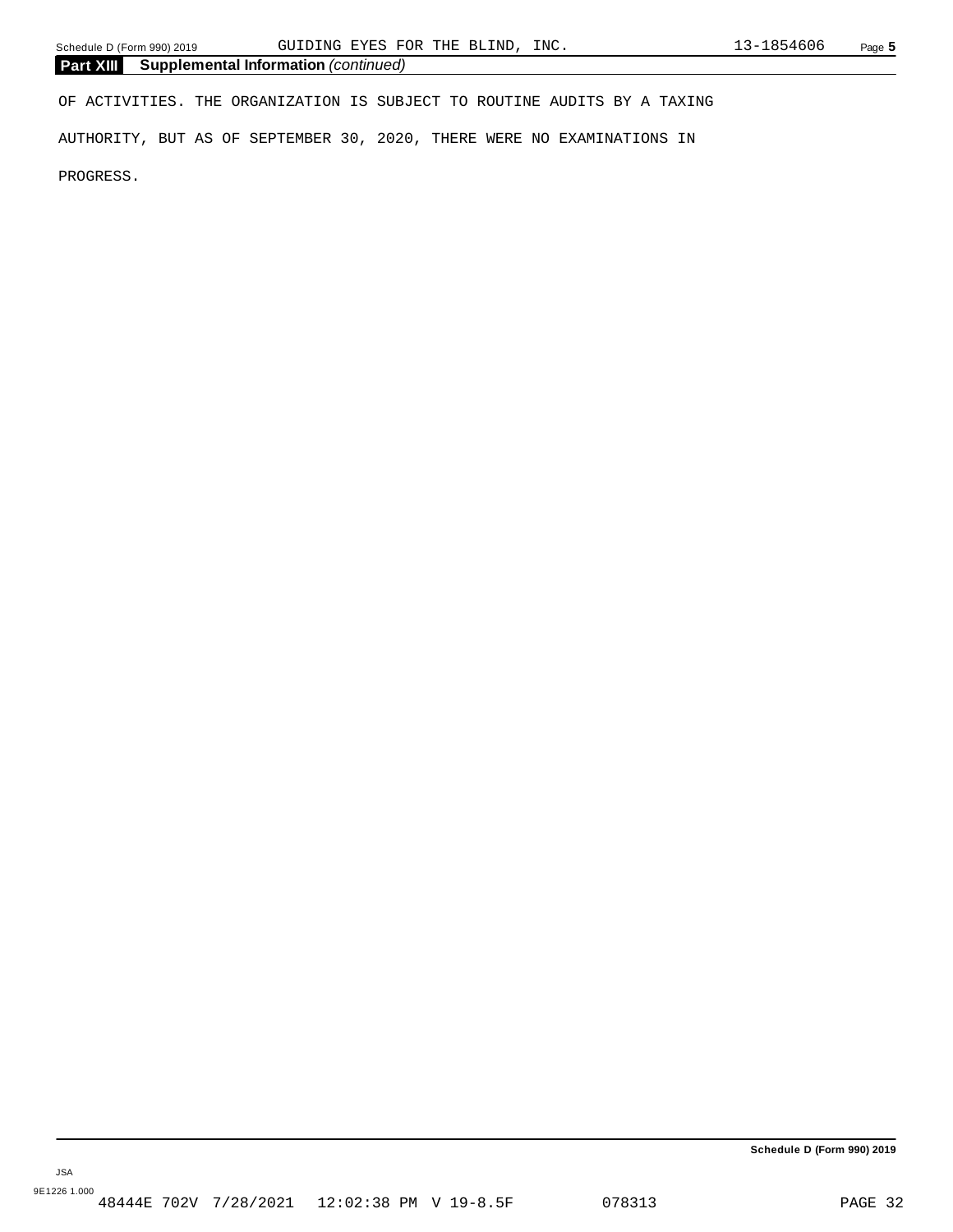|  | <b>Part XIII</b> Supplemental Information (continued)                    |  |  |  |  |
|--|--------------------------------------------------------------------------|--|--|--|--|
|  |                                                                          |  |  |  |  |
|  | OF ACTIVITIES. THE ORGANIZATION IS SUBJECT TO ROUTINE AUDITS BY A TAXING |  |  |  |  |
|  | AUTHORITY, BUT AS OF SEPTEMBER 30, 2020, THERE WERE NO EXAMINATIONS IN   |  |  |  |  |

PROGRESS.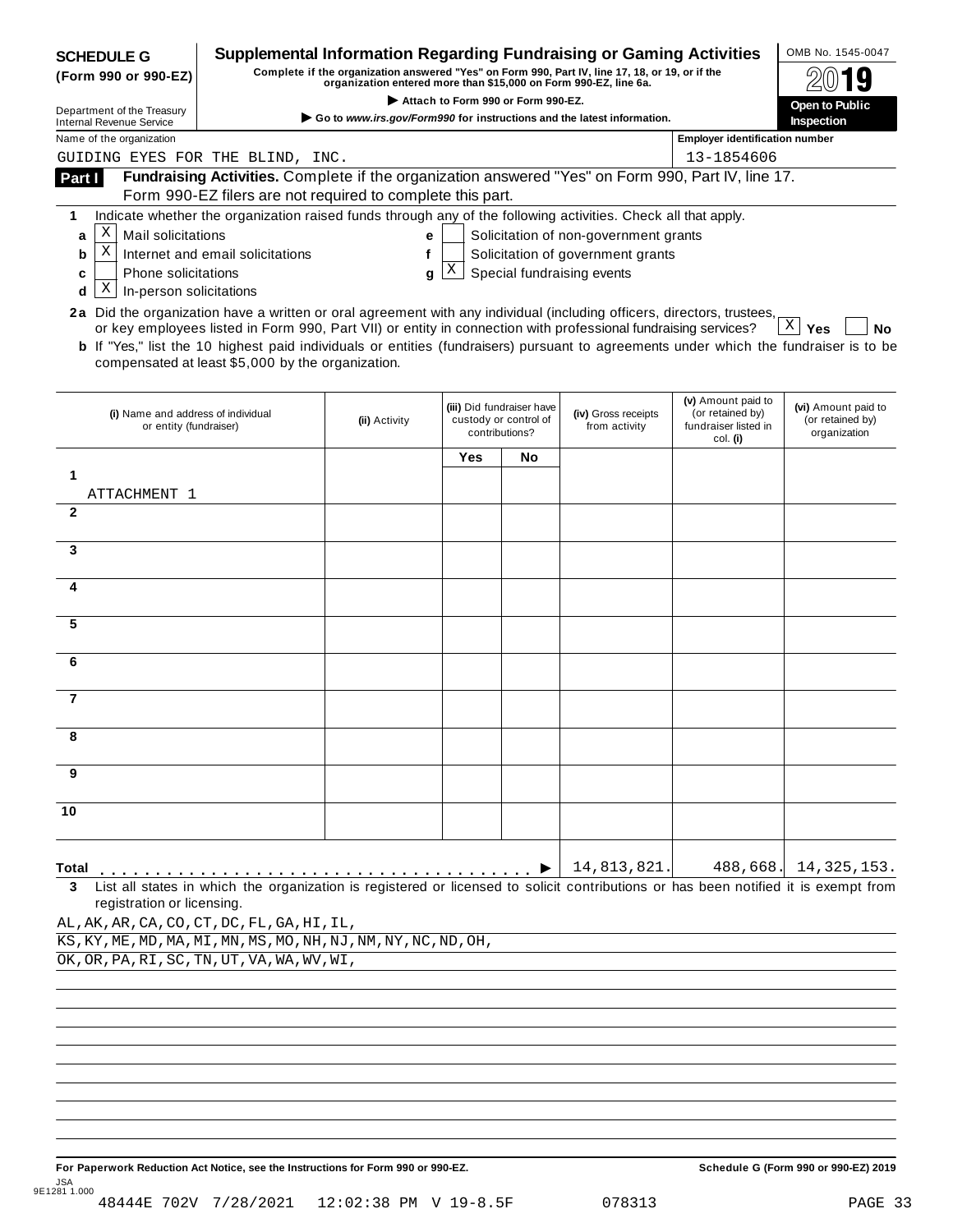| <b>SCHEDULE G</b><br>(Form 990 or 990-EZ)                                                                              |                                                                                                                                                                                                   | Supplemental Information Regarding Fundraising or Gaming Activities<br>Complete if the organization answered "Yes" on Form 990, Part IV, line 17, 18, or 19, or if the<br>organization entered more than \$15,000 on Form 990-EZ, line 6a. |                                    |                                                                      |                                       |                                                                            | OMB No. 1545-0047                                       |
|------------------------------------------------------------------------------------------------------------------------|---------------------------------------------------------------------------------------------------------------------------------------------------------------------------------------------------|--------------------------------------------------------------------------------------------------------------------------------------------------------------------------------------------------------------------------------------------|------------------------------------|----------------------------------------------------------------------|---------------------------------------|----------------------------------------------------------------------------|---------------------------------------------------------|
| Department of the Treasury                                                                                             |                                                                                                                                                                                                   | Go to www.irs.gov/Form990 for instructions and the latest information.                                                                                                                                                                     | Attach to Form 990 or Form 990-EZ. |                                                                      |                                       |                                                                            | Open to Public                                          |
| <b>Internal Revenue Service</b><br>Name of the organization                                                            |                                                                                                                                                                                                   |                                                                                                                                                                                                                                            |                                    |                                                                      |                                       | <b>Employer identification number</b>                                      | Inspection                                              |
| GUIDING EYES FOR THE BLIND, INC.                                                                                       |                                                                                                                                                                                                   |                                                                                                                                                                                                                                            |                                    |                                                                      |                                       | 13-1854606                                                                 |                                                         |
| Part I                                                                                                                 | Fundraising Activities. Complete if the organization answered "Yes" on Form 990, Part IV, line 17.                                                                                                |                                                                                                                                                                                                                                            |                                    |                                                                      |                                       |                                                                            |                                                         |
|                                                                                                                        | Form 990-EZ filers are not required to complete this part.                                                                                                                                        |                                                                                                                                                                                                                                            |                                    |                                                                      |                                       |                                                                            |                                                         |
| 1<br>Χ<br>Mail solicitations<br>a                                                                                      | Indicate whether the organization raised funds through any of the following activities. Check all that apply.                                                                                     | е                                                                                                                                                                                                                                          |                                    |                                                                      | Solicitation of non-government grants |                                                                            |                                                         |
| Χ<br>b                                                                                                                 | Internet and email solicitations                                                                                                                                                                  | f                                                                                                                                                                                                                                          |                                    |                                                                      | Solicitation of government grants     |                                                                            |                                                         |
| Phone solicitations<br>c                                                                                               |                                                                                                                                                                                                   | q                                                                                                                                                                                                                                          | X                                  |                                                                      | Special fundraising events            |                                                                            |                                                         |
| Χ<br>In-person solicitations<br>d                                                                                      |                                                                                                                                                                                                   |                                                                                                                                                                                                                                            |                                    |                                                                      |                                       |                                                                            |                                                         |
| 2a Did the organization have a written or oral agreement with any individual (including officers, directors, trustees, | or key employees listed in Form 990, Part VII) or entity in connection with professional fundraising services?                                                                                    |                                                                                                                                                                                                                                            |                                    |                                                                      |                                       |                                                                            | Χ<br>No<br><b>Yes</b>                                   |
|                                                                                                                        | <b>b</b> If "Yes," list the 10 highest paid individuals or entities (fundraisers) pursuant to agreements under which the fundraiser is to be<br>compensated at least \$5,000 by the organization. |                                                                                                                                                                                                                                            |                                    |                                                                      |                                       |                                                                            |                                                         |
| (i) Name and address of individual<br>or entity (fundraiser)                                                           |                                                                                                                                                                                                   | (ii) Activity                                                                                                                                                                                                                              |                                    | (iii) Did fundraiser have<br>custody or control of<br>contributions? | (iv) Gross receipts<br>from activity  | (v) Amount paid to<br>(or retained by)<br>fundraiser listed in<br>col. (i) | (vi) Amount paid to<br>(or retained by)<br>organization |
|                                                                                                                        |                                                                                                                                                                                                   |                                                                                                                                                                                                                                            | Yes                                | No                                                                   |                                       |                                                                            |                                                         |
| 1                                                                                                                      |                                                                                                                                                                                                   |                                                                                                                                                                                                                                            |                                    |                                                                      |                                       |                                                                            |                                                         |
| ATTACHMENT 1<br>$\mathbf{2}$                                                                                           |                                                                                                                                                                                                   |                                                                                                                                                                                                                                            |                                    |                                                                      |                                       |                                                                            |                                                         |
|                                                                                                                        |                                                                                                                                                                                                   |                                                                                                                                                                                                                                            |                                    |                                                                      |                                       |                                                                            |                                                         |
| 3                                                                                                                      |                                                                                                                                                                                                   |                                                                                                                                                                                                                                            |                                    |                                                                      |                                       |                                                                            |                                                         |
| 4                                                                                                                      |                                                                                                                                                                                                   |                                                                                                                                                                                                                                            |                                    |                                                                      |                                       |                                                                            |                                                         |
| 5                                                                                                                      |                                                                                                                                                                                                   |                                                                                                                                                                                                                                            |                                    |                                                                      |                                       |                                                                            |                                                         |
| 6                                                                                                                      |                                                                                                                                                                                                   |                                                                                                                                                                                                                                            |                                    |                                                                      |                                       |                                                                            |                                                         |
| 7                                                                                                                      |                                                                                                                                                                                                   |                                                                                                                                                                                                                                            |                                    |                                                                      |                                       |                                                                            |                                                         |
| 8                                                                                                                      |                                                                                                                                                                                                   |                                                                                                                                                                                                                                            |                                    |                                                                      |                                       |                                                                            |                                                         |
| 9                                                                                                                      |                                                                                                                                                                                                   |                                                                                                                                                                                                                                            |                                    |                                                                      |                                       |                                                                            |                                                         |
| 10                                                                                                                     |                                                                                                                                                                                                   |                                                                                                                                                                                                                                            |                                    |                                                                      |                                       |                                                                            |                                                         |
| Total                                                                                                                  |                                                                                                                                                                                                   |                                                                                                                                                                                                                                            |                                    |                                                                      | 14,813,821.                           |                                                                            | 488,668. 14,325,153.                                    |
| 3<br>registration or licensing.                                                                                        | List all states in which the organization is registered or licensed to solicit contributions or has been notified it is exempt from                                                               |                                                                                                                                                                                                                                            |                                    |                                                                      |                                       |                                                                            |                                                         |
| AL, AK, AR, CA, CO, CT, DC, FL, GA, HI, IL,<br>KS, KY, ME, MD, MA, MI, MN, MS, MO, NH, NJ, NM, NY, NC, ND, OH,         |                                                                                                                                                                                                   |                                                                                                                                                                                                                                            |                                    |                                                                      |                                       |                                                                            |                                                         |
| OK, OR, PA, RI, SC, TN, UT, VA, WA, WV, WI,                                                                            |                                                                                                                                                                                                   |                                                                                                                                                                                                                                            |                                    |                                                                      |                                       |                                                                            |                                                         |
|                                                                                                                        |                                                                                                                                                                                                   |                                                                                                                                                                                                                                            |                                    |                                                                      |                                       |                                                                            |                                                         |
|                                                                                                                        |                                                                                                                                                                                                   |                                                                                                                                                                                                                                            |                                    |                                                                      |                                       |                                                                            |                                                         |
|                                                                                                                        |                                                                                                                                                                                                   |                                                                                                                                                                                                                                            |                                    |                                                                      |                                       |                                                                            |                                                         |
|                                                                                                                        |                                                                                                                                                                                                   |                                                                                                                                                                                                                                            |                                    |                                                                      |                                       |                                                                            |                                                         |
|                                                                                                                        |                                                                                                                                                                                                   |                                                                                                                                                                                                                                            |                                    |                                                                      |                                       |                                                                            |                                                         |
|                                                                                                                        |                                                                                                                                                                                                   |                                                                                                                                                                                                                                            |                                    |                                                                      |                                       |                                                                            |                                                         |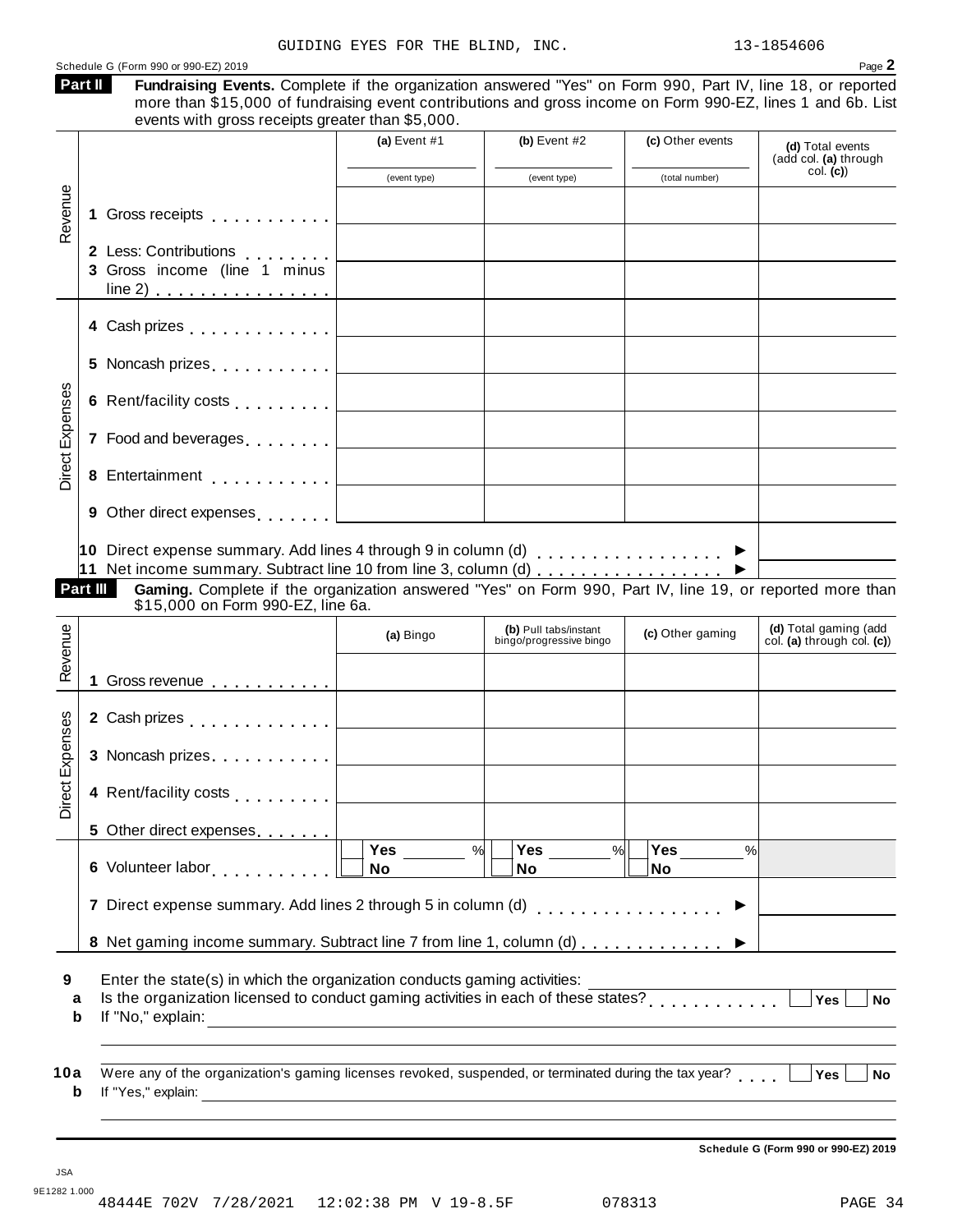|                                          | more than \$15,000 of fundraising event contributions and gross income on Form 990-EZ, lines 1 and 6b. List<br>events with gross receipts greater than \$5,000.                                                                      |                |                                                  | Fundraising Events. Complete if the organization answered "Yes" on Form 990, Part IV, line 18, or reported |                                                                                                                                                                 |
|------------------------------------------|--------------------------------------------------------------------------------------------------------------------------------------------------------------------------------------------------------------------------------------|----------------|--------------------------------------------------|------------------------------------------------------------------------------------------------------------|-----------------------------------------------------------------------------------------------------------------------------------------------------------------|
|                                          |                                                                                                                                                                                                                                      | (a) Event $#1$ | (b) Event $#2$                                   | (c) Other events                                                                                           | (d) Total events<br>(add col. (a) through                                                                                                                       |
|                                          |                                                                                                                                                                                                                                      | (event type)   | (event type)                                     | (total number)                                                                                             | col. (c)                                                                                                                                                        |
| Revenue                                  | Gross receipts<br>1.                                                                                                                                                                                                                 |                |                                                  |                                                                                                            |                                                                                                                                                                 |
|                                          |                                                                                                                                                                                                                                      |                |                                                  |                                                                                                            |                                                                                                                                                                 |
|                                          |                                                                                                                                                                                                                                      |                |                                                  |                                                                                                            |                                                                                                                                                                 |
|                                          | 3 Gross income (line 1 minus<br><u>line 2)</u>                                                                                                                                                                                       |                |                                                  |                                                                                                            |                                                                                                                                                                 |
|                                          |                                                                                                                                                                                                                                      |                |                                                  |                                                                                                            |                                                                                                                                                                 |
|                                          | 4 Cash prizes <u>  _ _ _ _ _ _ _ _ _ _ _ _ _ _ _</u>                                                                                                                                                                                 |                |                                                  |                                                                                                            |                                                                                                                                                                 |
|                                          |                                                                                                                                                                                                                                      |                |                                                  |                                                                                                            |                                                                                                                                                                 |
| Direct Expenses                          |                                                                                                                                                                                                                                      |                |                                                  |                                                                                                            |                                                                                                                                                                 |
|                                          | 7 Food and beverages equal to the set of the set of the set of the set of the set of the set of the set of the                                                                                                                       |                |                                                  |                                                                                                            |                                                                                                                                                                 |
|                                          |                                                                                                                                                                                                                                      |                |                                                  |                                                                                                            |                                                                                                                                                                 |
|                                          | 8 Entertainment <u>  _ _ _ _ _ _ _ _ _ _ _ _ _ _ _ _ _ _</u>                                                                                                                                                                         |                |                                                  |                                                                                                            |                                                                                                                                                                 |
|                                          | 9 Other direct expenses $\begin{array}{ccc} \hline \end{array}$ $\begin{array}{ccc} \hline \end{array}$                                                                                                                              |                |                                                  |                                                                                                            |                                                                                                                                                                 |
|                                          |                                                                                                                                                                                                                                      |                |                                                  |                                                                                                            |                                                                                                                                                                 |
|                                          | 10 Direct expense summary. Add lines 4 through 9 in column (d) $\ldots$ $\blacktriangleright$<br>11 Net income summary. Subtract line 10 from line 3, column (d) ________________                                                    |                |                                                  |                                                                                                            |                                                                                                                                                                 |
|                                          | Part III                                                                                                                                                                                                                             |                |                                                  |                                                                                                            |                                                                                                                                                                 |
|                                          |                                                                                                                                                                                                                                      |                |                                                  |                                                                                                            |                                                                                                                                                                 |
|                                          | \$15,000 on Form 990-EZ, line 6a.                                                                                                                                                                                                    |                |                                                  |                                                                                                            |                                                                                                                                                                 |
|                                          |                                                                                                                                                                                                                                      | (a) Bingo      | (b) Pull tabs/instant<br>bingo/progressive bingo | (c) Other gaming                                                                                           |                                                                                                                                                                 |
|                                          |                                                                                                                                                                                                                                      |                |                                                  |                                                                                                            |                                                                                                                                                                 |
|                                          | 1 Gross revenue <b>contracts</b> contains the contracts of the contracts of the contracts of the contracts of the contracts of the contracts of the contracts of the contracts of the contracts of the contracts of the contracts o  |                |                                                  |                                                                                                            |                                                                                                                                                                 |
|                                          | 2 Cash prizes <b>contained 2</b> Cash prizes                                                                                                                                                                                         |                |                                                  |                                                                                                            |                                                                                                                                                                 |
|                                          |                                                                                                                                                                                                                                      |                |                                                  |                                                                                                            |                                                                                                                                                                 |
|                                          | 3 Noncash prizes                                                                                                                                                                                                                     |                |                                                  |                                                                                                            |                                                                                                                                                                 |
|                                          | 4 Rent/facility costs [                                                                                                                                                                                                              |                |                                                  |                                                                                                            | Gaming. Complete if the organization answered "Yes" on Form 990, Part IV, line 19, or reported more than<br>(d) Total gaming (add<br>col. (a) through col. (c)) |
|                                          | 5 Other direct expenses [10001]                                                                                                                                                                                                      |                |                                                  |                                                                                                            |                                                                                                                                                                 |
|                                          |                                                                                                                                                                                                                                      | Yes            | $\sqrt{2}$<br>$Yes$ and $Xes$<br>$\frac{9}{6}$   | Yes<br>%                                                                                                   |                                                                                                                                                                 |
|                                          | 6 Volunteer labor<br>subsets a series of the series of the series of the series of the series of the series of the series of the series of the series of the series of the series of the series of the series of the series of t     | <b>No</b>      | <b>No</b>                                        | <b>No</b>                                                                                                  |                                                                                                                                                                 |
|                                          | 7 Direct expense summary. Add lines 2 through 5 in column (d)                                                                                                                                                                        |                |                                                  |                                                                                                            |                                                                                                                                                                 |
|                                          |                                                                                                                                                                                                                                      |                |                                                  |                                                                                                            |                                                                                                                                                                 |
|                                          | 8 Net gaming income summary. Subtract line 7 from line 1, column (d)  ▶                                                                                                                                                              |                |                                                  |                                                                                                            |                                                                                                                                                                 |
|                                          | Enter the state(s) in which the organization conducts gaming activities:                                                                                                                                                             |                |                                                  |                                                                                                            |                                                                                                                                                                 |
| a                                        | Einer the state(s) in which the organization conducts gaming activities.<br>Is the organization licensed to conduct gaming activities in each of these states?                                                                       |                |                                                  |                                                                                                            | $\overline{Yes}$                                                                                                                                                |
| Revenue<br>penses<br>Direct Ex<br>9<br>b | If "No," explain: <u>contract the contract of the contract of the contract of the contract of the contract of the contract of the contract of the contract of the contract of the contract of the contract of the contract of th</u> |                |                                                  |                                                                                                            | <b>No</b>                                                                                                                                                       |
|                                          |                                                                                                                                                                                                                                      |                |                                                  |                                                                                                            |                                                                                                                                                                 |
| 10a<br>b                                 | Were any of the organization's gaming licenses revoked, suspended, or terminated during the tax year?                                                                                                                                |                |                                                  |                                                                                                            | Yes<br><b>No</b>                                                                                                                                                |

**Schedule G (Form 990 or 990-EZ) 2019**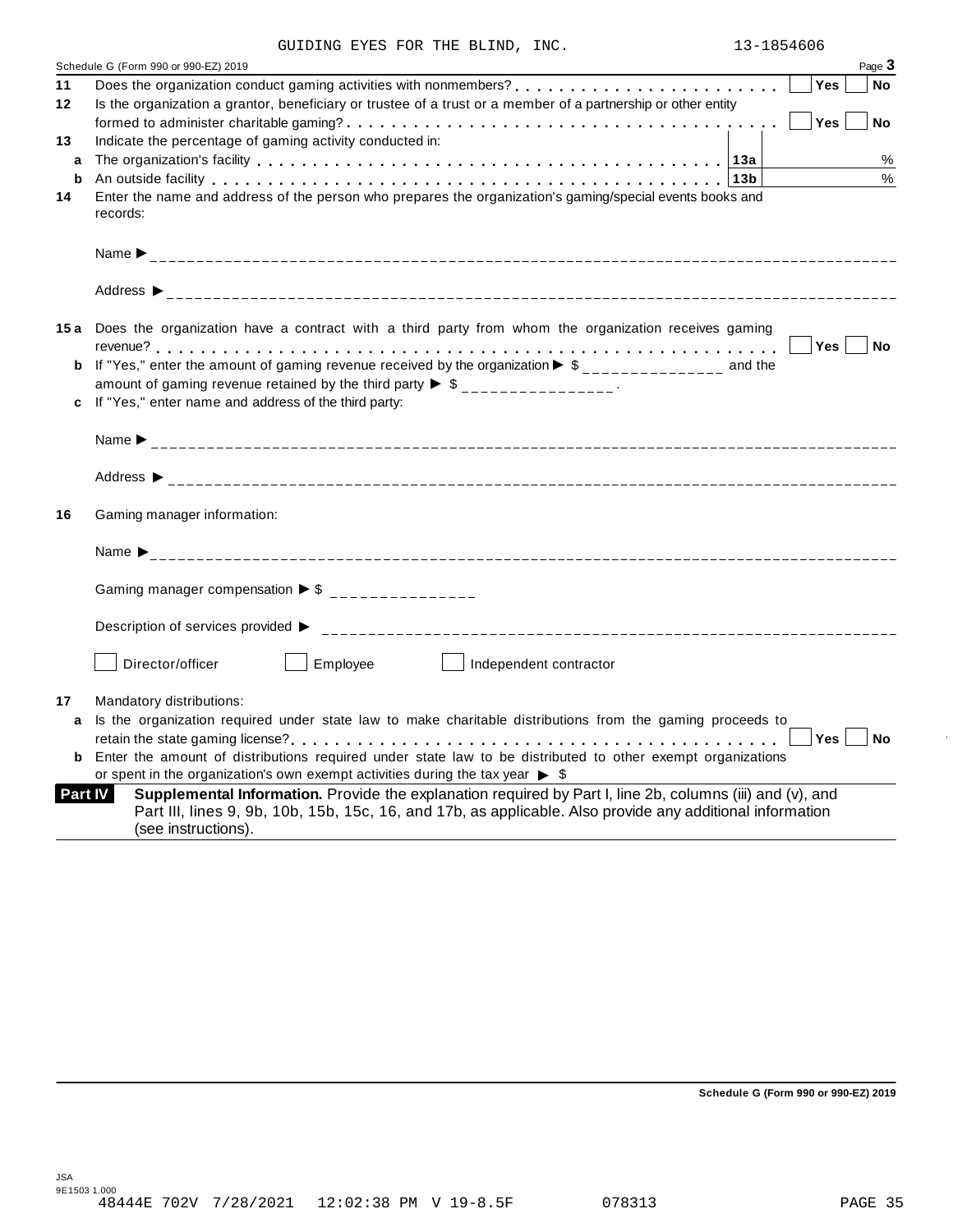| GUIDING EYES FOR THE BLIND, INC. |  |  |  |  |  |  |
|----------------------------------|--|--|--|--|--|--|
|----------------------------------|--|--|--|--|--|--|

|    | GUIDING EYES FOR THE BLIND, INC.<br>13-1854606                                                                                                                                                                                                           |
|----|----------------------------------------------------------------------------------------------------------------------------------------------------------------------------------------------------------------------------------------------------------|
|    | Page 3<br>Schedule G (Form 990 or 990-EZ) 2019                                                                                                                                                                                                           |
| 11 | Yes<br><b>No</b>                                                                                                                                                                                                                                         |
| 12 | Is the organization a grantor, beneficiary or trustee of a trust or a member of a partnership or other entity                                                                                                                                            |
|    | Yes<br>No                                                                                                                                                                                                                                                |
| 13 | Indicate the percentage of gaming activity conducted in:                                                                                                                                                                                                 |
| a  | $\%$                                                                                                                                                                                                                                                     |
| b  | %<br>An outside facility enterpretation of the control of the control of the control of the control of the control of the control of the control of the control of the control of the control of the control of the control of the                       |
| 14 | Enter the name and address of the person who prepares the organization's gaming/special events books and<br>records:                                                                                                                                     |
|    |                                                                                                                                                                                                                                                          |
|    |                                                                                                                                                                                                                                                          |
|    | 15a Does the organization have a contract with a third party from whom the organization receives gaming                                                                                                                                                  |
|    | <b>Yes</b><br><b>No</b>                                                                                                                                                                                                                                  |
|    | <b>b</b> If "Yes," enter the amount of gaming revenue received by the organization $\triangleright$ \$_______________ and the                                                                                                                            |
|    | amount of gaming revenue retained by the third party $\triangleright$ \$ _______________.                                                                                                                                                                |
|    | If "Yes," enter name and address of the third party:                                                                                                                                                                                                     |
|    |                                                                                                                                                                                                                                                          |
|    |                                                                                                                                                                                                                                                          |
| 16 | Gaming manager information:                                                                                                                                                                                                                              |
|    |                                                                                                                                                                                                                                                          |
|    | Gaming manager compensation $\triangleright$ \$ _______________                                                                                                                                                                                          |
|    |                                                                                                                                                                                                                                                          |
|    | Director/officer<br>Employee<br>Independent contractor                                                                                                                                                                                                   |
| 17 | Mandatory distributions:                                                                                                                                                                                                                                 |
| a  | Is the organization required under state law to make charitable distributions from the gaming proceeds to                                                                                                                                                |
|    | Yes<br>No                                                                                                                                                                                                                                                |
|    | <b>b</b> Enter the amount of distributions required under state law to be distributed to other exempt organizations                                                                                                                                      |
|    | or spent in the organization's own exempt activities during the tax year $\triangleright$ \$                                                                                                                                                             |
|    | Supplemental Information. Provide the explanation required by Part I, line 2b, columns (iii) and (v), and<br>Part IV<br>Part III, lines 9, 9b, 10b, 15b, 15c, 16, and 17b, as applicable. Also provide any additional information<br>(see instructions). |

**Schedule G (Form 990 or 990-EZ) 2019**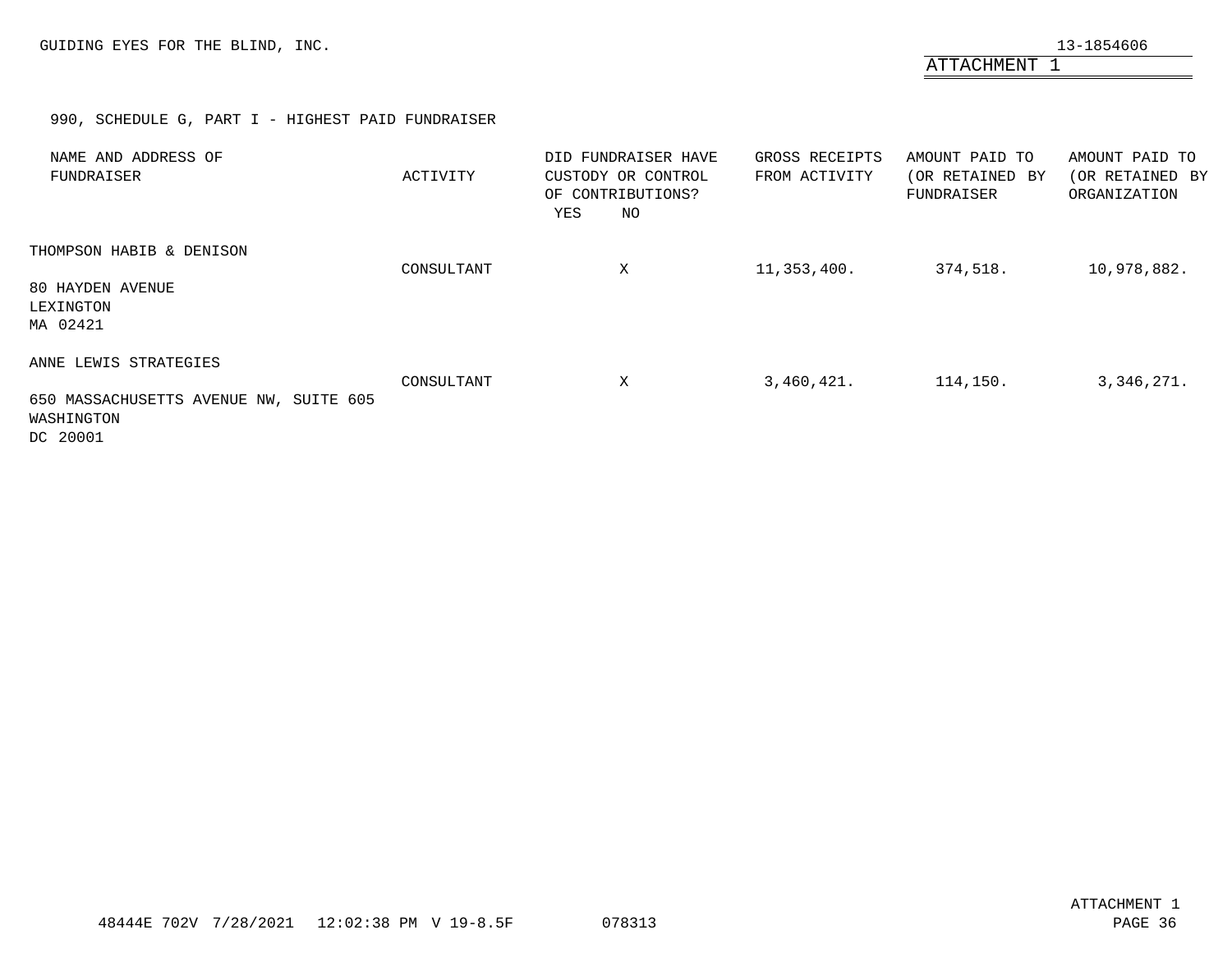ATTACHMENT 1

#### 990, SCHEDULE G, PART I - HIGHEST PAID FUNDRAISER

| NAME AND ADDRESS OF<br>FUNDRAISER                                                         | ACTIVITY   | YES | DID FUNDRAISER HAVE<br>CUSTODY OR CONTROL<br>OF CONTRIBUTIONS?<br>ΝO | GROSS RECEIPTS<br>FROM ACTIVITY | AMOUNT PAID TO<br>(OR RETAINED BY<br>FUNDRAISER | AMOUNT PAID TO<br>(OR RETAINED BY<br>ORGANIZATION |
|-------------------------------------------------------------------------------------------|------------|-----|----------------------------------------------------------------------|---------------------------------|-------------------------------------------------|---------------------------------------------------|
| THOMPSON HABIB & DENISON<br>80 HAYDEN AVENUE<br>LEXINGTON<br>MA 02421                     | CONSULTANT |     | X                                                                    | 11,353,400.                     | 374,518.                                        | 10,978,882.                                       |
| ANNE LEWIS STRATEGIES<br>650 MASSACHUSETTS AVENUE NW, SUITE 605<br>WASHINGTON<br>DC 20001 | CONSULTANT |     | Χ                                                                    | 3,460,421.                      | 114,150.                                        | 3,346,271.                                        |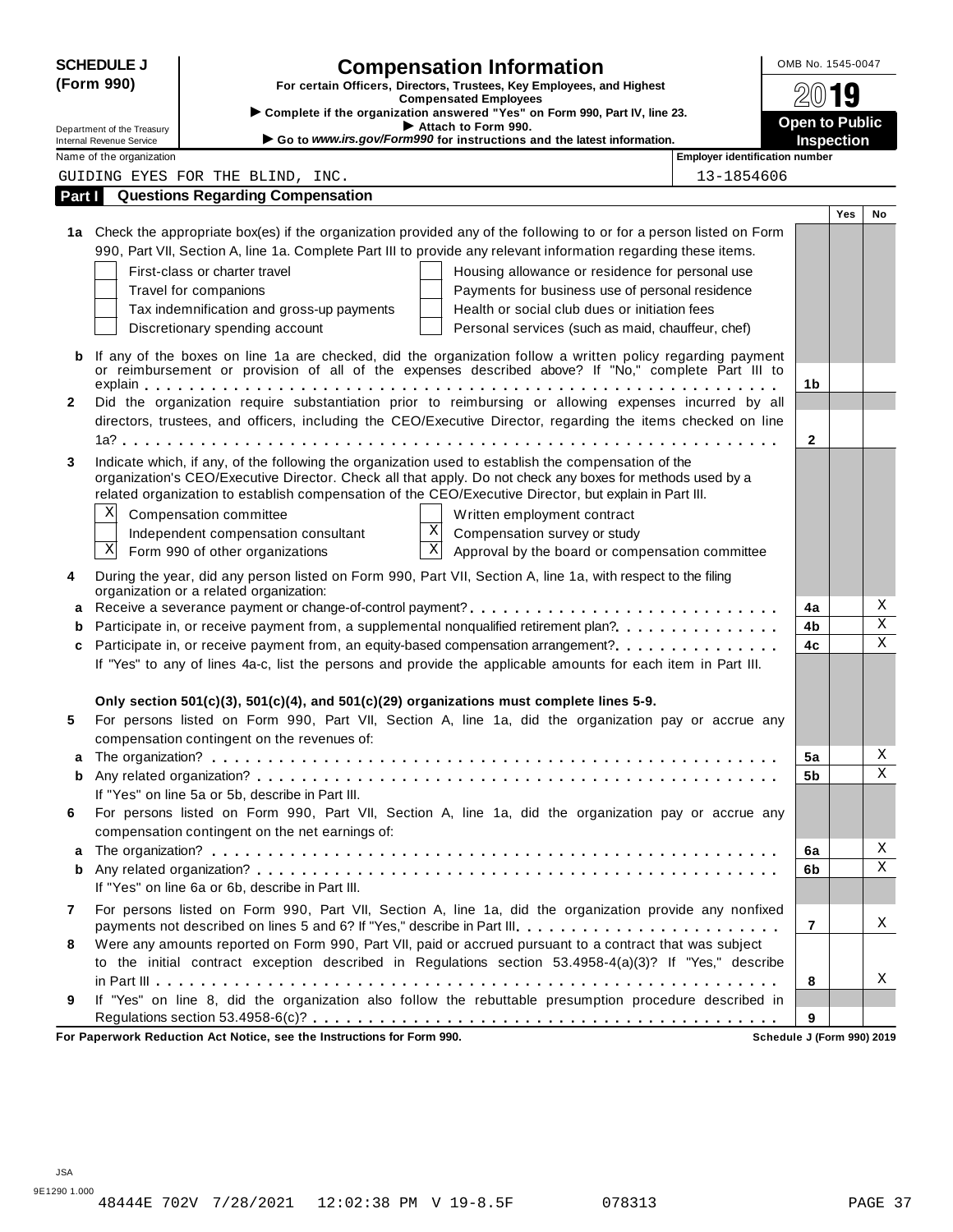| <b>SCHEDULE J</b>                                           | <b>Compensation Information</b>                                                                                                                                                                                     | OMB No. 1545-0047     |            |             |
|-------------------------------------------------------------|---------------------------------------------------------------------------------------------------------------------------------------------------------------------------------------------------------------------|-----------------------|------------|-------------|
| (Form 990)                                                  | For certain Officers, Directors, Trustees, Key Employees, and Highest                                                                                                                                               |                       | 19         |             |
|                                                             | <b>Compensated Employees</b><br>Complete if the organization answered "Yes" on Form 990, Part IV, line 23.                                                                                                          |                       |            |             |
| Department of the Treasury                                  | Attach to Form 990.<br>Go to www.irs.gov/Form990 for instructions and the latest information.                                                                                                                       | <b>Open to Public</b> |            |             |
| <b>Internal Revenue Service</b><br>Name of the organization | Employer identification number                                                                                                                                                                                      | <b>Inspection</b>     |            |             |
|                                                             | 13-1854606<br>GUIDING EYES FOR THE BLIND, INC.                                                                                                                                                                      |                       |            |             |
| Part I                                                      | <b>Questions Regarding Compensation</b>                                                                                                                                                                             |                       |            |             |
|                                                             |                                                                                                                                                                                                                     |                       | <b>Yes</b> | No          |
|                                                             | 1a Check the appropriate box(es) if the organization provided any of the following to or for a person listed on Form                                                                                                |                       |            |             |
|                                                             | 990, Part VII, Section A, line 1a. Complete Part III to provide any relevant information regarding these items.                                                                                                     |                       |            |             |
|                                                             | First-class or charter travel<br>Housing allowance or residence for personal use                                                                                                                                    |                       |            |             |
|                                                             | Travel for companions<br>Payments for business use of personal residence                                                                                                                                            |                       |            |             |
|                                                             | Tax indemnification and gross-up payments<br>Health or social club dues or initiation fees                                                                                                                          |                       |            |             |
|                                                             | Discretionary spending account<br>Personal services (such as maid, chauffeur, chef)                                                                                                                                 |                       |            |             |
| b                                                           | If any of the boxes on line 1a are checked, did the organization follow a written policy regarding payment                                                                                                          |                       |            |             |
|                                                             | or reimbursement or provision of all of the expenses described above? If "No," complete Part III to                                                                                                                 |                       |            |             |
|                                                             |                                                                                                                                                                                                                     | 1 <sub>b</sub>        |            |             |
| $\mathbf{2}$                                                | Did the organization require substantiation prior to reimbursing or allowing expenses incurred by all                                                                                                               |                       |            |             |
|                                                             | directors, trustees, and officers, including the CEO/Executive Director, regarding the items checked on line                                                                                                        |                       |            |             |
|                                                             |                                                                                                                                                                                                                     | $\mathbf{2}$          |            |             |
| 3                                                           | Indicate which, if any, of the following the organization used to establish the compensation of the                                                                                                                 |                       |            |             |
|                                                             | organization's CEO/Executive Director. Check all that apply. Do not check any boxes for methods used by a<br>related organization to establish compensation of the CEO/Executive Director, but explain in Part III. |                       |            |             |
|                                                             |                                                                                                                                                                                                                     |                       |            |             |
| Χ                                                           | Compensation committee<br>Written employment contract<br>$\mathbf X$                                                                                                                                                |                       |            |             |
| $\mathbf X$                                                 | Independent compensation consultant<br>Compensation survey or study<br>$\overline{\textbf{x}}$                                                                                                                      |                       |            |             |
|                                                             | Form 990 of other organizations<br>Approval by the board or compensation committee                                                                                                                                  |                       |            |             |
| 4                                                           | During the year, did any person listed on Form 990, Part VII, Section A, line 1a, with respect to the filing                                                                                                        |                       |            |             |
|                                                             | organization or a related organization:                                                                                                                                                                             | 4a                    |            | Χ           |
| a<br>b                                                      | Participate in, or receive payment from, a supplemental nonqualified retirement plan?                                                                                                                               | 4b                    |            | X           |
| c                                                           | Participate in, or receive payment from, an equity-based compensation arrangement?                                                                                                                                  | 4c                    |            | $\mathbf X$ |
|                                                             | If "Yes" to any of lines 4a-c, list the persons and provide the applicable amounts for each item in Part III.                                                                                                       |                       |            |             |
|                                                             |                                                                                                                                                                                                                     |                       |            |             |
|                                                             | Only section 501(c)(3), 501(c)(4), and 501(c)(29) organizations must complete lines 5-9.                                                                                                                            |                       |            |             |
| 5                                                           | For persons listed on Form 990, Part VII, Section A, line 1a, did the organization pay or accrue any                                                                                                                |                       |            |             |
|                                                             | compensation contingent on the revenues of:                                                                                                                                                                         |                       |            |             |
|                                                             |                                                                                                                                                                                                                     | 5a                    |            | Χ           |
| b                                                           |                                                                                                                                                                                                                     | 5b                    |            | Χ           |
|                                                             | If "Yes" on line 5a or 5b, describe in Part III.                                                                                                                                                                    |                       |            |             |
| 6                                                           | For persons listed on Form 990, Part VII, Section A, line 1a, did the organization pay or accrue any                                                                                                                |                       |            |             |
|                                                             | compensation contingent on the net earnings of:                                                                                                                                                                     |                       |            |             |
| a                                                           |                                                                                                                                                                                                                     | 6a                    |            | Χ           |
| b                                                           |                                                                                                                                                                                                                     | 6b                    |            | Χ           |
|                                                             | If "Yes" on line 6a or 6b, describe in Part III.                                                                                                                                                                    |                       |            |             |
| 7                                                           | For persons listed on Form 990, Part VII, Section A, line 1a, did the organization provide any nonfixed                                                                                                             |                       |            |             |
|                                                             | payments not described on lines 5 and 6? If "Yes," describe in Part III.                                                                                                                                            | 7                     |            | Χ           |
| 8                                                           | Were any amounts reported on Form 990, Part VII, paid or accrued pursuant to a contract that was subject                                                                                                            |                       |            |             |
|                                                             | to the initial contract exception described in Regulations section 53.4958-4(a)(3)? If "Yes," describe                                                                                                              |                       |            |             |
|                                                             |                                                                                                                                                                                                                     | 8                     |            | X           |
| 9                                                           | If "Yes" on line 8, did the organization also follow the rebuttable presumption procedure described in                                                                                                              |                       |            |             |
|                                                             |                                                                                                                                                                                                                     | 9                     |            |             |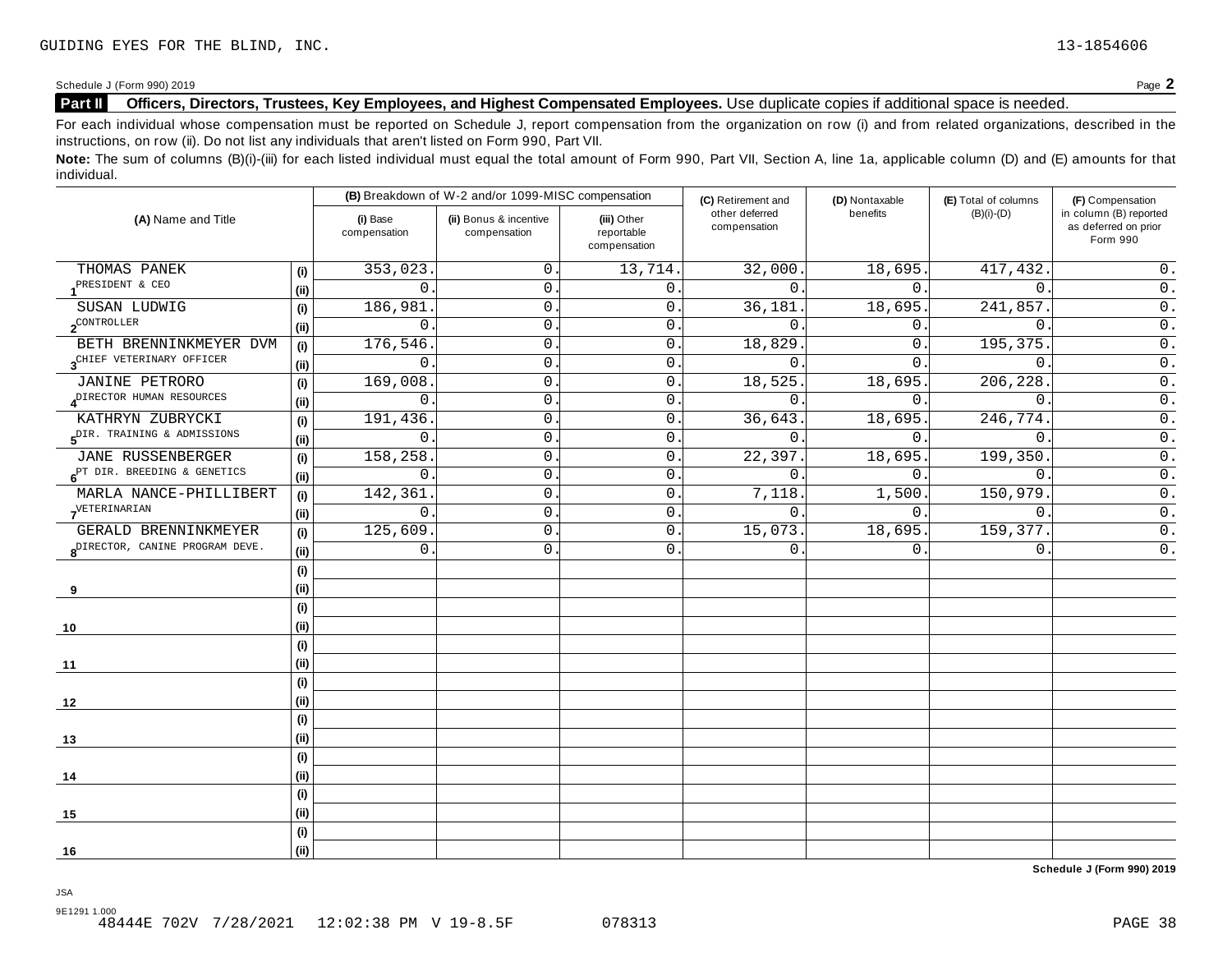Schedule <sup>J</sup> (Form 990) <sup>2019</sup> Page **2**

### **Part II Officers, Directors, Trustees, Key Employees, and Highest Compensated Employees.** Use duplicate copies ifadditional space is needed.

For each individual whose compensation must be reported on Schedule J, report compensation from the organization on row (i) and from related organizations, described in the instructions, on row (ii). Do not list any individuals that aren't listed on Form 990, Part VII.

Note: The sum of columns (B)(i)-(iii) for each listed individual must equal the total amount of Form 990, Part VII, Section A, line 1a, applicable column (D) and (E) amounts for that individual.

|                                                 |                              |                          | (B) Breakdown of W-2 and/or 1099-MISC compensation |                                           | (C) Retirement and             | (D) Nontaxable | (E) Total of columns | (F) Compensation                                           |
|-------------------------------------------------|------------------------------|--------------------------|----------------------------------------------------|-------------------------------------------|--------------------------------|----------------|----------------------|------------------------------------------------------------|
| (A) Name and Title                              |                              | (i) Base<br>compensation | (ii) Bonus & incentive<br>compensation             | (iii) Other<br>reportable<br>compensation | other deferred<br>compensation | benefits       | $(B)(i)-(D)$         | in column (B) reported<br>as deferred on prior<br>Form 990 |
| THOMAS PANEK                                    | (i)                          | 353,023.                 | 0                                                  | 13,714.                                   | 32,000.                        | 18,695.        | 417,432.             | 0.                                                         |
| PRESIDENT & CEO                                 | (ii)                         | $\Omega$                 | $\mathbf{0}$ .                                     | 0.                                        | $\Omega$ .                     | $\Omega$ .     | $\Omega$ .           | $\overline{0}$ .                                           |
| SUSAN LUDWIG                                    | (i)                          | 186,981                  | $\mathsf{0}$ .                                     | 0.                                        | 36,181                         | 18,695.        | 241,857.             | $\overline{0}$ .                                           |
| $2^{\text{CONTROLLER}}$                         | (ii)                         | 0                        | $\mathsf{0}$ .                                     | $\mathsf{O}$ .                            | $\mathbf{0}$ .                 | 0.             | $\mathbf{0}$ .       | $\overline{0}$ .                                           |
| BETH BRENNINKMEYER DVM                          | (i)                          | 176,546                  | $\mathsf{O}$                                       | $\mathbf 0$                               | 18,829                         | 0.             | 195,375              | $\overline{0}$ .                                           |
| 3 <sup>CHIEF</sup> VETERINARY OFFICER           | (i)                          | $\mathbf 0$              | $\mathsf{O}$                                       | $\mathbf 0$                               | $\mathsf{O}$ .                 | $\Omega$ .     | $\mathbf{0}$ .       | $\overline{0}$ .                                           |
| <b>JANINE PETRORO</b>                           | (i)                          | 169,008                  | 0                                                  | $\mathbf{0}$ .                            | 18,525.                        | 18,695.        | 206, 228             | $\mathsf 0$ .                                              |
| A <sup>DIRECTOR</sup> HUMAN RESOURCES           | (ii)                         | $\mathsf{O}$             | 0                                                  | 0.                                        | $\mathbf 0$ .                  | 0.             | $\mathbf{0}$ .       | $\overline{0}$ .                                           |
| KATHRYN ZUBRYCKI                                | (i)                          | 191,436.                 | $\mathsf{O}$ .                                     | $\mathsf{O}$ .                            | 36,643.                        | 18,695.        | 246,774.             | $\overline{0}$ .                                           |
| 5 <sup>DIR.</sup> TRAINING & ADMISSIONS         | (i)                          | 0                        | 0                                                  | $\mathsf{O}$ .                            | $\mathsf{O}$ .                 | 0.             | $\mathbf 0$          | $\overline{0}$ .                                           |
| JANE RUSSENBERGER                               | (i)                          | 158,258                  | $\mathbf 0$                                        | $\mathbf 0$                               | 22,397.                        | 18,695.        | 199,350              | $\overline{0}$ .                                           |
| <b>6</b> <sup>PT</sup> DIR. BREEDING & GENETICS | (ii)                         | 0                        | $\mathbf 0$                                        | 0                                         | $\mathbf{0}$ .                 | 0.             | $\mathbf{0}$ .       | $\overline{0}$ .                                           |
| MARLA NANCE-PHILLIBERT                          | (i)                          | 142,361                  | $\mathsf{O}$                                       | 0.                                        | 7,118.                         | 1,500.         | 150,979.             | $\overline{0}$ .                                           |
| <b>T</b> VETERINARIAN                           | (i)                          | $\Omega$                 | $\mathsf{O}\xspace$                                | $\mathbf 0$                               | $\Omega$                       | 0.             | $\mathbf{0}$ .       | $\overline{0}$ .                                           |
| GERALD BRENNINKMEYER                            | (i)                          | 125,609                  | $\mathsf{O}$ .                                     | $0$ .                                     | 15,073.                        | 18,695.        | 159,377.             | $\overline{0}$ .                                           |
| 8 <sup>DIRECTOR, CANINE PROGRAM DEVE.</sup>     | (i)                          | $\mathbf 0$              | $\mathbf{0}$ .                                     | $\overline{0}$ .                          | $\Omega$ .                     | 0.             | $\mathbf{0}$ .       | $0$ .                                                      |
|                                                 | (i)                          |                          |                                                    |                                           |                                |                |                      |                                                            |
| 9                                               | (ii)                         |                          |                                                    |                                           |                                |                |                      |                                                            |
|                                                 | (i)                          |                          |                                                    |                                           |                                |                |                      |                                                            |
| 10                                              | (i)                          |                          |                                                    |                                           |                                |                |                      |                                                            |
|                                                 | (i)                          |                          |                                                    |                                           |                                |                |                      |                                                            |
| 11                                              | (i)                          |                          |                                                    |                                           |                                |                |                      |                                                            |
|                                                 | $\qquad \qquad \textbf{(i)}$ |                          |                                                    |                                           |                                |                |                      |                                                            |
| 12                                              | (i)                          |                          |                                                    |                                           |                                |                |                      |                                                            |
|                                                 | (i)                          |                          |                                                    |                                           |                                |                |                      |                                                            |
| 13                                              | (ii)                         |                          |                                                    |                                           |                                |                |                      |                                                            |
|                                                 | (i)                          |                          |                                                    |                                           |                                |                |                      |                                                            |
| 14                                              | (i)                          |                          |                                                    |                                           |                                |                |                      |                                                            |
|                                                 | (i)                          |                          |                                                    |                                           |                                |                |                      |                                                            |
| 15                                              | (i)                          |                          |                                                    |                                           |                                |                |                      |                                                            |
|                                                 | (i)                          |                          |                                                    |                                           |                                |                |                      |                                                            |
| 16                                              | (i)                          |                          |                                                    |                                           |                                |                |                      |                                                            |

**Schedule J (Form 990) 2019**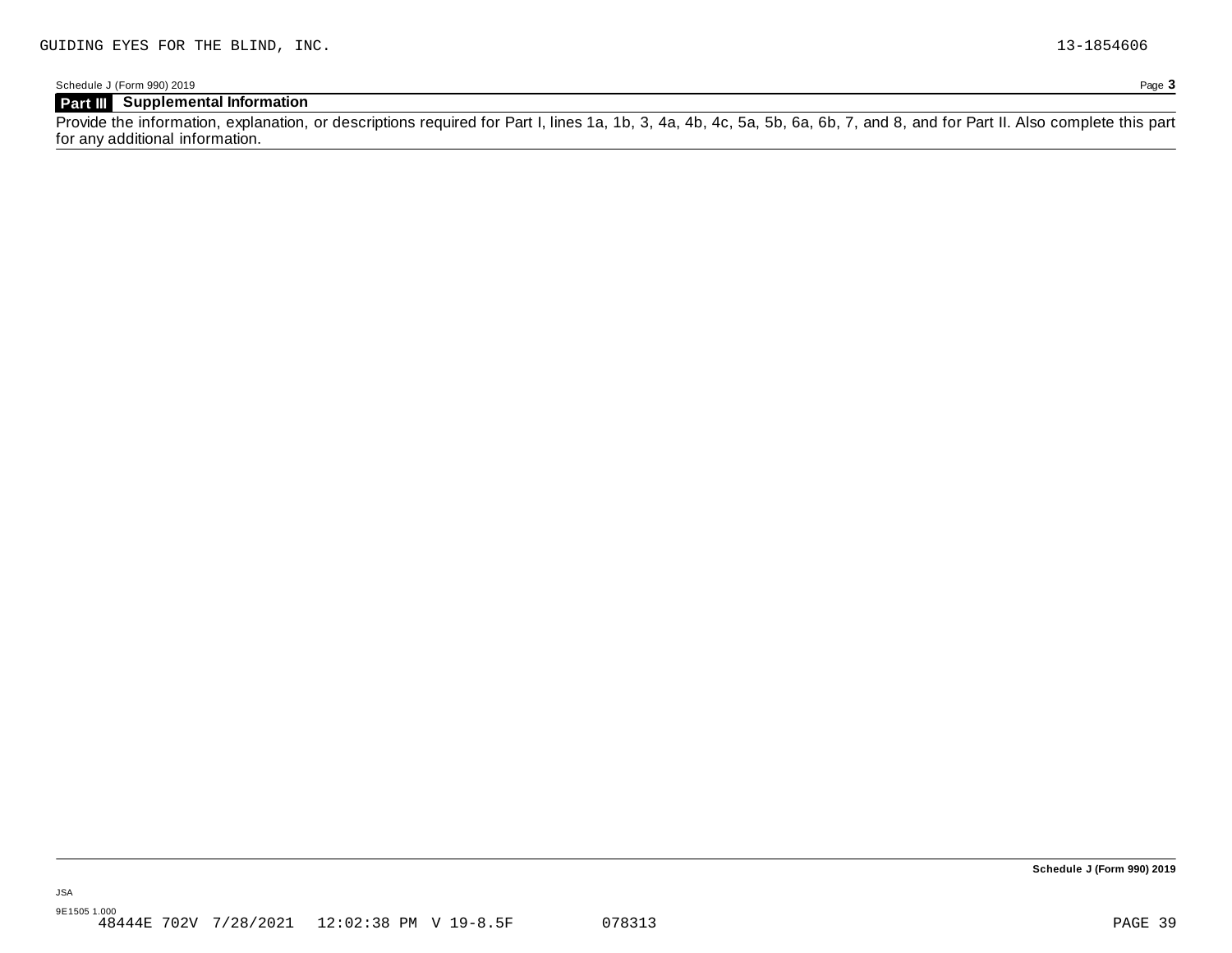Schedule J (Form 990) 2019 Page **3**

#### **Part III Supplemental Information**

Provide the information, explanation, or descriptions required for Part I, lines 1a, 1b, 3, 4a, 4b, 4c, 5a, 5b, 6a, 6b, 7, and 8, and for Part II. Also complete this part for any additional information.

**Schedule J (Form 990) 2019**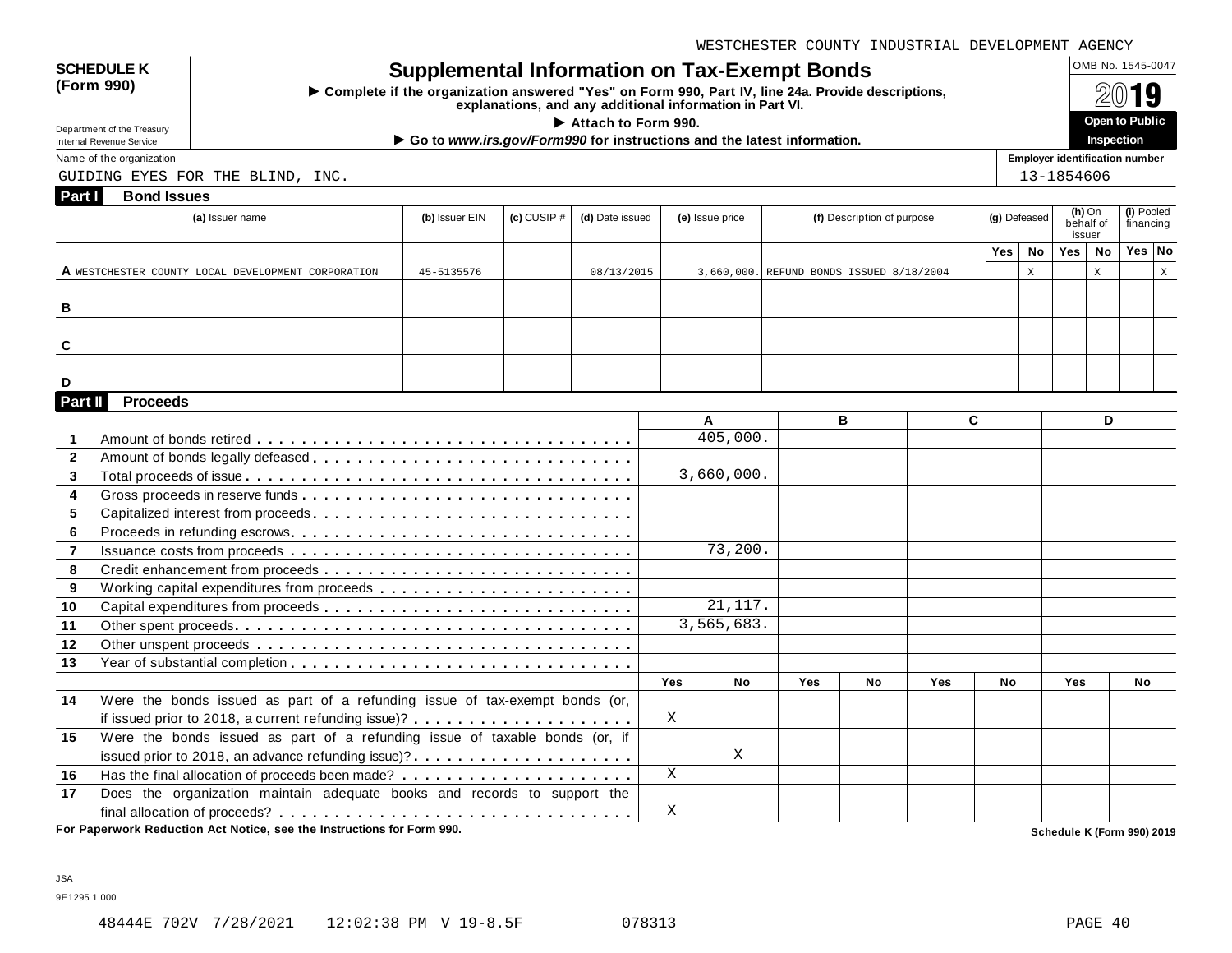WESTCHESTER COUNTY INDUSTRIAL DEVELOPMENT AGENCY

## **(Form 990)**

## SCHEDULE K  $\bigcup_{\text{OMB No. 1545-0047}}$  **Supplemental Information on Tax-Exempt Bonds**

 $\triangleright$  Complete if the organization answered "Yes" on Form 990, Part IV, line 24a. Provide descriptions,<br>explanations, and any additional information in Part VI.



Department of the Treasury<br>Internal Revenue Service

GUIDING EYES FOR THE BLIND, INC.  $\vert$  13-1854606

| (a) Issuer name                                    | (b) Issuer EIN | $ $ (c) CUSIP # $ $ | (d) Date issued | (e) Issue price | (f) Description of purpose               | $ $ (g) Defeased |           | (h) On<br>behalf of<br>issuer |                                      | (i) Pooled<br>financing |  |
|----------------------------------------------------|----------------|---------------------|-----------------|-----------------|------------------------------------------|------------------|-----------|-------------------------------|--------------------------------------|-------------------------|--|
|                                                    |                |                     |                 |                 |                                          | Yes              | No        |                               | Yes   No                             | Yes No                  |  |
| A WESTCHESTER COUNTY LOCAL DEVELOPMENT CORPORATION | 45-5135576     |                     | 08/13/2015      |                 | 3,660,000. REFUND BONDS ISSUED 8/18/2004 |                  | $-1$<br>▵ |                               | $\overline{\mathbf{z}}$<br>$\Lambda$ |                         |  |
| в                                                  |                |                     |                 |                 |                                          |                  |           |                               |                                      |                         |  |
| C                                                  |                |                     |                 |                 |                                          |                  |           |                               |                                      |                         |  |
| D                                                  |                |                     |                 |                 |                                          |                  |           |                               |                                      |                         |  |

|                |                                                                             |            | A          |            | в  | C.   |           |            | D  |
|----------------|-----------------------------------------------------------------------------|------------|------------|------------|----|------|-----------|------------|----|
|                |                                                                             |            | 405,000.   |            |    |      |           |            |    |
| $\overline{2}$ |                                                                             |            |            |            |    |      |           |            |    |
| $\mathbf{3}$   |                                                                             |            | 3,660,000. |            |    |      |           |            |    |
| 4              |                                                                             |            |            |            |    |      |           |            |    |
| 5              |                                                                             |            |            |            |    |      |           |            |    |
| 6              |                                                                             |            |            |            |    |      |           |            |    |
| $\overline{7}$ |                                                                             |            | 73,200.    |            |    |      |           |            |    |
| 8              |                                                                             |            |            |            |    |      |           |            |    |
| 9              |                                                                             |            |            |            |    |      |           |            |    |
| 10             |                                                                             |            | 21, 117.   |            |    |      |           |            |    |
| 11             |                                                                             |            | 3,565,683. |            |    |      |           |            |    |
| 12             |                                                                             |            |            |            |    |      |           |            |    |
| 13             |                                                                             |            |            |            |    |      |           |            |    |
|                |                                                                             | <b>Yes</b> | <b>No</b>  | <b>Yes</b> | No | Yes. | <b>No</b> | <b>Yes</b> | No |
| 14             | Were the bonds issued as part of a refunding issue of tax-exempt bonds (or, |            |            |            |    |      |           |            |    |
|                |                                                                             | X          |            |            |    |      |           |            |    |
| 15             | Were the bonds issued as part of a refunding issue of taxable bonds (or, if |            |            |            |    |      |           |            |    |
|                | issued prior to 2018, an advance refunding issue)?                          |            | X          |            |    |      |           |            |    |
| 16             |                                                                             | X          |            |            |    |      |           |            |    |
| 17             | Does the organization maintain adequate books and records to support the    |            |            |            |    |      |           |            |    |
|                |                                                                             | X          |            |            |    |      |           |            |    |

JSA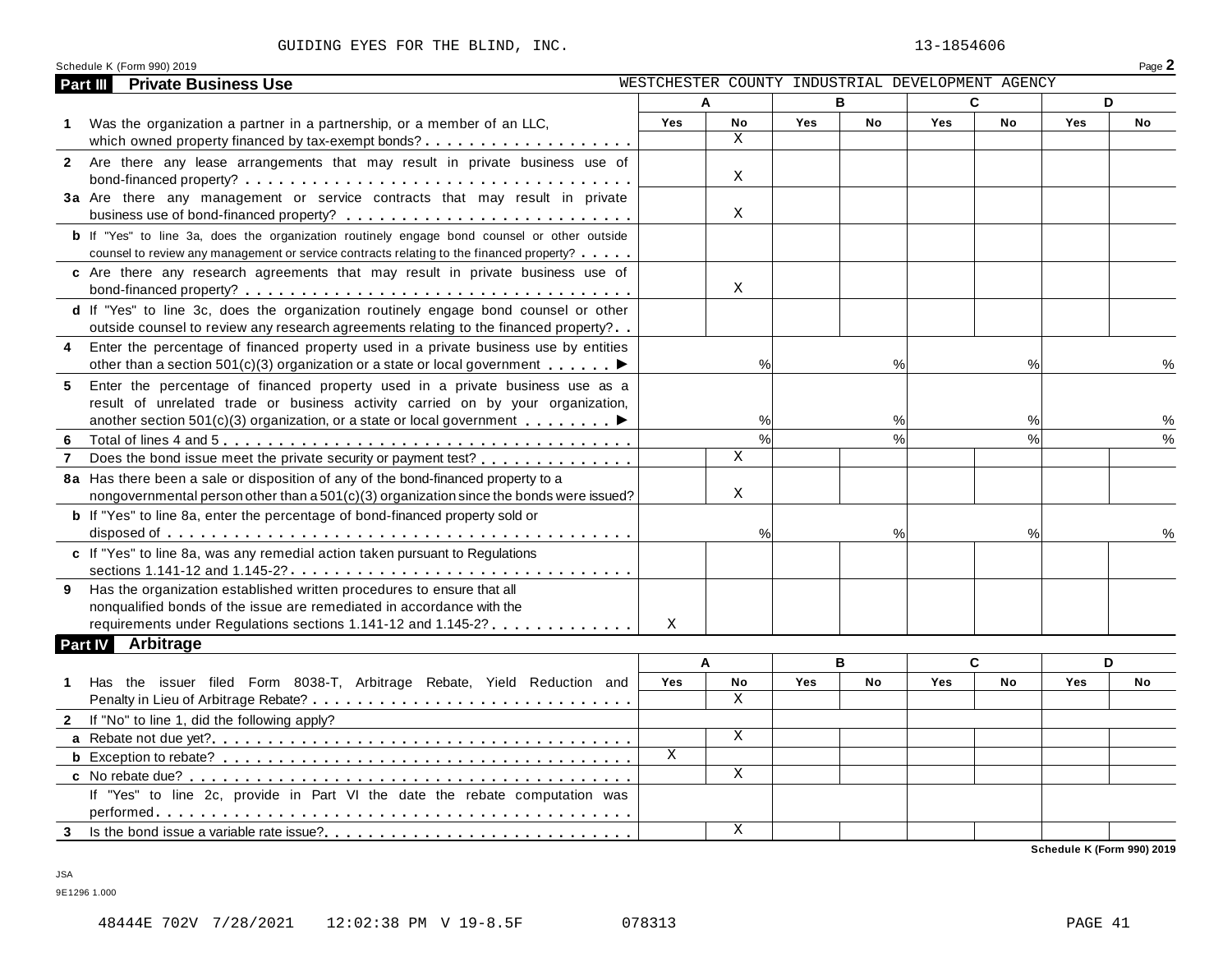#### GUIDING EYES FOR THE BLIND, INC.  $13-1854606$

| Schedule K (Form 990) 2019                                                                                           |            |                          |            |               |            |                                                  |            | Page 2    |
|----------------------------------------------------------------------------------------------------------------------|------------|--------------------------|------------|---------------|------------|--------------------------------------------------|------------|-----------|
| <b>Private Business Use</b><br>Part III                                                                              |            |                          |            |               |            | WESTCHESTER COUNTY INDUSTRIAL DEVELOPMENT AGENCY |            |           |
|                                                                                                                      |            | A                        |            | в             |            | C                                                |            | D         |
| Was the organization a partner in a partnership, or a member of an LLC,<br>1                                         | <b>Yes</b> | <b>No</b>                | <b>Yes</b> | <b>No</b>     | <b>Yes</b> | <b>No</b>                                        | <b>Yes</b> | No        |
|                                                                                                                      |            | $\mathbf x$              |            |               |            |                                                  |            |           |
| 2 Are there any lease arrangements that may result in private business use of                                        |            |                          |            |               |            |                                                  |            |           |
|                                                                                                                      |            | $\mathbf{X}$             |            |               |            |                                                  |            |           |
| 3a Are there any management or service contracts that may result in private                                          |            |                          |            |               |            |                                                  |            |           |
|                                                                                                                      |            | Χ                        |            |               |            |                                                  |            |           |
| <b>b</b> If "Yes" to line 3a, does the organization routinely engage bond counsel or other outside                   |            |                          |            |               |            |                                                  |            |           |
| counsel to review any management or service contracts relating to the financed property?                             |            |                          |            |               |            |                                                  |            |           |
| c Are there any research agreements that may result in private business use of                                       |            |                          |            |               |            |                                                  |            |           |
|                                                                                                                      |            | $\mathbf x$              |            |               |            |                                                  |            |           |
| d If "Yes" to line 3c, does the organization routinely engage bond counsel or other                                  |            |                          |            |               |            |                                                  |            |           |
| outside counsel to review any research agreements relating to the financed property?                                 |            |                          |            |               |            |                                                  |            |           |
| Enter the percentage of financed property used in a private business use by entities<br>4                            |            |                          |            |               |            |                                                  |            |           |
| other than a section 501(c)(3) organization or a state or local government $\dots \dots$                             |            | %                        |            | %             |            | %                                                |            |           |
| Enter the percentage of financed property used in a private business use as a<br>5                                   |            |                          |            |               |            |                                                  |            |           |
| result of unrelated trade or business activity carried on by your organization,                                      |            |                          |            |               |            |                                                  |            |           |
| another section 501(c)(3) organization, or a state or local government $\ldots \ldots$                               |            | %                        |            | %             |            | %                                                |            | %         |
| 6                                                                                                                    |            | $\overline{\frac{9}{6}}$ |            | $\%$          |            | $\frac{1}{6}$                                    |            | %         |
| $\overline{7}$                                                                                                       |            | $\mathbf x$              |            |               |            |                                                  |            |           |
| 8a Has there been a sale or disposition of any of the bond-financed property to a                                    |            |                          |            |               |            |                                                  |            |           |
| nongovernmental person other than a 501(c)(3) organization since the bonds were issued?                              |            | X                        |            |               |            |                                                  |            |           |
| <b>b</b> If "Yes" to line 8a, enter the percentage of bond-financed property sold or                                 |            |                          |            |               |            |                                                  |            |           |
|                                                                                                                      |            | %                        |            | $\frac{0}{0}$ |            | $\%$                                             |            |           |
| c If "Yes" to line 8a, was any remedial action taken pursuant to Regulations                                         |            |                          |            |               |            |                                                  |            |           |
| sections 1.141-12 and 1.145-2? $\dots \dots \dots \dots \dots \dots \dots \dots \dots \dots \dots \dots \dots \dots$ |            |                          |            |               |            |                                                  |            |           |
| Has the organization established written procedures to ensure that all<br>9                                          |            |                          |            |               |            |                                                  |            |           |
| nonqualified bonds of the issue are remediated in accordance with the                                                |            |                          |            |               |            |                                                  |            |           |
| requirements under Regulations sections 1.141-12 and 1.145-2?                                                        | X          |                          |            |               |            |                                                  |            |           |
| <b>Arbitrage</b><br>Part IV                                                                                          |            |                          |            |               |            |                                                  |            |           |
|                                                                                                                      |            | A                        |            | B             |            | $\mathbf{C}$                                     |            | D         |
| Has the issuer filed Form 8038-T, Arbitrage Rebate, Yield Reduction and<br>1                                         | Yes        | No                       | <b>Yes</b> | <b>No</b>     | Yes        | <b>No</b>                                        | Yes        | <b>No</b> |
|                                                                                                                      |            | X                        |            |               |            |                                                  |            |           |
| 2 If "No" to line 1, did the following apply?                                                                        |            |                          |            |               |            |                                                  |            |           |
|                                                                                                                      |            | $\mathbf x$              |            |               |            |                                                  |            |           |
|                                                                                                                      | X          |                          |            |               |            |                                                  |            |           |
|                                                                                                                      |            | X                        |            |               |            |                                                  |            |           |
| If "Yes" to line 2c, provide in Part VI the date the rebate computation was                                          |            |                          |            |               |            |                                                  |            |           |
|                                                                                                                      |            |                          |            |               |            |                                                  |            |           |
| 3                                                                                                                    |            | X                        |            |               |            |                                                  |            |           |
|                                                                                                                      |            |                          |            |               |            |                                                  |            |           |

**Schedule K (Form 990) 2019**

JSA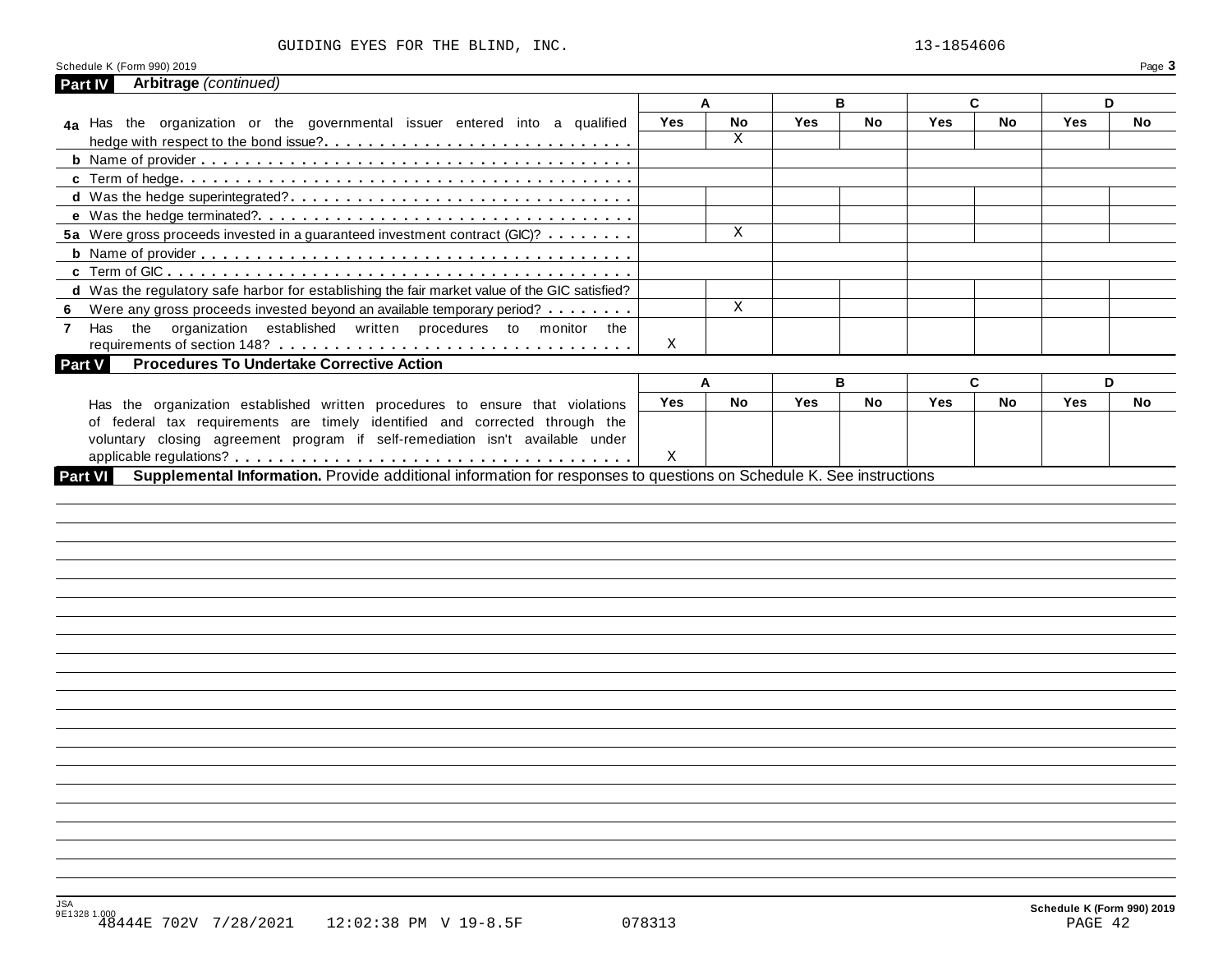#### GUIDING EYES FOR THE BLIND, INC.  $13-1854606$

| Schedule K (Form 990) 2019                                                                                                     |              |              |            |    |            |    |            | Page 3 |
|--------------------------------------------------------------------------------------------------------------------------------|--------------|--------------|------------|----|------------|----|------------|--------|
| Arbitrage (continued)<br><b>Part IV</b>                                                                                        |              |              |            |    |            |    |            |        |
|                                                                                                                                |              | $\mathbf{A}$ |            | B  |            | C  |            | D      |
| 4a Has the organization or the governmental issuer entered into a qualified                                                    | <b>Yes</b>   | <b>No</b>    | <b>Yes</b> | No | <b>Yes</b> | No | <b>Yes</b> | No     |
|                                                                                                                                |              | X            |            |    |            |    |            |        |
|                                                                                                                                |              |              |            |    |            |    |            |        |
|                                                                                                                                |              |              |            |    |            |    |            |        |
|                                                                                                                                |              |              |            |    |            |    |            |        |
|                                                                                                                                |              |              |            |    |            |    |            |        |
| 5a Were gross proceeds invested in a guaranteed investment contract (GIC)?                                                     |              | X            |            |    |            |    |            |        |
|                                                                                                                                |              |              |            |    |            |    |            |        |
|                                                                                                                                |              |              |            |    |            |    |            |        |
| d Was the regulatory safe harbor for establishing the fair market value of the GIC satisfied?                                  |              |              |            |    |            |    |            |        |
| Were any gross proceeds invested beyond an available temporary period?<br>6                                                    |              | X            |            |    |            |    |            |        |
| Has the organization established written procedures to monitor the<br>$\mathbf{7}$                                             |              |              |            |    |            |    |            |        |
|                                                                                                                                | Χ            |              |            |    |            |    |            |        |
| <b>Procedures To Undertake Corrective Action</b><br><b>Part V</b>                                                              |              |              |            |    |            |    |            |        |
|                                                                                                                                | $\mathsf{A}$ |              | B          |    | C          |    |            | D      |
| Has the organization established written procedures to ensure that violations                                                  | <b>Yes</b>   | No           | Yes        | No | <b>Yes</b> | No | Yes        | No     |
| of federal tax requirements are timely identified and corrected through the                                                    |              |              |            |    |            |    |            |        |
| voluntary closing agreement program if self-remediation isn't available under                                                  |              |              |            |    |            |    |            |        |
|                                                                                                                                | Χ            |              |            |    |            |    |            |        |
| Supplemental Information. Provide additional information for responses to questions on Schedule K. See instructions<br>Part VI |              |              |            |    |            |    |            |        |
|                                                                                                                                |              |              |            |    |            |    |            |        |
|                                                                                                                                |              |              |            |    |            |    |            |        |
|                                                                                                                                |              |              |            |    |            |    |            |        |
|                                                                                                                                |              |              |            |    |            |    |            |        |
|                                                                                                                                |              |              |            |    |            |    |            |        |
|                                                                                                                                |              |              |            |    |            |    |            |        |
|                                                                                                                                |              |              |            |    |            |    |            |        |
|                                                                                                                                |              |              |            |    |            |    |            |        |
|                                                                                                                                |              |              |            |    |            |    |            |        |
|                                                                                                                                |              |              |            |    |            |    |            |        |
|                                                                                                                                |              |              |            |    |            |    |            |        |
|                                                                                                                                |              |              |            |    |            |    |            |        |
|                                                                                                                                |              |              |            |    |            |    |            |        |
|                                                                                                                                |              |              |            |    |            |    |            |        |
|                                                                                                                                |              |              |            |    |            |    |            |        |
|                                                                                                                                |              |              |            |    |            |    |            |        |
|                                                                                                                                |              |              |            |    |            |    |            |        |
|                                                                                                                                |              |              |            |    |            |    |            |        |
|                                                                                                                                |              |              |            |    |            |    |            |        |
|                                                                                                                                |              |              |            |    |            |    |            |        |
|                                                                                                                                |              |              |            |    |            |    |            |        |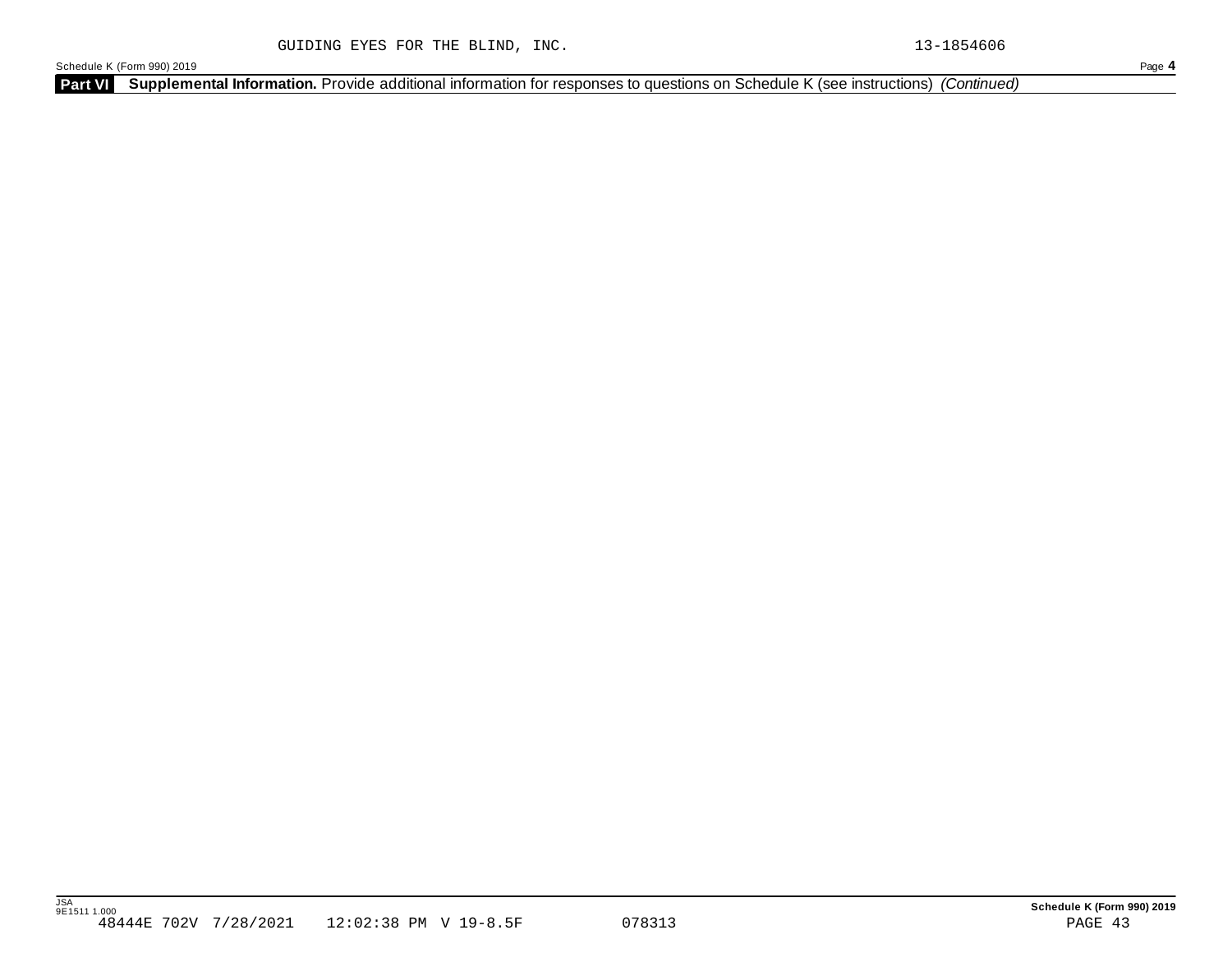Schedule K (Form 990) 2019 Page **4**

**Part VI Supplemental Information.** Provide additional information for responses to questions on Schedule K (see instructions) *(Continued)*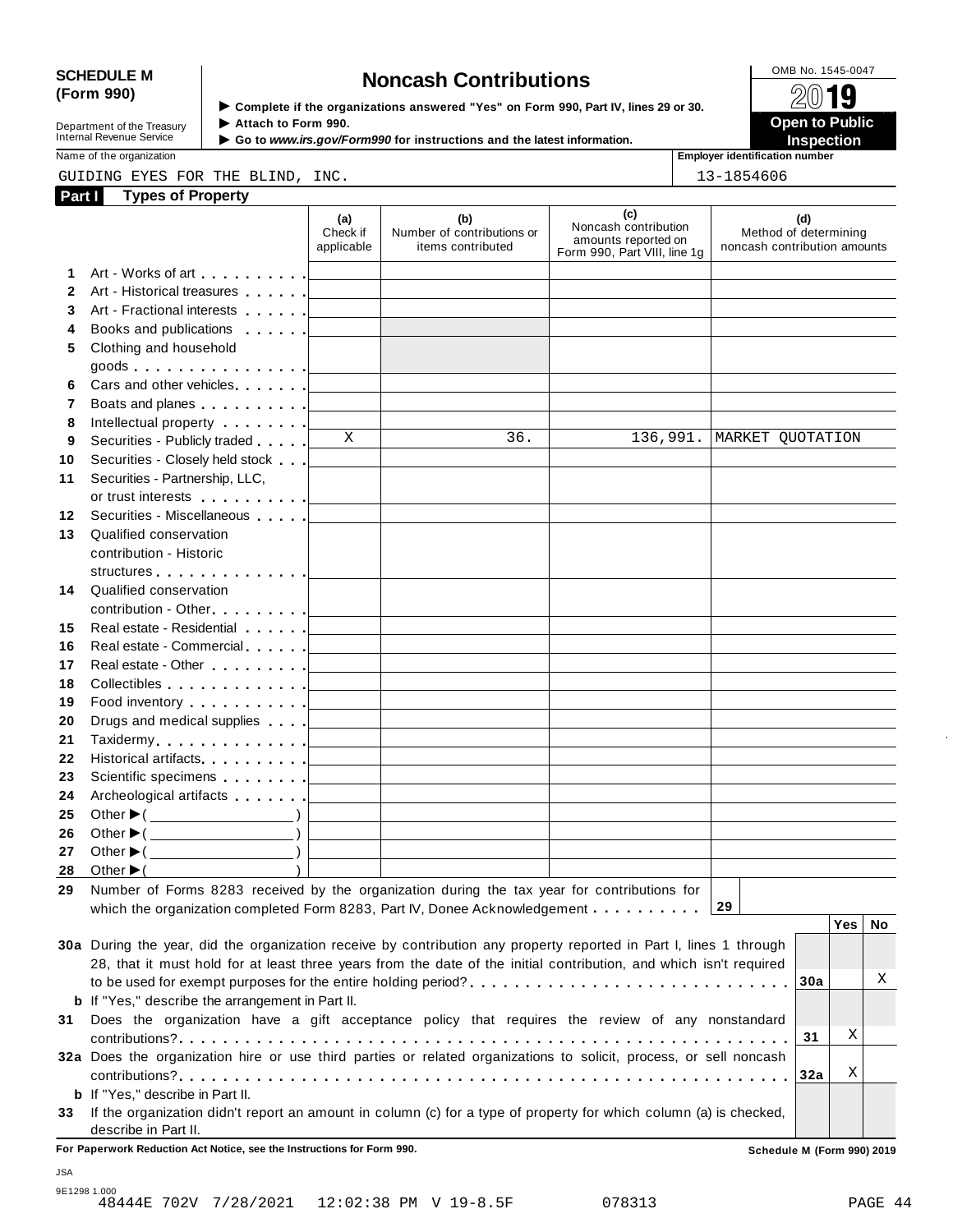## SCHEDULE M<br>
(Form 990) **Supplementary of the organizations answered** "Yes" on Form 990 Part IV lines 29 or 30

Department of the Treasury<br>Internal Revenue Service

**(Form 990)** I **Complete if the organizations answered "Yes" on Form 990, Part IV, lines <sup>29</sup> or 30.** À¾µ½ **Department of the Treasury ▶ Attach to Form 990.**<br>Internal Revenue Service ▶ Go to *www.irs.gov/Form990* for instructions and the latest information.<br>Nome of the organization aumhor

Name of the organization **Employer identification number**

#### GUIDING EYES FOR THE BLIND, INC.  $\vert$  13-1854606

| ∣ ⊑ilipioyer luehtincation nt |  |
|-------------------------------|--|
| 1 2 1 2 5 4 6 7 6 6           |  |

| Part I       | <b>Types of Property</b>                                                                                                                                                                                                       |                               |                                                                                                                        |                                                                                                                     |                                                              |          |    |
|--------------|--------------------------------------------------------------------------------------------------------------------------------------------------------------------------------------------------------------------------------|-------------------------------|------------------------------------------------------------------------------------------------------------------------|---------------------------------------------------------------------------------------------------------------------|--------------------------------------------------------------|----------|----|
|              |                                                                                                                                                                                                                                | (a)<br>Check if<br>applicable | (b)<br>Number of contributions or<br>items contributed                                                                 | (c)<br>Noncash contribution<br>amounts reported on<br>Form 990, Part VIII, line 1g                                  | (d)<br>Method of determining<br>noncash contribution amounts |          |    |
| 1.           |                                                                                                                                                                                                                                |                               | <u> 1989 - Johann Barn, mars ann an t-Amhain an t-Amhain an t-Amhain an t-Amhain an t-Amhain an t-Amhain an t-A</u>    |                                                                                                                     |                                                              |          |    |
| $\mathbf{2}$ | Art - Historical treasures<br><u> </u>                                                                                                                                                                                         |                               | <u> 1989 - Johann Barn, amerikansk politiker (</u>                                                                     |                                                                                                                     |                                                              |          |    |
| 3            |                                                                                                                                                                                                                                |                               |                                                                                                                        |                                                                                                                     |                                                              |          |    |
| 4            |                                                                                                                                                                                                                                |                               | <u> 1980 - Johann Barbara, martxa alemaniar arg</u>                                                                    |                                                                                                                     |                                                              |          |    |
| 5            | Clothing and household                                                                                                                                                                                                         |                               |                                                                                                                        |                                                                                                                     |                                                              |          |    |
|              |                                                                                                                                                                                                                                |                               |                                                                                                                        |                                                                                                                     |                                                              |          |    |
| 6            |                                                                                                                                                                                                                                |                               |                                                                                                                        | <u> 1989 - Johann Barn, mars ann an t-Amhain an t-Amhain an t-Amhain an t-Amhain an t-Amhain an t-Amhain an t-A</u> |                                                              |          |    |
| 7            |                                                                                                                                                                                                                                |                               |                                                                                                                        |                                                                                                                     |                                                              |          |    |
| 8            | Intellectual property   _ _ _ _ _ _                                                                                                                                                                                            |                               | <u> 1980 - John Stein, mars and de Branch and de Branch and de Branch and de Branch and de Branch and de Branch an</u> |                                                                                                                     |                                                              |          |    |
| 9            | Securities - Publicly traded                                                                                                                                                                                                   | $\mathbf X$                   | 36.                                                                                                                    | 136,991.                                                                                                            | MARKET QUOTATION                                             |          |    |
| 10           |                                                                                                                                                                                                                                |                               |                                                                                                                        |                                                                                                                     |                                                              |          |    |
| 11           | Securities - Partnership, LLC,                                                                                                                                                                                                 |                               |                                                                                                                        |                                                                                                                     |                                                              |          |    |
|              | or trust interests<br><br><br><br><br><br><br><br><br><br><br><br><br><br><br><br><br><br><br><br><br><br>                                                                                                                     |                               | the control of the control of the control of the control of the control of                                             |                                                                                                                     |                                                              |          |    |
| 12           | Securities - Miscellaneous                                                                                                                                                                                                     |                               |                                                                                                                        |                                                                                                                     |                                                              |          |    |
| 13           | Qualified conservation                                                                                                                                                                                                         |                               |                                                                                                                        |                                                                                                                     |                                                              |          |    |
|              | contribution - Historic                                                                                                                                                                                                        |                               |                                                                                                                        |                                                                                                                     |                                                              |          |    |
|              | structures experience and the structures are all the structures and the structure of the structure of the structure                                                                                                            |                               |                                                                                                                        |                                                                                                                     |                                                              |          |    |
| 14           | Qualified conservation                                                                                                                                                                                                         |                               |                                                                                                                        |                                                                                                                     |                                                              |          |    |
|              |                                                                                                                                                                                                                                |                               |                                                                                                                        |                                                                                                                     |                                                              |          |    |
| 15           |                                                                                                                                                                                                                                |                               |                                                                                                                        | the control of the control of the control of the control of the control of                                          |                                                              |          |    |
| 16           |                                                                                                                                                                                                                                |                               |                                                                                                                        | the control of the control of the control of the control of the control of                                          |                                                              |          |    |
| 17           |                                                                                                                                                                                                                                |                               |                                                                                                                        |                                                                                                                     |                                                              |          |    |
| 18           |                                                                                                                                                                                                                                |                               |                                                                                                                        |                                                                                                                     |                                                              |          |    |
| 19           | Food inventory $\ldots \ldots \ldots$ . $\Box$                                                                                                                                                                                 |                               |                                                                                                                        |                                                                                                                     |                                                              |          |    |
| 20           | Drugs and medical supplies equal to the contract of the contract of the contract of the contract of the contract of the contract of the contract of the contract of the contract of the contract of the contract of the contra |                               |                                                                                                                        |                                                                                                                     |                                                              |          |    |
| 21           |                                                                                                                                                                                                                                |                               |                                                                                                                        | the control of the control of the control of the control of                                                         |                                                              |          |    |
| 22           |                                                                                                                                                                                                                                |                               |                                                                                                                        |                                                                                                                     |                                                              |          |    |
| 23           |                                                                                                                                                                                                                                |                               |                                                                                                                        | the control of the control of the control of the control of<br>the control of the control of the control of the     |                                                              |          |    |
| 24           |                                                                                                                                                                                                                                |                               |                                                                                                                        |                                                                                                                     |                                                              |          |    |
| 25           | Other $\blacktriangleright$ ( $\_\_\_\_\_\_\_\_$ )                                                                                                                                                                             |                               | <u> 1989 - Johann John Stone, mars et al. (</u>                                                                        | the control of the control of the control of the control of                                                         |                                                              |          |    |
| 26           | Other $\blacktriangleright$ ( $\_\_\_\_\_\_\_\_$ )                                                                                                                                                                             |                               | <u> 1989 - Johann Barn, fransk politik (d. 1989)</u>                                                                   |                                                                                                                     |                                                              |          |    |
| 27           |                                                                                                                                                                                                                                |                               |                                                                                                                        |                                                                                                                     |                                                              |          |    |
|              | 28 Other $\blacktriangleright$ (                                                                                                                                                                                               |                               |                                                                                                                        |                                                                                                                     |                                                              |          |    |
|              | 29 Number of Forms 8283 received by the organization during the tax year for contributions for                                                                                                                                 |                               |                                                                                                                        |                                                                                                                     |                                                              |          |    |
|              | which the organization completed Form 8283, Part IV, Donee Acknowledgement                                                                                                                                                     |                               |                                                                                                                        |                                                                                                                     | 29                                                           |          |    |
|              |                                                                                                                                                                                                                                |                               |                                                                                                                        |                                                                                                                     |                                                              | Yes      | No |
|              | 30a During the year, did the organization receive by contribution any property reported in Part I, lines 1 through                                                                                                             |                               |                                                                                                                        |                                                                                                                     |                                                              |          |    |
|              | 28, that it must hold for at least three years from the date of the initial contribution, and which isn't required                                                                                                             |                               |                                                                                                                        |                                                                                                                     |                                                              |          |    |
|              |                                                                                                                                                                                                                                |                               |                                                                                                                        |                                                                                                                     |                                                              | 30a      | Χ  |
|              | <b>b</b> If "Yes," describe the arrangement in Part II.                                                                                                                                                                        |                               |                                                                                                                        |                                                                                                                     |                                                              |          |    |
| 31           | Does the organization have a gift acceptance policy that requires the review of any nonstandard                                                                                                                                |                               |                                                                                                                        |                                                                                                                     |                                                              |          |    |
|              |                                                                                                                                                                                                                                |                               |                                                                                                                        |                                                                                                                     |                                                              | Χ<br>31  |    |
|              | 32a Does the organization hire or use third parties or related organizations to solicit, process, or sell noncash                                                                                                              |                               |                                                                                                                        |                                                                                                                     |                                                              |          |    |
|              |                                                                                                                                                                                                                                |                               |                                                                                                                        |                                                                                                                     |                                                              | Χ<br>32a |    |
|              | <b>b</b> If "Yes," describe in Part II.                                                                                                                                                                                        |                               |                                                                                                                        |                                                                                                                     |                                                              |          |    |
|              | 33 If the organization didn't report an amount in column (c) for a type of property for which column (a) is checked,                                                                                                           |                               |                                                                                                                        |                                                                                                                     |                                                              |          |    |
|              |                                                                                                                                                                                                                                |                               |                                                                                                                        |                                                                                                                     |                                                              |          |    |

**For Paperwork Reduction Act Notice, see the Instructions for Form 990. Schedule M (Form 990) 2019**

JSA

describe in Part II.

9E1298 1.000 48444E 702V 7/28/2021 12:02:38 PM V 19-8.5F 078313 PAGE 44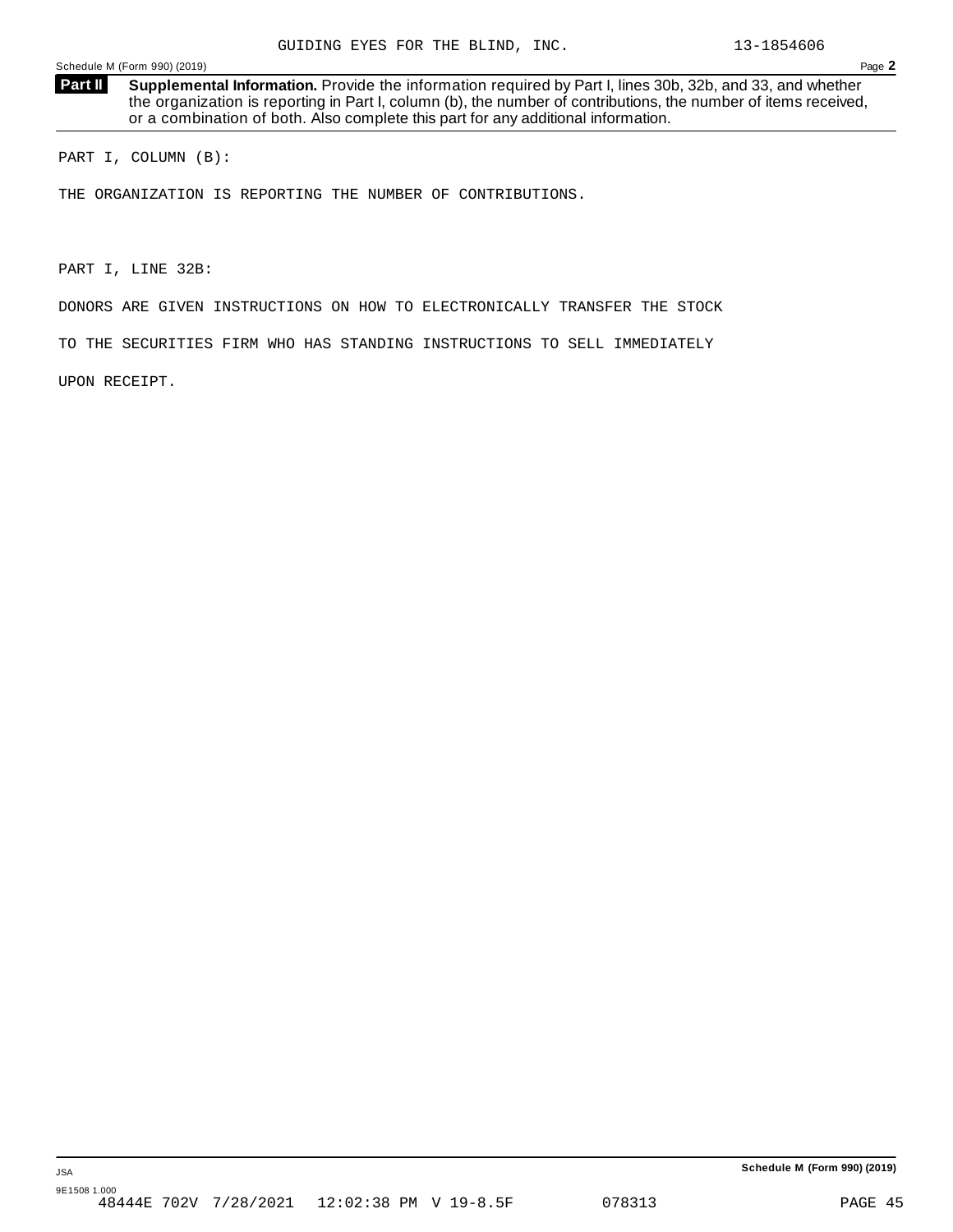Schedule M (Form 990) (2019) Page **2**

**Supplemental Information.** Provide the information required by Part I, lines 30b, 32b, and 33, and whether the organization is reporting in Part I, column (b), the number of contributions, the number of items received, or a combination of both. Also complete this part for any additional information. **Part II**

PART I, COLUMN (B):

THE ORGANIZATION IS REPORTING THE NUMBER OF CONTRIBUTIONS.

PART I, LINE 32B:

DONORS ARE GIVEN INSTRUCTIONS ON HOW TO ELECTRONICALLY TRANSFER THE STOCK

TO THE SECURITIES FIRM WHO HAS STANDING INSTRUCTIONS TO SELL IMMEDIATELY

UPON RECEIPT.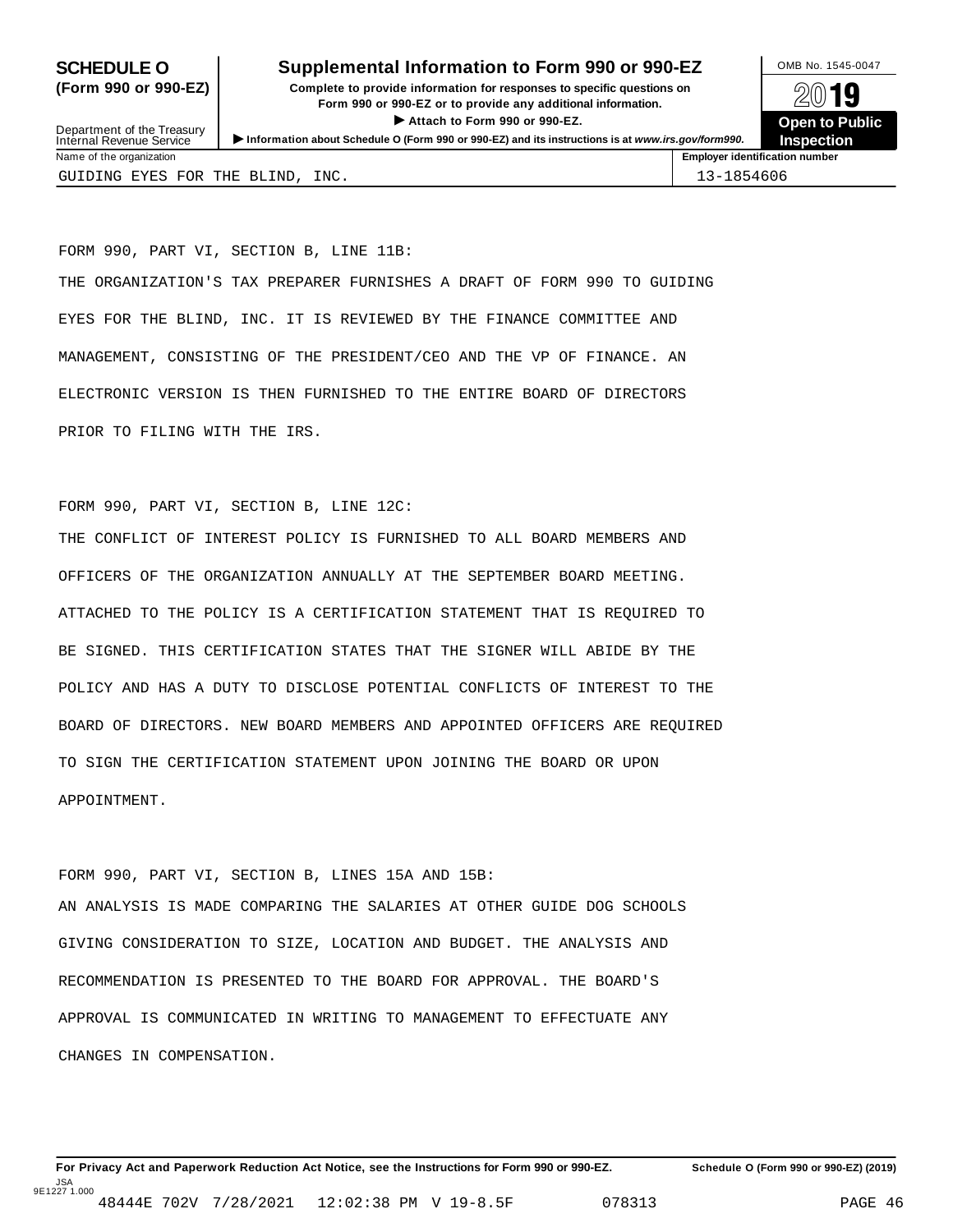#### **SCHEDULE O** Supplemental Information to Form 990 or 990-EZ DOMB No. 1545-0047

**(Form 990 or 990-EZ) Complete to provide information for responses to specific questions on** plete to provide information for responses to specific questions on  $\mathbb{Z}^{0}$  **19 EV I D**<br>
■ Attach to Form 990 or 990-EZ.<br>
■ Public Public Public Public Public



| Department of the Treasury<br>Internal Revenue Service | Attach to Form 990 or 990-EZ.<br><b>Open to Publi</b><br>Information about Schedule O (Form 990 or 990-EZ) and its instructions is at www.irs.gov/form990. |                                       |  |  |  |  |  |  |  |
|--------------------------------------------------------|------------------------------------------------------------------------------------------------------------------------------------------------------------|---------------------------------------|--|--|--|--|--|--|--|
| Name of the organization                               |                                                                                                                                                            | <b>Employer identification number</b> |  |  |  |  |  |  |  |
| GUIDING EYES FOR THE BLIND,                            | INC.                                                                                                                                                       | 13-1854606                            |  |  |  |  |  |  |  |

FORM 990, PART VI, SECTION B, LINE 11B:

THE ORGANIZATION'S TAX PREPARER FURNISHES A DRAFT OF FORM 990 TO GUIDING EYES FOR THE BLIND, INC. IT IS REVIEWED BY THE FINANCE COMMITTEE AND MANAGEMENT, CONSISTING OF THE PRESIDENT/CEO AND THE VP OF FINANCE. AN ELECTRONIC VERSION IS THEN FURNISHED TO THE ENTIRE BOARD OF DIRECTORS PRIOR TO FILING WITH THE IRS.

#### FORM 990, PART VI, SECTION B, LINE 12C:

THE CONFLICT OF INTEREST POLICY IS FURNISHED TO ALL BOARD MEMBERS AND OFFICERS OF THE ORGANIZATION ANNUALLY AT THE SEPTEMBER BOARD MEETING. ATTACHED TO THE POLICY IS A CERTIFICATION STATEMENT THAT IS REQUIRED TO BE SIGNED. THIS CERTIFICATION STATES THAT THE SIGNER WILL ABIDE BY THE POLICY AND HAS A DUTY TO DISCLOSE POTENTIAL CONFLICTS OF INTEREST TO THE BOARD OF DIRECTORS. NEW BOARD MEMBERS AND APPOINTED OFFICERS ARE REQUIRED TO SIGN THE CERTIFICATION STATEMENT UPON JOINING THE BOARD OR UPON APPOINTMENT.

FORM 990, PART VI, SECTION B, LINES 15A AND 15B: AN ANALYSIS IS MADE COMPARING THE SALARIES AT OTHER GUIDE DOG SCHOOLS GIVING CONSIDERATION TO SIZE, LOCATION AND BUDGET. THE ANALYSIS AND RECOMMENDATION IS PRESENTED TO THE BOARD FOR APPROVAL. THE BOARD'S APPROVAL IS COMMUNICATED IN WRITING TO MANAGEMENT TO EFFECTUATE ANY CHANGES IN COMPENSATION.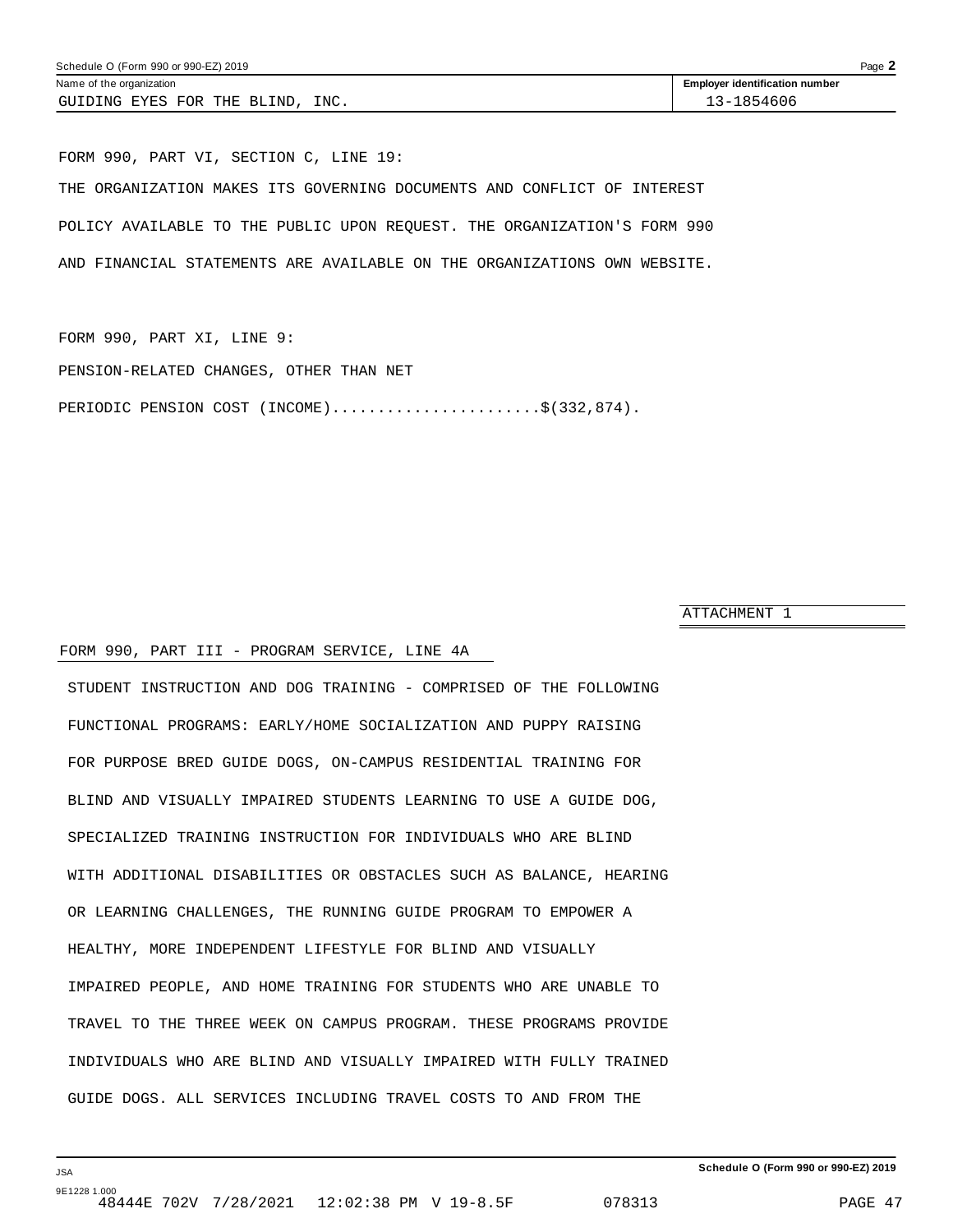| Schedule O (Form 990 or 990-EZ) 2019                              |            |  |
|-------------------------------------------------------------------|------------|--|
| Name of the organization<br><b>Employer identification number</b> |            |  |
| INC.<br>GUIDING EYES FOR THE BLIND,                               | 13-1854606 |  |

FORM 990, PART VI, SECTION C, LINE 19: THE ORGANIZATION MAKES ITS GOVERNING DOCUMENTS AND CONFLICT OF INTEREST POLICY AVAILABLE TO THE PUBLIC UPON REQUEST. THE ORGANIZATION'S FORM 990 AND FINANCIAL STATEMENTS ARE AVAILABLE ON THE ORGANIZATIONS OWN WEBSITE.

FORM 990, PART XI, LINE 9: PENSION-RELATED CHANGES, OTHER THAN NET PERIODIC PENSION COST (INCOME)........................\$(332,874).

ATTACHMENT 1

#### FORM 990, PART III - PROGRAM SERVICE, LINE 4A

STUDENT INSTRUCTION AND DOG TRAINING - COMPRISED OF THE FOLLOWING FUNCTIONAL PROGRAMS: EARLY/HOME SOCIALIZATION AND PUPPY RAISING FOR PURPOSE BRED GUIDE DOGS, ON-CAMPUS RESIDENTIAL TRAINING FOR BLIND AND VISUALLY IMPAIRED STUDENTS LEARNING TO USE A GUIDE DOG, SPECIALIZED TRAINING INSTRUCTION FOR INDIVIDUALS WHO ARE BLIND WITH ADDITIONAL DISABILITIES OR OBSTACLES SUCH AS BALANCE, HEARING OR LEARNING CHALLENGES, THE RUNNING GUIDE PROGRAM TO EMPOWER A HEALTHY, MORE INDEPENDENT LIFESTYLE FOR BLIND AND VISUALLY IMPAIRED PEOPLE, AND HOME TRAINING FOR STUDENTS WHO ARE UNABLE TO TRAVEL TO THE THREE WEEK ON CAMPUS PROGRAM. THESE PROGRAMS PROVIDE INDIVIDUALS WHO ARE BLIND AND VISUALLY IMPAIRED WITH FULLY TRAINED GUIDE DOGS. ALL SERVICES INCLUDING TRAVEL COSTS TO AND FROM THE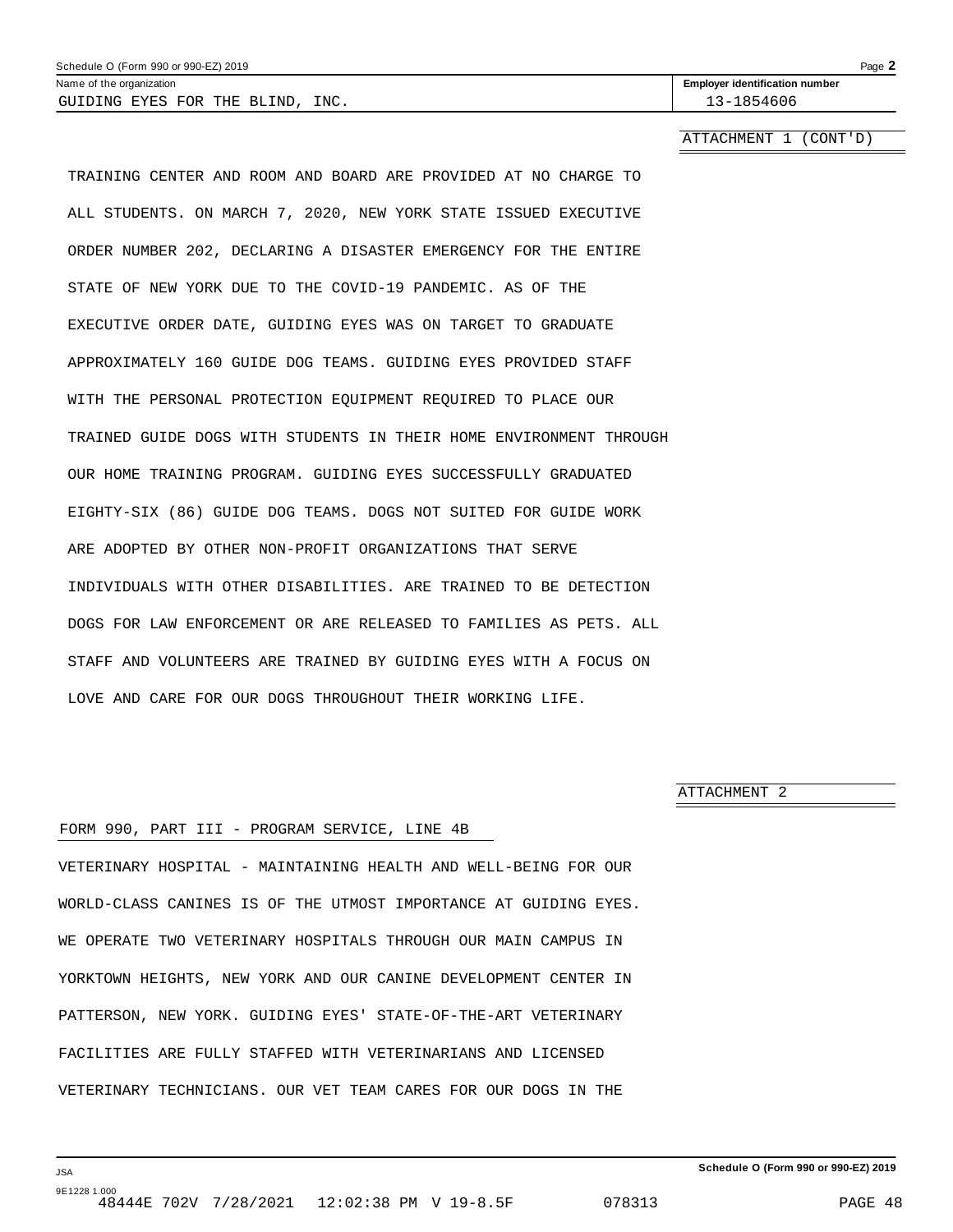| Schedule<br>2019<br>$990-$<br>990<br>(Form<br>. |                                     | Page |
|-------------------------------------------------|-------------------------------------|------|
| Name of the<br>∘organizatior                    | r identification number<br>Emnlover |      |

GUIDING EYES FOR THE BLIND, INC.  $\vert$  13-1854606

ATTACHMENT 1 (CONT'D)

TRAINING CENTER AND ROOM AND BOARD ARE PROVIDED AT NO CHARGE TO ALL STUDENTS. ON MARCH 7, 2020, NEW YORK STATE ISSUED EXECUTIVE ORDER NUMBER 202, DECLARING A DISASTER EMERGENCY FOR THE ENTIRE STATE OF NEW YORK DUE TO THE COVID-19 PANDEMIC. AS OF THE EXECUTIVE ORDER DATE, GUIDING EYES WAS ON TARGET TO GRADUATE APPROXIMATELY 160 GUIDE DOG TEAMS. GUIDING EYES PROVIDED STAFF WITH THE PERSONAL PROTECTION EQUIPMENT REQUIRED TO PLACE OUR TRAINED GUIDE DOGS WITH STUDENTS IN THEIR HOME ENVIRONMENT THROUGH OUR HOME TRAINING PROGRAM. GUIDING EYES SUCCESSFULLY GRADUATED EIGHTY-SIX (86) GUIDE DOG TEAMS. DOGS NOT SUITED FOR GUIDE WORK ARE ADOPTED BY OTHER NON-PROFIT ORGANIZATIONS THAT SERVE INDIVIDUALS WITH OTHER DISABILITIES. ARE TRAINED TO BE DETECTION DOGS FOR LAW ENFORCEMENT OR ARE RELEASED TO FAMILIES AS PETS. ALL STAFF AND VOLUNTEERS ARE TRAINED BY GUIDING EYES WITH A FOCUS ON LOVE AND CARE FOR OUR DOGS THROUGHOUT THEIR WORKING LIFE.

ATTACHMENT 2

#### FORM 990, PART III - PROGRAM SERVICE, LINE 4B

VETERINARY HOSPITAL - MAINTAINING HEALTH AND WELL-BEING FOR OUR WORLD-CLASS CANINES IS OF THE UTMOST IMPORTANCE AT GUIDING EYES. WE OPERATE TWO VETERINARY HOSPITALS THROUGH OUR MAIN CAMPUS IN YORKTOWN HEIGHTS, NEW YORK AND OUR CANINE DEVELOPMENT CENTER IN PATTERSON, NEW YORK. GUIDING EYES' STATE-OF-THE-ART VETERINARY FACILITIES ARE FULLY STAFFED WITH VETERINARIANS AND LICENSED VETERINARY TECHNICIANS. OUR VET TEAM CARES FOR OUR DOGS IN THE

**Schedule O (Form 990 or 990-EZ) 2019**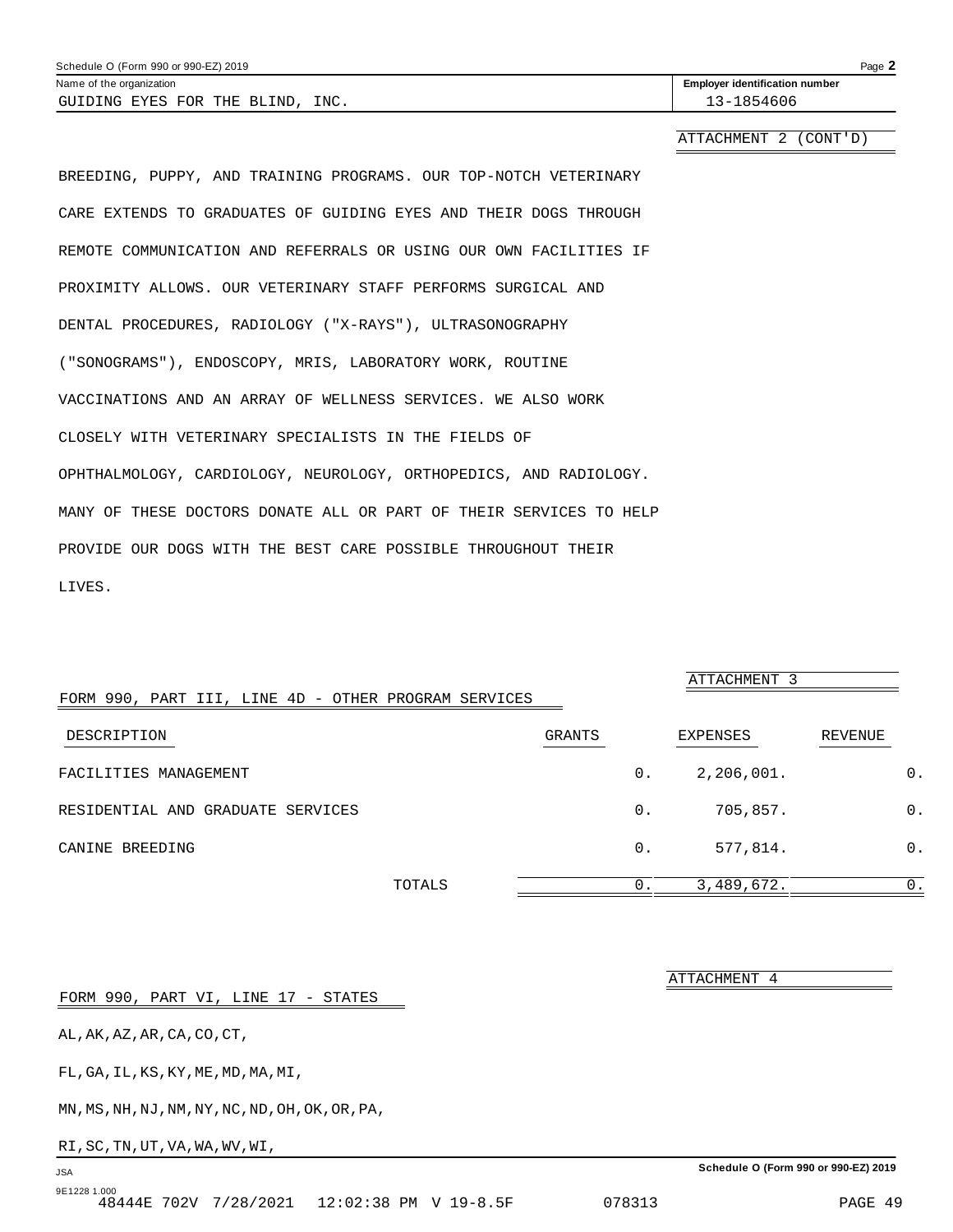| Schedule O (Form 990 or 990-EZ) 2019 | Page 2                                |
|--------------------------------------|---------------------------------------|
| Name of the organization             | <b>Employer identification number</b> |
| GUIDING EYES FOR THE BLIND, INC.     | 13-1854606                            |
|                                      |                                       |
|                                      | ATTACHMENT 2 (<br>( CONT ' D )        |

CARE EXTENDS TO GRADUATES OF GUIDING EYES AND THEIR DOGS THROUGH REMOTE COMMUNICATION AND REFERRALS OR USING OUR OWN FACILITIES IF PROXIMITY ALLOWS. OUR VETERINARY STAFF PERFORMS SURGICAL AND DENTAL PROCEDURES, RADIOLOGY ("X-RAYS"), ULTRASONOGRAPHY ("SONOGRAMS"), ENDOSCOPY, MRIS, LABORATORY WORK, ROUTINE VACCINATIONS AND AN ARRAY OF WELLNESS SERVICES. WE ALSO WORK CLOSELY WITH VETERINARY SPECIALISTS IN THE FIELDS OF OPHTHALMOLOGY, CARDIOLOGY, NEUROLOGY, ORTHOPEDICS, AND RADIOLOGY. MANY OF THESE DOCTORS DONATE ALL OR PART OF THEIR SERVICES TO HELP PROVIDE OUR DOGS WITH THE BEST CARE POSSIBLE THROUGHOUT THEIR LIVES.

BREEDING, PUPPY, AND TRAINING PROGRAMS. OUR TOP-NOTCH VETERINARY

#### FORM 990, PART III, LINE 4D - OTHER PROGRAM SERVICES

| DESCRIPTION                       |        | GRANTS |    | <b>EXPENSES</b> | REVENUE |    |
|-----------------------------------|--------|--------|----|-----------------|---------|----|
| FACILITIES MANAGEMENT             |        |        | 0. | 2,206,001.      |         | 0. |
| RESIDENTIAL AND GRADUATE SERVICES |        |        | 0. | 705,857.        |         | 0. |
| CANINE BREEDING                   |        |        | 0. | 577,814.        |         | 0. |
|                                   | TOTALS |        |    | 3,489,672.      |         |    |

FORM 990, PART VI, LINE 17 - STATES

AL,AK,AZ,AR,CA,CO,CT,

FL,GA,IL,KS,KY,ME,MD,MA,MI,

MN,MS,NH,NJ,NM,NY,NC,ND,OH,OK,OR,PA,

RI,SC,TN,UT,VA,WA,WV,WI,

9E1228 1.000 48444E 702V 7/28/2021 12:02:38 PM V 19-8.5F 078313 PAGE 49

**Schedule O (Form 990 or 990-EZ) 2019**

ATTACHMENT 4

ATTACHMENT 3